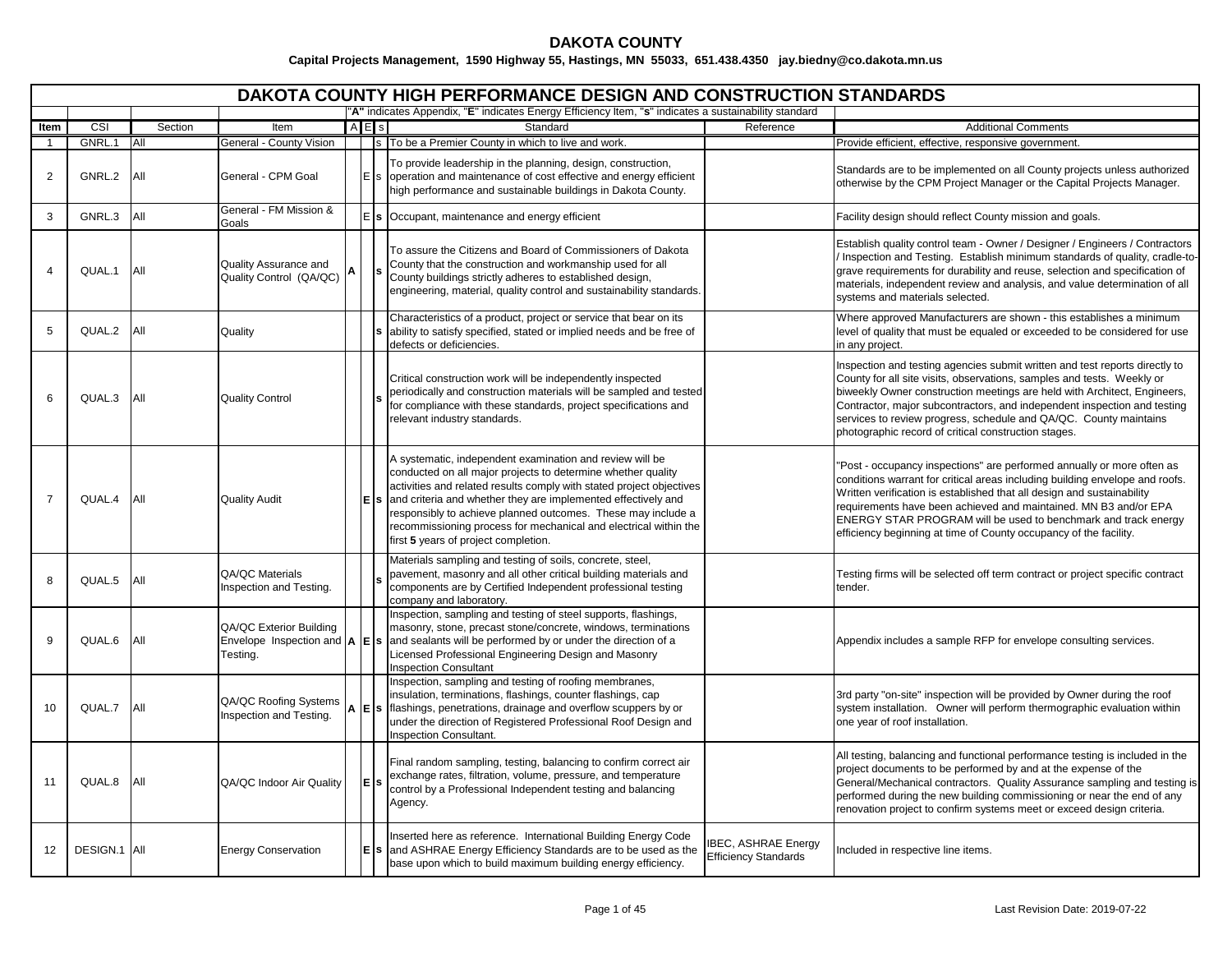|                   |              |            |                                                                  |            | <b>DAKOTA COUNTY HIGH PERFORMANCE DESIGN AND CONSTRUCTION STANDARDS</b>                                                                                                                                                                                                                                                                                                                                                                             |                                                          |                                                                                                                                                                                                                                                                                                                                                                                                                                             |
|-------------------|--------------|------------|------------------------------------------------------------------|------------|-----------------------------------------------------------------------------------------------------------------------------------------------------------------------------------------------------------------------------------------------------------------------------------------------------------------------------------------------------------------------------------------------------------------------------------------------------|----------------------------------------------------------|---------------------------------------------------------------------------------------------------------------------------------------------------------------------------------------------------------------------------------------------------------------------------------------------------------------------------------------------------------------------------------------------------------------------------------------------|
|                   |              |            |                                                                  |            | "A" indicates Appendix, "E" indicates Energy Efficiency Item, "s" indicates a sustainability standard                                                                                                                                                                                                                                                                                                                                               |                                                          |                                                                                                                                                                                                                                                                                                                                                                                                                                             |
| Item              | CSI          | Section    | Item                                                             | $A$ $E$ s  | Standard                                                                                                                                                                                                                                                                                                                                                                                                                                            | Reference                                                | <b>Additional Comments</b>                                                                                                                                                                                                                                                                                                                                                                                                                  |
| 1                 | GNRL.1       | <b>All</b> | General - County Vision                                          |            | s To be a Premier County in which to live and work.                                                                                                                                                                                                                                                                                                                                                                                                 |                                                          | Provide efficient, effective, responsive government.                                                                                                                                                                                                                                                                                                                                                                                        |
| $\overline{2}$    | GNRL.2       | <b>All</b> | General - CPM Goal                                               |            | To provide leadership in the planning, design, construction,<br>operation and maintenance of cost effective and energy efficient<br>high performance and sustainable buildings in Dakota County.                                                                                                                                                                                                                                                    |                                                          | Standards are to be implemented on all County projects unless authorized<br>otherwise by the CPM Project Manager or the Capital Projects Manager.                                                                                                                                                                                                                                                                                           |
| 3                 | GNRL.3       | All        | General - FM Mission &<br>Goals                                  |            | $E$ s Occupant, maintenance and energy efficient                                                                                                                                                                                                                                                                                                                                                                                                    |                                                          | Facility design should reflect County mission and goals.                                                                                                                                                                                                                                                                                                                                                                                    |
| 4                 | QUAL.1       | <b>AII</b> | Quality Assurance and<br>Quality Control (QA/QC)                 |            | To assure the Citizens and Board of Commissioners of Dakota<br>County that the construction and workmanship used for all<br>County buildings strictly adheres to established design,<br>engineering, material, quality control and sustainability standards.                                                                                                                                                                                        |                                                          | Establish quality control team - Owner / Designer / Engineers / Contractors<br>Inspection and Testing. Establish minimum standards of quality, cradle-to-<br>grave requirements for durability and reuse, selection and specification of<br>materials, independent review and analysis, and value determination of all<br>systems and materials selected.                                                                                   |
| 5                 | QUAL.2       | <b>AII</b> | Quality                                                          |            | Characteristics of a product, project or service that bear on its<br>ability to satisfy specified, stated or implied needs and be free of<br>defects or deficiencies.                                                                                                                                                                                                                                                                               |                                                          | Where approved Manufacturers are shown - this establishes a minimum<br>level of quality that must be equaled or exceeded to be considered for use<br>in any project.                                                                                                                                                                                                                                                                        |
| 6                 | QUAL.3       | <b>AII</b> | <b>Quality Control</b>                                           |            | Critical construction work will be independently inspected<br>periodically and construction materials will be sampled and tested<br>for compliance with these standards, project specifications and<br>relevant industry standards.                                                                                                                                                                                                                 |                                                          | Inspection and testing agencies submit written and test reports directly to<br>County for all site visits, observations, samples and tests. Weekly or<br>biweekly Owner construction meetings are held with Architect, Engineers,<br>Contractor, major subcontractors, and independent inspection and testing<br>services to review progress, schedule and QA/QC. County maintains<br>photographic record of critical construction stages.  |
| $\overline{7}$    | QUAL.4       | <b>AII</b> | <b>Quality Audit</b>                                             |            | A systematic, independent examination and review will be<br>conducted on all major projects to determine whether quality<br>activities and related results comply with stated project objectives<br>$E$ s and criteria and whether they are implemented effectively and<br>responsibly to achieve planned outcomes. These may include a<br>recommissioning process for mechanical and electrical within the<br>first 5 years of project completion. |                                                          | "Post - occupancy inspections" are performed annually or more often as<br>conditions warrant for critical areas including building envelope and roofs.<br>Written verification is established that all design and sustainability<br>requirements have been achieved and maintained. MN B3 and/or EPA<br>ENERGY STAR PROGRAM will be used to benchmark and track energy<br>efficiency beginning at time of County occupancy of the facility. |
| 8                 | QUAL.5       | <b>All</b> | QA/QC Materials<br>Inspection and Testing.                       |            | Materials sampling and testing of soils, concrete, steel,<br>pavement, masonry and all other critical building materials and<br>components are by Certified Independent professional testing<br>company and laboratory.                                                                                                                                                                                                                             |                                                          | Testing firms will be selected off term contract or project specific contract<br>tender.                                                                                                                                                                                                                                                                                                                                                    |
| 9                 | QUAL.6       | All        | QA/QC Exterior Building<br>Envelope Inspection and A<br>Testing. | <b>E</b> s | Inspection, sampling and testing of steel supports, flashings,<br>masonry, stone, precast stone/concrete, windows, terminations<br>and sealants will be performed by or under the direction of a<br>Licensed Professional Engineering Design and Masonry<br><b>Inspection Consultant</b>                                                                                                                                                            |                                                          | Appendix includes a sample RFP for envelope consulting services.                                                                                                                                                                                                                                                                                                                                                                            |
| 10                | QUAL.7       | <b>All</b> | QA/QC Roofing Systems<br>Inspection and Testing.                 |            | Inspection, sampling and testing of roofing membranes,<br>insulation, terminations, flashings, counter flashings, cap<br>$E$ s   flashings, penetrations, drainage and overflow scuppers by or<br>under the direction of Registered Professional Roof Design and<br><b>Inspection Consultant.</b>                                                                                                                                                   |                                                          | 3rd party "on-site" inspection will be provided by Owner during the roof<br>system installation. Owner will perform thermographic evaluation within<br>one year of roof installation.                                                                                                                                                                                                                                                       |
| 11                | QUAL.8       | <b>AII</b> | QA/QC Indoor Air Quality                                         | lE Is      | Final random sampling, testing, balancing to confirm correct air<br>exchange rates, filtration, volume, pressure, and temperature<br>control by a Professional Independent testing and balancing<br>Agency.                                                                                                                                                                                                                                         |                                                          | All testing, balancing and functional performance testing is included in the<br>project documents to be performed by and at the expense of the<br>General/Mechanical contractors. Quality Assurance sampling and testing is<br>performed during the new building commissioning or near the end of any<br>renovation project to confirm systems meet or exceed design criteria.                                                              |
| $12 \overline{ }$ | DESIGN.1 All |            | <b>Energy Conservation</b>                                       |            | Inserted here as reference. International Building Energy Code<br>$E$ s and ASHRAE Energy Efficiency Standards are to be used as the<br>base upon which to build maximum building energy efficiency.                                                                                                                                                                                                                                                | <b>BEC, ASHRAE Energy</b><br><b>Efficiency Standards</b> | Included in respective line items.                                                                                                                                                                                                                                                                                                                                                                                                          |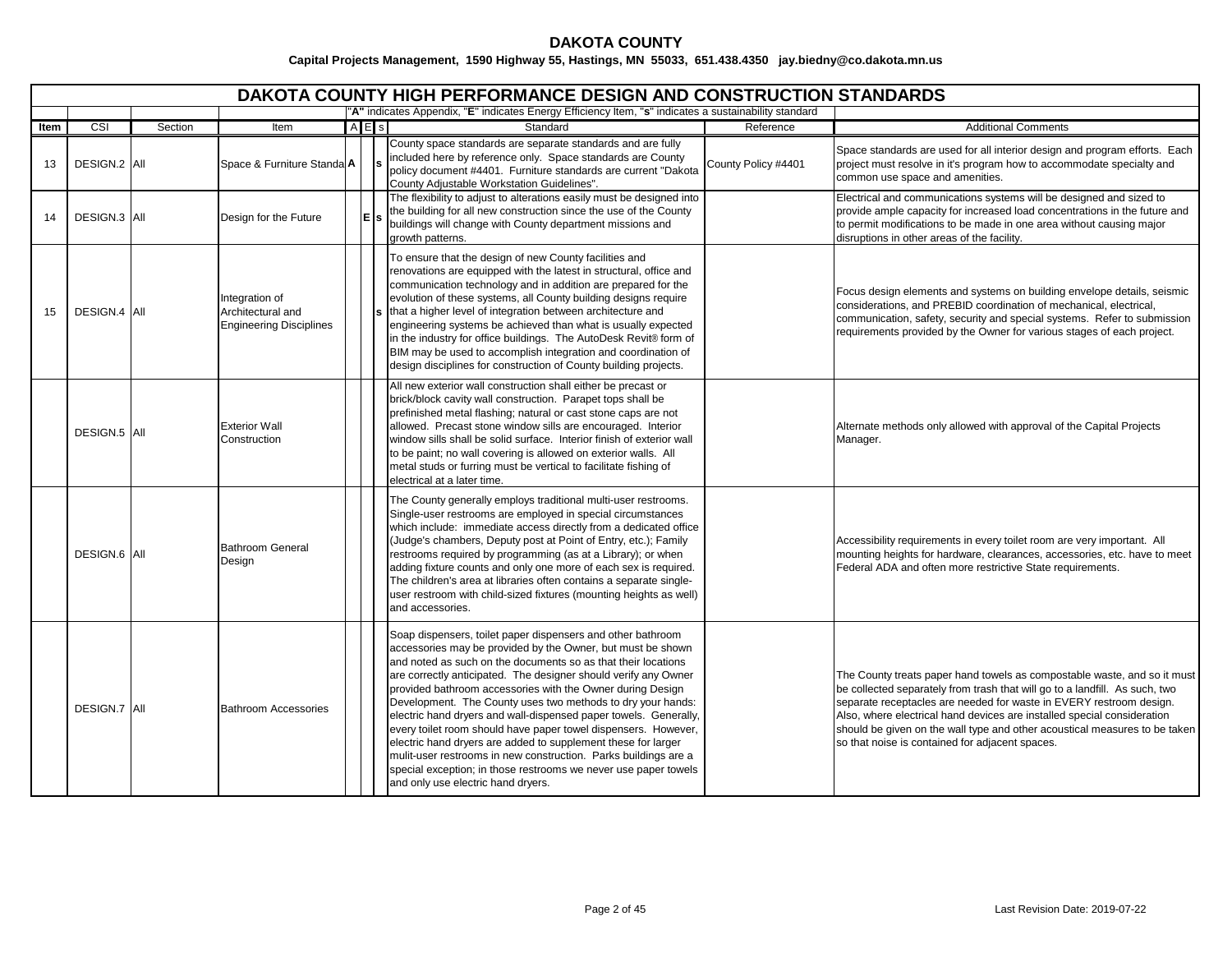|      |                     |         |                                                                       |     | <b>DAKOTA COUNTY HIGH PERFORMANCE DESIGN AND CONSTRUCTION STANDARDS</b>                                                                                                                                                                                                                                                                                                                                                                                                                                                                                                                                                                                                                                                                                                        |                     |                                                                                                                                                                                                                                                                                                                                                                                                                                            |
|------|---------------------|---------|-----------------------------------------------------------------------|-----|--------------------------------------------------------------------------------------------------------------------------------------------------------------------------------------------------------------------------------------------------------------------------------------------------------------------------------------------------------------------------------------------------------------------------------------------------------------------------------------------------------------------------------------------------------------------------------------------------------------------------------------------------------------------------------------------------------------------------------------------------------------------------------|---------------------|--------------------------------------------------------------------------------------------------------------------------------------------------------------------------------------------------------------------------------------------------------------------------------------------------------------------------------------------------------------------------------------------------------------------------------------------|
|      |                     |         |                                                                       |     | "A" indicates Appendix, "E" indicates Energy Efficiency Item, "s" indicates a sustainability standard                                                                                                                                                                                                                                                                                                                                                                                                                                                                                                                                                                                                                                                                          |                     |                                                                                                                                                                                                                                                                                                                                                                                                                                            |
| Item | CSI                 | Section | Item                                                                  | AES | Standard                                                                                                                                                                                                                                                                                                                                                                                                                                                                                                                                                                                                                                                                                                                                                                       | Reference           | <b>Additional Comments</b>                                                                                                                                                                                                                                                                                                                                                                                                                 |
| 13   | DESIGN.2 All        |         | Space & Furniture Standa A                                            |     | County space standards are separate standards and are fully<br>included here by reference only. Space standards are County<br>policy document #4401. Furniture standards are current "Dakota<br>County Adjustable Workstation Guidelines".                                                                                                                                                                                                                                                                                                                                                                                                                                                                                                                                     | County Policy #4401 | Space standards are used for all interior design and program efforts. Each<br>project must resolve in it's program how to accommodate specialty and<br>common use space and amenities.                                                                                                                                                                                                                                                     |
| 14   | <b>DESIGN.3 AII</b> |         | Design for the Future                                                 | E   | The flexibility to adjust to alterations easily must be designed into<br>the building for all new construction since the use of the County<br>buildings will change with County department missions and<br>growth patterns.                                                                                                                                                                                                                                                                                                                                                                                                                                                                                                                                                    |                     | Electrical and communications systems will be designed and sized to<br>provide ample capacity for increased load concentrations in the future and<br>to permit modifications to be made in one area without causing major<br>disruptions in other areas of the facility.                                                                                                                                                                   |
| 15   | DESIGN.4 All        |         | Integration of<br>Architectural and<br><b>Engineering Disciplines</b> |     | To ensure that the design of new County facilities and<br>renovations are equipped with the latest in structural, office and<br>communication technology and in addition are prepared for the<br>evolution of these systems, all County building designs require<br>that a higher level of integration between architecture and<br>engineering systems be achieved than what is usually expected<br>in the industry for office buildings. The AutoDesk Revit® form of<br>BIM may be used to accomplish integration and coordination of<br>design disciplines for construction of County building projects.                                                                                                                                                                     |                     | Focus design elements and systems on building envelope details, seismic<br>considerations, and PREBID coordination of mechanical, electrical,<br>communication, safety, security and special systems. Refer to submission<br>requirements provided by the Owner for various stages of each project.                                                                                                                                        |
|      | DESIGN.5 All        |         | <b>Exterior Wall</b><br>Construction                                  |     | All new exterior wall construction shall either be precast or<br>brick/block cavity wall construction. Parapet tops shall be<br>prefinished metal flashing; natural or cast stone caps are not<br>allowed. Precast stone window sills are encouraged. Interior<br>window sills shall be solid surface. Interior finish of exterior wall<br>to be paint; no wall covering is allowed on exterior walls. All<br>metal studs or furring must be vertical to facilitate fishing of<br>electrical at a later time.                                                                                                                                                                                                                                                                  |                     | Alternate methods only allowed with approval of the Capital Projects<br>Manager.                                                                                                                                                                                                                                                                                                                                                           |
|      | DESIGN.6 All        |         | <b>Bathroom General</b><br>Design                                     |     | The County generally employs traditional multi-user restrooms.<br>Single-user restrooms are employed in special circumstances<br>which include: immediate access directly from a dedicated office<br>(Judge's chambers, Deputy post at Point of Entry, etc.); Family<br>restrooms required by programming (as at a Library); or when<br>adding fixture counts and only one more of each sex is required.<br>The children's area at libraries often contains a separate single-<br>user restroom with child-sized fixtures (mounting heights as well)<br>and accessories.                                                                                                                                                                                                       |                     | Accessibility requirements in every toilet room are very important. All<br>mounting heights for hardware, clearances, accessories, etc. have to meet<br>Federal ADA and often more restrictive State requirements.                                                                                                                                                                                                                         |
|      | DESIGN.7 AII        |         | <b>Bathroom Accessories</b>                                           |     | Soap dispensers, toilet paper dispensers and other bathroom<br>accessories may be provided by the Owner, but must be shown<br>and noted as such on the documents so as that their locations<br>are correctly anticipated. The designer should verify any Owner<br>provided bathroom accessories with the Owner during Design<br>Development. The County uses two methods to dry your hands:<br>electric hand dryers and wall-dispensed paper towels. Generally,<br>every toilet room should have paper towel dispensers. However,<br>electric hand dryers are added to supplement these for larger<br>mulit-user restrooms in new construction. Parks buildings are a<br>special exception; in those restrooms we never use paper towels<br>and only use electric hand dryers. |                     | The County treats paper hand towels as compostable waste, and so it must<br>be collected separately from trash that will go to a landfill. As such, two<br>separate receptacles are needed for waste in EVERY restroom design.<br>Also, where electrical hand devices are installed special consideration<br>should be given on the wall type and other acoustical measures to be taken<br>so that noise is contained for adjacent spaces. |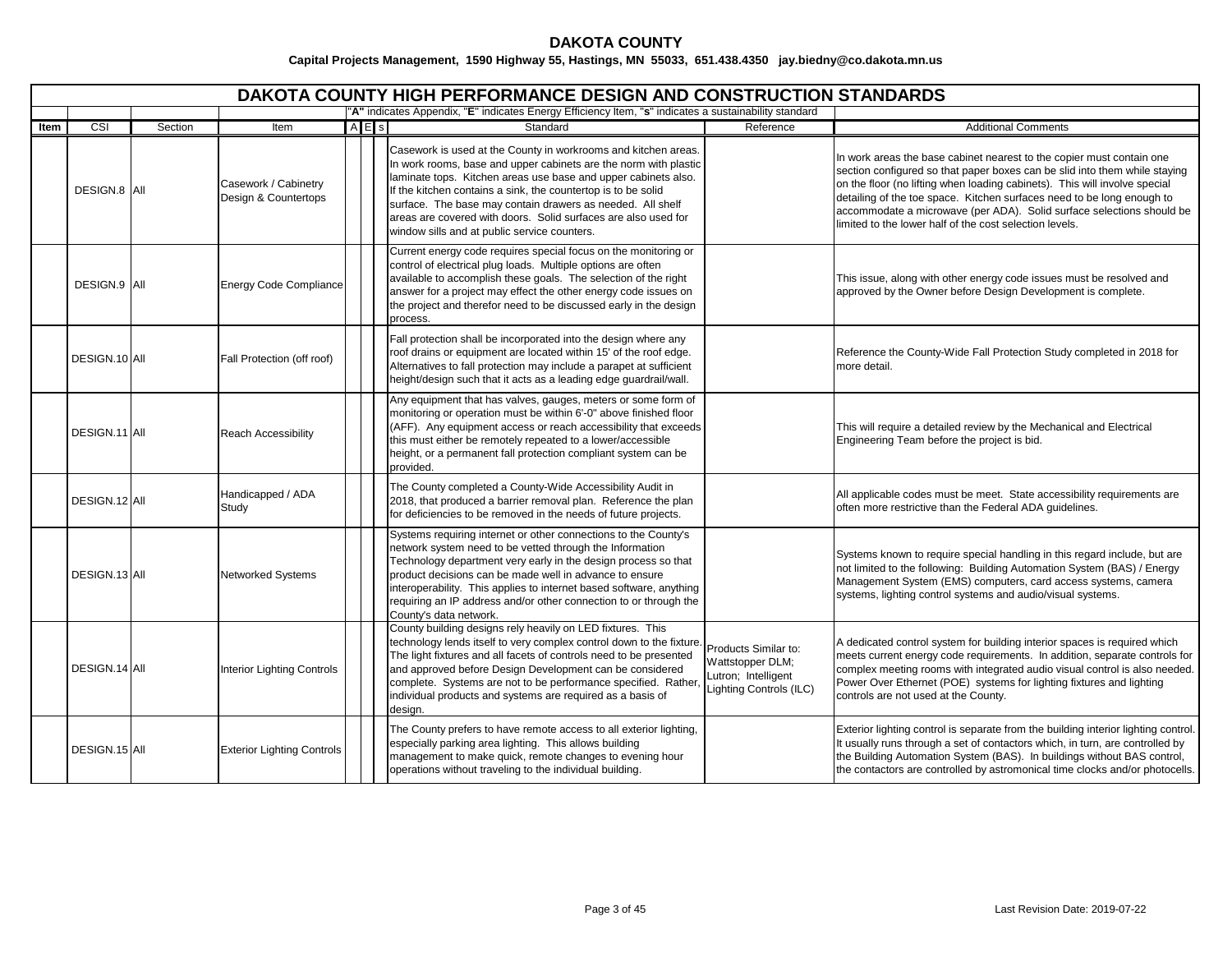|      |               |         |                                              |     | <b>DAKOTA COUNTY HIGH PERFORMANCE DESIGN AND CONSTRUCTION STANDARDS</b>                                                                                                                                                                                                                                                                                                                                                                               |                                                                                            |                                                                                                                                                                                                                                                                                                                                                                                                                                                 |
|------|---------------|---------|----------------------------------------------|-----|-------------------------------------------------------------------------------------------------------------------------------------------------------------------------------------------------------------------------------------------------------------------------------------------------------------------------------------------------------------------------------------------------------------------------------------------------------|--------------------------------------------------------------------------------------------|-------------------------------------------------------------------------------------------------------------------------------------------------------------------------------------------------------------------------------------------------------------------------------------------------------------------------------------------------------------------------------------------------------------------------------------------------|
|      |               |         |                                              |     | "A" indicates Appendix, "E" indicates Energy Efficiency Item, "s" indicates a sustainability standard                                                                                                                                                                                                                                                                                                                                                 |                                                                                            |                                                                                                                                                                                                                                                                                                                                                                                                                                                 |
| Item | CSI           | Section | Item                                         | AES | Standard                                                                                                                                                                                                                                                                                                                                                                                                                                              | Reference                                                                                  | <b>Additional Comments</b>                                                                                                                                                                                                                                                                                                                                                                                                                      |
|      | DESIGN.8 AII  |         | Casework / Cabinetry<br>Design & Countertops |     | Casework is used at the County in workrooms and kitchen areas.<br>In work rooms, base and upper cabinets are the norm with plastic<br>laminate tops. Kitchen areas use base and upper cabinets also.<br>If the kitchen contains a sink, the countertop is to be solid<br>surface. The base may contain drawers as needed. All shelf<br>areas are covered with doors. Solid surfaces are also used for<br>window sills and at public service counters. |                                                                                            | In work areas the base cabinet nearest to the copier must contain one<br>section configured so that paper boxes can be slid into them while staying<br>on the floor (no lifting when loading cabinets). This will involve special<br>detailing of the toe space. Kitchen surfaces need to be long enough to<br>accommodate a microwave (per ADA). Solid surface selections should be<br>limited to the lower half of the cost selection levels. |
|      | DESIGN.9 AII  |         | <b>Energy Code Compliance</b>                |     | Current energy code requires special focus on the monitoring or<br>control of electrical plug loads. Multiple options are often<br>available to accomplish these goals. The selection of the right<br>answer for a project may effect the other energy code issues on<br>the project and therefor need to be discussed early in the design<br>process.                                                                                                |                                                                                            | This issue, along with other energy code issues must be resolved and<br>approved by the Owner before Design Development is complete.                                                                                                                                                                                                                                                                                                            |
|      | DESIGN.10 All |         | Fall Protection (off roof)                   |     | Fall protection shall be incorporated into the design where any<br>roof drains or equipment are located within 15' of the roof edge.<br>Alternatives to fall protection may include a parapet at sufficient<br>height/design such that it acts as a leading edge guardrail/wall.                                                                                                                                                                      |                                                                                            | Reference the County-Wide Fall Protection Study completed in 2018 for<br>more detail.                                                                                                                                                                                                                                                                                                                                                           |
|      | DESIGN.11 AII |         | <b>Reach Accessibility</b>                   |     | Any equipment that has valves, gauges, meters or some form of<br>monitoring or operation must be within 6'-0" above finished floor<br>(AFF). Any equipment access or reach accessibility that exceeds<br>this must either be remotely repeated to a lower/accessible<br>height, or a permanent fall protection compliant system can be<br>provided.                                                                                                   |                                                                                            | This will require a detailed review by the Mechanical and Electrical<br>Engineering Team before the project is bid.                                                                                                                                                                                                                                                                                                                             |
|      | DESIGN.12 AII |         | Handicapped / ADA<br>Study                   |     | The County completed a County-Wide Accessibility Audit in<br>2018, that produced a barrier removal plan. Reference the plan<br>for deficiencies to be removed in the needs of future projects.                                                                                                                                                                                                                                                        |                                                                                            | All applicable codes must be meet. State accessibility requirements are<br>often more restrictive than the Federal ADA guidelines.                                                                                                                                                                                                                                                                                                              |
|      | DESIGN.13 AII |         | <b>Networked Systems</b>                     |     | Systems requiring internet or other connections to the County's<br>network system need to be vetted through the Information<br>Technology department very early in the design process so that<br>product decisions can be made well in advance to ensure<br>interoperability. This applies to internet based software, anything<br>requiring an IP address and/or other connection to or through the<br>County's data network.                        |                                                                                            | Systems known to require special handling in this regard include, but are<br>not limited to the following: Building Automation System (BAS) / Energy<br>Management System (EMS) computers, card access systems, camera<br>systems, lighting control systems and audio/visual systems.                                                                                                                                                           |
|      | DESIGN.14 All |         | Interior Lighting Controls                   |     | County building designs rely heavily on LED fixtures. This<br>technology lends itself to very complex control down to the fixture.<br>The light fixtures and all facets of controls need to be presented<br>and approved before Design Development can be considered<br>complete. Systems are not to be performance specified. Rather,<br>individual products and systems are required as a basis of<br>design.                                       | Products Similar to:<br>Wattstopper DLM;<br>Lutron; Intelligent<br>Lighting Controls (ILC) | A dedicated control system for building interior spaces is required which<br>meets current energy code requirements. In addition, separate controls for<br>complex meeting rooms with integrated audio visual control is also needed.<br>Power Over Ethernet (POE) systems for lighting fixtures and lighting<br>controls are not used at the County.                                                                                           |
|      | DESIGN.15 AII |         | <b>Exterior Lighting Controls</b>            |     | The County prefers to have remote access to all exterior lighting,<br>especially parking area lighting. This allows building<br>management to make quick, remote changes to evening hour<br>operations without traveling to the individual building.                                                                                                                                                                                                  |                                                                                            | Exterior lighting control is separate from the building interior lighting control.<br>It usually runs through a set of contactors which, in turn, are controlled by<br>the Building Automation System (BAS). In buildings without BAS control,<br>the contactors are controlled by astromonical time clocks and/or photocells.                                                                                                                  |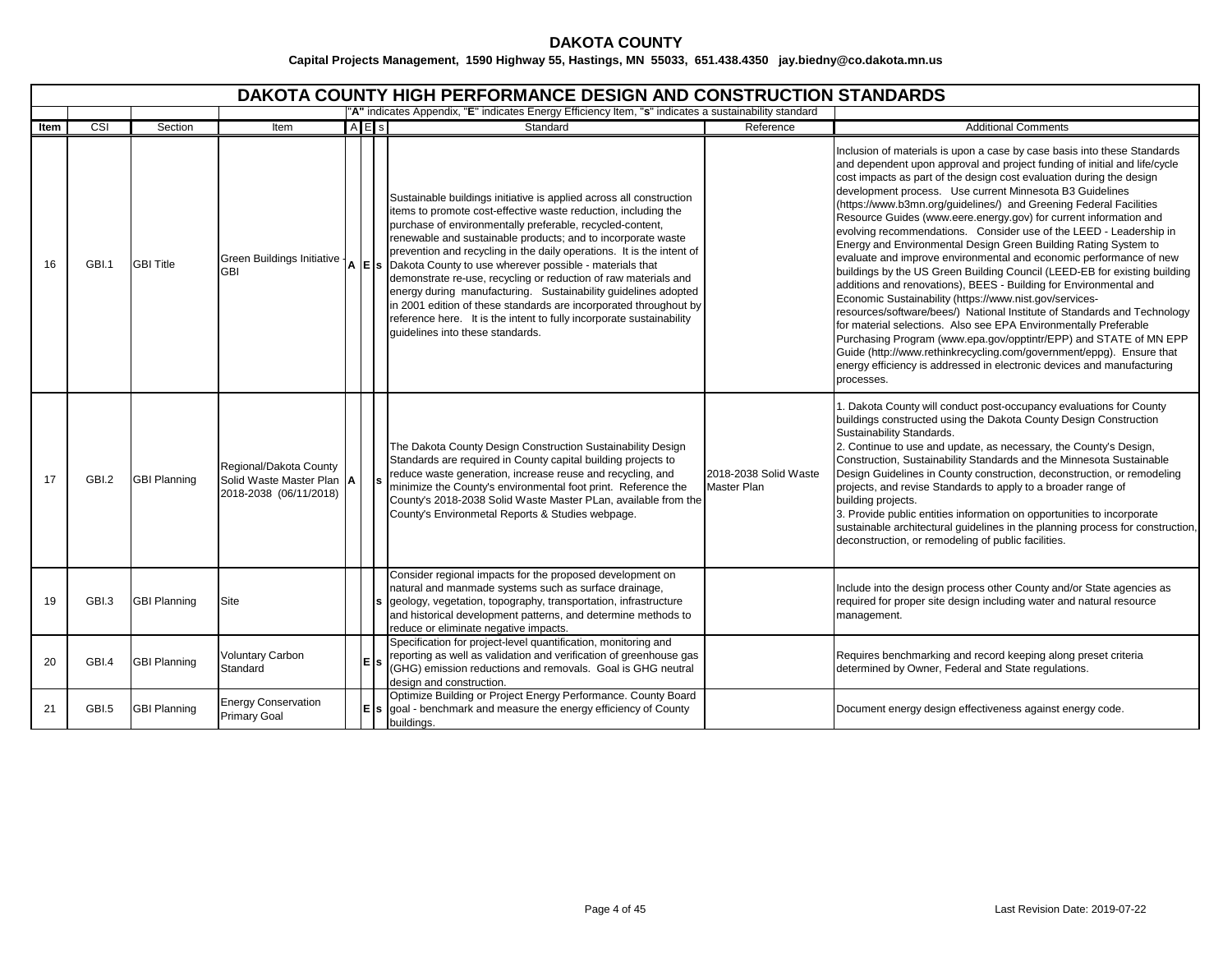|      | DAKOTA COUNTY HIGH PERFORMANCE DESIGN AND CONSTRUCTION STANDARDS<br>"A" indicates Appendix, "E" indicates Energy Efficiency Item, "s" indicates a sustainability standard |                     |                                                                               |  |         |                                                                                                                                                                                                                                                                                                                                                                                                                                                                                                                                                                                                                                                                                                                                                                     |                                      |                                                                                                                                                                                                                                                                                                                                                                                                                                                                                                                                                                                                                                                                                                                                                                                                                                                                                                                                                                                                                                                                                                                                                                                                                                                       |  |  |  |  |
|------|---------------------------------------------------------------------------------------------------------------------------------------------------------------------------|---------------------|-------------------------------------------------------------------------------|--|---------|---------------------------------------------------------------------------------------------------------------------------------------------------------------------------------------------------------------------------------------------------------------------------------------------------------------------------------------------------------------------------------------------------------------------------------------------------------------------------------------------------------------------------------------------------------------------------------------------------------------------------------------------------------------------------------------------------------------------------------------------------------------------|--------------------------------------|-------------------------------------------------------------------------------------------------------------------------------------------------------------------------------------------------------------------------------------------------------------------------------------------------------------------------------------------------------------------------------------------------------------------------------------------------------------------------------------------------------------------------------------------------------------------------------------------------------------------------------------------------------------------------------------------------------------------------------------------------------------------------------------------------------------------------------------------------------------------------------------------------------------------------------------------------------------------------------------------------------------------------------------------------------------------------------------------------------------------------------------------------------------------------------------------------------------------------------------------------------|--|--|--|--|
|      |                                                                                                                                                                           |                     |                                                                               |  |         |                                                                                                                                                                                                                                                                                                                                                                                                                                                                                                                                                                                                                                                                                                                                                                     |                                      |                                                                                                                                                                                                                                                                                                                                                                                                                                                                                                                                                                                                                                                                                                                                                                                                                                                                                                                                                                                                                                                                                                                                                                                                                                                       |  |  |  |  |
| ltem | $\overline{\text{CSI}}$                                                                                                                                                   | Section             | Item                                                                          |  | $A$ E s | Standard                                                                                                                                                                                                                                                                                                                                                                                                                                                                                                                                                                                                                                                                                                                                                            | Reference                            | <b>Additional Comments</b>                                                                                                                                                                                                                                                                                                                                                                                                                                                                                                                                                                                                                                                                                                                                                                                                                                                                                                                                                                                                                                                                                                                                                                                                                            |  |  |  |  |
| 16   | GBI.1                                                                                                                                                                     | <b>GBI Title</b>    | Green Buildings Initiative -<br><b>GBI</b>                                    |  |         | Sustainable buildings initiative is applied across all construction<br>items to promote cost-effective waste reduction, including the<br>purchase of environmentally preferable, recycled-content,<br>renewable and sustainable products; and to incorporate waste<br>prevention and recycling in the daily operations. It is the intent of<br>$\mathsf{A}$ $\mathsf{E}$ $\mathsf{s}$ Dakota County to use wherever possible - materials that<br>demonstrate re-use, recycling or reduction of raw materials and<br>energy during manufacturing. Sustainability guidelines adopted<br>in 2001 edition of these standards are incorporated throughout by<br>reference here. It is the intent to fully incorporate sustainability<br>quidelines into these standards. |                                      | Inclusion of materials is upon a case by case basis into these Standards<br>and dependent upon approval and project funding of initial and life/cycle<br>cost impacts as part of the design cost evaluation during the design<br>development process. Use current Minnesota B3 Guidelines<br>(https://www.b3mn.org/guidelines/) and Greening Federal Facilities<br>Resource Guides (www.eere.energy.gov) for current information and<br>evolving recommendations. Consider use of the LEED - Leadership in<br>Energy and Environmental Design Green Building Rating System to<br>evaluate and improve environmental and economic performance of new<br>buildings by the US Green Building Council (LEED-EB for existing building<br>additions and renovations), BEES - Building for Environmental and<br>Economic Sustainability (https://www.nist.gov/services-<br>resources/software/bees/) National Institute of Standards and Technology<br>for material selections. Also see EPA Environmentally Preferable<br>Purchasing Program (www.epa.gov/opptintr/EPP) and STATE of MN EPP<br>Guide (http://www.rethinkrecycling.com/government/eppg). Ensure that<br>energy efficiency is addressed in electronic devices and manufacturing<br>processes. |  |  |  |  |
| 17   | GBI.2                                                                                                                                                                     | <b>GBI Planning</b> | Regional/Dakota County<br>Solid Waste Master Plan A<br>2018-2038 (06/11/2018) |  |         | The Dakota County Design Construction Sustainability Design<br>Standards are required in County capital building projects to<br>reduce waste generation, increase reuse and recycling, and<br>minimize the County's environmental foot print. Reference the<br>County's 2018-2038 Solid Waste Master PLan, available from the<br>County's Environmetal Reports & Studies webpage.                                                                                                                                                                                                                                                                                                                                                                                   | 2018-2038 Solid Waste<br>Master Plan | 1. Dakota County will conduct post-occupancy evaluations for County<br>buildings constructed using the Dakota County Design Construction<br>Sustainability Standards.<br>2. Continue to use and update, as necessary, the County's Design,<br>Construction, Sustainability Standards and the Minnesota Sustainable<br>Design Guidelines in County construction, deconstruction, or remodeling<br>projects, and revise Standards to apply to a broader range of<br>building projects.<br>3. Provide public entities information on opportunities to incorporate<br>sustainable architectural guidelines in the planning process for construction,<br>deconstruction, or remodeling of public facilities.                                                                                                                                                                                                                                                                                                                                                                                                                                                                                                                                               |  |  |  |  |
| 19   | GBI.3                                                                                                                                                                     | <b>GBI Planning</b> | Site                                                                          |  |         | Consider regional impacts for the proposed development on<br>natural and manmade systems such as surface drainage,<br>geology, vegetation, topography, transportation, infrastructure<br>and historical development patterns, and determine methods to<br>reduce or eliminate negative impacts.                                                                                                                                                                                                                                                                                                                                                                                                                                                                     |                                      | Include into the design process other County and/or State agencies as<br>required for proper site design including water and natural resource<br>management.                                                                                                                                                                                                                                                                                                                                                                                                                                                                                                                                                                                                                                                                                                                                                                                                                                                                                                                                                                                                                                                                                          |  |  |  |  |
| 20   | GBI.4                                                                                                                                                                     | <b>GBI Planning</b> | <b>Voluntary Carbon</b><br>Standard                                           |  | E       | Specification for project-level quantification, monitoring and<br>reporting as well as validation and verification of greenhouse gas<br>(GHG) emission reductions and removals. Goal is GHG neutral<br>design and construction.                                                                                                                                                                                                                                                                                                                                                                                                                                                                                                                                     |                                      | Requires benchmarking and record keeping along preset criteria<br>determined by Owner, Federal and State regulations.                                                                                                                                                                                                                                                                                                                                                                                                                                                                                                                                                                                                                                                                                                                                                                                                                                                                                                                                                                                                                                                                                                                                 |  |  |  |  |
| 21   | GBI.5                                                                                                                                                                     | <b>GBI Planning</b> | <b>Energy Conservation</b><br><b>Primary Goal</b>                             |  |         | Optimize Building or Project Energy Performance. County Board<br>$\mathsf{E}$ s $\mathsf{goal}$ - benchmark and measure the energy efficiency of County<br>buildings.                                                                                                                                                                                                                                                                                                                                                                                                                                                                                                                                                                                               |                                      | Document energy design effectiveness against energy code.                                                                                                                                                                                                                                                                                                                                                                                                                                                                                                                                                                                                                                                                                                                                                                                                                                                                                                                                                                                                                                                                                                                                                                                             |  |  |  |  |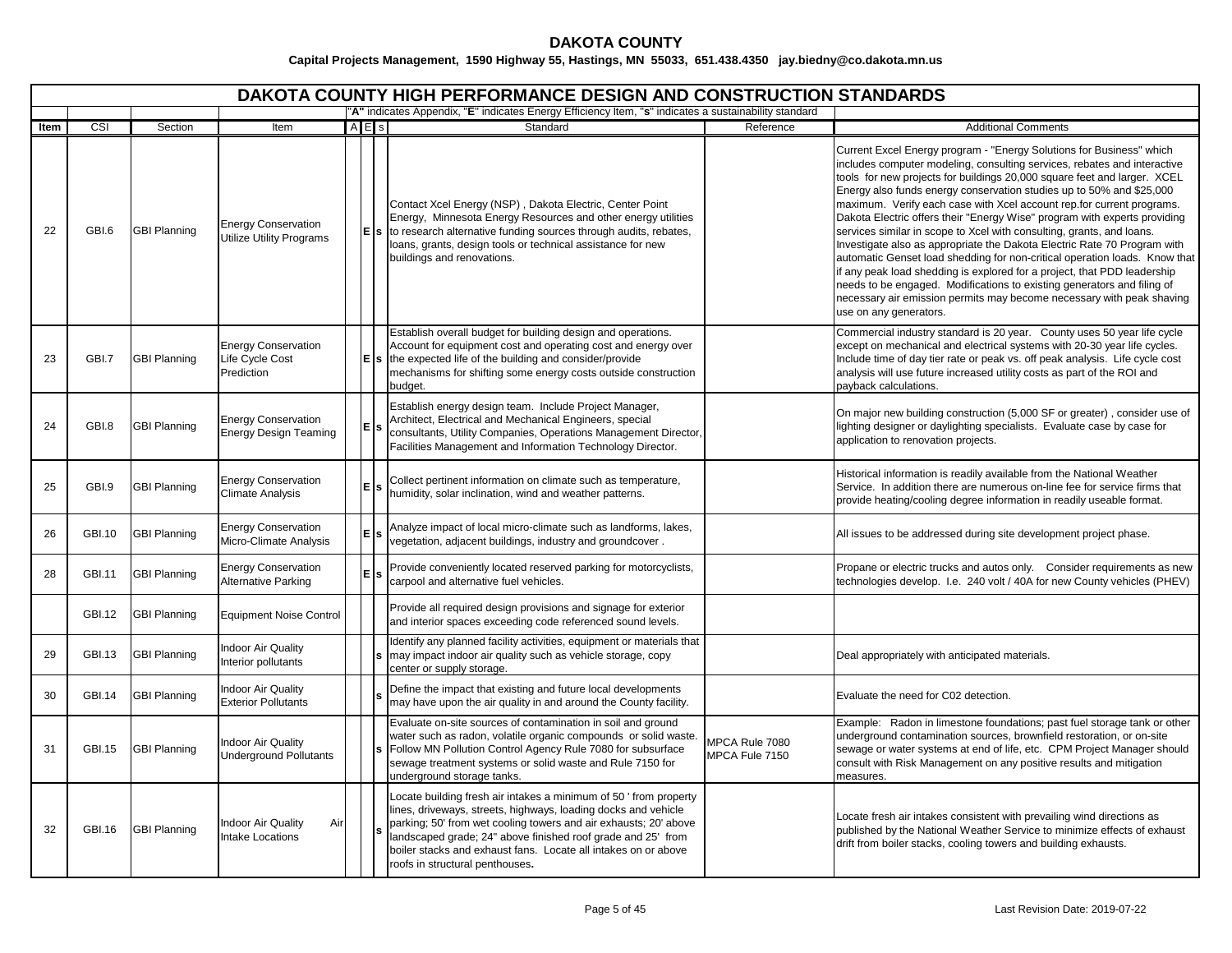|      |               |                     |                                                             |       | DAKOTA COUNTY HIGH PERFORMANCE DESIGN AND CONSTRUCTION STANDARDS                                                                                                                                                                                                                                                                                                            |                                  |                                                                                                                                                                                                                                                                                                                                                                                                                                                                                                                                                                                                                                                                                                                                                                                                                                                                                                                                                         |
|------|---------------|---------------------|-------------------------------------------------------------|-------|-----------------------------------------------------------------------------------------------------------------------------------------------------------------------------------------------------------------------------------------------------------------------------------------------------------------------------------------------------------------------------|----------------------------------|---------------------------------------------------------------------------------------------------------------------------------------------------------------------------------------------------------------------------------------------------------------------------------------------------------------------------------------------------------------------------------------------------------------------------------------------------------------------------------------------------------------------------------------------------------------------------------------------------------------------------------------------------------------------------------------------------------------------------------------------------------------------------------------------------------------------------------------------------------------------------------------------------------------------------------------------------------|
| Item | CSI           | Section             | Item                                                        | A E s | "A" indicates Appendix, "E" indicates Energy Efficiency Item, "s" indicates a sustainability standard<br>Standard                                                                                                                                                                                                                                                           | Reference                        | <b>Additional Comments</b>                                                                                                                                                                                                                                                                                                                                                                                                                                                                                                                                                                                                                                                                                                                                                                                                                                                                                                                              |
| 22   | GBI.6         | <b>GBI Planning</b> | <b>Energy Conservation</b><br>Utilize Utility Programs      |       | Contact Xcel Energy (NSP), Dakota Electric, Center Point<br>Energy, Minnesota Energy Resources and other energy utilities<br>$\mathsf{E}$ s to research alternative funding sources through audits, rebates,<br>loans, grants, design tools or technical assistance for new<br>buildings and renovations.                                                                   |                                  | Current Excel Energy program - "Energy Solutions for Business" which<br>includes computer modeling, consulting services, rebates and interactive<br>tools for new projects for buildings 20,000 square feet and larger. XCEL<br>Energy also funds energy conservation studies up to 50% and \$25,000<br>maximum. Verify each case with Xcel account rep.for current programs.<br>Dakota Electric offers their "Energy Wise" program with experts providing<br>services similar in scope to Xcel with consulting, grants, and loans.<br>Investigate also as appropriate the Dakota Electric Rate 70 Program with<br>automatic Genset load shedding for non-critical operation loads. Know that<br>if any peak load shedding is explored for a project, that PDD leadership<br>needs to be engaged. Modifications to existing generators and filing of<br>necessary air emission permits may become necessary with peak shaving<br>use on any generators. |
| 23   | GBI.7         | <b>GBI Planning</b> | <b>Energy Conservation</b><br>Life Cycle Cost<br>Prediction |       | Establish overall budget for building design and operations.<br>Account for equipment cost and operating cost and energy over<br>the expected life of the building and consider/provide<br>mechanisms for shifting some energy costs outside construction<br>budget.                                                                                                        |                                  | Commercial industry standard is 20 year. County uses 50 year life cycle<br>except on mechanical and electrical systems with 20-30 year life cycles.<br>Include time of day tier rate or peak vs. off peak analysis. Life cycle cost<br>analysis will use future increased utility costs as part of the ROI and<br>payback calculations.                                                                                                                                                                                                                                                                                                                                                                                                                                                                                                                                                                                                                 |
| 24   | GBI.8         | <b>GBI Planning</b> | <b>Energy Conservation</b><br>Energy Design Teaming         |       | Establish energy design team. Include Project Manager,<br>Architect, Electrical and Mechanical Engineers, special<br>consultants, Utility Companies, Operations Management Director,<br>Facilities Management and Information Technology Director.                                                                                                                          |                                  | On major new building construction (5,000 SF or greater), consider use of<br>lighting designer or daylighting specialists. Evaluate case by case for<br>application to renovation projects.                                                                                                                                                                                                                                                                                                                                                                                                                                                                                                                                                                                                                                                                                                                                                             |
| 25   | GBI.9         | <b>GBI Planning</b> | <b>Energy Conservation</b><br><b>Climate Analysis</b>       |       | Collect pertinent information on climate such as temperature,<br>humidity, solar inclination, wind and weather patterns.                                                                                                                                                                                                                                                    |                                  | Historical information is readily available from the National Weather<br>Service. In addition there are numerous on-line fee for service firms that<br>provide heating/cooling degree information in readily useable format.                                                                                                                                                                                                                                                                                                                                                                                                                                                                                                                                                                                                                                                                                                                            |
| 26   | GBI.10        | <b>GBI Planning</b> | <b>Energy Conservation</b><br>Micro-Climate Analysis        |       | Analyze impact of local micro-climate such as landforms, lakes,<br>vegetation, adjacent buildings, industry and groundcover.                                                                                                                                                                                                                                                |                                  | All issues to be addressed during site development project phase.                                                                                                                                                                                                                                                                                                                                                                                                                                                                                                                                                                                                                                                                                                                                                                                                                                                                                       |
| 28   | GBI.11        | <b>GBI Planning</b> | <b>Energy Conservation</b><br>Alternative Parking           |       | Provide conveniently located reserved parking for motorcyclists,<br>carpool and alternative fuel vehicles.                                                                                                                                                                                                                                                                  |                                  | Propane or electric trucks and autos only. Consider requirements as new<br>technologies develop. I.e. 240 volt / 40A for new County vehicles (PHEV)                                                                                                                                                                                                                                                                                                                                                                                                                                                                                                                                                                                                                                                                                                                                                                                                     |
|      | <b>GBI.12</b> | <b>GBI Planning</b> | <b>Equipment Noise Control</b>                              |       | Provide all required design provisions and signage for exterior<br>and interior spaces exceeding code referenced sound levels.                                                                                                                                                                                                                                              |                                  |                                                                                                                                                                                                                                                                                                                                                                                                                                                                                                                                                                                                                                                                                                                                                                                                                                                                                                                                                         |
| 29   | GBI.13        | <b>GBI Planning</b> | ndoor Air Quality<br>Interior pollutants                    |       | Identify any planned facility activities, equipment or materials that<br>may impact indoor air quality such as vehicle storage, copy<br>center or supply storage.                                                                                                                                                                                                           |                                  | Deal appropriately with anticipated materials.                                                                                                                                                                                                                                                                                                                                                                                                                                                                                                                                                                                                                                                                                                                                                                                                                                                                                                          |
| 30   | <b>GBI.14</b> | <b>GBI Planning</b> | <b>Indoor Air Quality</b><br><b>Exterior Pollutants</b>     |       | Define the impact that existing and future local developments<br>may have upon the air quality in and around the County facility.                                                                                                                                                                                                                                           |                                  | Evaluate the need for C02 detection.                                                                                                                                                                                                                                                                                                                                                                                                                                                                                                                                                                                                                                                                                                                                                                                                                                                                                                                    |
| 31   | GBI.15        | <b>GBI Planning</b> | <b>Indoor Air Quality</b><br><b>Underground Pollutants</b>  |       | Evaluate on-site sources of contamination in soil and ground<br>water such as radon, volatile organic compounds or solid waste.<br>Follow MN Pollution Control Agency Rule 7080 for subsurface<br>sewage treatment systems or solid waste and Rule 7150 for<br>underground storage tanks.                                                                                   | MPCA Rule 7080<br>MPCA Fule 7150 | Example: Radon in limestone foundations; past fuel storage tank or other<br>underground contamination sources, brownfield restoration, or on-site<br>sewage or water systems at end of life, etc. CPM Project Manager should<br>consult with Risk Management on any positive results and mitigation<br>neasures.                                                                                                                                                                                                                                                                                                                                                                                                                                                                                                                                                                                                                                        |
| 32   | GBI.16        | <b>GBI Planning</b> | <b>Indoor Air Quality</b><br>Air<br>Intake Locations        |       | Locate building fresh air intakes a minimum of 50 'from property<br>lines, driveways, streets, highways, loading docks and vehicle<br>parking; 50' from wet cooling towers and air exhausts; 20' above<br>landscaped grade; 24" above finished roof grade and 25' from<br>boiler stacks and exhaust fans. Locate all intakes on or above<br>roofs in structural penthouses. |                                  | Locate fresh air intakes consistent with prevailing wind directions as<br>published by the National Weather Service to minimize effects of exhaust<br>drift from boiler stacks, cooling towers and building exhausts.                                                                                                                                                                                                                                                                                                                                                                                                                                                                                                                                                                                                                                                                                                                                   |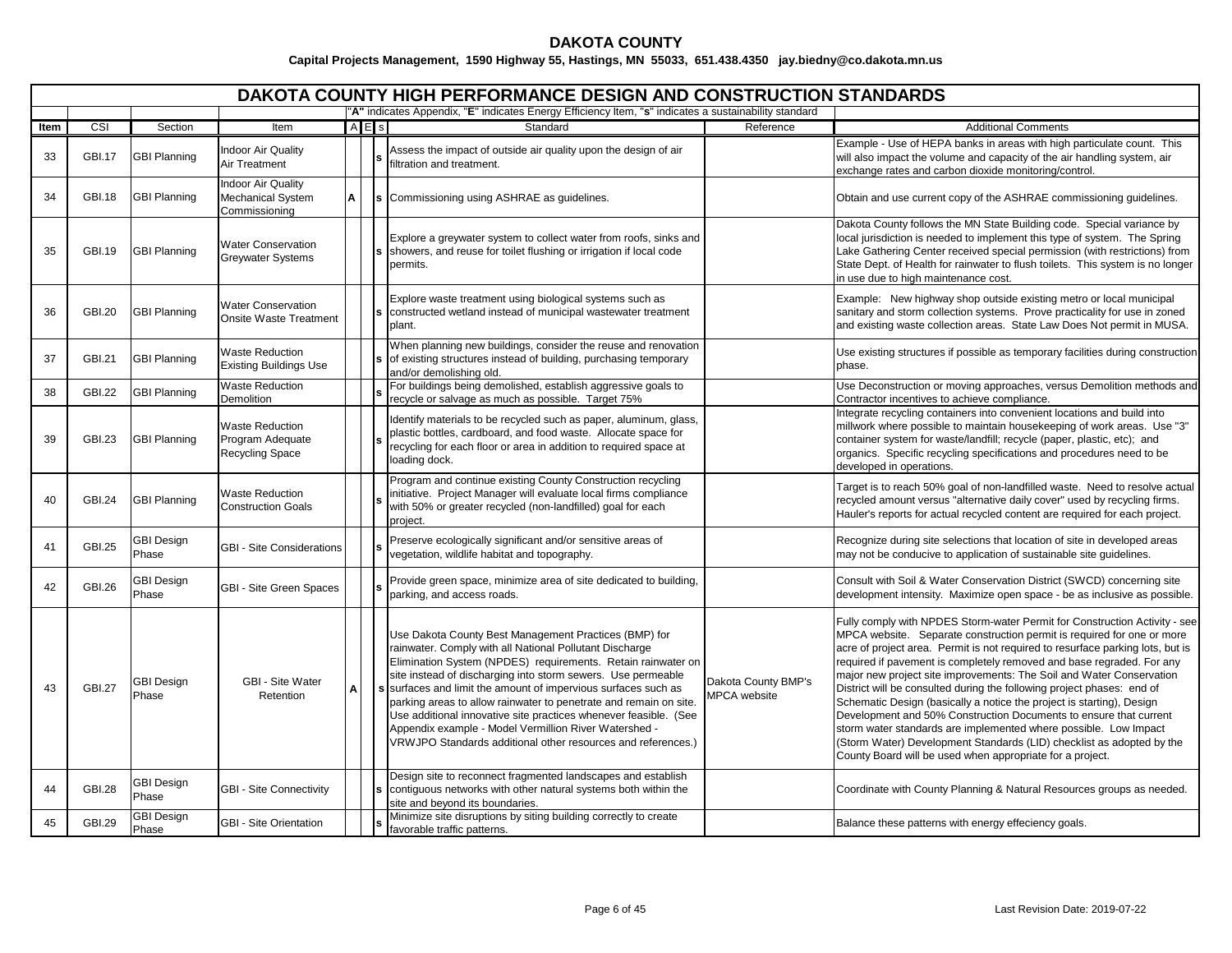|      |               |                            |                                                                      |   |        | DAKOTA COUNTY HIGH PERFORMANCE DESIGN AND CONSTRUCTION STANDARDS                                                                                                                                                                                                                                                                                                                                                                                                                                                                                                                     |                                            |                                                                                                                                                                                                                                                                                                                                                                                                                                                                                                                                                                                                                                                                                                                                                                                                                           |
|------|---------------|----------------------------|----------------------------------------------------------------------|---|--------|--------------------------------------------------------------------------------------------------------------------------------------------------------------------------------------------------------------------------------------------------------------------------------------------------------------------------------------------------------------------------------------------------------------------------------------------------------------------------------------------------------------------------------------------------------------------------------------|--------------------------------------------|---------------------------------------------------------------------------------------------------------------------------------------------------------------------------------------------------------------------------------------------------------------------------------------------------------------------------------------------------------------------------------------------------------------------------------------------------------------------------------------------------------------------------------------------------------------------------------------------------------------------------------------------------------------------------------------------------------------------------------------------------------------------------------------------------------------------------|
|      |               |                            |                                                                      |   |        | "A" indicates Appendix, "E" indicates Energy Efficiency Item, "s" indicates a sustainability standard                                                                                                                                                                                                                                                                                                                                                                                                                                                                                |                                            |                                                                                                                                                                                                                                                                                                                                                                                                                                                                                                                                                                                                                                                                                                                                                                                                                           |
| Item | CSI           | Section                    | Item                                                                 |   | A E s  | Standard                                                                                                                                                                                                                                                                                                                                                                                                                                                                                                                                                                             | Reference                                  | <b>Additional Comments</b>                                                                                                                                                                                                                                                                                                                                                                                                                                                                                                                                                                                                                                                                                                                                                                                                |
| 33   | <b>GBI.17</b> | <b>GBI Planning</b>        | <b>Indoor Air Quality</b><br><b>Air Treatment</b>                    |   |        | Assess the impact of outside air quality upon the design of air<br>filtration and treatment.                                                                                                                                                                                                                                                                                                                                                                                                                                                                                         |                                            | Example - Use of HEPA banks in areas with high particulate count. This<br>will also impact the volume and capacity of the air handling system, air<br>exchange rates and carbon dioxide monitoring/control.                                                                                                                                                                                                                                                                                                                                                                                                                                                                                                                                                                                                               |
| 34   | <b>GBI.18</b> | <b>GBI Planning</b>        | Indoor Air Quality<br><b>Mechanical System</b><br>Commissioning      | Α | $\sim$ | Commissioning using ASHRAE as guidelines.                                                                                                                                                                                                                                                                                                                                                                                                                                                                                                                                            |                                            | Obtain and use current copy of the ASHRAE commissioning guidelines.                                                                                                                                                                                                                                                                                                                                                                                                                                                                                                                                                                                                                                                                                                                                                       |
| 35   | <b>GBI.19</b> | <b>GBI Planning</b>        | <b>Water Conservation</b><br><b>Greywater Systems</b>                |   |        | Explore a greywater system to collect water from roofs, sinks and<br>showers, and reuse for toilet flushing or irrigation if local code<br>permits.                                                                                                                                                                                                                                                                                                                                                                                                                                  |                                            | Dakota County follows the MN State Building code. Special variance by<br>local jurisdiction is needed to implement this type of system. The Spring<br>Lake Gathering Center received special permission (with restrictions) from<br>State Dept. of Health for rainwater to flush toilets. This system is no longer<br>in use due to high maintenance cost.                                                                                                                                                                                                                                                                                                                                                                                                                                                                |
| 36   | <b>GBI.20</b> | <b>GBI Planning</b>        | <b>Water Conservation</b><br><b>Onsite Waste Treatment</b>           |   |        | Explore waste treatment using biological systems such as<br>constructed wetland instead of municipal wastewater treatment<br>plant.                                                                                                                                                                                                                                                                                                                                                                                                                                                  |                                            | Example: New highway shop outside existing metro or local municipal<br>sanitary and storm collection systems. Prove practicality for use in zoned<br>and existing waste collection areas. State Law Does Not permit in MUSA.                                                                                                                                                                                                                                                                                                                                                                                                                                                                                                                                                                                              |
| 37   | GBI.21        | <b>GBI Planning</b>        | <b>Waste Reduction</b><br><b>Existing Buildings Use</b>              |   |        | When planning new buildings, consider the reuse and renovation<br>of existing structures instead of building, purchasing temporary<br>and/or demolishing old.                                                                                                                                                                                                                                                                                                                                                                                                                        |                                            | Use existing structures if possible as temporary facilities during construction<br>phase.                                                                                                                                                                                                                                                                                                                                                                                                                                                                                                                                                                                                                                                                                                                                 |
| 38   | <b>GBI.22</b> | <b>GBI Planning</b>        | <b>Waste Reduction</b><br>Demolition                                 |   |        | For buildings being demolished, establish aggressive goals to<br>recycle or salvage as much as possible. Target 75%                                                                                                                                                                                                                                                                                                                                                                                                                                                                  |                                            | Use Deconstruction or moving approaches, versus Demolition methods and<br>Contractor incentives to achieve compliance.                                                                                                                                                                                                                                                                                                                                                                                                                                                                                                                                                                                                                                                                                                    |
| 39   | <b>GBI.23</b> | <b>GBI Planning</b>        | <b>Waste Reduction</b><br>Program Adequate<br><b>Recycling Space</b> |   |        | Identify materials to be recycled such as paper, aluminum, glass,<br>plastic bottles, cardboard, and food waste. Allocate space for<br>recycling for each floor or area in addition to required space at<br>loading dock.                                                                                                                                                                                                                                                                                                                                                            |                                            | Integrate recycling containers into convenient locations and build into<br>millwork where possible to maintain housekeeping of work areas. Use "3"<br>container system for waste/landfill; recycle (paper, plastic, etc); and<br>organics. Specific recycling specifications and procedures need to be<br>developed in operations.                                                                                                                                                                                                                                                                                                                                                                                                                                                                                        |
| 40   | <b>GBI.24</b> | <b>GBI Planning</b>        | <b>Waste Reduction</b><br><b>Construction Goals</b>                  |   |        | Program and continue existing County Construction recycling<br>initiative. Project Manager will evaluate local firms compliance<br>with 50% or greater recycled (non-landfilled) goal for each<br>project.                                                                                                                                                                                                                                                                                                                                                                           |                                            | Target is to reach 50% goal of non-landfilled waste. Need to resolve actual<br>recycled amount versus "alternative daily cover" used by recycling firms.<br>Hauler's reports for actual recycled content are required for each project.                                                                                                                                                                                                                                                                                                                                                                                                                                                                                                                                                                                   |
| 41   | <b>GBI.25</b> | <b>GBI Design</b><br>Phase | <b>GBI - Site Considerations</b>                                     |   |        | Preserve ecologically significant and/or sensitive areas of<br>vegetation, wildlife habitat and topography.                                                                                                                                                                                                                                                                                                                                                                                                                                                                          |                                            | Recognize during site selections that location of site in developed areas<br>may not be conducive to application of sustainable site guidelines.                                                                                                                                                                                                                                                                                                                                                                                                                                                                                                                                                                                                                                                                          |
| 42   | GBI.26        | GBI Design<br>Phase        | GBI - Site Green Spaces                                              |   |        | Provide green space, minimize area of site dedicated to building,<br>parking, and access roads.                                                                                                                                                                                                                                                                                                                                                                                                                                                                                      |                                            | Consult with Soil & Water Conservation District (SWCD) concerning site<br>development intensity. Maximize open space - be as inclusive as possible.                                                                                                                                                                                                                                                                                                                                                                                                                                                                                                                                                                                                                                                                       |
| 43   | <b>GBI.27</b> | <b>GBI Design</b><br>Phase | GBI - Site Water<br>Retention                                        | Α |        | Use Dakota County Best Management Practices (BMP) for<br>rainwater. Comply with all National Pollutant Discharge<br>Elimination System (NPDES) requirements. Retain rainwater on<br>site instead of discharging into storm sewers. Use permeable<br>s surfaces and limit the amount of impervious surfaces such as<br>parking areas to allow rainwater to penetrate and remain on site.<br>Use additional innovative site practices whenever feasible. (See<br>Appendix example - Model Vermillion River Watershed -<br>VRWJPO Standards additional other resources and references.) | Dakota County BMP's<br><b>MPCA</b> website | Fully comply with NPDES Storm-water Permit for Construction Activity - see<br>MPCA website. Separate construction permit is required for one or more<br>acre of project area. Permit is not required to resurface parking lots, but is<br>required if pavement is completely removed and base regraded. For any<br>major new project site improvements: The Soil and Water Conservation<br>District will be consulted during the following project phases: end of<br>Schematic Design (basically a notice the project is starting), Design<br>Development and 50% Construction Documents to ensure that current<br>storm water standards are implemented where possible. Low Impact<br>(Storm Water) Development Standards (LID) checklist as adopted by the<br>County Board will be used when appropriate for a project. |
| 44   | <b>GBI.28</b> | <b>GBI Design</b><br>Phase | <b>GBI - Site Connectivity</b>                                       |   |        | Design site to reconnect fragmented landscapes and establish<br>contiguous networks with other natural systems both within the<br>site and beyond its boundaries.                                                                                                                                                                                                                                                                                                                                                                                                                    |                                            | Coordinate with County Planning & Natural Resources groups as needed.                                                                                                                                                                                                                                                                                                                                                                                                                                                                                                                                                                                                                                                                                                                                                     |
| 45   | <b>GBI.29</b> | <b>GBI Design</b><br>Phase | <b>GBI - Site Orientation</b>                                        |   |        | Minimize site disruptions by siting building correctly to create<br>favorable traffic patterns.                                                                                                                                                                                                                                                                                                                                                                                                                                                                                      |                                            | Balance these patterns with energy effeciency goals.                                                                                                                                                                                                                                                                                                                                                                                                                                                                                                                                                                                                                                                                                                                                                                      |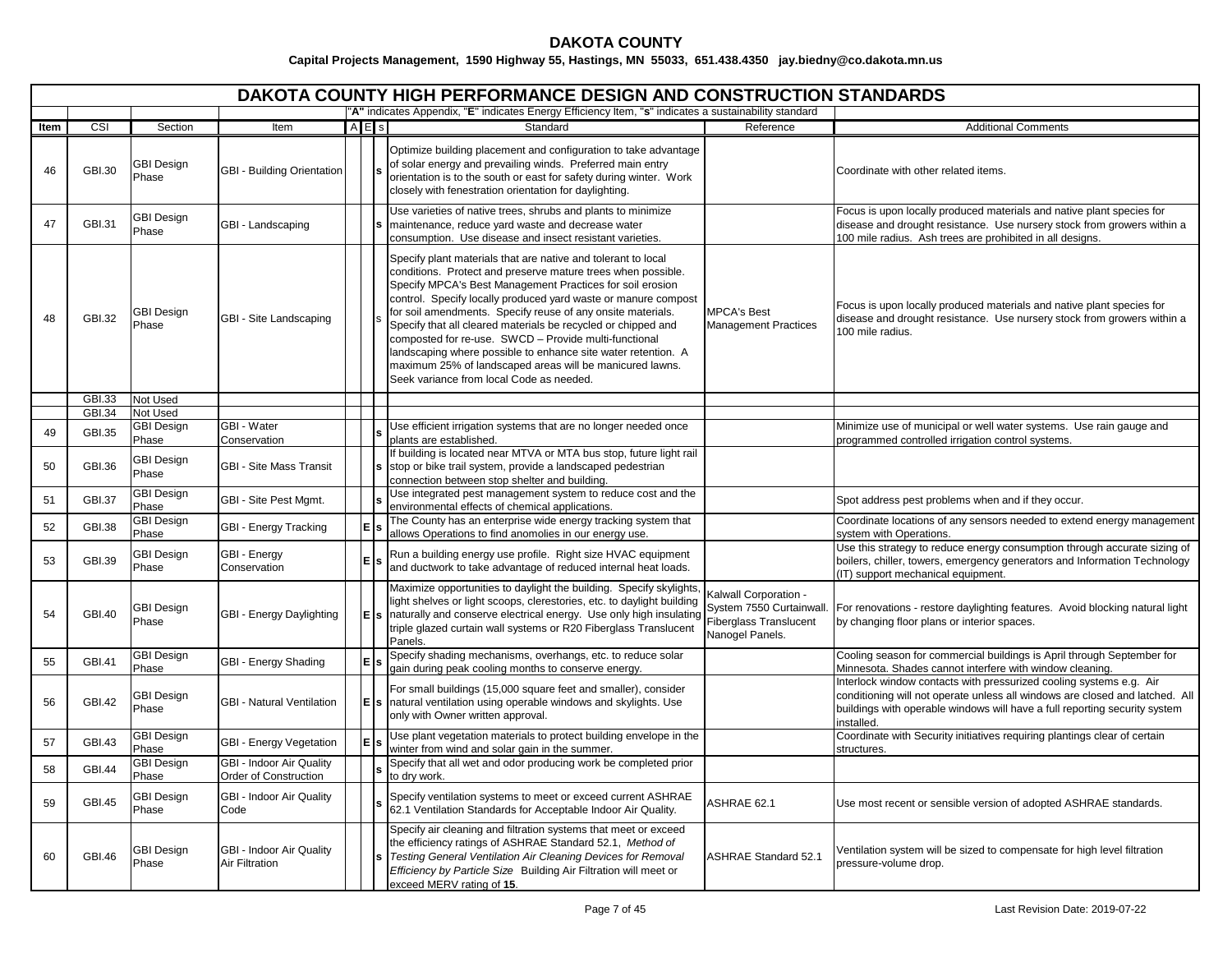|      | DAKOTA COUNTY HIGH PERFORMANCE DESIGN AND CONSTRUCTION STANDARDS<br>"A" indicates Appendix, "E" indicates Energy Efficiency Item, "s" indicates a sustainability standard |                            |                                                   |           |  |                                                                                                                                                                                                                                                                                                                                                                                                                                                                                                                                                                                                                                |                                                                                                       |                                                                                                                                                                                                                                                 |  |  |  |  |  |
|------|---------------------------------------------------------------------------------------------------------------------------------------------------------------------------|----------------------------|---------------------------------------------------|-----------|--|--------------------------------------------------------------------------------------------------------------------------------------------------------------------------------------------------------------------------------------------------------------------------------------------------------------------------------------------------------------------------------------------------------------------------------------------------------------------------------------------------------------------------------------------------------------------------------------------------------------------------------|-------------------------------------------------------------------------------------------------------|-------------------------------------------------------------------------------------------------------------------------------------------------------------------------------------------------------------------------------------------------|--|--|--|--|--|
|      | CSI                                                                                                                                                                       |                            |                                                   | $A \nE$ s |  | Standard                                                                                                                                                                                                                                                                                                                                                                                                                                                                                                                                                                                                                       | Reference                                                                                             | <b>Additional Comments</b>                                                                                                                                                                                                                      |  |  |  |  |  |
| Item |                                                                                                                                                                           | Section                    | Item                                              |           |  |                                                                                                                                                                                                                                                                                                                                                                                                                                                                                                                                                                                                                                |                                                                                                       |                                                                                                                                                                                                                                                 |  |  |  |  |  |
| 46   | GBI.30                                                                                                                                                                    | <b>GBI Design</b><br>Phase | GBI - Building Orientation                        |           |  | Optimize building placement and configuration to take advantage<br>of solar energy and prevailing winds. Preferred main entry<br>orientation is to the south or east for safety during winter. Work<br>closely with fenestration orientation for daylighting.                                                                                                                                                                                                                                                                                                                                                                  |                                                                                                       | Coordinate with other related items.                                                                                                                                                                                                            |  |  |  |  |  |
| 47   | GBI.31                                                                                                                                                                    | <b>GBI Design</b><br>Phase | GBI - Landscaping                                 |           |  | Use varieties of native trees, shrubs and plants to minimize<br>maintenance, reduce yard waste and decrease water<br>consumption. Use disease and insect resistant varieties.                                                                                                                                                                                                                                                                                                                                                                                                                                                  |                                                                                                       | Focus is upon locally produced materials and native plant species for<br>disease and drought resistance. Use nursery stock from growers within a<br>100 mile radius. Ash trees are prohibited in all designs.                                   |  |  |  |  |  |
| 48   | GBI.32                                                                                                                                                                    | GBI Design<br>Phase        | GBI - Site Landscaping                            |           |  | Specify plant materials that are native and tolerant to local<br>conditions. Protect and preserve mature trees when possible.<br>Specify MPCA's Best Management Practices for soil erosion<br>control. Specify locally produced yard waste or manure compost<br>for soil amendments. Specify reuse of any onsite materials.<br>Specify that all cleared materials be recycled or chipped and<br>composted for re-use. SWCD - Provide multi-functional<br>landscaping where possible to enhance site water retention. A<br>maximum 25% of landscaped areas will be manicured lawns.<br>Seek variance from local Code as needed. | <b>MPCA's Best</b><br><b>Management Practices</b>                                                     | Focus is upon locally produced materials and native plant species for<br>disease and drought resistance. Use nursery stock from growers within a<br>100 mile radius.                                                                            |  |  |  |  |  |
|      | GBI.33                                                                                                                                                                    | Not Used                   |                                                   |           |  |                                                                                                                                                                                                                                                                                                                                                                                                                                                                                                                                                                                                                                |                                                                                                       |                                                                                                                                                                                                                                                 |  |  |  |  |  |
|      | GBI.34                                                                                                                                                                    | Not Used                   |                                                   |           |  |                                                                                                                                                                                                                                                                                                                                                                                                                                                                                                                                                                                                                                |                                                                                                       |                                                                                                                                                                                                                                                 |  |  |  |  |  |
| 49   | <b>GBI.35</b>                                                                                                                                                             | <b>GBI Design</b><br>Phase | GBI - Water<br>Conservation                       |           |  | Use efficient irrigation systems that are no longer needed once<br>plants are established.                                                                                                                                                                                                                                                                                                                                                                                                                                                                                                                                     |                                                                                                       | Minimize use of municipal or well water systems. Use rain gauge and<br>programmed controlled irrigation control systems.                                                                                                                        |  |  |  |  |  |
| 50   | <b>GBI.36</b>                                                                                                                                                             | GBI Design<br>Phase        | <b>GBI - Site Mass Transit</b>                    |           |  | If building is located near MTVA or MTA bus stop, future light rail<br>s stop or bike trail system, provide a landscaped pedestrian<br>connection between stop shelter and building.                                                                                                                                                                                                                                                                                                                                                                                                                                           |                                                                                                       |                                                                                                                                                                                                                                                 |  |  |  |  |  |
| 51   | <b>GBI.37</b>                                                                                                                                                             | <b>GBI Design</b><br>Phase | GBI - Site Pest Mgmt.                             |           |  | Use integrated pest management system to reduce cost and the<br>environmental effects of chemical applications.                                                                                                                                                                                                                                                                                                                                                                                                                                                                                                                |                                                                                                       | Spot address pest problems when and if they occur.                                                                                                                                                                                              |  |  |  |  |  |
| 52   | <b>GBI.38</b>                                                                                                                                                             | <b>GBI Design</b><br>Phase | GBI - Energy Tracking                             | E         |  | The County has an enterprise wide energy tracking system that<br>allows Operations to find anomolies in our energy use.                                                                                                                                                                                                                                                                                                                                                                                                                                                                                                        |                                                                                                       | Coordinate locations of any sensors needed to extend energy management<br>system with Operations.                                                                                                                                               |  |  |  |  |  |
| 53   | GBI.39                                                                                                                                                                    | <b>GBI Design</b><br>Phase | GBI - Energy<br>Conservation                      | E         |  | Run a building energy use profile. Right size HVAC equipment<br>and ductwork to take advantage of reduced internal heat loads.                                                                                                                                                                                                                                                                                                                                                                                                                                                                                                 |                                                                                                       | Use this strategy to reduce energy consumption through accurate sizing of<br>boilers, chiller, towers, emergency generators and Information Technology<br>(IT) support mechanical equipment.                                                    |  |  |  |  |  |
| 54   | <b>GBI.40</b>                                                                                                                                                             | <b>GBI Design</b><br>Phase | GBI - Energy Daylighting                          | E         |  | Maximize opportunities to daylight the building. Specify skylights,<br>light shelves or light scoops, clerestories, etc. to daylight building<br>s naturally and conserve electrical energy. Use only high insulating<br>triple glazed curtain wall systems or R20 Fiberglass Translucent<br>Panels.                                                                                                                                                                                                                                                                                                                           | Kalwall Corporation -<br>System 7550 Curtainwall.<br><b>Fiberglass Translucent</b><br>Nanogel Panels. | For renovations - restore daylighting features. Avoid blocking natural light<br>by changing floor plans or interior spaces.                                                                                                                     |  |  |  |  |  |
| 55   | <b>GBI.41</b>                                                                                                                                                             | GBI Design<br>Phase        | GBI - Energy Shading                              | E         |  | Specify shading mechanisms, overhangs, etc. to reduce solar<br>gain during peak cooling months to conserve energy.                                                                                                                                                                                                                                                                                                                                                                                                                                                                                                             |                                                                                                       | Cooling season for commercial buildings is April through September for<br>Minnesota. Shades cannot interfere with window cleaning.                                                                                                              |  |  |  |  |  |
| 56   | <b>GBI.42</b>                                                                                                                                                             | GBI Design<br>Phase        | <b>GBI - Natural Ventilation</b>                  | E         |  | For small buildings (15,000 square feet and smaller), consider<br>s natural ventilation using operable windows and skylights. Use<br>only with Owner written approval.                                                                                                                                                                                                                                                                                                                                                                                                                                                         |                                                                                                       | Interlock window contacts with pressurized cooling systems e.g. Air<br>conditioning will not operate unless all windows are closed and latched. All<br>buildings with operable windows will have a full reporting security system<br>installed. |  |  |  |  |  |
| 57   | <b>GBI.43</b>                                                                                                                                                             | <b>GBI Design</b><br>Phase | GBI - Energy Vegetation                           | lЕ        |  | Use plant vegetation materials to protect building envelope in the<br>winter from wind and solar gain in the summer.                                                                                                                                                                                                                                                                                                                                                                                                                                                                                                           |                                                                                                       | Coordinate with Security initiatives requiring plantings clear of certain<br>structures.                                                                                                                                                        |  |  |  |  |  |
| 58   | <b>GBI.44</b>                                                                                                                                                             | <b>GBI Design</b><br>Phase | GBI - Indoor Air Quality<br>Order of Construction |           |  | Specify that all wet and odor producing work be completed prior<br>to dry work.                                                                                                                                                                                                                                                                                                                                                                                                                                                                                                                                                |                                                                                                       |                                                                                                                                                                                                                                                 |  |  |  |  |  |
| 59   | <b>GBI.45</b>                                                                                                                                                             | GBI Design<br>Phase        | GBI - Indoor Air Quality<br>Code                  |           |  | Specify ventilation systems to meet or exceed current ASHRAE<br>62.1 Ventilation Standards for Acceptable Indoor Air Quality.                                                                                                                                                                                                                                                                                                                                                                                                                                                                                                  | ASHRAE 62.1                                                                                           | Use most recent or sensible version of adopted ASHRAE standards.                                                                                                                                                                                |  |  |  |  |  |
| 60   | GBI.46                                                                                                                                                                    | <b>GBI Design</b><br>Phase | GBI - Indoor Air Quality<br><b>Air Filtration</b> |           |  | Specify air cleaning and filtration systems that meet or exceed<br>the efficiency ratings of ASHRAE Standard 52.1, Method of<br>Testing General Ventilation Air Cleaning Devices for Removal<br>Efficiency by Particle Size Building Air Filtration will meet or<br>exceed MERV rating of 15.                                                                                                                                                                                                                                                                                                                                  | <b>ASHRAE Standard 52.1</b>                                                                           | Ventilation system will be sized to compensate for high level filtration<br>pressure-volume drop.                                                                                                                                               |  |  |  |  |  |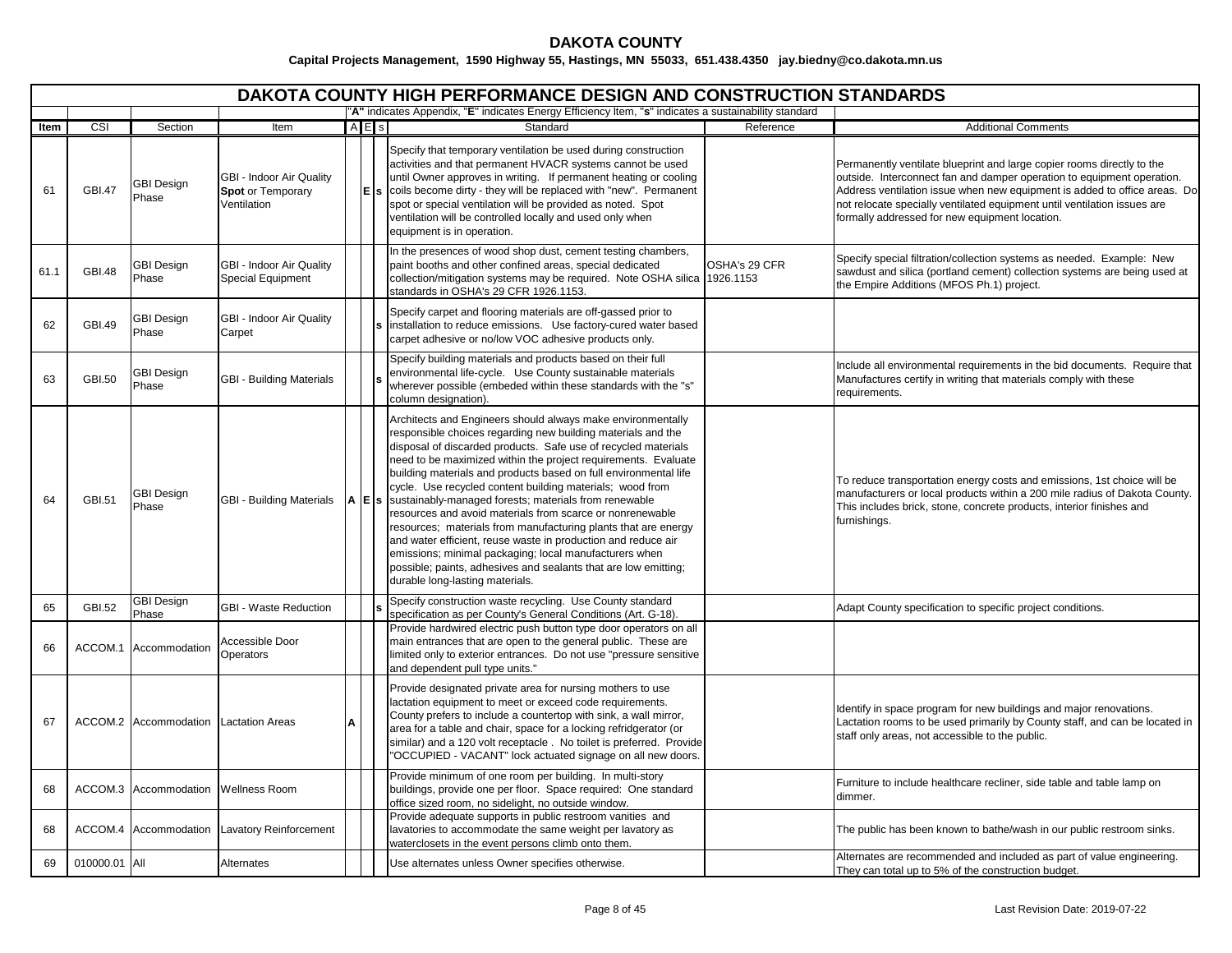# **DAKOTA COUNTY**

|      | <b>DAKOTA COUNTY HIGH PERFORMANCE DESIGN AND CONSTRUCTION STANDARDS</b><br>"A" indicates Appendix, "E" indicates Energy Efficiency Item, "s" indicates a sustainability standard |                                       |                                                              |      |           |                                                                                                                                                                                                                                                                                                                                                                                                                                                                                                                                                                                                                                                                                                                                                                                                                           |                            |                                                                                                                                                                                                                                                                                                                                                             |  |  |  |  |
|------|----------------------------------------------------------------------------------------------------------------------------------------------------------------------------------|---------------------------------------|--------------------------------------------------------------|------|-----------|---------------------------------------------------------------------------------------------------------------------------------------------------------------------------------------------------------------------------------------------------------------------------------------------------------------------------------------------------------------------------------------------------------------------------------------------------------------------------------------------------------------------------------------------------------------------------------------------------------------------------------------------------------------------------------------------------------------------------------------------------------------------------------------------------------------------------|----------------------------|-------------------------------------------------------------------------------------------------------------------------------------------------------------------------------------------------------------------------------------------------------------------------------------------------------------------------------------------------------------|--|--|--|--|
|      |                                                                                                                                                                                  |                                       |                                                              |      |           |                                                                                                                                                                                                                                                                                                                                                                                                                                                                                                                                                                                                                                                                                                                                                                                                                           |                            |                                                                                                                                                                                                                                                                                                                                                             |  |  |  |  |
| ltem | $\overline{\text{CSI}}$                                                                                                                                                          | Section                               | Item                                                         |      | $A \nE$ s | Standard                                                                                                                                                                                                                                                                                                                                                                                                                                                                                                                                                                                                                                                                                                                                                                                                                  | Reference                  | <b>Additional Comments</b>                                                                                                                                                                                                                                                                                                                                  |  |  |  |  |
| 61   | <b>GBI.47</b>                                                                                                                                                                    | <b>GBI Design</b><br>Phase            | GBI - Indoor Air Quality<br>Spot or Temporary<br>Ventilation |      | lΕl       | Specify that temporary ventilation be used during construction<br>activities and that permanent HVACR systems cannot be used<br>until Owner approves in writing. If permanent heating or cooling<br>coils become dirty - they will be replaced with "new". Permanent<br>spot or special ventilation will be provided as noted. Spot<br>ventilation will be controlled locally and used only when<br>equipment is in operation.                                                                                                                                                                                                                                                                                                                                                                                            |                            | Permanently ventilate blueprint and large copier rooms directly to the<br>outside. Interconnect fan and damper operation to equipment operation.<br>Address ventilation issue when new equipment is added to office areas. Do<br>not relocate specially ventilated equipment until ventilation issues are<br>formally addressed for new equipment location. |  |  |  |  |
| 61.1 | <b>GBI.48</b>                                                                                                                                                                    | <b>GBI Design</b><br>Phase            | GBI - Indoor Air Quality<br><b>Special Equipment</b>         |      |           | In the presences of wood shop dust, cement testing chambers,<br>paint booths and other confined areas, special dedicated<br>collection/mitigation systems may be required. Note OSHA silica<br>standards in OSHA's 29 CFR 1926.1153.                                                                                                                                                                                                                                                                                                                                                                                                                                                                                                                                                                                      | OSHA's 29 CFR<br>1926.1153 | Specify special filtration/collection systems as needed. Example: New<br>sawdust and silica (portland cement) collection systems are being used at<br>the Empire Additions (MFOS Ph.1) project.                                                                                                                                                             |  |  |  |  |
| 62   | <b>GBI.49</b>                                                                                                                                                                    | GBI Design<br>Phase                   | GBI - Indoor Air Quality<br>Carpet                           |      |           | Specify carpet and flooring materials are off-gassed prior to<br>installation to reduce emissions. Use factory-cured water based<br>carpet adhesive or no/low VOC adhesive products only.                                                                                                                                                                                                                                                                                                                                                                                                                                                                                                                                                                                                                                 |                            |                                                                                                                                                                                                                                                                                                                                                             |  |  |  |  |
| 63   | GBI.50                                                                                                                                                                           | GBI Design<br>Phase                   | <b>GBI - Building Materials</b>                              |      |           | Specify building materials and products based on their full<br>environmental life-cycle. Use County sustainable materials<br>wherever possible (embeded within these standards with the "s"<br>column designation).                                                                                                                                                                                                                                                                                                                                                                                                                                                                                                                                                                                                       |                            | Include all environmental requirements in the bid documents. Require that<br>Manufactures certify in writing that materials comply with these<br>requirements.                                                                                                                                                                                              |  |  |  |  |
| 64   | <b>GBI.51</b>                                                                                                                                                                    | <b>GBI Design</b><br>Phase            | <b>GBI - Building Materials</b>                              | A EI |           | Architects and Engineers should always make environmentally<br>responsible choices regarding new building materials and the<br>disposal of discarded products. Safe use of recycled materials<br>need to be maximized within the project requirements. Evaluate<br>building materials and products based on full environmental life<br>cycle. Use recycled content building materials; wood from<br>sustainably-managed forests; materials from renewable<br>resources and avoid materials from scarce or nonrenewable<br>resources; materials from manufacturing plants that are energy<br>and water efficient, reuse waste in production and reduce air<br>emissions; minimal packaging; local manufacturers when<br>possible; paints, adhesives and sealants that are low emitting;<br>durable long-lasting materials. |                            | To reduce transportation energy costs and emissions, 1st choice will be<br>manufacturers or local products within a 200 mile radius of Dakota County.<br>This includes brick, stone, concrete products, interior finishes and<br>furnishings.                                                                                                               |  |  |  |  |
| 65   | GBI.52                                                                                                                                                                           | <b>GBI Design</b><br>Phase            | <b>GBI - Waste Reduction</b>                                 |      |           | Specify construction waste recycling. Use County standard<br>specification as per County's General Conditions (Art. G-18).                                                                                                                                                                                                                                                                                                                                                                                                                                                                                                                                                                                                                                                                                                |                            | Adapt County specification to specific project conditions.                                                                                                                                                                                                                                                                                                  |  |  |  |  |
| 66   | ACCOM.1                                                                                                                                                                          | Accommodation                         | Accessible Door<br>Operators                                 |      |           | Provide hardwired electric push button type door operators on all<br>main entrances that are open to the general public. These are<br>limited only to exterior entrances. Do not use "pressure sensitive<br>and dependent pull type units."                                                                                                                                                                                                                                                                                                                                                                                                                                                                                                                                                                               |                            |                                                                                                                                                                                                                                                                                                                                                             |  |  |  |  |
| 67   |                                                                                                                                                                                  | ACCOM.2 Accommodation Lactation Areas |                                                              | A    |           | Provide designated private area for nursing mothers to use<br>lactation equipment to meet or exceed code requirements.<br>County prefers to include a countertop with sink, a wall mirror,<br>area for a table and chair, space for a locking refridgerator (or<br>similar) and a 120 volt receptacle. No toilet is preferred. Provide<br>OCCUPIED - VACANT" lock actuated signage on all new doors.                                                                                                                                                                                                                                                                                                                                                                                                                      |                            | Identify in space program for new buildings and major renovations.<br>Lactation rooms to be used primarily by County staff, and can be located in<br>staff only areas, not accessible to the public.                                                                                                                                                        |  |  |  |  |
| 68   |                                                                                                                                                                                  | ACCOM.3 Accommodation Wellness Room   |                                                              |      |           | Provide minimum of one room per building. In multi-story<br>buildings, provide one per floor. Space required: One standard<br>office sized room, no sidelight, no outside window.                                                                                                                                                                                                                                                                                                                                                                                                                                                                                                                                                                                                                                         |                            | Furniture to include healthcare recliner, side table and table lamp on<br>dimmer.                                                                                                                                                                                                                                                                           |  |  |  |  |
| 68   |                                                                                                                                                                                  |                                       | ACCOM.4 Accommodation Lavatory Reinforcement                 |      |           | Provide adequate supports in public restroom vanities and<br>lavatories to accommodate the same weight per lavatory as<br>waterclosets in the event persons climb onto them.                                                                                                                                                                                                                                                                                                                                                                                                                                                                                                                                                                                                                                              |                            | The public has been known to bathe/wash in our public restroom sinks.                                                                                                                                                                                                                                                                                       |  |  |  |  |
| 69   | 010000.01 All                                                                                                                                                                    |                                       | Alternates                                                   |      |           | Use alternates unless Owner specifies otherwise.                                                                                                                                                                                                                                                                                                                                                                                                                                                                                                                                                                                                                                                                                                                                                                          |                            | Alternates are recommended and included as part of value engineering.<br>They can total up to 5% of the construction budget.                                                                                                                                                                                                                                |  |  |  |  |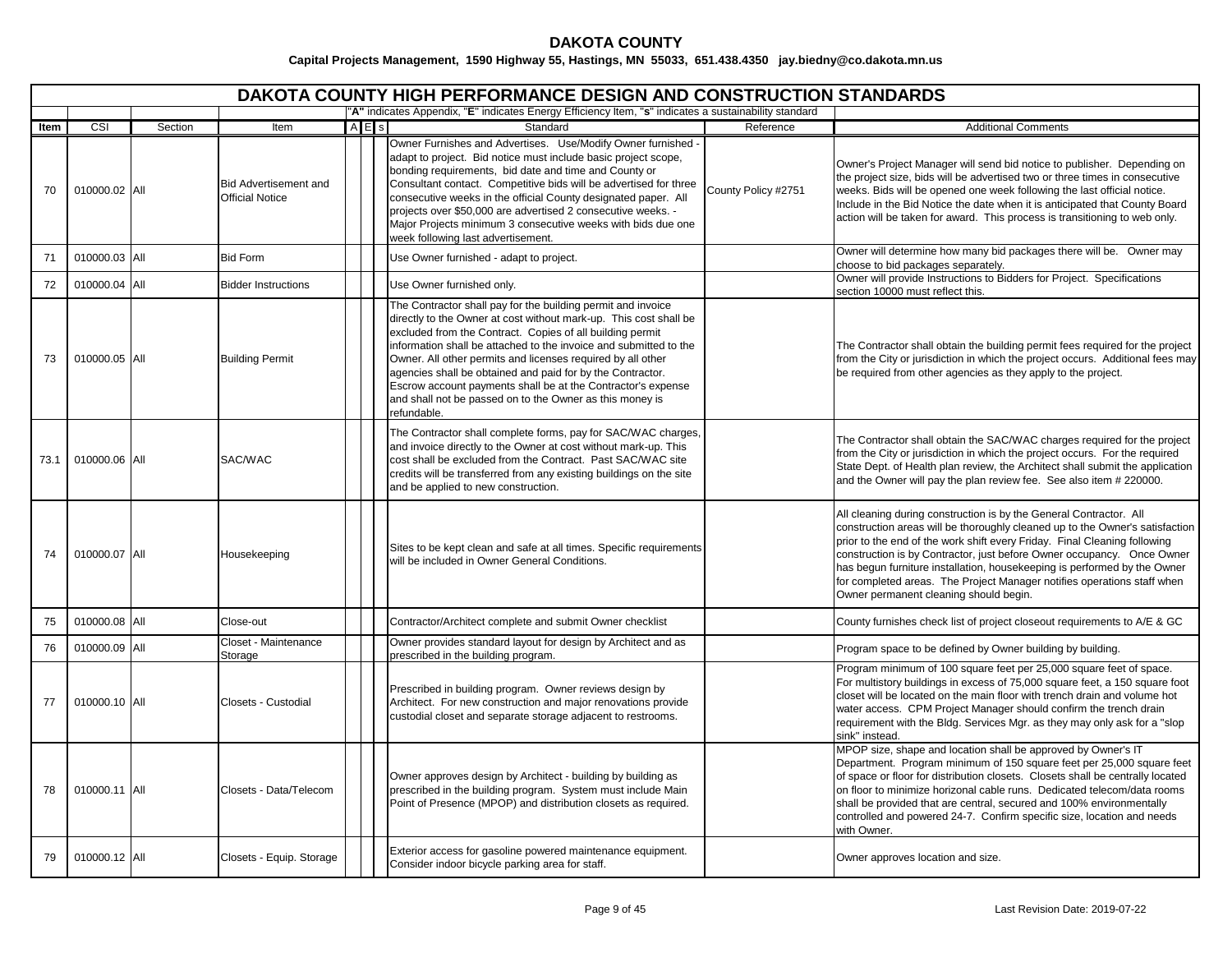# **DAKOTA COUNTY**

|      | DAKOTA COUNTY HIGH PERFORMANCE DESIGN AND CONSTRUCTION STANDARDS<br>"A" indicates Appendix, "E" indicates Energy Efficiency Item, "s" indicates a sustainability standard |         |                                                        |           |                                                                                                                                                                                                                                                                                                                                                                                                                                                                                                                                             |                     |                                                                                                                                                                                                                                                                                                                                                                                                                                                                                                            |  |  |  |  |  |
|------|---------------------------------------------------------------------------------------------------------------------------------------------------------------------------|---------|--------------------------------------------------------|-----------|---------------------------------------------------------------------------------------------------------------------------------------------------------------------------------------------------------------------------------------------------------------------------------------------------------------------------------------------------------------------------------------------------------------------------------------------------------------------------------------------------------------------------------------------|---------------------|------------------------------------------------------------------------------------------------------------------------------------------------------------------------------------------------------------------------------------------------------------------------------------------------------------------------------------------------------------------------------------------------------------------------------------------------------------------------------------------------------------|--|--|--|--|--|
|      |                                                                                                                                                                           |         |                                                        |           |                                                                                                                                                                                                                                                                                                                                                                                                                                                                                                                                             |                     |                                                                                                                                                                                                                                                                                                                                                                                                                                                                                                            |  |  |  |  |  |
| Item | CSI                                                                                                                                                                       | Section | Item                                                   | $A \nE$ s | Standard                                                                                                                                                                                                                                                                                                                                                                                                                                                                                                                                    | Reference           | <b>Additional Comments</b>                                                                                                                                                                                                                                                                                                                                                                                                                                                                                 |  |  |  |  |  |
| 70   | 010000.02 All                                                                                                                                                             |         | <b>Bid Advertisement and</b><br><b>Official Notice</b> |           | Owner Furnishes and Advertises. Use/Modify Owner furnished -<br>adapt to project. Bid notice must include basic project scope,<br>bonding requirements, bid date and time and County or<br>Consultant contact. Competitive bids will be advertised for three<br>consecutive weeks in the official County designated paper. All<br>projects over \$50,000 are advertised 2 consecutive weeks. -<br>Major Projects minimum 3 consecutive weeks with bids due one<br>week following last advertisement.                                        | County Policy #2751 | Owner's Project Manager will send bid notice to publisher. Depending on<br>the project size, bids will be advertised two or three times in consecutive<br>weeks. Bids will be opened one week following the last official notice.<br>Include in the Bid Notice the date when it is anticipated that County Board<br>action will be taken for award. This process is transitioning to web only.                                                                                                             |  |  |  |  |  |
| 71   | 010000.03 All                                                                                                                                                             |         | <b>Bid Form</b>                                        |           | Use Owner furnished - adapt to project.                                                                                                                                                                                                                                                                                                                                                                                                                                                                                                     |                     | Owner will determine how many bid packages there will be. Owner may<br>choose to bid packages separately.                                                                                                                                                                                                                                                                                                                                                                                                  |  |  |  |  |  |
| 72   | 010000.04 All                                                                                                                                                             |         | <b>Bidder Instructions</b>                             |           | Use Owner furnished only.                                                                                                                                                                                                                                                                                                                                                                                                                                                                                                                   |                     | Owner will provide Instructions to Bidders for Project. Specifications<br>section 10000 must reflect this.                                                                                                                                                                                                                                                                                                                                                                                                 |  |  |  |  |  |
| 73   | 010000.05 All                                                                                                                                                             |         | <b>Building Permit</b>                                 |           | The Contractor shall pay for the building permit and invoice<br>directly to the Owner at cost without mark-up. This cost shall be<br>excluded from the Contract. Copies of all building permit<br>information shall be attached to the invoice and submitted to the<br>Owner. All other permits and licenses required by all other<br>agencies shall be obtained and paid for by the Contractor.<br>Escrow account payments shall be at the Contractor's expense<br>and shall not be passed on to the Owner as this money is<br>refundable. |                     | The Contractor shall obtain the building permit fees required for the project<br>from the City or jurisdiction in which the project occurs. Additional fees may<br>be required from other agencies as they apply to the project.                                                                                                                                                                                                                                                                           |  |  |  |  |  |
| 73.1 | 010000.06 All                                                                                                                                                             |         | SAC/WAC                                                |           | The Contractor shall complete forms, pay for SAC/WAC charges,<br>and invoice directly to the Owner at cost without mark-up. This<br>cost shall be excluded from the Contract. Past SAC/WAC site<br>credits will be transferred from any existing buildings on the site<br>and be applied to new construction.                                                                                                                                                                                                                               |                     | The Contractor shall obtain the SAC/WAC charges required for the project<br>from the City or jurisdiction in which the project occurs. For the required<br>State Dept. of Health plan review, the Architect shall submit the application<br>and the Owner will pay the plan review fee. See also item # 220000.                                                                                                                                                                                            |  |  |  |  |  |
| 74   | 010000.07 All                                                                                                                                                             |         | Housekeeping                                           |           | Sites to be kept clean and safe at all times. Specific requirements<br>will be included in Owner General Conditions.                                                                                                                                                                                                                                                                                                                                                                                                                        |                     | All cleaning during construction is by the General Contractor. All<br>construction areas will be thoroughly cleaned up to the Owner's satisfaction<br>prior to the end of the work shift every Friday. Final Cleaning following<br>construction is by Contractor, just before Owner occupancy. Once Owner<br>has begun furniture installation, housekeeping is performed by the Owner<br>for completed areas. The Project Manager notifies operations staff when<br>Owner permanent cleaning should begin. |  |  |  |  |  |
| 75   | 010000.08 All                                                                                                                                                             |         | Close-out                                              |           | Contractor/Architect complete and submit Owner checklist                                                                                                                                                                                                                                                                                                                                                                                                                                                                                    |                     | County furnishes check list of project closeout requirements to A/E & GC                                                                                                                                                                                                                                                                                                                                                                                                                                   |  |  |  |  |  |
| 76   | 010000.09 All                                                                                                                                                             |         | Closet - Maintenance<br>Storage                        |           | Owner provides standard layout for design by Architect and as<br>prescribed in the building program.                                                                                                                                                                                                                                                                                                                                                                                                                                        |                     | Program space to be defined by Owner building by building.                                                                                                                                                                                                                                                                                                                                                                                                                                                 |  |  |  |  |  |
| 77   | 010000.10 All                                                                                                                                                             |         | Closets - Custodial                                    |           | Prescribed in building program. Owner reviews design by<br>Architect. For new construction and major renovations provide<br>custodial closet and separate storage adjacent to restrooms.                                                                                                                                                                                                                                                                                                                                                    |                     | Program minimum of 100 square feet per 25,000 square feet of space.<br>For multistory buildings in excess of 75,000 square feet, a 150 square foot<br>closet will be located on the main floor with trench drain and volume hot<br>water access. CPM Project Manager should confirm the trench drain<br>requirement with the Bldg. Services Mgr. as they may only ask for a "slop<br>sink" instead.                                                                                                        |  |  |  |  |  |
| 78   | 010000.11 All                                                                                                                                                             |         | Closets - Data/Telecom                                 |           | Owner approves design by Architect - building by building as<br>prescribed in the building program. System must include Main<br>Point of Presence (MPOP) and distribution closets as required.                                                                                                                                                                                                                                                                                                                                              |                     | MPOP size, shape and location shall be approved by Owner's IT<br>Department. Program minimum of 150 square feet per 25,000 square feet<br>of space or floor for distribution closets. Closets shall be centrally located<br>on floor to minimize horizonal cable runs. Dedicated telecom/data rooms<br>shall be provided that are central, secured and 100% environmentally<br>controlled and powered 24-7. Confirm specific size, location and needs<br>with Owner.                                       |  |  |  |  |  |
| 79   | 010000.12 All                                                                                                                                                             |         | Closets - Equip. Storage                               |           | Exterior access for gasoline powered maintenance equipment.<br>Consider indoor bicycle parking area for staff.                                                                                                                                                                                                                                                                                                                                                                                                                              |                     | Owner approves location and size.                                                                                                                                                                                                                                                                                                                                                                                                                                                                          |  |  |  |  |  |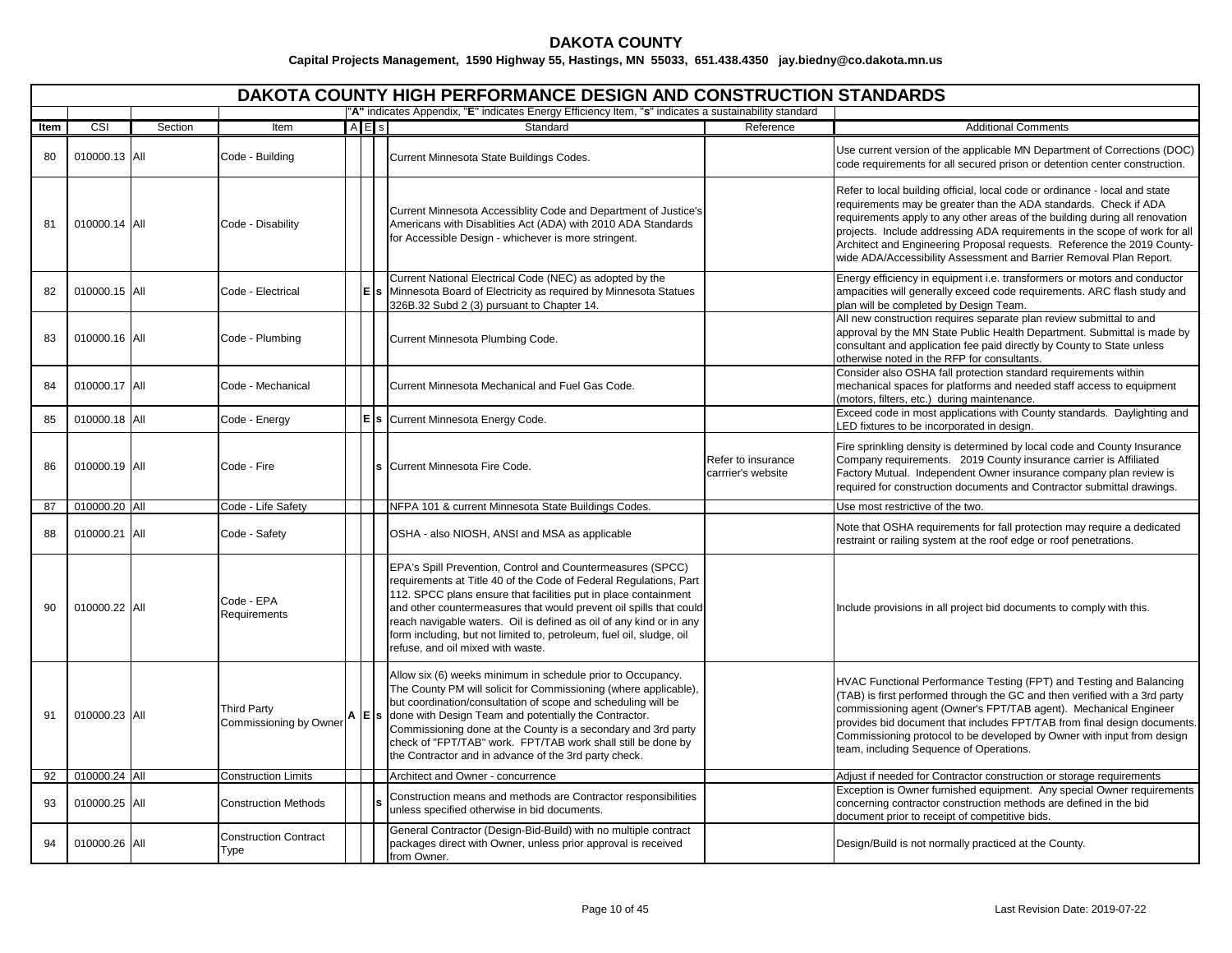|      | DAKOTA COUNTY HIGH PERFORMANCE DESIGN AND CONSTRUCTION STANDARDS<br>"A" indicates Appendix, "E" indicates Energy Efficiency Item, "s" indicates a sustainability standard |         |                                                           |       |  |                                                                                                                                                                                                                                                                                                                                                                                                                                                              |                                          |                                                                                                                                                                                                                                                                                                                                                                                                                                                               |  |  |  |  |
|------|---------------------------------------------------------------------------------------------------------------------------------------------------------------------------|---------|-----------------------------------------------------------|-------|--|--------------------------------------------------------------------------------------------------------------------------------------------------------------------------------------------------------------------------------------------------------------------------------------------------------------------------------------------------------------------------------------------------------------------------------------------------------------|------------------------------------------|---------------------------------------------------------------------------------------------------------------------------------------------------------------------------------------------------------------------------------------------------------------------------------------------------------------------------------------------------------------------------------------------------------------------------------------------------------------|--|--|--|--|
|      |                                                                                                                                                                           |         |                                                           |       |  |                                                                                                                                                                                                                                                                                                                                                                                                                                                              |                                          |                                                                                                                                                                                                                                                                                                                                                                                                                                                               |  |  |  |  |
| Item | CSI                                                                                                                                                                       | Section | Item                                                      | A E s |  | Standard                                                                                                                                                                                                                                                                                                                                                                                                                                                     | Reference                                | <b>Additional Comments</b>                                                                                                                                                                                                                                                                                                                                                                                                                                    |  |  |  |  |
| 80   | 010000.13 All                                                                                                                                                             |         | Code - Building                                           |       |  | Current Minnesota State Buildings Codes.                                                                                                                                                                                                                                                                                                                                                                                                                     |                                          | Use current version of the applicable MN Department of Corrections (DOC)<br>code requirements for all secured prison or detention center construction.                                                                                                                                                                                                                                                                                                        |  |  |  |  |
| 81   | 010000.14 All                                                                                                                                                             |         | Code - Disability                                         |       |  | Current Minnesota Accessiblity Code and Department of Justice's<br>Americans with Disablities Act (ADA) with 2010 ADA Standards<br>for Accessible Design - whichever is more stringent.                                                                                                                                                                                                                                                                      |                                          | Refer to local building official, local code or ordinance - local and state<br>requirements may be greater than the ADA standards. Check if ADA<br>requirements apply to any other areas of the building during all renovation<br>projects. Include addressing ADA requirements in the scope of work for all<br>Architect and Engineering Proposal requests. Reference the 2019 County-<br>wide ADA/Accessibility Assessment and Barrier Removal Plan Report. |  |  |  |  |
| 82   | 010000.15 All                                                                                                                                                             |         | Code - Electrical                                         |       |  | Current National Electrical Code (NEC) as adopted by the<br>s Minnesota Board of Electricity as required by Minnesota Statues<br>326B.32 Subd 2 (3) pursuant to Chapter 14.                                                                                                                                                                                                                                                                                  |                                          | Energy efficiency in equipment i.e. transformers or motors and conductor<br>ampacities will generally exceed code requirements. ARC flash study and<br>plan will be completed by Design Team.                                                                                                                                                                                                                                                                 |  |  |  |  |
| 83   | 010000.16 All                                                                                                                                                             |         | Code - Plumbing                                           |       |  | Current Minnesota Plumbing Code.                                                                                                                                                                                                                                                                                                                                                                                                                             |                                          | All new construction requires separate plan review submittal to and<br>approval by the MN State Public Health Department. Submittal is made by<br>consultant and application fee paid directly by County to State unless<br>otherwise noted in the RFP for consultants.                                                                                                                                                                                       |  |  |  |  |
| 84   | 010000.17 All                                                                                                                                                             |         | Code - Mechanical                                         |       |  | Current Minnesota Mechanical and Fuel Gas Code.                                                                                                                                                                                                                                                                                                                                                                                                              |                                          | Consider also OSHA fall protection standard requirements within<br>mechanical spaces for platforms and needed staff access to equipment<br>(motors, filters, etc.) during maintenance.                                                                                                                                                                                                                                                                        |  |  |  |  |
| 85   | 010000.18 All                                                                                                                                                             |         | Code - Energy                                             |       |  | E s Current Minnesota Energy Code.                                                                                                                                                                                                                                                                                                                                                                                                                           |                                          | Exceed code in most applications with County standards. Daylighting and<br>LED fixtures to be incorporated in design.                                                                                                                                                                                                                                                                                                                                         |  |  |  |  |
| 86   | 010000.19 All                                                                                                                                                             |         | Code - Fire                                               |       |  | Current Minnesota Fire Code.                                                                                                                                                                                                                                                                                                                                                                                                                                 | Refer to insurance<br>carrrier's website | Fire sprinkling density is determined by local code and County Insurance<br>Company requirements. 2019 County insurance carrier is Affiliated<br>Factory Mutual. Independent Owner insurance company plan review is<br>required for construction documents and Contractor submittal drawings.                                                                                                                                                                 |  |  |  |  |
| 87   | 010000.20 All                                                                                                                                                             |         | Code - Life Safety                                        |       |  | NFPA 101 & current Minnesota State Buildings Codes.                                                                                                                                                                                                                                                                                                                                                                                                          |                                          | Use most restrictive of the two.                                                                                                                                                                                                                                                                                                                                                                                                                              |  |  |  |  |
| 88   | 010000.21 All                                                                                                                                                             |         | Code - Safety                                             |       |  | OSHA - also NIOSH, ANSI and MSA as applicable                                                                                                                                                                                                                                                                                                                                                                                                                |                                          | Note that OSHA requirements for fall protection may require a dedicated<br>restraint or railing system at the roof edge or roof penetrations.                                                                                                                                                                                                                                                                                                                 |  |  |  |  |
| 90   | 010000.22 All                                                                                                                                                             |         | Code - EPA<br>Requirements                                |       |  | EPA's Spill Prevention, Control and Countermeasures (SPCC)<br>requirements at Title 40 of the Code of Federal Regulations, Part<br>112. SPCC plans ensure that facilities put in place containment<br>and other countermeasures that would prevent oil spills that could<br>reach navigable waters. Oil is defined as oil of any kind or in any<br>form including, but not limited to, petroleum, fuel oil, sludge, oil<br>refuse, and oil mixed with waste. |                                          | Include provisions in all project bid documents to comply with this.                                                                                                                                                                                                                                                                                                                                                                                          |  |  |  |  |
| 91   | 010000.23 All                                                                                                                                                             |         | <b>Third Party</b><br>Commissioning by Owner <b>A</b> E S |       |  | Allow six (6) weeks minimum in schedule prior to Occupancy.<br>The County PM will solicit for Commissioning (where applicable),<br>but coordination/consultation of scope and scheduling will be<br>done with Design Team and potentially the Contractor.<br>Commissioning done at the County is a secondary and 3rd party<br>check of "FPT/TAB" work. FPT/TAB work shall still be done by<br>the Contractor and in advance of the 3rd party check.          |                                          | HVAC Functional Performance Testing (FPT) and Testing and Balancing<br>(TAB) is first performed through the GC and then verified with a 3rd party<br>commissioning agent (Owner's FPT/TAB agent). Mechanical Engineer<br>provides bid document that includes FPT/TAB from final design documents.<br>Commissioning protocol to be developed by Owner with input from design<br>team, including Sequence of Operations.                                        |  |  |  |  |
| 92   | 010000.24 All                                                                                                                                                             |         | <b>Construction Limits</b>                                |       |  | Architect and Owner - concurrence                                                                                                                                                                                                                                                                                                                                                                                                                            |                                          | Adjust if needed for Contractor construction or storage requirements                                                                                                                                                                                                                                                                                                                                                                                          |  |  |  |  |
| 93   | 010000.25 All                                                                                                                                                             |         | <b>Construction Methods</b>                               |       |  | Construction means and methods are Contractor responsibilities<br>unless specified otherwise in bid documents.                                                                                                                                                                                                                                                                                                                                               |                                          | Exception is Owner furnished equipment. Any special Owner requirements<br>concerning contractor construction methods are defined in the bid<br>document prior to receipt of competitive bids.                                                                                                                                                                                                                                                                 |  |  |  |  |
| 94   | 010000.26 All                                                                                                                                                             |         | <b>Construction Contract</b><br>Type                      |       |  | General Contractor (Design-Bid-Build) with no multiple contract<br>packages direct with Owner, unless prior approval is received<br>from Owner.                                                                                                                                                                                                                                                                                                              |                                          | Design/Build is not normally practiced at the County.                                                                                                                                                                                                                                                                                                                                                                                                         |  |  |  |  |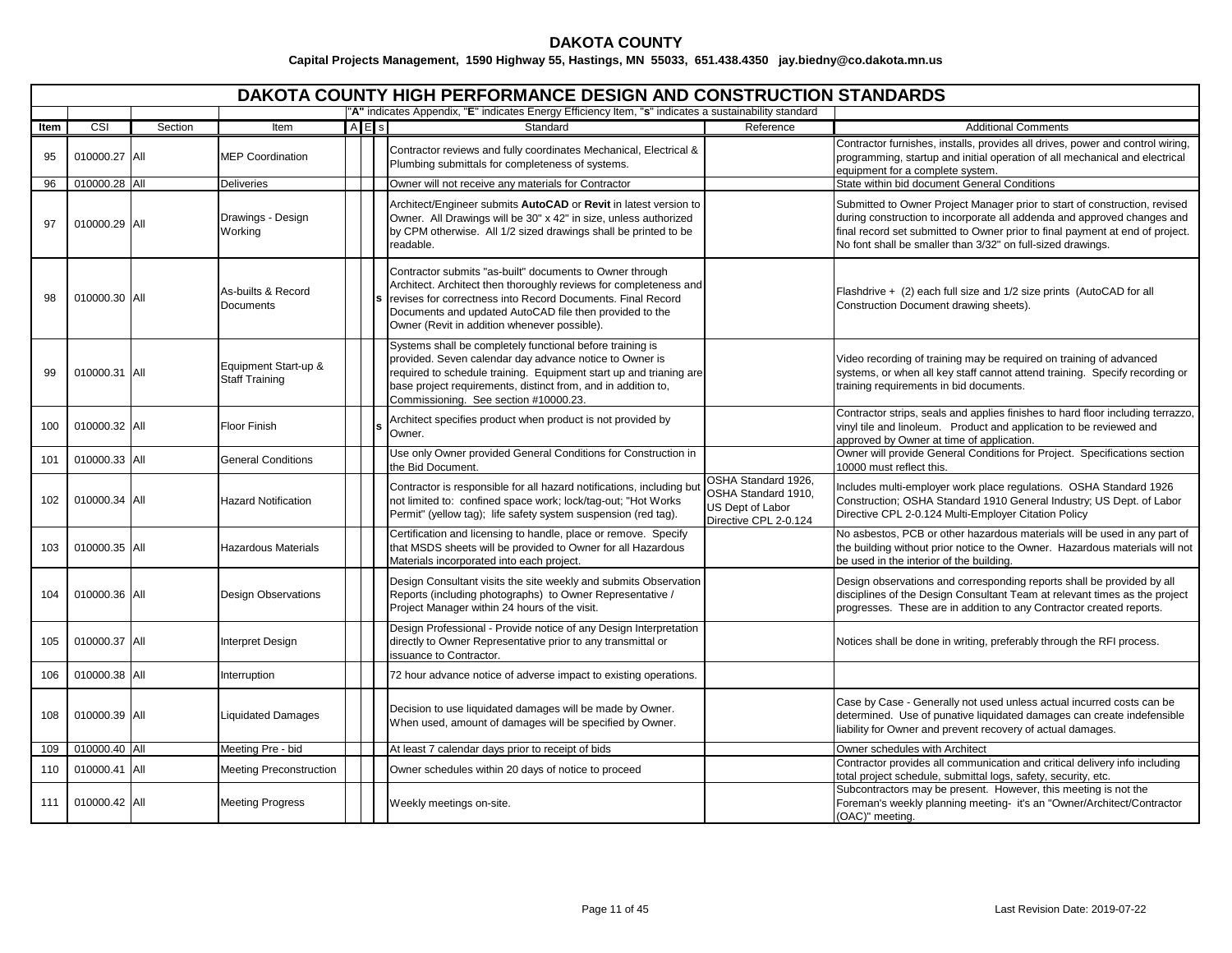|      | DAKOTA COUNTY HIGH PERFORMANCE DESIGN AND CONSTRUCTION STANDARDS<br>"A" indicates Appendix, "E" indicates Energy Efficiency Item, "s" indicates a sustainability standard |         |                                               |  |           |                                                                                                                                                                                                                                                                                                         |                                                                                         |                                                                                                                                                                                                                                                                                                       |  |  |  |  |
|------|---------------------------------------------------------------------------------------------------------------------------------------------------------------------------|---------|-----------------------------------------------|--|-----------|---------------------------------------------------------------------------------------------------------------------------------------------------------------------------------------------------------------------------------------------------------------------------------------------------------|-----------------------------------------------------------------------------------------|-------------------------------------------------------------------------------------------------------------------------------------------------------------------------------------------------------------------------------------------------------------------------------------------------------|--|--|--|--|
|      |                                                                                                                                                                           |         |                                               |  |           |                                                                                                                                                                                                                                                                                                         |                                                                                         |                                                                                                                                                                                                                                                                                                       |  |  |  |  |
| Item | CSI                                                                                                                                                                       | Section | Item                                          |  | $A \nE$ s | Standard                                                                                                                                                                                                                                                                                                | Reference                                                                               | <b>Additional Comments</b>                                                                                                                                                                                                                                                                            |  |  |  |  |
| 95   | 010000.27 All                                                                                                                                                             |         | <b>MEP Coordination</b>                       |  |           | Contractor reviews and fully coordinates Mechanical, Electrical &<br>Plumbing submittals for completeness of systems.                                                                                                                                                                                   |                                                                                         | Contractor furnishes, installs, provides all drives, power and control wiring,<br>programming, startup and initial operation of all mechanical and electrical<br>equipment for a complete system.                                                                                                     |  |  |  |  |
| 96   | 010000.28 All                                                                                                                                                             |         | <b>Deliveries</b>                             |  |           | Owner will not receive any materials for Contractor                                                                                                                                                                                                                                                     |                                                                                         | State within bid document General Conditions                                                                                                                                                                                                                                                          |  |  |  |  |
| 97   | 010000.29 All                                                                                                                                                             |         | Drawings - Design<br>Working                  |  |           | Architect/Engineer submits AutoCAD or Revit in latest version to<br>Owner. All Drawings will be 30" x 42" in size, unless authorized<br>by CPM otherwise. All 1/2 sized drawings shall be printed to be<br>readable.                                                                                    |                                                                                         | Submitted to Owner Project Manager prior to start of construction, revised<br>during construction to incorporate all addenda and approved changes and<br>final record set submitted to Owner prior to final payment at end of project.<br>No font shall be smaller than 3/32" on full-sized drawings. |  |  |  |  |
| 98   | 010000.30 All                                                                                                                                                             |         | As-builts & Record<br><b>Documents</b>        |  |           | Contractor submits "as-built" documents to Owner through<br>Architect. Architect then thoroughly reviews for completeness and<br>revises for correctness into Record Documents. Final Record<br>Documents and updated AutoCAD file then provided to the<br>Owner (Revit in addition whenever possible). |                                                                                         | Flashdrive + (2) each full size and 1/2 size prints (AutoCAD for all<br>Construction Document drawing sheets).                                                                                                                                                                                        |  |  |  |  |
| 99   | 010000.31 All                                                                                                                                                             |         | Equipment Start-up &<br><b>Staff Training</b> |  |           | Systems shall be completely functional before training is<br>provided. Seven calendar day advance notice to Owner is<br>required to schedule training. Equipment start up and trianing are<br>base project requirements, distinct from, and in addition to,<br>Commissioning. See section #10000.23.    |                                                                                         | Video recording of training may be required on training of advanced<br>systems, or when all key staff cannot attend training. Specify recording or<br>training requirements in bid documents.                                                                                                         |  |  |  |  |
| 100  | 010000.32 All                                                                                                                                                             |         | Floor Finish                                  |  |           | Architect specifies product when product is not provided by<br>Owner.                                                                                                                                                                                                                                   |                                                                                         | Contractor strips, seals and applies finishes to hard floor including terrazzo,<br>vinyl tile and linoleum. Product and application to be reviewed and<br>approved by Owner at time of application.                                                                                                   |  |  |  |  |
| 101  | 010000.33 All                                                                                                                                                             |         | <b>General Conditions</b>                     |  |           | Use only Owner provided General Conditions for Construction in<br>the Bid Document.                                                                                                                                                                                                                     |                                                                                         | Owner will provide General Conditions for Project. Specifications section<br>10000 must reflect this.                                                                                                                                                                                                 |  |  |  |  |
| 102  | 010000.34 All                                                                                                                                                             |         | <b>Hazard Notification</b>                    |  |           | Contractor is responsible for all hazard notifications, including but<br>not limited to: confined space work; lock/tag-out; "Hot Works<br>Permit" (yellow tag); life safety system suspension (red tag).                                                                                                | OSHA Standard 1926,<br>OSHA Standard 1910,<br>US Dept of Labor<br>Directive CPL 2-0.124 | Includes multi-employer work place regulations. OSHA Standard 1926<br>Construction; OSHA Standard 1910 General Industry; US Dept. of Labor<br>Directive CPL 2-0.124 Multi-Employer Citation Policy                                                                                                    |  |  |  |  |
| 103  | 010000.35 All                                                                                                                                                             |         | Hazardous Materials                           |  |           | Certification and licensing to handle, place or remove. Specify<br>that MSDS sheets will be provided to Owner for all Hazardous<br>Materials incorporated into each project.                                                                                                                            |                                                                                         | No asbestos, PCB or other hazardous materials will be used in any part of<br>the building without prior notice to the Owner. Hazardous materials will not<br>be used in the interior of the building.                                                                                                 |  |  |  |  |
| 104  | 010000.36 All                                                                                                                                                             |         | <b>Design Observations</b>                    |  |           | Design Consultant visits the site weekly and submits Observation<br>Reports (including photographs) to Owner Representative /<br>Project Manager within 24 hours of the visit.                                                                                                                          |                                                                                         | Design observations and corresponding reports shall be provided by all<br>disciplines of the Design Consultant Team at relevant times as the project<br>progresses. These are in addition to any Contractor created reports.                                                                          |  |  |  |  |
| 105  | 010000.37 All                                                                                                                                                             |         | <b>Interpret Design</b>                       |  |           | Design Professional - Provide notice of any Design Interpretation<br>directly to Owner Representative prior to any transmittal or<br>issuance to Contractor.                                                                                                                                            |                                                                                         | Notices shall be done in writing, preferably through the RFI process.                                                                                                                                                                                                                                 |  |  |  |  |
| 106  | 010000.38 All                                                                                                                                                             |         | Interruption                                  |  |           | 72 hour advance notice of adverse impact to existing operations.                                                                                                                                                                                                                                        |                                                                                         |                                                                                                                                                                                                                                                                                                       |  |  |  |  |
| 108  | 010000.39 All                                                                                                                                                             |         | <b>Liquidated Damages</b>                     |  |           | Decision to use liquidated damages will be made by Owner.<br>When used, amount of damages will be specified by Owner.                                                                                                                                                                                   |                                                                                         | Case by Case - Generally not used unless actual incurred costs can be<br>determined. Use of punative liquidated damages can create indefensible<br>liability for Owner and prevent recovery of actual damages.                                                                                        |  |  |  |  |
| 109  | 010000.40 All                                                                                                                                                             |         | Meeting Pre - bid                             |  |           | At least 7 calendar days prior to receipt of bids                                                                                                                                                                                                                                                       |                                                                                         | Owner schedules with Architect                                                                                                                                                                                                                                                                        |  |  |  |  |
| 110  | 010000.41 All                                                                                                                                                             |         | Meeting Preconstruction                       |  |           | Owner schedules within 20 days of notice to proceed                                                                                                                                                                                                                                                     |                                                                                         | Contractor provides all communication and critical delivery info including<br>total project schedule, submittal logs, safety, security, etc.                                                                                                                                                          |  |  |  |  |
| 111  | 010000.42 All                                                                                                                                                             |         | <b>Meeting Progress</b>                       |  |           | Weekly meetings on-site.                                                                                                                                                                                                                                                                                |                                                                                         | Subcontractors may be present. However, this meeting is not the<br>Foreman's weekly planning meeting- it's an "Owner/Architect/Contractor<br>(OAC)" meeting.                                                                                                                                          |  |  |  |  |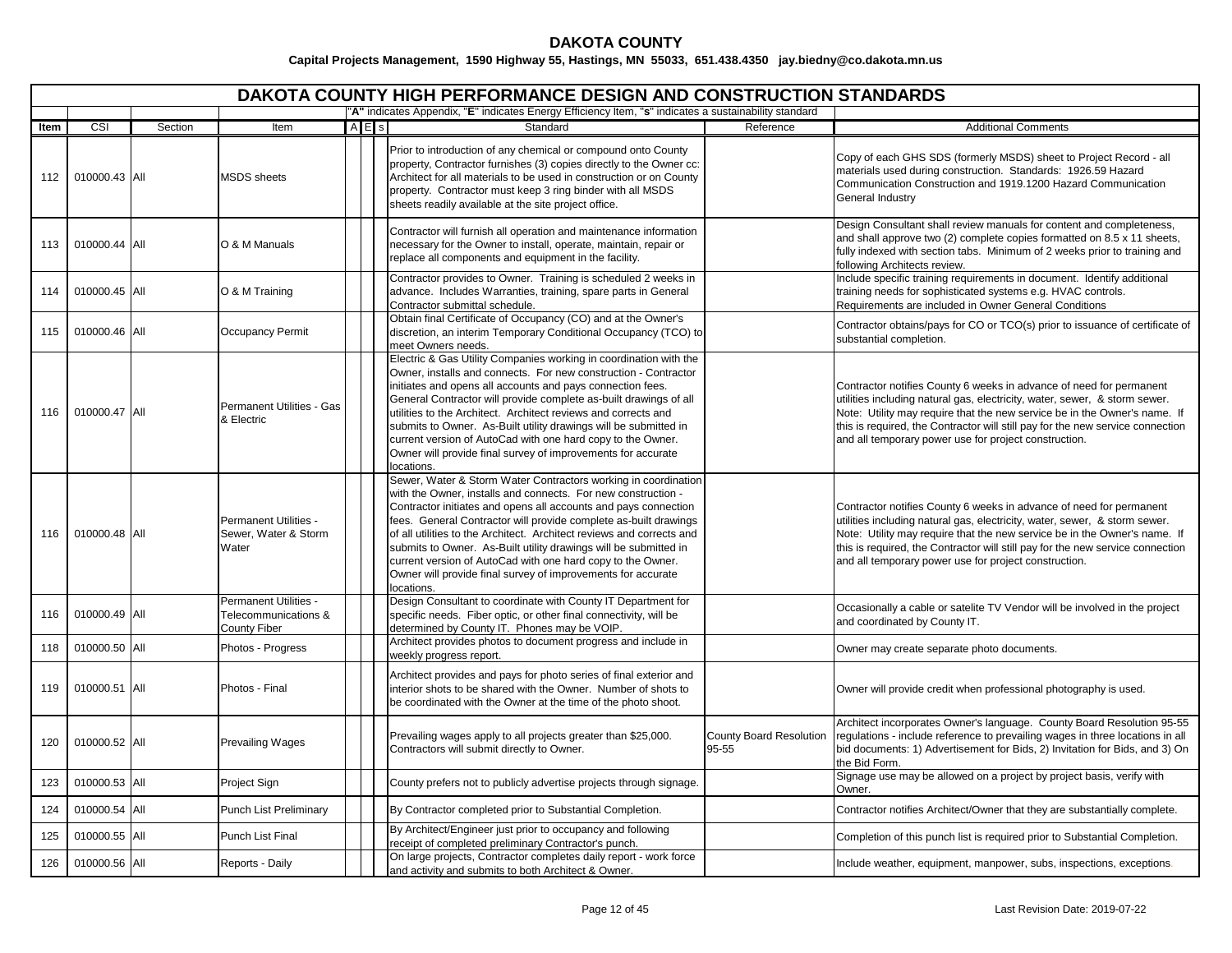|      |                         |         |                                                               |         | <b>DAKOTA COUNTY HIGH PERFORMANCE DESIGN AND CONSTRUCTION STANDARDS</b>                                                                                                                                                                                                                                                                                                                                                                                                                                                                                          |                                         |                                                                                                                                                                                                                                                                                                                                                                           |
|------|-------------------------|---------|---------------------------------------------------------------|---------|------------------------------------------------------------------------------------------------------------------------------------------------------------------------------------------------------------------------------------------------------------------------------------------------------------------------------------------------------------------------------------------------------------------------------------------------------------------------------------------------------------------------------------------------------------------|-----------------------------------------|---------------------------------------------------------------------------------------------------------------------------------------------------------------------------------------------------------------------------------------------------------------------------------------------------------------------------------------------------------------------------|
|      |                         |         |                                                               |         | "A" indicates Appendix, "E" indicates Energy Efficiency Item, "s" indicates a sustainability standard                                                                                                                                                                                                                                                                                                                                                                                                                                                            |                                         |                                                                                                                                                                                                                                                                                                                                                                           |
| Item | $\overline{\text{CSI}}$ | Section | Item                                                          | $A E$ s | Standard                                                                                                                                                                                                                                                                                                                                                                                                                                                                                                                                                         | Reference                               | <b>Additional Comments</b>                                                                                                                                                                                                                                                                                                                                                |
| 112  | 010000.43 All           |         | <b>MSDS</b> sheets                                            |         | Prior to introduction of any chemical or compound onto County<br>property, Contractor furnishes (3) copies directly to the Owner cc:<br>Architect for all materials to be used in construction or on County<br>property. Contractor must keep 3 ring binder with all MSDS<br>sheets readily available at the site project office.                                                                                                                                                                                                                                |                                         | Copy of each GHS SDS (formerly MSDS) sheet to Project Record - all<br>materials used during construction. Standards: 1926.59 Hazard<br>Communication Construction and 1919.1200 Hazard Communication<br>General Industry                                                                                                                                                  |
| 113  | 010000.44 All           |         | O & M Manuals                                                 |         | Contractor will furnish all operation and maintenance information<br>necessary for the Owner to install, operate, maintain, repair or<br>replace all components and equipment in the facility.                                                                                                                                                                                                                                                                                                                                                                   |                                         | Design Consultant shall review manuals for content and completeness,<br>and shall approve two (2) complete copies formatted on 8.5 x 11 sheets,<br>fully indexed with section tabs. Minimum of 2 weeks prior to training and<br>following Architects review.                                                                                                              |
| 114  | 010000.45 All           |         | O & M Training                                                |         | Contractor provides to Owner. Training is scheduled 2 weeks in<br>advance. Includes Warranties, training, spare parts in General<br>Contractor submittal schedule.                                                                                                                                                                                                                                                                                                                                                                                               |                                         | Include specific training requirements in document. Identify additional<br>training needs for sophisticated systems e.g. HVAC controls.<br>Requirements are included in Owner General Conditions                                                                                                                                                                          |
| 115  | 010000.46 All           |         | Occupancy Permit                                              |         | Obtain final Certificate of Occupancy (CO) and at the Owner's<br>discretion, an interim Temporary Conditional Occupancy (TCO) to<br>meet Owners needs.                                                                                                                                                                                                                                                                                                                                                                                                           |                                         | Contractor obtains/pays for CO or TCO(s) prior to issuance of certificate of<br>substantial completion.                                                                                                                                                                                                                                                                   |
| 116  | 010000.47 All           |         | Permanent Utilities - Gas<br>& Electric                       |         | Electric & Gas Utility Companies working in coordination with the<br>Owner, installs and connects. For new construction - Contractor<br>initiates and opens all accounts and pays connection fees.<br>General Contractor will provide complete as-built drawings of all<br>utilities to the Architect. Architect reviews and corrects and<br>submits to Owner. As-Built utility drawings will be submitted in<br>current version of AutoCad with one hard copy to the Owner.<br>Owner will provide final survey of improvements for accurate<br>locations.       |                                         | Contractor notifies County 6 weeks in advance of need for permanent<br>utilities including natural gas, electricity, water, sewer, & storm sewer.<br>Note: Utility may require that the new service be in the Owner's name. If<br>this is required, the Contractor will still pay for the new service connection<br>and all temporary power use for project construction. |
| 116  | 010000.48 All           |         | <b>Permanent Utilities -</b><br>Sewer, Water & Storm<br>Water |         | Sewer, Water & Storm Water Contractors working in coordination<br>with the Owner, installs and connects. For new construction -<br>Contractor initiates and opens all accounts and pays connection<br>fees. General Contractor will provide complete as-built drawings<br>of all utilities to the Architect. Architect reviews and corrects and<br>submits to Owner. As-Built utility drawings will be submitted in<br>current version of AutoCad with one hard copy to the Owner.<br>Owner will provide final survey of improvements for accurate<br>locations. |                                         | Contractor notifies County 6 weeks in advance of need for permanent<br>utilities including natural gas, electricity, water, sewer, & storm sewer.<br>Note: Utility may require that the new service be in the Owner's name. If<br>this is required, the Contractor will still pay for the new service connection<br>and all temporary power use for project construction. |
| 116  | 010000.49 All           |         | Permanent Utilities -<br>Telecommunications &<br>County Fiber |         | Design Consultant to coordinate with County IT Department for<br>specific needs. Fiber optic, or other final connectivity, will be<br>determined by County IT. Phones may be VOIP.                                                                                                                                                                                                                                                                                                                                                                               |                                         | Occasionally a cable or satelite TV Vendor will be involved in the project<br>and coordinated by County IT.                                                                                                                                                                                                                                                               |
| 118  | 010000.50 All           |         | Photos - Progress                                             |         | Architect provides photos to document progress and include in<br>weekly progress report.                                                                                                                                                                                                                                                                                                                                                                                                                                                                         |                                         | Owner may create separate photo documents.                                                                                                                                                                                                                                                                                                                                |
| 119  | 010000.51 All           |         | Photos - Final                                                |         | Architect provides and pays for photo series of final exterior and<br>interior shots to be shared with the Owner. Number of shots to<br>be coordinated with the Owner at the time of the photo shoot.                                                                                                                                                                                                                                                                                                                                                            |                                         | Owner will provide credit when professional photography is used.                                                                                                                                                                                                                                                                                                          |
| 120  | 010000.52 All           |         | <b>Prevailing Wages</b>                                       |         | Prevailing wages apply to all projects greater than \$25,000.<br>Contractors will submit directly to Owner.                                                                                                                                                                                                                                                                                                                                                                                                                                                      | <b>County Board Resolution</b><br>95-55 | Architect incorporates Owner's language. County Board Resolution 95-55<br>regulations - include reference to prevailing wages in three locations in all<br>bid documents: 1) Advertisement for Bids, 2) Invitation for Bids, and 3) On<br>the Bid Form.                                                                                                                   |
| 123  | 010000.53 All           |         | Project Sign                                                  |         | County prefers not to publicly advertise projects through signage.                                                                                                                                                                                                                                                                                                                                                                                                                                                                                               |                                         | Signage use may be allowed on a project by project basis, verify with<br>Owner.                                                                                                                                                                                                                                                                                           |
| 124  | 010000.54 All           |         | <b>Punch List Preliminary</b>                                 |         | By Contractor completed prior to Substantial Completion.                                                                                                                                                                                                                                                                                                                                                                                                                                                                                                         |                                         | Contractor notifies Architect/Owner that they are substantially complete.                                                                                                                                                                                                                                                                                                 |
| 125  | 010000.55 All           |         | Punch List Final                                              |         | By Architect/Engineer just prior to occupancy and following<br>receipt of completed preliminary Contractor's punch.                                                                                                                                                                                                                                                                                                                                                                                                                                              |                                         | Completion of this punch list is required prior to Substantial Completion.                                                                                                                                                                                                                                                                                                |
| 126  | 010000.56 All           |         | Reports - Daily                                               |         | On large projects, Contractor completes daily report - work force<br>and activity and submits to both Architect & Owner.                                                                                                                                                                                                                                                                                                                                                                                                                                         |                                         | Include weather, equipment, manpower, subs, inspections, exceptions.                                                                                                                                                                                                                                                                                                      |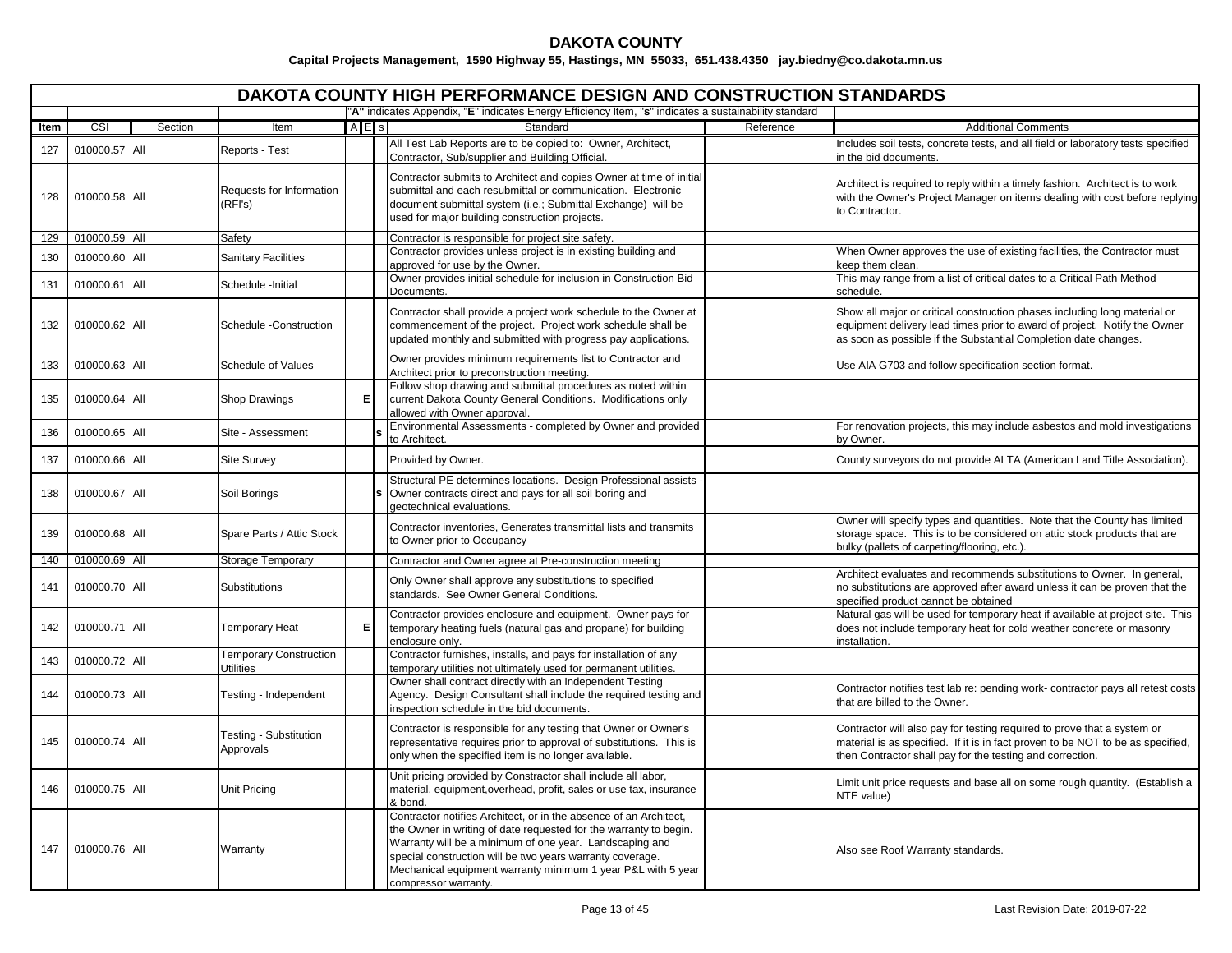|      | <b>DAKOTA COUNTY HIGH PERFORMANCE DESIGN AND CONSTRUCTION STANDARDS</b> |         |                                                   |           |                                                                                                                                                                                                                                                                                                                                                        |           |                                                                                                                                                                                                                           |  |  |  |  |  |
|------|-------------------------------------------------------------------------|---------|---------------------------------------------------|-----------|--------------------------------------------------------------------------------------------------------------------------------------------------------------------------------------------------------------------------------------------------------------------------------------------------------------------------------------------------------|-----------|---------------------------------------------------------------------------------------------------------------------------------------------------------------------------------------------------------------------------|--|--|--|--|--|
|      |                                                                         |         |                                                   |           | "A" indicates Appendix, "E" indicates Energy Efficiency Item, "s" indicates a sustainability standard                                                                                                                                                                                                                                                  |           |                                                                                                                                                                                                                           |  |  |  |  |  |
| ltem | CSI                                                                     | Section | Item                                              | $A \nE$ s | Standard                                                                                                                                                                                                                                                                                                                                               | Reference | <b>Additional Comments</b>                                                                                                                                                                                                |  |  |  |  |  |
| 127  | 010000.57 All                                                           |         | Reports - Test                                    |           | All Test Lab Reports are to be copied to: Owner, Architect,<br>Contractor, Sub/supplier and Building Official.                                                                                                                                                                                                                                         |           | Includes soil tests, concrete tests, and all field or laboratory tests specified<br>in the bid documents.                                                                                                                 |  |  |  |  |  |
| 128  | 010000.58 All                                                           |         | Requests for Information<br>(RFI's)               |           | Contractor submits to Architect and copies Owner at time of initial<br>submittal and each resubmittal or communication. Electronic<br>document submittal system (i.e.; Submittal Exchange) will be<br>used for major building construction projects.                                                                                                   |           | Architect is required to reply within a timely fashion. Architect is to work<br>with the Owner's Project Manager on items dealing with cost before replying<br>to Contractor.                                             |  |  |  |  |  |
| 129  | 010000.59 All                                                           |         | Safety                                            |           | Contractor is responsible for project site safety.                                                                                                                                                                                                                                                                                                     |           |                                                                                                                                                                                                                           |  |  |  |  |  |
| 130  | 010000.60 All                                                           |         | <b>Sanitary Facilities</b>                        |           | Contractor provides unless project is in existing building and<br>approved for use by the Owner.                                                                                                                                                                                                                                                       |           | When Owner approves the use of existing facilities, the Contractor must<br>keep them clean.                                                                                                                               |  |  |  |  |  |
| 131  | 010000.61 All                                                           |         | Schedule - Initial                                |           | Owner provides initial schedule for inclusion in Construction Bid<br>Documents.                                                                                                                                                                                                                                                                        |           | This may range from a list of critical dates to a Critical Path Method<br>schedule.                                                                                                                                       |  |  |  |  |  |
| 132  | 010000.62 All                                                           |         | Schedule -Construction                            |           | Contractor shall provide a project work schedule to the Owner at<br>commencement of the project. Project work schedule shall be<br>updated monthly and submitted with progress pay applications.                                                                                                                                                       |           | Show all major or critical construction phases including long material or<br>equipment delivery lead times prior to award of project. Notify the Owner<br>as soon as possible if the Substantial Completion date changes. |  |  |  |  |  |
| 133  | 010000.63 All                                                           |         | Schedule of Values                                |           | Owner provides minimum requirements list to Contractor and<br>Architect prior to preconstruction meeting.                                                                                                                                                                                                                                              |           | Use AIA G703 and follow specification section format.                                                                                                                                                                     |  |  |  |  |  |
| 135  | 010000.64 All                                                           |         | Shop Drawings                                     |           | Follow shop drawing and submittal procedures as noted within<br>current Dakota County General Conditions. Modifications only<br>allowed with Owner approval.                                                                                                                                                                                           |           |                                                                                                                                                                                                                           |  |  |  |  |  |
| 136  | 010000.65 All                                                           |         | Site - Assessment                                 |           | Environmental Assessments - completed by Owner and provided<br>to Architect.                                                                                                                                                                                                                                                                           |           | For renovation projects, this may include asbestos and mold investigations<br>by Owner.                                                                                                                                   |  |  |  |  |  |
| 137  | 010000.66 All                                                           |         | <b>Site Survey</b>                                |           | Provided by Owner.                                                                                                                                                                                                                                                                                                                                     |           | County surveyors do not provide ALTA (American Land Title Association).                                                                                                                                                   |  |  |  |  |  |
| 138  | 010000.67 All                                                           |         | Soil Borings                                      |           | Structural PE determines locations. Design Professional assists<br>Owner contracts direct and pays for all soil boring and<br>geotechnical evaluations.                                                                                                                                                                                                |           |                                                                                                                                                                                                                           |  |  |  |  |  |
| 139  | 010000.68 All                                                           |         | Spare Parts / Attic Stock                         |           | Contractor inventories, Generates transmittal lists and transmits<br>to Owner prior to Occupancy                                                                                                                                                                                                                                                       |           | Owner will specify types and quantities. Note that the County has limited<br>storage space. This is to be considered on attic stock products that are<br>bulky (pallets of carpeting/flooring, etc.).                     |  |  |  |  |  |
| 140  | 010000.69 All                                                           |         | Storage Temporary                                 |           | Contractor and Owner agree at Pre-construction meeting                                                                                                                                                                                                                                                                                                 |           |                                                                                                                                                                                                                           |  |  |  |  |  |
| 141  | 010000.70 All                                                           |         | Substitutions                                     |           | Only Owner shall approve any substitutions to specified<br>standards. See Owner General Conditions.                                                                                                                                                                                                                                                    |           | Architect evaluates and recommends substitutions to Owner. In general,<br>no substitutions are approved after award unless it can be proven that the<br>specified product cannot be obtained                              |  |  |  |  |  |
| 142  | 010000.71 All                                                           |         | <b>Temporary Heat</b>                             |           | Contractor provides enclosure and equipment. Owner pays for<br>temporary heating fuels (natural gas and propane) for building<br>enclosure only.                                                                                                                                                                                                       |           | Natural gas will be used for temporary heat if available at project site. This<br>does not include temporary heat for cold weather concrete or masonry<br>installation.                                                   |  |  |  |  |  |
| 143  | 010000.72 All                                                           |         | <b>Temporary Construction</b><br><b>Utilities</b> |           | Contractor furnishes, installs, and pays for installation of any<br>emporary utilities not ultimately used for permanent utilities.                                                                                                                                                                                                                    |           |                                                                                                                                                                                                                           |  |  |  |  |  |
| 144  | 010000.73 All                                                           |         | Testing - Independent                             |           | Owner shall contract directly with an Independent Testing<br>Agency. Design Consultant shall include the required testing and<br>inspection schedule in the bid documents.                                                                                                                                                                             |           | Contractor notifies test lab re: pending work- contractor pays all retest costs<br>that are billed to the Owner.                                                                                                          |  |  |  |  |  |
| 145  | 010000.74 All                                                           |         | <b>Testing - Substitution</b><br>Approvals        |           | Contractor is responsible for any testing that Owner or Owner's<br>representative requires prior to approval of substitutions. This is<br>only when the specified item is no longer available.                                                                                                                                                         |           | Contractor will also pay for testing required to prove that a system or<br>material is as specified. If it is in fact proven to be NOT to be as specified,<br>then Contractor shall pay for the testing and correction.   |  |  |  |  |  |
| 146  | 010000.75 All                                                           |         | <b>Unit Pricing</b>                               |           | Unit pricing provided by Constractor shall include all labor,<br>material, equipment, overhead, profit, sales or use tax, insurance<br>& bond.                                                                                                                                                                                                         |           | Limit unit price requests and base all on some rough quantity. (Establish a<br>NTE value)                                                                                                                                 |  |  |  |  |  |
| 147  | 010000.76 All                                                           |         | Warranty                                          |           | Contractor notifies Architect, or in the absence of an Architect,<br>the Owner in writing of date requested for the warranty to begin.<br>Warranty will be a minimum of one year. Landscaping and<br>special construction will be two years warranty coverage.<br>Mechanical equipment warranty minimum 1 year P&L with 5 year<br>compressor warranty. |           | Also see Roof Warranty standards.                                                                                                                                                                                         |  |  |  |  |  |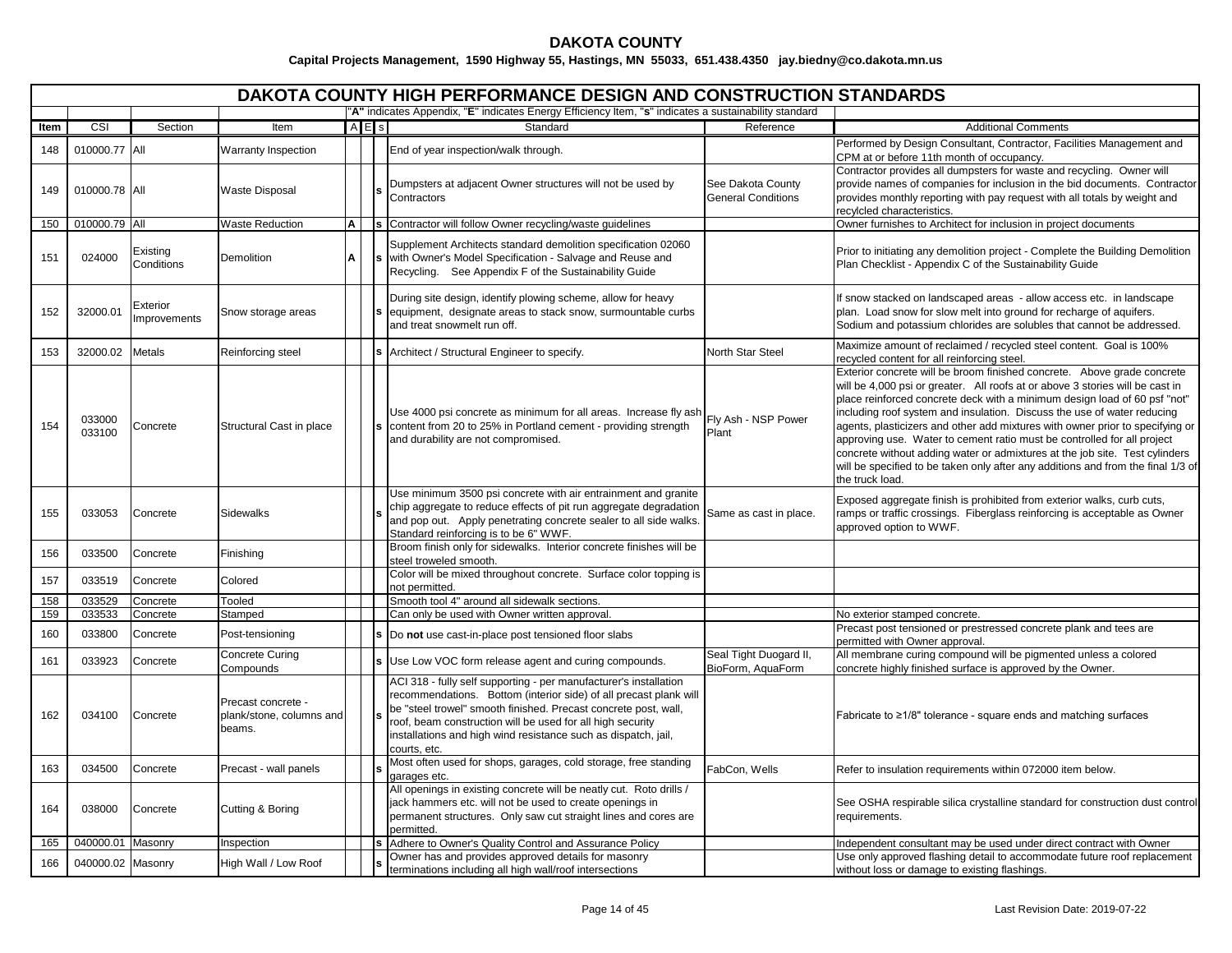|      | <b>DAKOTA COUNTY HIGH PERFORMANCE DESIGN AND CONSTRUCTION STANDARDS</b><br>"A" indicates Appendix, "E" indicates Energy Efficiency Item, "s" indicates a sustainability standard |                                 |                                                          |   |           |                                                                                                                                                                                                                                                                                                                                                           |                                                |                                                                                                                                                                                                                                                                                                                                                                                                                                                                                                                                                                                                                                                                     |  |  |  |  |
|------|----------------------------------------------------------------------------------------------------------------------------------------------------------------------------------|---------------------------------|----------------------------------------------------------|---|-----------|-----------------------------------------------------------------------------------------------------------------------------------------------------------------------------------------------------------------------------------------------------------------------------------------------------------------------------------------------------------|------------------------------------------------|---------------------------------------------------------------------------------------------------------------------------------------------------------------------------------------------------------------------------------------------------------------------------------------------------------------------------------------------------------------------------------------------------------------------------------------------------------------------------------------------------------------------------------------------------------------------------------------------------------------------------------------------------------------------|--|--|--|--|
|      |                                                                                                                                                                                  |                                 |                                                          |   |           |                                                                                                                                                                                                                                                                                                                                                           |                                                |                                                                                                                                                                                                                                                                                                                                                                                                                                                                                                                                                                                                                                                                     |  |  |  |  |
| ltem | CSI                                                                                                                                                                              | Section                         | Item                                                     |   | $A \nE$ s | Standard                                                                                                                                                                                                                                                                                                                                                  | Reference                                      | <b>Additional Comments</b>                                                                                                                                                                                                                                                                                                                                                                                                                                                                                                                                                                                                                                          |  |  |  |  |
| 148  | 010000.77 All                                                                                                                                                                    |                                 | Warranty Inspection                                      |   |           | End of year inspection/walk through.                                                                                                                                                                                                                                                                                                                      |                                                | Performed by Design Consultant, Contractor, Facilities Management and<br>CPM at or before 11th month of occupancy.                                                                                                                                                                                                                                                                                                                                                                                                                                                                                                                                                  |  |  |  |  |
| 149  | 010000.78 All                                                                                                                                                                    |                                 | <b>Waste Disposal</b>                                    |   |           | Dumpsters at adjacent Owner structures will not be used by<br>Contractors                                                                                                                                                                                                                                                                                 | See Dakota County<br><b>General Conditions</b> | Contractor provides all dumpsters for waste and recycling. Owner will<br>provide names of companies for inclusion in the bid documents. Contractor<br>provides monthly reporting with pay request with all totals by weight and<br>recylcled characteristics.                                                                                                                                                                                                                                                                                                                                                                                                       |  |  |  |  |
| 150  | 010000.79 All                                                                                                                                                                    |                                 | <b>Waste Reduction</b>                                   | A |           | s Contractor will follow Owner recycling/waste guidelines                                                                                                                                                                                                                                                                                                 |                                                | Owner furnishes to Architect for inclusion in project documents                                                                                                                                                                                                                                                                                                                                                                                                                                                                                                                                                                                                     |  |  |  |  |
| 151  | 024000                                                                                                                                                                           | Existing<br>Conditions          | Demolition                                               | Α |           | Supplement Architects standard demolition specification 02060<br>s with Owner's Model Specification - Salvage and Reuse and<br>Recycling. See Appendix F of the Sustainability Guide                                                                                                                                                                      |                                                | Prior to initiating any demolition project - Complete the Building Demolition<br>Plan Checklist - Appendix C of the Sustainability Guide                                                                                                                                                                                                                                                                                                                                                                                                                                                                                                                            |  |  |  |  |
| 152  | 32000.01                                                                                                                                                                         | Exterior<br><b>Improvements</b> | Snow storage areas                                       |   |           | During site design, identify plowing scheme, allow for heavy<br>equipment, designate areas to stack snow, surmountable curbs<br>and treat snowmelt run off.                                                                                                                                                                                               |                                                | If snow stacked on landscaped areas - allow access etc. in landscape<br>plan. Load snow for slow melt into ground for recharge of aquifers.<br>Sodium and potassium chlorides are solubles that cannot be addressed.                                                                                                                                                                                                                                                                                                                                                                                                                                                |  |  |  |  |
| 153  | 32000.02                                                                                                                                                                         | Metals                          | Reinforcing steel                                        |   |           | Architect / Structural Engineer to specify.                                                                                                                                                                                                                                                                                                               | North Star Steel                               | Maximize amount of reclaimed / recycled steel content. Goal is 100%<br>recycled content for all reinforcing steel                                                                                                                                                                                                                                                                                                                                                                                                                                                                                                                                                   |  |  |  |  |
| 154  | 033000<br>033100                                                                                                                                                                 | Concrete                        | Structural Cast in place                                 |   |           | Use 4000 psi concrete as minimum for all areas. Increase fly ash<br>content from 20 to 25% in Portland cement - providing strength<br>and durability are not compromised.                                                                                                                                                                                 | Fly Ash - NSP Power<br>Plant                   | Exterior concrete will be broom finished concrete.  Above grade concrete<br>will be 4,000 psi or greater. All roofs at or above 3 stories will be cast in<br>place reinforced concrete deck with a minimum design load of 60 psf "not"<br>including roof system and insulation. Discuss the use of water reducing<br>agents, plasticizers and other add mixtures with owner prior to specifying or<br>approving use. Water to cement ratio must be controlled for all project<br>concrete without adding water or admixtures at the job site. Test cylinders<br>will be specified to be taken only after any additions and from the final 1/3 of<br>the truck load. |  |  |  |  |
| 155  | 033053                                                                                                                                                                           | Concrete                        | <b>Sidewalks</b>                                         |   |           | Use minimum 3500 psi concrete with air entrainment and granite<br>chip aggregate to reduce effects of pit run aggregate degradation<br>and pop out. Apply penetrating concrete sealer to all side walks.<br>Standard reinforcing is to be 6" WWF.                                                                                                         | Same as cast in place.                         | Exposed aggregate finish is prohibited from exterior walks, curb cuts,<br>ramps or traffic crossings. Fiberglass reinforcing is acceptable as Owner<br>approved option to WWF.                                                                                                                                                                                                                                                                                                                                                                                                                                                                                      |  |  |  |  |
| 156  | 033500                                                                                                                                                                           | Concrete                        | Finishing                                                |   |           | Broom finish only for sidewalks. Interior concrete finishes will be<br>steel troweled smooth.                                                                                                                                                                                                                                                             |                                                |                                                                                                                                                                                                                                                                                                                                                                                                                                                                                                                                                                                                                                                                     |  |  |  |  |
| 157  | 033519                                                                                                                                                                           | Concrete                        | Colored                                                  |   |           | Color will be mixed throughout concrete. Surface color topping is<br>not permitted.                                                                                                                                                                                                                                                                       |                                                |                                                                                                                                                                                                                                                                                                                                                                                                                                                                                                                                                                                                                                                                     |  |  |  |  |
| 158  | 033529                                                                                                                                                                           | Concrete                        | Tooled                                                   |   |           | Smooth tool 4" around all sidewalk sections.                                                                                                                                                                                                                                                                                                              |                                                |                                                                                                                                                                                                                                                                                                                                                                                                                                                                                                                                                                                                                                                                     |  |  |  |  |
| 159  | 033533                                                                                                                                                                           | Concrete                        | Stamped                                                  |   |           | Can only be used with Owner written approval                                                                                                                                                                                                                                                                                                              |                                                | No exterior stamped concrete.                                                                                                                                                                                                                                                                                                                                                                                                                                                                                                                                                                                                                                       |  |  |  |  |
| 160  | 033800                                                                                                                                                                           | Concrete                        | Post-tensioning                                          |   |           | Do not use cast-in-place post tensioned floor slabs                                                                                                                                                                                                                                                                                                       |                                                | Precast post tensioned or prestressed concrete plank and tees are<br>permitted with Owner approval.                                                                                                                                                                                                                                                                                                                                                                                                                                                                                                                                                                 |  |  |  |  |
| 161  | 033923                                                                                                                                                                           | Concrete                        | Concrete Curing<br>Compounds                             |   |           | Use Low VOC form release agent and curing compounds.                                                                                                                                                                                                                                                                                                      | Seal Tight Duogard II,<br>BioForm, AquaForm    | All membrane curing compound will be pigmented unless a colored<br>concrete highly finished surface is approved by the Owner.                                                                                                                                                                                                                                                                                                                                                                                                                                                                                                                                       |  |  |  |  |
| 162  | 034100                                                                                                                                                                           | Concrete                        | Precast concrete -<br>plank/stone, columns and<br>beams. |   |           | ACI 318 - fully self supporting - per manufacturer's installation<br>recommendations. Bottom (interior side) of all precast plank will<br>be "steel trowel" smooth finished. Precast concrete post, wall,<br>roof, beam construction will be used for all high security<br>installations and high wind resistance such as dispatch, jail,<br>courts, etc. |                                                | Fabricate to ≥1/8" tolerance - square ends and matching surfaces                                                                                                                                                                                                                                                                                                                                                                                                                                                                                                                                                                                                    |  |  |  |  |
| 163  | 034500                                                                                                                                                                           | Concrete                        | Precast - wall panels                                    |   |           | Most often used for shops, garages, cold storage, free standing<br>garages etc.                                                                                                                                                                                                                                                                           | FabCon, Wells                                  | Refer to insulation requirements within 072000 item below.                                                                                                                                                                                                                                                                                                                                                                                                                                                                                                                                                                                                          |  |  |  |  |
| 164  | 038000                                                                                                                                                                           | Concrete                        | Cutting & Boring                                         |   |           | All openings in existing concrete will be neatly cut. Roto drills /<br>jack hammers etc. will not be used to create openings in<br>permanent structures. Only saw cut straight lines and cores are<br>permitted.                                                                                                                                          |                                                | See OSHA respirable silica crystalline standard for construction dust control<br>requirements.                                                                                                                                                                                                                                                                                                                                                                                                                                                                                                                                                                      |  |  |  |  |
| 165  | 040000.01 Masonry                                                                                                                                                                |                                 | Inspection                                               |   |           | S Adhere to Owner's Quality Control and Assurance Policy                                                                                                                                                                                                                                                                                                  |                                                | Independent consultant may be used under direct contract with Owner                                                                                                                                                                                                                                                                                                                                                                                                                                                                                                                                                                                                 |  |  |  |  |
| 166  | 040000.02 Masonry                                                                                                                                                                |                                 | High Wall / Low Roof                                     |   |           | Owner has and provides approved details for masonry<br>terminations including all high wall/roof intersections                                                                                                                                                                                                                                            |                                                | Use only approved flashing detail to accommodate future roof replacement<br>without loss or damage to existing flashings.                                                                                                                                                                                                                                                                                                                                                                                                                                                                                                                                           |  |  |  |  |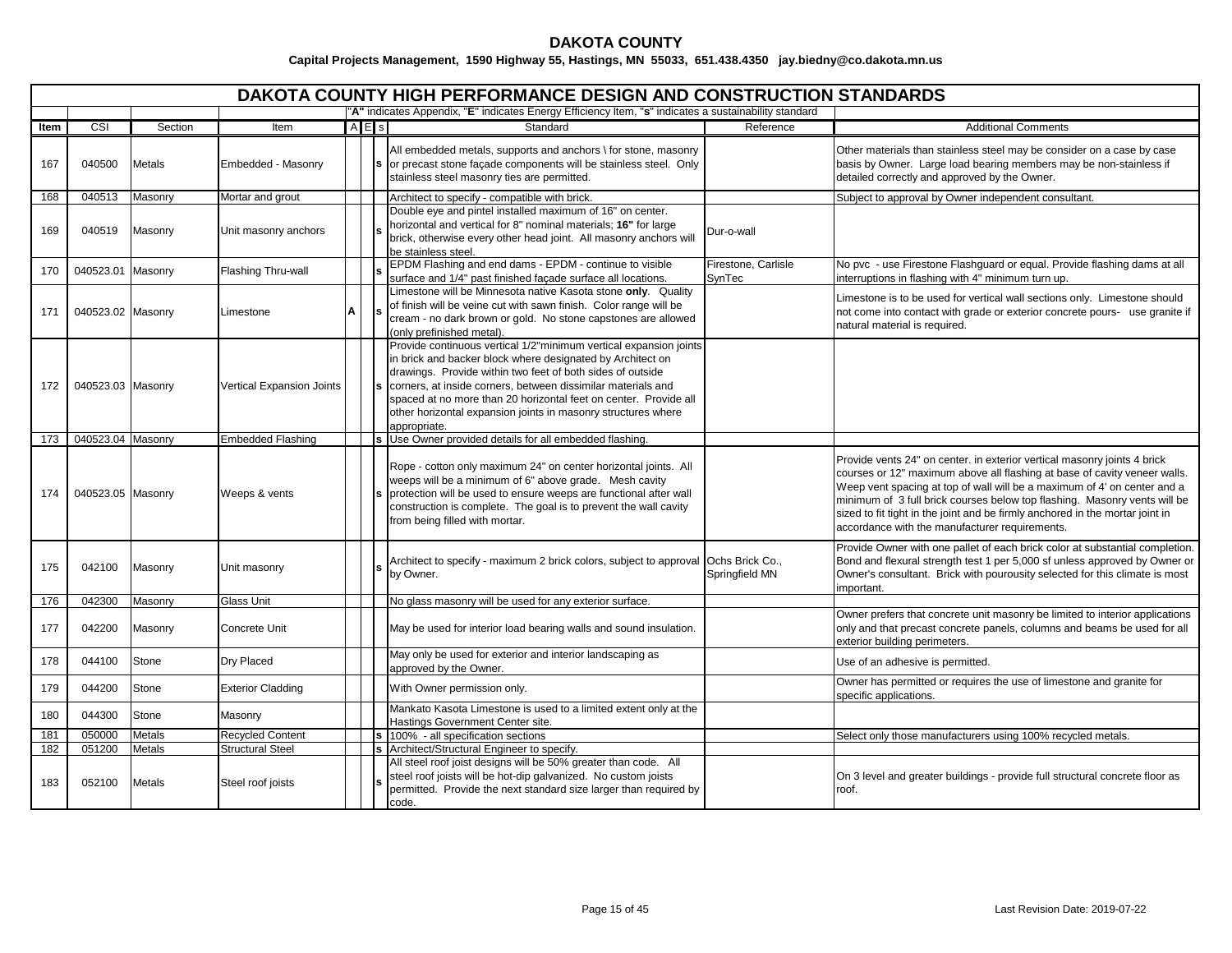|      | <b>DAKOTA COUNTY HIGH PERFORMANCE DESIGN AND CONSTRUCTION STANDARDS</b> |               |                           |   |           |                                                                                                                                                                                                                                                                                                                                                                                                                    |                                   |                                                                                                                                                                                                                                                                                                                                                                                                                                                   |  |  |  |  |
|------|-------------------------------------------------------------------------|---------------|---------------------------|---|-----------|--------------------------------------------------------------------------------------------------------------------------------------------------------------------------------------------------------------------------------------------------------------------------------------------------------------------------------------------------------------------------------------------------------------------|-----------------------------------|---------------------------------------------------------------------------------------------------------------------------------------------------------------------------------------------------------------------------------------------------------------------------------------------------------------------------------------------------------------------------------------------------------------------------------------------------|--|--|--|--|
|      |                                                                         |               |                           |   |           | "A" indicates Appendix, "E" indicates Energy Efficiency Item, "s" indicates a sustainability standard                                                                                                                                                                                                                                                                                                              |                                   |                                                                                                                                                                                                                                                                                                                                                                                                                                                   |  |  |  |  |
| Item | CSI                                                                     | Section       | Item                      |   | $A \nE$ s | Standard                                                                                                                                                                                                                                                                                                                                                                                                           | Reference                         | <b>Additional Comments</b>                                                                                                                                                                                                                                                                                                                                                                                                                        |  |  |  |  |
| 167  | 040500                                                                  | <b>Metals</b> | Embedded - Masonry        |   |           | All embedded metals, supports and anchors \ for stone, masonry<br>or precast stone façade components will be stainless steel. Only<br>stainless steel masonry ties are permitted.                                                                                                                                                                                                                                  |                                   | Other materials than stainless steel may be consider on a case by case<br>basis by Owner. Large load bearing members may be non-stainless if<br>detailed correctly and approved by the Owner.                                                                                                                                                                                                                                                     |  |  |  |  |
| 168  | 040513                                                                  | Masonry       | Mortar and grout          |   |           | Architect to specify - compatible with brick.                                                                                                                                                                                                                                                                                                                                                                      |                                   | Subject to approval by Owner independent consultant.                                                                                                                                                                                                                                                                                                                                                                                              |  |  |  |  |
| 169  | 040519                                                                  | Masonry       | Unit masonry anchors      |   |           | Double eye and pintel installed maximum of 16" on center.<br>horizontal and vertical for 8" nominal materials; 16" for large<br>brick, otherwise every other head joint. All masonry anchors will<br>be stainless steel.                                                                                                                                                                                           | Dur-o-wall                        |                                                                                                                                                                                                                                                                                                                                                                                                                                                   |  |  |  |  |
| 170  | 040523.01 Masonry                                                       |               | Flashing Thru-wall        |   |           | EPDM Flashing and end dams - EPDM - continue to visible<br>surface and 1/4" past finished façade surface all locations.                                                                                                                                                                                                                                                                                            | Firestone, Carlisle<br>SynTec     | No pvc - use Firestone Flashguard or equal. Provide flashing dams at all<br>interruptions in flashing with 4" minimum turn up.                                                                                                                                                                                                                                                                                                                    |  |  |  |  |
| 171  | 040523.02 Masonry                                                       |               | Limestone                 | A |           | Limestone will be Minnesota native Kasota stone only. Quality<br>of finish will be veine cut with sawn finish. Color range will be<br>cream - no dark brown or gold. No stone capstones are allowed<br>(only prefinished metal).                                                                                                                                                                                   |                                   | Limestone is to be used for vertical wall sections only. Limestone should<br>not come into contact with grade or exterior concrete pours- use granite if<br>natural material is required.                                                                                                                                                                                                                                                         |  |  |  |  |
| 172  | 040523.03 Masonry                                                       |               | Vertical Expansion Joints |   |           | Provide continuous vertical 1/2"minimum vertical expansion joints<br>in brick and backer block where designated by Architect on<br>drawings. Provide within two feet of both sides of outside<br>corners, at inside corners, between dissimilar materials and<br>spaced at no more than 20 horizontal feet on center. Provide all<br>other horizontal expansion joints in masonry structures where<br>appropriate. |                                   |                                                                                                                                                                                                                                                                                                                                                                                                                                                   |  |  |  |  |
| 173  | 040523.04 Masonry                                                       |               | <b>Embedded Flashing</b>  |   |           | Use Owner provided details for all embedded flashing.                                                                                                                                                                                                                                                                                                                                                              |                                   |                                                                                                                                                                                                                                                                                                                                                                                                                                                   |  |  |  |  |
| 174  | 040523.05 Masonry                                                       |               | Weeps & vents             |   |           | Rope - cotton only maximum 24" on center horizontal joints. All<br>weeps will be a minimum of 6" above grade. Mesh cavity<br>protection will be used to ensure weeps are functional after wall<br>construction is complete. The goal is to prevent the wall cavity<br>from being filled with mortar.                                                                                                               |                                   | Provide vents 24" on center. in exterior vertical masonry joints 4 brick<br>courses or 12" maximum above all flashing at base of cavity veneer walls.<br>Weep vent spacing at top of wall will be a maximum of 4' on center and a<br>minimum of 3 full brick courses below top flashing. Masonry vents will be<br>sized to fit tight in the joint and be firmly anchored in the mortar joint in<br>accordance with the manufacturer requirements. |  |  |  |  |
| 175  | 042100                                                                  | Masonry       | Unit masonry              |   |           | Architect to specify - maximum 2 brick colors, subject to approval<br>by Owner.                                                                                                                                                                                                                                                                                                                                    | Ochs Brick Co.,<br>Springfield MN | Provide Owner with one pallet of each brick color at substantial completion.<br>Bond and flexural strength test 1 per 5,000 sf unless approved by Owner or<br>Owner's consultant. Brick with pourousity selected for this climate is most<br>important.                                                                                                                                                                                           |  |  |  |  |
| 176  | 042300                                                                  | Masonry       | Glass Unit                |   |           | No glass masonry will be used for any exterior surface.                                                                                                                                                                                                                                                                                                                                                            |                                   |                                                                                                                                                                                                                                                                                                                                                                                                                                                   |  |  |  |  |
| 177  | 042200                                                                  | Masonry       | Concrete Unit             |   |           | May be used for interior load bearing walls and sound insulation.                                                                                                                                                                                                                                                                                                                                                  |                                   | Owner prefers that concrete unit masonry be limited to interior applications<br>only and that precast concrete panels, columns and beams be used for all<br>exterior building perimeters.                                                                                                                                                                                                                                                         |  |  |  |  |
| 178  | 044100                                                                  | Stone         | Dry Placed                |   |           | May only be used for exterior and interior landscaping as<br>approved by the Owner.                                                                                                                                                                                                                                                                                                                                |                                   | Use of an adhesive is permitted.                                                                                                                                                                                                                                                                                                                                                                                                                  |  |  |  |  |
| 179  | 044200                                                                  | Stone         | <b>Exterior Cladding</b>  |   |           | With Owner permission only.                                                                                                                                                                                                                                                                                                                                                                                        |                                   | Owner has permitted or requires the use of limestone and granite for<br>specific applications.                                                                                                                                                                                                                                                                                                                                                    |  |  |  |  |
| 180  | 044300                                                                  | Stone         | Masonry                   |   |           | Mankato Kasota Limestone is used to a limited extent only at the<br>Hastings Government Center site.                                                                                                                                                                                                                                                                                                               |                                   |                                                                                                                                                                                                                                                                                                                                                                                                                                                   |  |  |  |  |
| 181  | 050000                                                                  | <b>Metals</b> | <b>Recycled Content</b>   |   |           | 100% - all specification sections                                                                                                                                                                                                                                                                                                                                                                                  |                                   | Select only those manufacturers using 100% recycled metals.                                                                                                                                                                                                                                                                                                                                                                                       |  |  |  |  |
| 182  | 051200                                                                  | <b>Metals</b> | <b>Structural Steel</b>   |   |           | Architect/Structural Engineer to specify.                                                                                                                                                                                                                                                                                                                                                                          |                                   |                                                                                                                                                                                                                                                                                                                                                                                                                                                   |  |  |  |  |
| 183  | 052100                                                                  | <b>Metals</b> | Steel roof joists         |   |           | All steel roof joist designs will be 50% greater than code. All<br>steel roof joists will be hot-dip galvanized. No custom joists<br>permitted. Provide the next standard size larger than required by<br>code.                                                                                                                                                                                                    |                                   | On 3 level and greater buildings - provide full structural concrete floor as<br>roof.                                                                                                                                                                                                                                                                                                                                                             |  |  |  |  |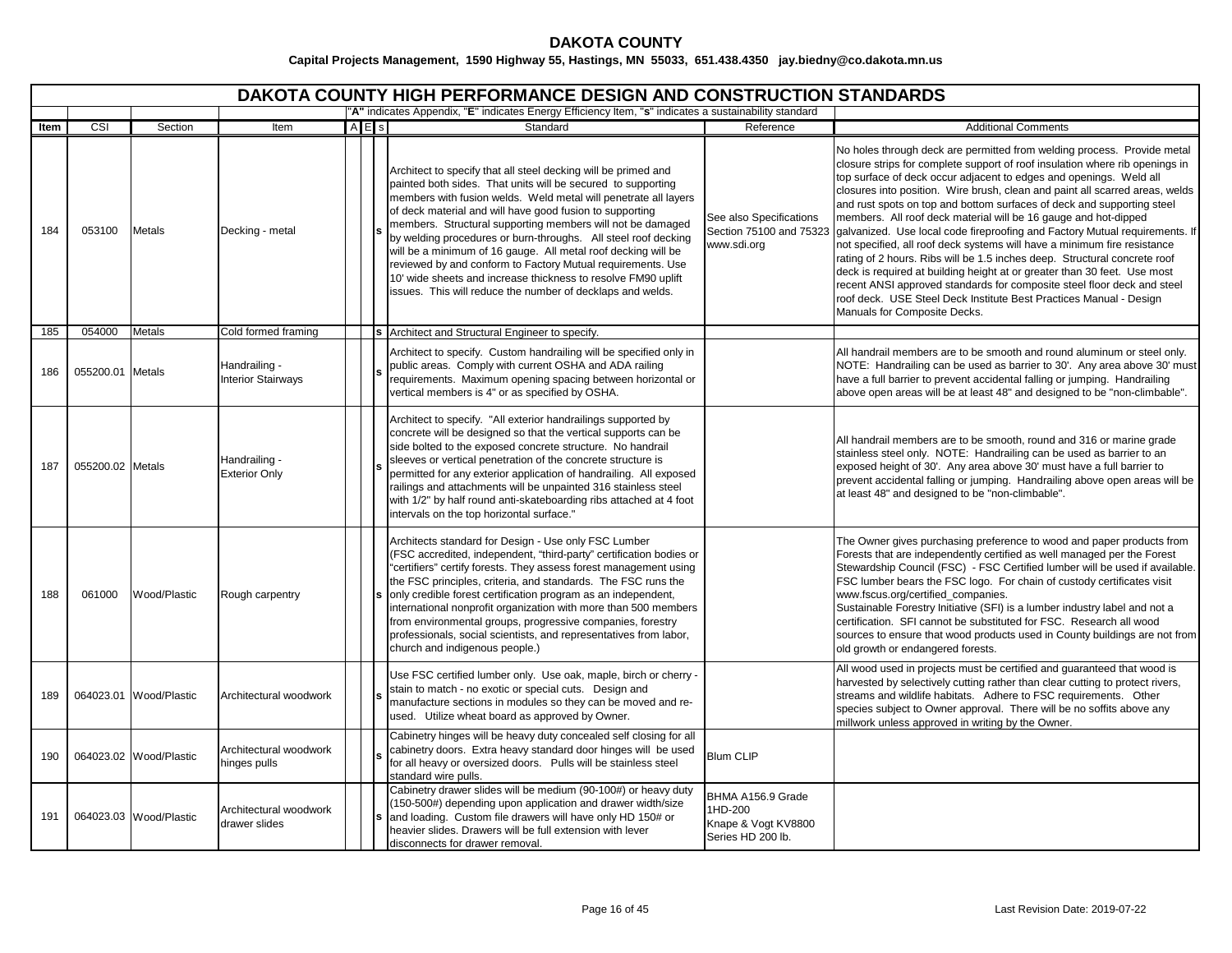|      | <b>DAKOTA COUNTY HIGH PERFORMANCE DESIGN AND CONSTRUCTION STANDARDS</b> |                        |                                            |  |       |                                                                                                                                                                                                                                                                                                                                                                                                                                                                                                                                                                                                                                                              |                                                                          |                                                                                                                                                                                                                                                                                                                                                                                                                                                                                                                                                                                                                                                                                                                                                                                                                                                                                                                                                                 |  |  |  |  |
|------|-------------------------------------------------------------------------|------------------------|--------------------------------------------|--|-------|--------------------------------------------------------------------------------------------------------------------------------------------------------------------------------------------------------------------------------------------------------------------------------------------------------------------------------------------------------------------------------------------------------------------------------------------------------------------------------------------------------------------------------------------------------------------------------------------------------------------------------------------------------------|--------------------------------------------------------------------------|-----------------------------------------------------------------------------------------------------------------------------------------------------------------------------------------------------------------------------------------------------------------------------------------------------------------------------------------------------------------------------------------------------------------------------------------------------------------------------------------------------------------------------------------------------------------------------------------------------------------------------------------------------------------------------------------------------------------------------------------------------------------------------------------------------------------------------------------------------------------------------------------------------------------------------------------------------------------|--|--|--|--|
|      |                                                                         |                        |                                            |  |       | "A" indicates Appendix, "E" indicates Energy Efficiency Item, "s" indicates a sustainability standard                                                                                                                                                                                                                                                                                                                                                                                                                                                                                                                                                        |                                                                          |                                                                                                                                                                                                                                                                                                                                                                                                                                                                                                                                                                                                                                                                                                                                                                                                                                                                                                                                                                 |  |  |  |  |
| Item | $\overline{\text{CSI}}$                                                 | Section                | Item                                       |  | A E s | Standard                                                                                                                                                                                                                                                                                                                                                                                                                                                                                                                                                                                                                                                     | Reference                                                                | <b>Additional Comments</b>                                                                                                                                                                                                                                                                                                                                                                                                                                                                                                                                                                                                                                                                                                                                                                                                                                                                                                                                      |  |  |  |  |
| 184  | 053100                                                                  | <b>Metals</b>          | Decking - metal                            |  |       | Architect to specify that all steel decking will be primed and<br>painted both sides. That units will be secured to supporting<br>members with fusion welds. Weld metal will penetrate all layers<br>of deck material and will have good fusion to supporting<br>members. Structural supporting members will not be damaged<br>by welding procedures or burn-throughs. All steel roof decking<br>will be a minimum of 16 gauge. All metal roof decking will be<br>reviewed by and conform to Factory Mutual requirements. Use<br>10' wide sheets and increase thickness to resolve FM90 uplift<br>issues. This will reduce the number of decklaps and welds. | See also Specifications<br>Section 75100 and 75323<br>www.sdi.org        | No holes through deck are permitted from welding process. Provide metal<br>closure strips for complete support of roof insulation where rib openings in<br>top surface of deck occur adjacent to edges and openings. Weld all<br>closures into position. Wire brush, clean and paint all scarred areas, welds<br>and rust spots on top and bottom surfaces of deck and supporting steel<br>members. All roof deck material will be 16 gauge and hot-dipped<br>galvanized. Use local code fireproofing and Factory Mutual requirements. If<br>not specified, all roof deck systems will have a minimum fire resistance<br>rating of 2 hours. Ribs will be 1.5 inches deep. Structural concrete roof<br>deck is required at building height at or greater than 30 feet. Use most<br>recent ANSI approved standards for composite steel floor deck and steel<br>roof deck. USE Steel Deck Institute Best Practices Manual - Design<br>Manuals for Composite Decks. |  |  |  |  |
| 185  | 054000                                                                  | <b>Metals</b>          | Cold formed framing                        |  |       | s Architect and Structural Engineer to specify.                                                                                                                                                                                                                                                                                                                                                                                                                                                                                                                                                                                                              |                                                                          |                                                                                                                                                                                                                                                                                                                                                                                                                                                                                                                                                                                                                                                                                                                                                                                                                                                                                                                                                                 |  |  |  |  |
| 186  | 055200.01 Metals                                                        |                        | Handrailing -<br><b>Interior Stairways</b> |  |       | Architect to specify. Custom handrailing will be specified only in<br>public areas. Comply with current OSHA and ADA railing<br>requirements. Maximum opening spacing between horizontal or<br>vertical members is 4" or as specified by OSHA.                                                                                                                                                                                                                                                                                                                                                                                                               |                                                                          | All handrail members are to be smooth and round aluminum or steel only.<br>NOTE: Handrailing can be used as barrier to 30'. Any area above 30' must<br>have a full barrier to prevent accidental falling or jumping. Handrailing<br>above open areas will be at least 48" and designed to be "non-climbable".                                                                                                                                                                                                                                                                                                                                                                                                                                                                                                                                                                                                                                                   |  |  |  |  |
| 187  | 055200.02 Metals                                                        |                        | Handrailing -<br><b>Exterior Only</b>      |  |       | Architect to specify. "All exterior handrailings supported by<br>concrete will be designed so that the vertical supports can be<br>side bolted to the exposed concrete structure. No handrail<br>sleeves or vertical penetration of the concrete structure is<br>permitted for any exterior application of handrailing. All exposed<br>railings and attachments will be unpainted 316 stainless steel<br>with 1/2" by half round anti-skateboarding ribs attached at 4 foot<br>intervals on the top horizontal surface."                                                                                                                                     |                                                                          | All handrail members are to be smooth, round and 316 or marine grade<br>stainless steel only. NOTE: Handrailing can be used as barrier to an<br>exposed height of 30'. Any area above 30' must have a full barrier to<br>prevent accidental falling or jumping. Handrailing above open areas will be<br>at least 48" and designed to be "non-climbable".                                                                                                                                                                                                                                                                                                                                                                                                                                                                                                                                                                                                        |  |  |  |  |
| 188  | 061000                                                                  | Wood/Plastic           | Rough carpentry                            |  |       | Architects standard for Design - Use only FSC Lumber<br>(FSC accredited, independent, "third-party" certification bodies or<br>"certifiers" certify forests. They assess forest management using<br>the FSC principles, criteria, and standards. The FSC runs the<br>only credible forest certification program as an independent,<br>international nonprofit organization with more than 500 members<br>from environmental groups, progressive companies, forestry<br>professionals, social scientists, and representatives from labor,<br>church and indigenous people.)                                                                                   |                                                                          | The Owner gives purchasing preference to wood and paper products from<br>Forests that are independently certified as well managed per the Forest<br>Stewardship Council (FSC) - FSC Certified lumber will be used if available.<br>FSC lumber bears the FSC logo. For chain of custody certificates visit<br>www.fscus.org/certified_companies.<br>Sustainable Forestry Initiative (SFI) is a lumber industry label and not a<br>certification. SFI cannot be substituted for FSC. Research all wood<br>sources to ensure that wood products used in County buildings are not from<br>old growth or endangered forests.                                                                                                                                                                                                                                                                                                                                         |  |  |  |  |
| 189  |                                                                         | 064023.01 Wood/Plastic | Architectural woodwork                     |  |       | Use FSC certified lumber only. Use oak, maple, birch or cherry -<br>stain to match - no exotic or special cuts. Design and<br>manufacture sections in modules so they can be moved and re-<br>used. Utilize wheat board as approved by Owner.                                                                                                                                                                                                                                                                                                                                                                                                                |                                                                          | All wood used in projects must be certified and quaranteed that wood is<br>harvested by selectively cutting rather than clear cutting to protect rivers,<br>streams and wildlife habitats. Adhere to FSC requirements. Other<br>species subject to Owner approval. There will be no soffits above any<br>millwork unless approved in writing by the Owner.                                                                                                                                                                                                                                                                                                                                                                                                                                                                                                                                                                                                      |  |  |  |  |
| 190  |                                                                         | 064023.02 Wood/Plastic | Architectural woodwork<br>hinges pulls     |  |       | Cabinetry hinges will be heavy duty concealed self closing for all<br>cabinetry doors. Extra heavy standard door hinges will be used<br>for all heavy or oversized doors. Pulls will be stainless steel<br>standard wire pulls.                                                                                                                                                                                                                                                                                                                                                                                                                              | <b>Blum CLIP</b>                                                         |                                                                                                                                                                                                                                                                                                                                                                                                                                                                                                                                                                                                                                                                                                                                                                                                                                                                                                                                                                 |  |  |  |  |
| 191  |                                                                         | 064023.03 Wood/Plastic | Architectural woodwork<br>drawer slides    |  |       | Cabinetry drawer slides will be medium (90-100#) or heavy duty<br>(150-500#) depending upon application and drawer width/size<br>and loading. Custom file drawers will have only HD 150# or<br>heavier slides. Drawers will be full extension with lever<br>disconnects for drawer removal.                                                                                                                                                                                                                                                                                                                                                                  | BHMA A156.9 Grade<br>1HD-200<br>Knape & Vogt KV8800<br>Series HD 200 lb. |                                                                                                                                                                                                                                                                                                                                                                                                                                                                                                                                                                                                                                                                                                                                                                                                                                                                                                                                                                 |  |  |  |  |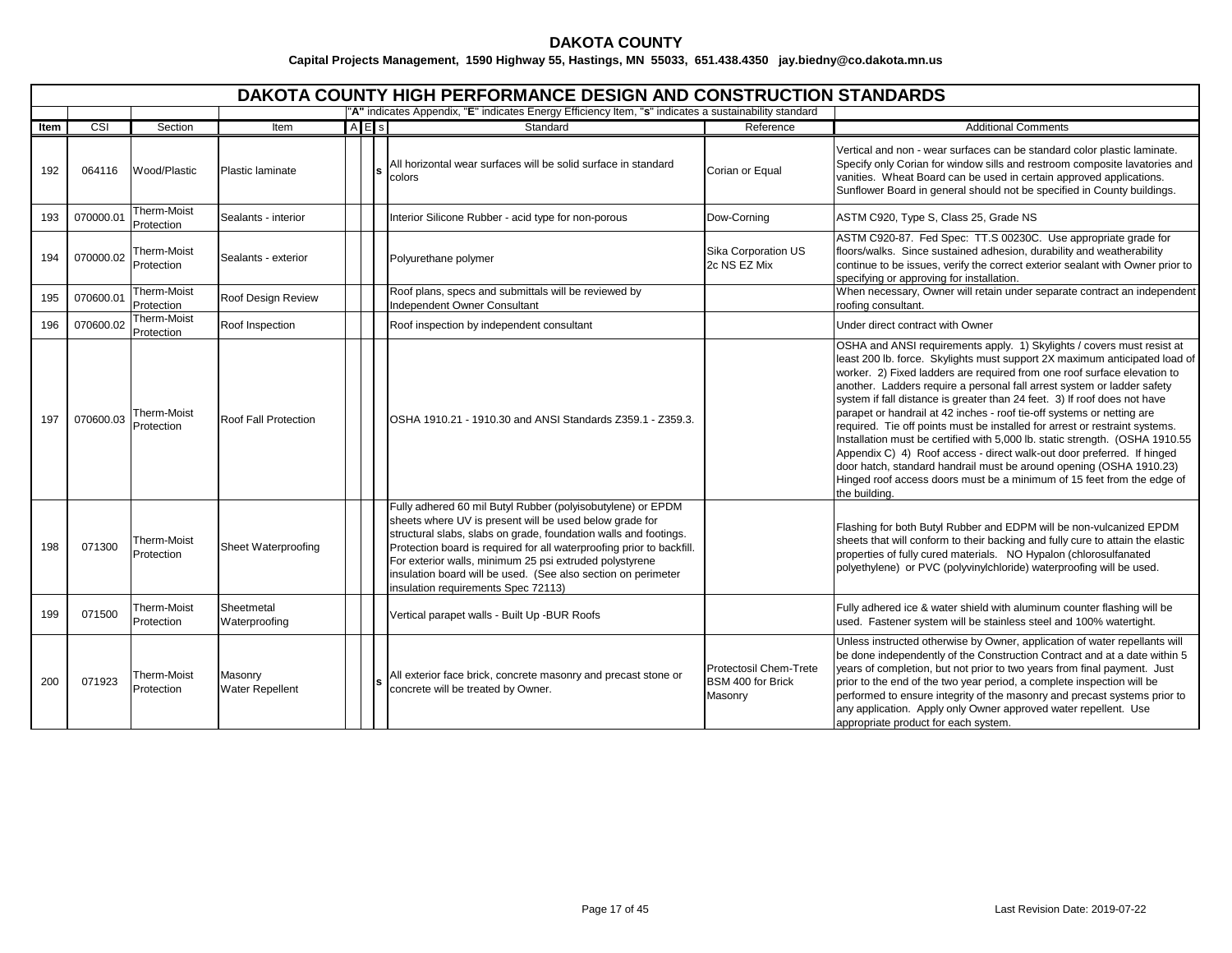|      | DAKOTA COUNTY HIGH PERFORMANCE DESIGN AND CONSTRUCTION STANDARDS |                           |                                   |  |     |                                                                                                                                                                                                                                                                                                                                                                                                                                        |                                                        |                                                                                                                                                                                                                                                                                                                                                                                                                                                                                                                                                                                                                                                                                                                                                                                                                                                                               |  |  |  |
|------|------------------------------------------------------------------|---------------------------|-----------------------------------|--|-----|----------------------------------------------------------------------------------------------------------------------------------------------------------------------------------------------------------------------------------------------------------------------------------------------------------------------------------------------------------------------------------------------------------------------------------------|--------------------------------------------------------|-------------------------------------------------------------------------------------------------------------------------------------------------------------------------------------------------------------------------------------------------------------------------------------------------------------------------------------------------------------------------------------------------------------------------------------------------------------------------------------------------------------------------------------------------------------------------------------------------------------------------------------------------------------------------------------------------------------------------------------------------------------------------------------------------------------------------------------------------------------------------------|--|--|--|
|      |                                                                  |                           |                                   |  |     | "A" indicates Appendix, "E" indicates Energy Efficiency Item, "s" indicates a sustainability standard                                                                                                                                                                                                                                                                                                                                  |                                                        |                                                                                                                                                                                                                                                                                                                                                                                                                                                                                                                                                                                                                                                                                                                                                                                                                                                                               |  |  |  |
| Item | $\overline{\text{CSI}}$                                          | Section                   | Item                              |  | AES | Standard                                                                                                                                                                                                                                                                                                                                                                                                                               | Reference                                              | <b>Additional Comments</b>                                                                                                                                                                                                                                                                                                                                                                                                                                                                                                                                                                                                                                                                                                                                                                                                                                                    |  |  |  |
| 192  | 064116                                                           | Wood/Plastic              | Plastic laminate                  |  |     | All horizontal wear surfaces will be solid surface in standard<br>colors                                                                                                                                                                                                                                                                                                                                                               | Corian or Equal                                        | Vertical and non - wear surfaces can be standard color plastic laminate.<br>Specify only Corian for window sills and restroom composite lavatories and<br>vanities. Wheat Board can be used in certain approved applications.<br>Sunflower Board in general should not be specified in County buildings.                                                                                                                                                                                                                                                                                                                                                                                                                                                                                                                                                                      |  |  |  |
| 193  | 070000.01                                                        | Therm-Moist<br>Protection | Sealants - interior               |  |     | Interior Silicone Rubber - acid type for non-porous                                                                                                                                                                                                                                                                                                                                                                                    | Dow-Corning                                            | ASTM C920, Type S, Class 25, Grade NS                                                                                                                                                                                                                                                                                                                                                                                                                                                                                                                                                                                                                                                                                                                                                                                                                                         |  |  |  |
| 194  | 070000.02                                                        | Therm-Moist<br>Protection | Sealants - exterior               |  |     | Polyurethane polymer                                                                                                                                                                                                                                                                                                                                                                                                                   | Sika Corporation US<br>2c NS EZ Mix                    | ASTM C920-87. Fed Spec: TT.S 00230C. Use appropriate grade for<br>floors/walks. Since sustained adhesion, durability and weatherability<br>continue to be issues, verify the correct exterior sealant with Owner prior to<br>specifying or approving for installation.                                                                                                                                                                                                                                                                                                                                                                                                                                                                                                                                                                                                        |  |  |  |
| 195  | 070600.01                                                        | Therm-Moist<br>Protection | Roof Design Review                |  |     | Roof plans, specs and submittals will be reviewed by<br>Independent Owner Consultant                                                                                                                                                                                                                                                                                                                                                   |                                                        | When necessary, Owner will retain under separate contract an independent<br>roofing consultant.                                                                                                                                                                                                                                                                                                                                                                                                                                                                                                                                                                                                                                                                                                                                                                               |  |  |  |
| 196  | 070600.02                                                        | Therm-Moist<br>Protection | Roof Inspection                   |  |     | Roof inspection by independent consultant                                                                                                                                                                                                                                                                                                                                                                                              |                                                        | Under direct contract with Owner                                                                                                                                                                                                                                                                                                                                                                                                                                                                                                                                                                                                                                                                                                                                                                                                                                              |  |  |  |
| 197  | 070600.03                                                        | Therm-Moist<br>Protection | Roof Fall Protection              |  |     | OSHA 1910.21 - 1910.30 and ANSI Standards Z359.1 - Z359.3.                                                                                                                                                                                                                                                                                                                                                                             |                                                        | OSHA and ANSI requirements apply. 1) Skylights / covers must resist at<br>least 200 lb. force. Skylights must support 2X maximum anticipated load of<br>worker. 2) Fixed ladders are required from one roof surface elevation to<br>another. Ladders require a personal fall arrest system or ladder safety<br>system if fall distance is greater than 24 feet. 3) If roof does not have<br>parapet or handrail at 42 inches - roof tie-off systems or netting are<br>required. Tie off points must be installed for arrest or restraint systems.<br>Installation must be certified with 5,000 lb. static strength. (OSHA 1910.55<br>Appendix C) 4) Roof access - direct walk-out door preferred. If hinged<br>door hatch, standard handrail must be around opening (OSHA 1910.23)<br>Hinged roof access doors must be a minimum of 15 feet from the edge of<br>the building. |  |  |  |
| 198  | 071300                                                           | Therm-Moist<br>Protection | Sheet Waterproofing               |  |     | Fully adhered 60 mil Butyl Rubber (polyisobutylene) or EPDM<br>sheets where UV is present will be used below grade for<br>structural slabs, slabs on grade, foundation walls and footings.<br>Protection board is required for all waterproofing prior to backfill.<br>For exterior walls, minimum 25 psi extruded polystyrene<br>insulation board will be used. (See also section on perimeter<br>insulation requirements Spec 72113) |                                                        | Flashing for both Butyl Rubber and EDPM will be non-vulcanized EPDM<br>sheets that will conform to their backing and fully cure to attain the elastic<br>properties of fully cured materials. NO Hypalon (chlorosulfanated<br>polyethylene) or PVC (polyvinylchloride) waterproofing will be used.                                                                                                                                                                                                                                                                                                                                                                                                                                                                                                                                                                            |  |  |  |
| 199  | 071500                                                           | Therm-Moist<br>Protection | Sheetmetal<br>Waterproofing       |  |     | Vertical parapet walls - Built Up -BUR Roofs                                                                                                                                                                                                                                                                                                                                                                                           |                                                        | Fully adhered ice & water shield with aluminum counter flashing will be<br>used. Fastener system will be stainless steel and 100% watertight.                                                                                                                                                                                                                                                                                                                                                                                                                                                                                                                                                                                                                                                                                                                                 |  |  |  |
| 200  | 071923                                                           | Therm-Moist<br>Protection | Masonry<br><b>Water Repellent</b> |  |     | All exterior face brick, concrete masonry and precast stone or<br>concrete will be treated by Owner.                                                                                                                                                                                                                                                                                                                                   | Protectosil Chem-Trete<br>BSM 400 for Brick<br>Masonry | Unless instructed otherwise by Owner, application of water repellants will<br>be done independently of the Construction Contract and at a date within 5<br>years of completion, but not prior to two years from final payment. Just<br>prior to the end of the two year period, a complete inspection will be<br>performed to ensure integrity of the masonry and precast systems prior to<br>any application. Apply only Owner approved water repellent. Use<br>appropriate product for each system.                                                                                                                                                                                                                                                                                                                                                                         |  |  |  |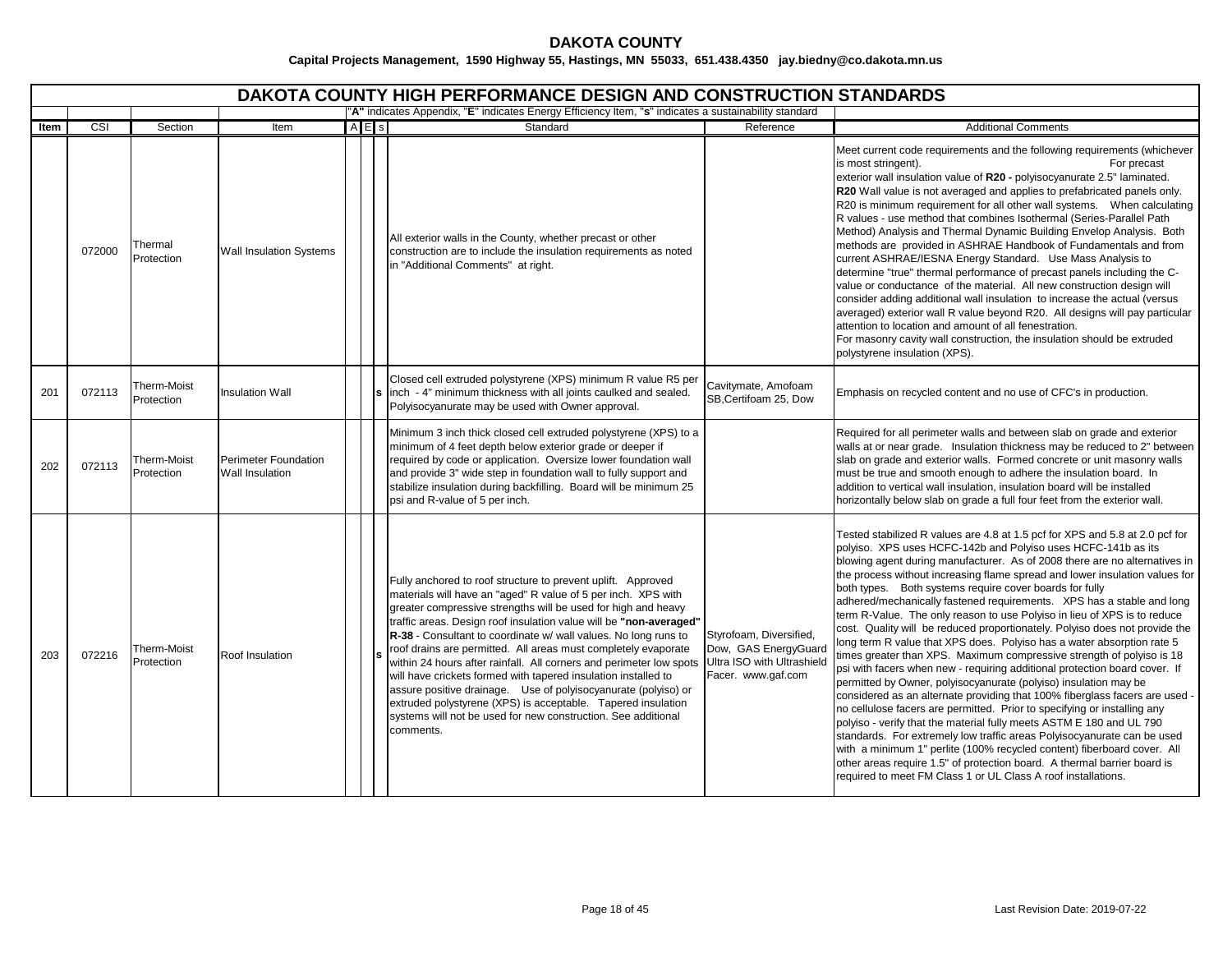|      |        |                           |                                         |     | <b>DAKOTA COUNTY HIGH PERFORMANCE DESIGN AND CONSTRUCTION STANDARDS</b>                                                                                                                                                                                                                                                                                                                                                                                                                                                                                                                                                                                                                                                                                            |                                                                                                     |                                                                                                                                                                                                                                                                                                                                                                                                                                                                                                                                                                                                                                                                                                                                                                                                                                                                                                                                                                                                                                                                                                                                                                                                                                                                                                                                                                                                                                                     |
|------|--------|---------------------------|-----------------------------------------|-----|--------------------------------------------------------------------------------------------------------------------------------------------------------------------------------------------------------------------------------------------------------------------------------------------------------------------------------------------------------------------------------------------------------------------------------------------------------------------------------------------------------------------------------------------------------------------------------------------------------------------------------------------------------------------------------------------------------------------------------------------------------------------|-----------------------------------------------------------------------------------------------------|-----------------------------------------------------------------------------------------------------------------------------------------------------------------------------------------------------------------------------------------------------------------------------------------------------------------------------------------------------------------------------------------------------------------------------------------------------------------------------------------------------------------------------------------------------------------------------------------------------------------------------------------------------------------------------------------------------------------------------------------------------------------------------------------------------------------------------------------------------------------------------------------------------------------------------------------------------------------------------------------------------------------------------------------------------------------------------------------------------------------------------------------------------------------------------------------------------------------------------------------------------------------------------------------------------------------------------------------------------------------------------------------------------------------------------------------------------|
|      |        |                           |                                         |     | "A" indicates Appendix, "E" indicates Energy Efficiency Item, "s" indicates a sustainability standard                                                                                                                                                                                                                                                                                                                                                                                                                                                                                                                                                                                                                                                              |                                                                                                     |                                                                                                                                                                                                                                                                                                                                                                                                                                                                                                                                                                                                                                                                                                                                                                                                                                                                                                                                                                                                                                                                                                                                                                                                                                                                                                                                                                                                                                                     |
| Item | CSI    | Section                   | Item                                    | AES | Standard                                                                                                                                                                                                                                                                                                                                                                                                                                                                                                                                                                                                                                                                                                                                                           | Reference                                                                                           | <b>Additional Comments</b>                                                                                                                                                                                                                                                                                                                                                                                                                                                                                                                                                                                                                                                                                                                                                                                                                                                                                                                                                                                                                                                                                                                                                                                                                                                                                                                                                                                                                          |
|      | 072000 | Thermal<br>Protection     | <b>Wall Insulation Systems</b>          |     | All exterior walls in the County, whether precast or other<br>construction are to include the insulation requirements as noted<br>in "Additional Comments" at right.                                                                                                                                                                                                                                                                                                                                                                                                                                                                                                                                                                                               |                                                                                                     | Meet current code requirements and the following requirements (whichever<br>is most stringent).<br>For precast<br>exterior wall insulation value of R20 - polyisocyanurate 2.5" laminated.<br>R20 Wall value is not averaged and applies to prefabricated panels only.<br>R20 is minimum requirement for all other wall systems.  When calculating<br>R values - use method that combines Isothermal (Series-Parallel Path<br>Method) Analysis and Thermal Dynamic Building Envelop Analysis. Both<br>methods are provided in ASHRAE Handbook of Fundamentals and from<br>current ASHRAE/IESNA Energy Standard. Use Mass Analysis to<br>determine "true" thermal performance of precast panels including the C-<br>value or conductance of the material. All new construction design will<br>consider adding additional wall insulation to increase the actual (versus<br>averaged) exterior wall R value beyond R20. All designs will pay particular<br>attention to location and amount of all fenestration.<br>For masonry cavity wall construction, the insulation should be extruded<br>polystyrene insulation (XPS).                                                                                                                                                                                                                                                                                                                          |
| 201  | 072113 | Therm-Moist<br>Protection | <b>Insulation Wall</b>                  |     | Closed cell extruded polystyrene (XPS) minimum R value R5 per<br>s inch - 4" minimum thickness with all joints caulked and sealed.<br>Polyisocyanurate may be used with Owner approval.                                                                                                                                                                                                                                                                                                                                                                                                                                                                                                                                                                            | Cavitymate, Amofoam<br>SB, Certifoam 25, Dow                                                        | Emphasis on recycled content and no use of CFC's in production.                                                                                                                                                                                                                                                                                                                                                                                                                                                                                                                                                                                                                                                                                                                                                                                                                                                                                                                                                                                                                                                                                                                                                                                                                                                                                                                                                                                     |
| 202  | 072113 | Therm-Moist<br>Protection | Perimeter Foundation<br>Wall Insulation |     | Minimum 3 inch thick closed cell extruded polystyrene (XPS) to a<br>minimum of 4 feet depth below exterior grade or deeper if<br>required by code or application. Oversize lower foundation wall<br>and provide 3" wide step in foundation wall to fully support and<br>stabilize insulation during backfilling. Board will be minimum 25<br>psi and R-value of 5 per inch.                                                                                                                                                                                                                                                                                                                                                                                        |                                                                                                     | Required for all perimeter walls and between slab on grade and exterior<br>walls at or near grade. Insulation thickness may be reduced to 2" between<br>slab on grade and exterior walls. Formed concrete or unit masonry walls<br>must be true and smooth enough to adhere the insulation board. In<br>addition to vertical wall insulation, insulation board will be installed<br>horizontally below slab on grade a full four feet from the exterior wall.                                                                                                                                                                                                                                                                                                                                                                                                                                                                                                                                                                                                                                                                                                                                                                                                                                                                                                                                                                                       |
| 203  | 072216 | Therm-Moist<br>Protection | Roof Insulation                         |     | Fully anchored to roof structure to prevent uplift. Approved<br>materials will have an "aged" R value of 5 per inch. XPS with<br>greater compressive strengths will be used for high and heavy<br>traffic areas. Design roof insulation value will be "non-averaged"<br>R-38 - Consultant to coordinate w/ wall values. No long runs to<br>roof drains are permitted. All areas must completely evaporate<br>within 24 hours after rainfall. All corners and perimeter low spots<br>will have crickets formed with tapered insulation installed to<br>assure positive drainage. Use of polyisocyanurate (polyiso) or<br>extruded polystyrene (XPS) is acceptable. Tapered insulation<br>systems will not be used for new construction. See additional<br>comments. | Styrofoam, Diversified,<br>Dow, GAS EnergyGuard<br>Ultra ISO with Ultrashield<br>Facer. www.gaf.com | Tested stabilized R values are 4.8 at 1.5 pcf for XPS and 5.8 at 2.0 pcf for<br>polyiso. XPS uses HCFC-142b and Polyiso uses HCFC-141b as its<br>blowing agent during manufacturer. As of 2008 there are no alternatives in<br>the process without increasing flame spread and lower insulation values for<br>both types. Both systems require cover boards for fully<br>adhered/mechanically fastened requirements. XPS has a stable and long<br>term R-Value. The only reason to use Polyiso in lieu of XPS is to reduce<br>cost. Quality will be reduced proportionately. Polyiso does not provide the<br>ong term R value that XPS does. Polyiso has a water absorption rate 5<br>times greater than XPS. Maximum compressive strength of polyiso is 18<br>psi with facers when new - requiring additional protection board cover. If<br>permitted by Owner, polyisocyanurate (polyiso) insulation may be<br>considered as an alternate providing that 100% fiberglass facers are used -<br>no cellulose facers are permitted. Prior to specifying or installing any<br>polyiso - verify that the material fully meets ASTM E 180 and UL 790<br>standards. For extremely low traffic areas Polyisocyanurate can be used<br>with a minimum 1" perlite (100% recycled content) fiberboard cover. All<br>other areas require 1.5" of protection board. A thermal barrier board is<br>required to meet FM Class 1 or UL Class A roof installations. |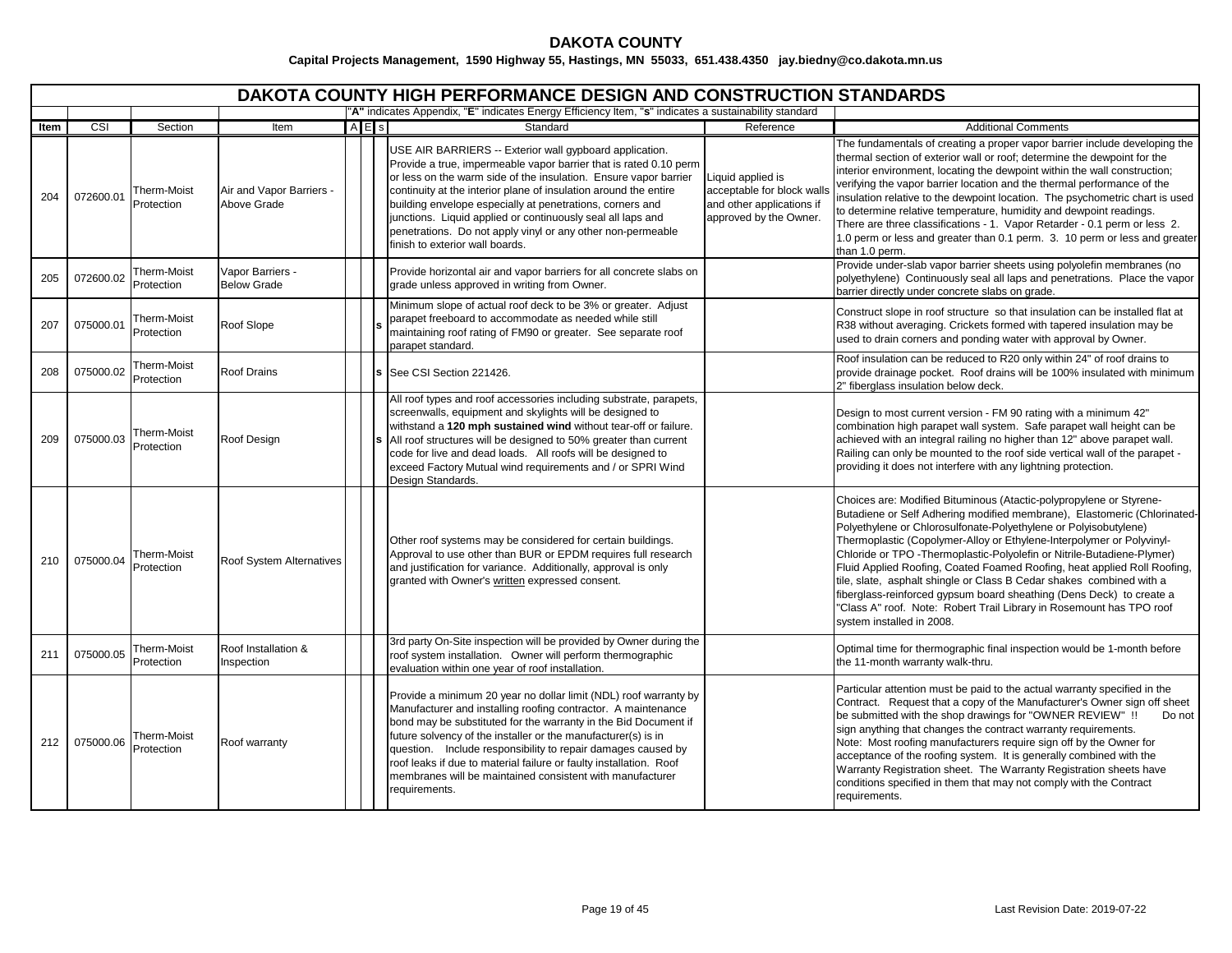|      | <b>DAKOTA COUNTY HIGH PERFORMANCE DESIGN AND CONSTRUCTION STANDARDS</b><br>"A" indicates Appendix, "E" indicates Energy Efficiency Item, "s" indicates a sustainability standard |                           |                                         |     |  |                                                                                                                                                                                                                                                                                                                                                                                                                                                                                                    |                                                                                                        |                                                                                                                                                                                                                                                                                                                                                                                                                                                                                                                                                                                                                                                                                                          |  |  |  |  |  |
|------|----------------------------------------------------------------------------------------------------------------------------------------------------------------------------------|---------------------------|-----------------------------------------|-----|--|----------------------------------------------------------------------------------------------------------------------------------------------------------------------------------------------------------------------------------------------------------------------------------------------------------------------------------------------------------------------------------------------------------------------------------------------------------------------------------------------------|--------------------------------------------------------------------------------------------------------|----------------------------------------------------------------------------------------------------------------------------------------------------------------------------------------------------------------------------------------------------------------------------------------------------------------------------------------------------------------------------------------------------------------------------------------------------------------------------------------------------------------------------------------------------------------------------------------------------------------------------------------------------------------------------------------------------------|--|--|--|--|--|
|      |                                                                                                                                                                                  |                           |                                         |     |  |                                                                                                                                                                                                                                                                                                                                                                                                                                                                                                    |                                                                                                        |                                                                                                                                                                                                                                                                                                                                                                                                                                                                                                                                                                                                                                                                                                          |  |  |  |  |  |
| Item | CSI                                                                                                                                                                              | Section                   | Item                                    | AES |  | Standard                                                                                                                                                                                                                                                                                                                                                                                                                                                                                           | Reference                                                                                              | <b>Additional Comments</b>                                                                                                                                                                                                                                                                                                                                                                                                                                                                                                                                                                                                                                                                               |  |  |  |  |  |
| 204  | 072600.01                                                                                                                                                                        | Therm-Moist<br>Protection | Air and Vapor Barriers -<br>Above Grade |     |  | USE AIR BARRIERS -- Exterior wall gypboard application.<br>Provide a true, impermeable vapor barrier that is rated 0.10 perm<br>or less on the warm side of the insulation. Ensure vapor barrier<br>continuity at the interior plane of insulation around the entire<br>building envelope especially at penetrations, corners and<br>junctions. Liquid applied or continuously seal all laps and<br>penetrations. Do not apply vinyl or any other non-permeable<br>finish to exterior wall boards. | Liquid applied is<br>acceptable for block walls<br>and other applications if<br>approved by the Owner. | The fundamentals of creating a proper vapor barrier include developing the<br>thermal section of exterior wall or roof; determine the dewpoint for the<br>interior environment, locating the dewpoint within the wall construction;<br>verifying the vapor barrier location and the thermal performance of the<br>nsulation relative to the dewpoint location. The psychometric chart is used<br>to determine relative temperature, humidity and dewpoint readings.<br>There are three classifications - 1. Vapor Retarder - 0.1 perm or less 2.<br>1.0 perm or less and greater than 0.1 perm. 3. 10 perm or less and greater<br>than 1.0 perm.                                                         |  |  |  |  |  |
| 205  | 072600.02                                                                                                                                                                        | Therm-Moist<br>Protection | Vapor Barriers -<br><b>Below Grade</b>  |     |  | Provide horizontal air and vapor barriers for all concrete slabs on<br>grade unless approved in writing from Owner.                                                                                                                                                                                                                                                                                                                                                                                |                                                                                                        | Provide under-slab vapor barrier sheets using polyolefin membranes (no<br>polyethylene) Continuously seal all laps and penetrations. Place the vapor<br>barrier directly under concrete slabs on grade.                                                                                                                                                                                                                                                                                                                                                                                                                                                                                                  |  |  |  |  |  |
| 207  | 075000.01                                                                                                                                                                        | Therm-Moist<br>Protection | Roof Slope                              |     |  | Minimum slope of actual roof deck to be 3% or greater. Adjust<br>parapet freeboard to accommodate as needed while still<br>maintaining roof rating of FM90 or greater. See separate roof<br>parapet standard.                                                                                                                                                                                                                                                                                      |                                                                                                        | Construct slope in roof structure so that insulation can be installed flat at<br>R38 without averaging. Crickets formed with tapered insulation may be<br>used to drain corners and ponding water with approval by Owner.                                                                                                                                                                                                                                                                                                                                                                                                                                                                                |  |  |  |  |  |
| 208  | 075000.02                                                                                                                                                                        | Therm-Moist<br>Protection | <b>Roof Drains</b>                      |     |  | See CSI Section 221426.                                                                                                                                                                                                                                                                                                                                                                                                                                                                            |                                                                                                        | Roof insulation can be reduced to R20 only within 24" of roof drains to<br>provide drainage pocket. Roof drains will be 100% insulated with minimum<br>2" fiberglass insulation below deck.                                                                                                                                                                                                                                                                                                                                                                                                                                                                                                              |  |  |  |  |  |
| 209  | 075000.03                                                                                                                                                                        | Therm-Moist<br>Protection | Roof Design                             |     |  | All roof types and roof accessories including substrate, parapets,<br>screenwalls, equipment and skylights will be designed to<br>withstand a 120 mph sustained wind without tear-off or failure.<br>All roof structures will be designed to 50% greater than current<br>code for live and dead loads. All roofs will be designed to<br>exceed Factory Mutual wind requirements and / or SPRI Wind<br>Design Standards.                                                                            |                                                                                                        | Design to most current version - FM 90 rating with a minimum 42"<br>combination high parapet wall system. Safe parapet wall height can be<br>achieved with an integral railing no higher than 12" above parapet wall.<br>Railing can only be mounted to the roof side vertical wall of the parapet -<br>providing it does not interfere with any lightning protection.                                                                                                                                                                                                                                                                                                                                   |  |  |  |  |  |
| 210  | 075000.04                                                                                                                                                                        | Therm-Moist<br>Protection | Roof System Alternatives                |     |  | Other roof systems may be considered for certain buildings.<br>Approval to use other than BUR or EPDM requires full research<br>and justification for variance. Additionally, approval is only<br>granted with Owner's written expressed consent.                                                                                                                                                                                                                                                  |                                                                                                        | Choices are: Modified Bituminous (Atactic-polypropylene or Styrene-<br>Butadiene or Self Adhering modified membrane), Elastomeric (Chlorinated-<br>Polyethylene or Chlorosulfonate-Polyethylene or Polyisobutylene)<br>Thermoplastic (Copolymer-Alloy or Ethylene-Interpolymer or Polyvinyl-<br>Chloride or TPO - Thermoplastic-Polyolefin or Nitrile-Butadiene-Plymer)<br>Fluid Applied Roofing, Coated Foamed Roofing, heat applied Roll Roofing,<br>tile, slate, asphalt shingle or Class B Cedar shakes combined with a<br>fiberglass-reinforced gypsum board sheathing (Dens Deck) to create a<br>"Class A" roof. Note: Robert Trail Library in Rosemount has TPO roof<br>system installed in 2008. |  |  |  |  |  |
| 211  | 075000.05                                                                                                                                                                        | Therm-Moist<br>Protection | Roof Installation &<br>Inspection       |     |  | 3rd party On-Site inspection will be provided by Owner during the<br>roof system installation. Owner will perform thermographic<br>evaluation within one year of roof installation.                                                                                                                                                                                                                                                                                                                |                                                                                                        | Optimal time for thermographic final inspection would be 1-month before<br>the 11-month warranty walk-thru.                                                                                                                                                                                                                                                                                                                                                                                                                                                                                                                                                                                              |  |  |  |  |  |
| 212  | 075000.06                                                                                                                                                                        | Therm-Moist<br>Protection | Roof warranty                           |     |  | Provide a minimum 20 year no dollar limit (NDL) roof warranty by<br>Manufacturer and installing roofing contractor. A maintenance<br>bond may be substituted for the warranty in the Bid Document if<br>future solvency of the installer or the manufacturer(s) is in<br>question. Include responsibility to repair damages caused by<br>roof leaks if due to material failure or faulty installation. Roof<br>membranes will be maintained consistent with manufacturer<br>reauirements.          |                                                                                                        | Particular attention must be paid to the actual warranty specified in the<br>Contract. Request that a copy of the Manufacturer's Owner sign off sheet<br>be submitted with the shop drawings for "OWNER REVIEW" !!<br>Do not<br>sign anything that changes the contract warranty requirements.<br>Note: Most roofing manufacturers require sign off by the Owner for<br>acceptance of the roofing system. It is generally combined with the<br>Warranty Registration sheet. The Warranty Registration sheets have<br>conditions specified in them that may not comply with the Contract<br>requirements.                                                                                                 |  |  |  |  |  |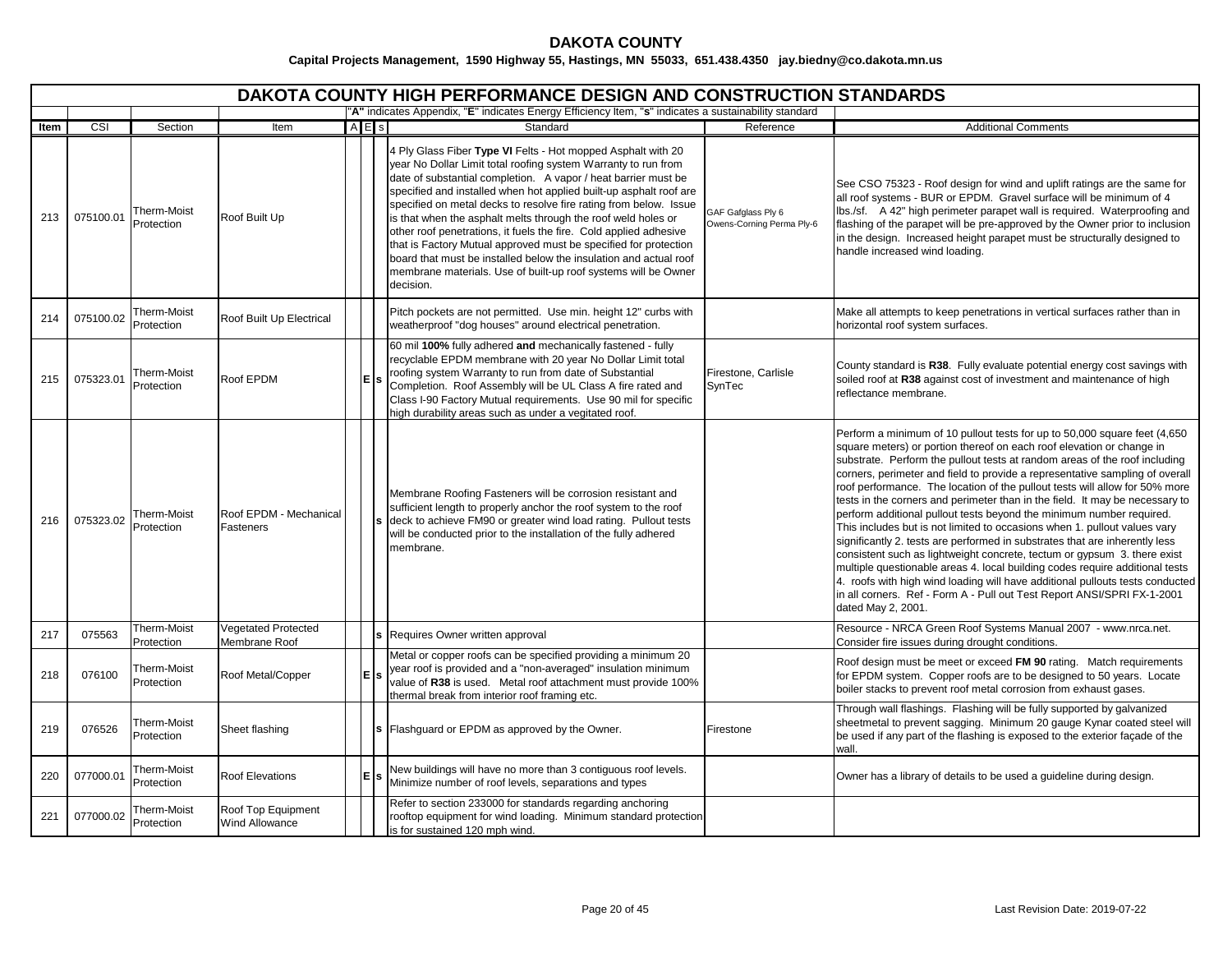# **DAKOTA COUNTY**

|      | DAKOTA COUNTY HIGH PERFORMANCE DESIGN AND CONSTRUCTION STANDARDS |                           |                                             |                                                                                                       |       |                                                                                                                                                                                                                                                                                                                                                                                                                                                                                                                                                                                                                                                                                                           |                                                 |                                                                                                                                                                                                                                                                                                                                                                                                                                                                                                                                                                                                                                                                                                                                                                                                                                                                                                                                                                                                                                                                   |  |  |  |  |
|------|------------------------------------------------------------------|---------------------------|---------------------------------------------|-------------------------------------------------------------------------------------------------------|-------|-----------------------------------------------------------------------------------------------------------------------------------------------------------------------------------------------------------------------------------------------------------------------------------------------------------------------------------------------------------------------------------------------------------------------------------------------------------------------------------------------------------------------------------------------------------------------------------------------------------------------------------------------------------------------------------------------------------|-------------------------------------------------|-------------------------------------------------------------------------------------------------------------------------------------------------------------------------------------------------------------------------------------------------------------------------------------------------------------------------------------------------------------------------------------------------------------------------------------------------------------------------------------------------------------------------------------------------------------------------------------------------------------------------------------------------------------------------------------------------------------------------------------------------------------------------------------------------------------------------------------------------------------------------------------------------------------------------------------------------------------------------------------------------------------------------------------------------------------------|--|--|--|--|
|      |                                                                  |                           |                                             | "A" indicates Appendix, "E" indicates Energy Efficiency Item, "s" indicates a sustainability standard |       |                                                                                                                                                                                                                                                                                                                                                                                                                                                                                                                                                                                                                                                                                                           |                                                 |                                                                                                                                                                                                                                                                                                                                                                                                                                                                                                                                                                                                                                                                                                                                                                                                                                                                                                                                                                                                                                                                   |  |  |  |  |
| Item | CSI                                                              | Section                   | Item                                        | $A \nE$ s                                                                                             |       | Standard                                                                                                                                                                                                                                                                                                                                                                                                                                                                                                                                                                                                                                                                                                  | Reference                                       | <b>Additional Comments</b>                                                                                                                                                                                                                                                                                                                                                                                                                                                                                                                                                                                                                                                                                                                                                                                                                                                                                                                                                                                                                                        |  |  |  |  |
| 213  | 075100.01                                                        | Therm-Moist<br>Protection | Roof Built Up                               |                                                                                                       |       | 4 Ply Glass Fiber Type VI Felts - Hot mopped Asphalt with 20<br>year No Dollar Limit total roofing system Warranty to run from<br>date of substantial completion. A vapor / heat barrier must be<br>specified and installed when hot applied built-up asphalt roof are<br>specified on metal decks to resolve fire rating from below. Issue<br>is that when the asphalt melts through the roof weld holes or<br>other roof penetrations, it fuels the fire. Cold applied adhesive<br>that is Factory Mutual approved must be specified for protection<br>board that must be installed below the insulation and actual roof<br>membrane materials. Use of built-up roof systems will be Owner<br>decision. | GAF Gafglass Ply 6<br>Owens-Corning Perma Ply-6 | See CSO 75323 - Roof design for wind and uplift ratings are the same for<br>all roof systems - BUR or EPDM. Gravel surface will be minimum of 4<br>lbs./sf. A 42" high perimeter parapet wall is required. Waterproofing and<br>flashing of the parapet will be pre-approved by the Owner prior to inclusion<br>in the design. Increased height parapet must be structurally designed to<br>handle increased wind loading.                                                                                                                                                                                                                                                                                                                                                                                                                                                                                                                                                                                                                                        |  |  |  |  |
| 214  | 075100.02                                                        | Therm-Moist<br>Protection | Roof Built Up Electrical                    |                                                                                                       |       | Pitch pockets are not permitted. Use min. height 12" curbs with<br>weatherproof "dog houses" around electrical penetration.                                                                                                                                                                                                                                                                                                                                                                                                                                                                                                                                                                               |                                                 | Make all attempts to keep penetrations in vertical surfaces rather than in<br>horizontal roof system surfaces.                                                                                                                                                                                                                                                                                                                                                                                                                                                                                                                                                                                                                                                                                                                                                                                                                                                                                                                                                    |  |  |  |  |
| 215  | 075323.01                                                        | Therm-Moist<br>Protection | Roof EPDM                                   |                                                                                                       | lE İs | 60 mil 100% fully adhered and mechanically fastened - fully<br>recyclable EPDM membrane with 20 year No Dollar Limit total<br>roofing system Warranty to run from date of Substantial<br>Completion. Roof Assembly will be UL Class A fire rated and<br>Class I-90 Factory Mutual requirements. Use 90 mil for specific<br>high durability areas such as under a vegitated roof.                                                                                                                                                                                                                                                                                                                          | Firestone, Carlisle<br>SynTec                   | County standard is R38. Fully evaluate potential energy cost savings with<br>soiled roof at R38 against cost of investment and maintenance of high<br>reflectance membrane.                                                                                                                                                                                                                                                                                                                                                                                                                                                                                                                                                                                                                                                                                                                                                                                                                                                                                       |  |  |  |  |
| 216  | 075323.02                                                        | Therm-Moist<br>Protection | Roof EPDM - Mechanical<br>Fasteners         |                                                                                                       |       | Membrane Roofing Fasteners will be corrosion resistant and<br>sufficient length to properly anchor the roof system to the roof<br>deck to achieve FM90 or greater wind load rating. Pullout tests<br>will be conducted prior to the installation of the fully adhered<br>membrane.                                                                                                                                                                                                                                                                                                                                                                                                                        |                                                 | Perform a minimum of 10 pullout tests for up to 50,000 square feet (4,650<br>square meters) or portion thereof on each roof elevation or change in<br>substrate. Perform the pullout tests at random areas of the roof including<br>corners, perimeter and field to provide a representative sampling of overall<br>roof performance. The location of the pullout tests will allow for 50% more<br>tests in the corners and perimeter than in the field. It may be necessary to<br>perform additional pullout tests beyond the minimum number required.<br>This includes but is not limited to occasions when 1. pullout values vary<br>significantly 2. tests are performed in substrates that are inherently less<br>consistent such as lightweight concrete, tectum or gypsum 3. there exist<br>multiple questionable areas 4. local building codes require additional tests<br>4. roofs with high wind loading will have additional pullouts tests conducted<br>in all corners. Ref - Form A - Pull out Test Report ANSI/SPRI FX-1-2001<br>dated May 2, 2001. |  |  |  |  |
| 217  | 075563                                                           | Therm-Moist<br>Protection | <b>Vegetated Protected</b><br>Membrane Roof |                                                                                                       |       | s Requires Owner written approval                                                                                                                                                                                                                                                                                                                                                                                                                                                                                                                                                                                                                                                                         |                                                 | Resource - NRCA Green Roof Systems Manual 2007 - www.nrca.net.<br>Consider fire issues during drought conditions.                                                                                                                                                                                                                                                                                                                                                                                                                                                                                                                                                                                                                                                                                                                                                                                                                                                                                                                                                 |  |  |  |  |
| 218  | 076100                                                           | Therm-Moist<br>Protection | Roof Metal/Copper                           | E                                                                                                     |       | Metal or copper roofs can be specified providing a minimum 20<br>year roof is provided and a "non-averaged" insulation minimum<br>value of R38 is used. Metal roof attachment must provide 100%<br>thermal break from interior roof framing etc.                                                                                                                                                                                                                                                                                                                                                                                                                                                          |                                                 | Roof design must be meet or exceed FM 90 rating. Match requirements<br>for EPDM system. Copper roofs are to be designed to 50 years. Locate<br>boiler stacks to prevent roof metal corrosion from exhaust gases.                                                                                                                                                                                                                                                                                                                                                                                                                                                                                                                                                                                                                                                                                                                                                                                                                                                  |  |  |  |  |
| 219  | 076526                                                           | Therm-Moist<br>Protection | Sheet flashing                              |                                                                                                       |       | Flashguard or EPDM as approved by the Owner.                                                                                                                                                                                                                                                                                                                                                                                                                                                                                                                                                                                                                                                              | Firestone                                       | Through wall flashings. Flashing will be fully supported by galvanized<br>sheetmetal to prevent sagging. Minimum 20 gauge Kynar coated steel will<br>be used if any part of the flashing is exposed to the exterior façade of the<br>wall.                                                                                                                                                                                                                                                                                                                                                                                                                                                                                                                                                                                                                                                                                                                                                                                                                        |  |  |  |  |
| 220  | 077000.01                                                        | Therm-Moist<br>Protection | <b>Roof Elevations</b>                      |                                                                                                       | lE İs | New buildings will have no more than 3 contiguous roof levels.<br>Minimize number of roof levels, separations and types                                                                                                                                                                                                                                                                                                                                                                                                                                                                                                                                                                                   |                                                 | Owner has a library of details to be used a guideline during design.                                                                                                                                                                                                                                                                                                                                                                                                                                                                                                                                                                                                                                                                                                                                                                                                                                                                                                                                                                                              |  |  |  |  |
| 221  | 077000.02                                                        | Therm-Moist<br>Protection | Roof Top Equipment<br><b>Wind Allowance</b> |                                                                                                       |       | Refer to section 233000 for standards regarding anchoring<br>rooftop equipment for wind loading. Minimum standard protection<br>is for sustained 120 mph wind.                                                                                                                                                                                                                                                                                                                                                                                                                                                                                                                                            |                                                 |                                                                                                                                                                                                                                                                                                                                                                                                                                                                                                                                                                                                                                                                                                                                                                                                                                                                                                                                                                                                                                                                   |  |  |  |  |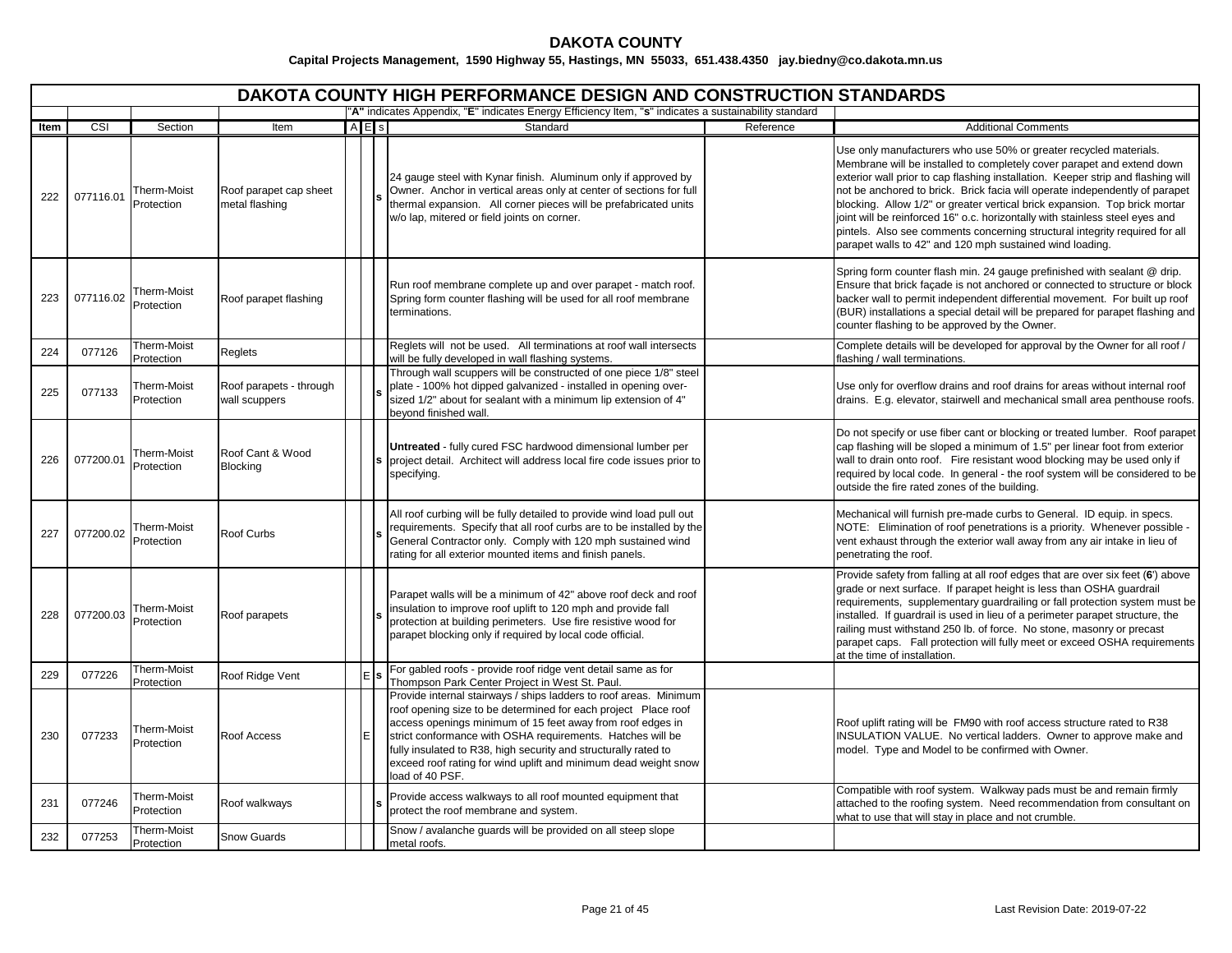|      | DAKOTA COUNTY HIGH PERFORMANCE DESIGN AND CONSTRUCTION STANDARDS |                           |                                          |     |  |                                                                                                                                                                                                                                                                                                                                                                                                                          |           |                                                                                                                                                                                                                                                                                                                                                                                                                                                                                                                                                                                                                         |  |  |  |  |  |
|------|------------------------------------------------------------------|---------------------------|------------------------------------------|-----|--|--------------------------------------------------------------------------------------------------------------------------------------------------------------------------------------------------------------------------------------------------------------------------------------------------------------------------------------------------------------------------------------------------------------------------|-----------|-------------------------------------------------------------------------------------------------------------------------------------------------------------------------------------------------------------------------------------------------------------------------------------------------------------------------------------------------------------------------------------------------------------------------------------------------------------------------------------------------------------------------------------------------------------------------------------------------------------------------|--|--|--|--|--|
|      |                                                                  |                           |                                          |     |  | "A" indicates Appendix, "E" indicates Energy Efficiency Item, "s" indicates a sustainability standard                                                                                                                                                                                                                                                                                                                    |           |                                                                                                                                                                                                                                                                                                                                                                                                                                                                                                                                                                                                                         |  |  |  |  |  |
| Item | CSI                                                              | Section                   | Item                                     | AES |  | Standard                                                                                                                                                                                                                                                                                                                                                                                                                 | Reference | <b>Additional Comments</b>                                                                                                                                                                                                                                                                                                                                                                                                                                                                                                                                                                                              |  |  |  |  |  |
| 222  | 077116.01                                                        | Therm-Moist<br>Protection | Roof parapet cap sheet<br>metal flashing |     |  | 24 gauge steel with Kynar finish. Aluminum only if approved by<br>Owner. Anchor in vertical areas only at center of sections for full<br>thermal expansion. All corner pieces will be prefabricated units<br>w/o lap, mitered or field joints on corner.                                                                                                                                                                 |           | Use only manufacturers who use 50% or greater recycled materials.<br>Membrane will be installed to completely cover parapet and extend down<br>exterior wall prior to cap flashing installation. Keeper strip and flashing will<br>not be anchored to brick. Brick facia will operate independently of parapet<br>blocking. Allow 1/2" or greater vertical brick expansion. Top brick mortar<br>joint will be reinforced 16" o.c. horizontally with stainless steel eyes and<br>pintels. Also see comments concerning structural integrity required for all<br>parapet walls to 42" and 120 mph sustained wind loading. |  |  |  |  |  |
| 223  | 077116.02                                                        | Therm-Moist<br>Protection | Roof parapet flashing                    |     |  | Run roof membrane complete up and over parapet - match roof.<br>Spring form counter flashing will be used for all roof membrane<br>terminations.                                                                                                                                                                                                                                                                         |           | Spring form counter flash min. 24 gauge prefinished with sealant @ drip.<br>Ensure that brick façade is not anchored or connected to structure or block<br>backer wall to permit independent differential movement. For built up roof<br>(BUR) installations a special detail will be prepared for parapet flashing and<br>counter flashing to be approved by the Owner.                                                                                                                                                                                                                                                |  |  |  |  |  |
| 224  | 077126                                                           | Therm-Moist<br>Protection | Reglets                                  |     |  | Reglets will not be used. All terminations at roof wall intersects<br>will be fully developed in wall flashing systems.                                                                                                                                                                                                                                                                                                  |           | Complete details will be developed for approval by the Owner for all roof /<br>flashing / wall terminations.                                                                                                                                                                                                                                                                                                                                                                                                                                                                                                            |  |  |  |  |  |
| 225  | 077133                                                           | Therm-Moist<br>Protection | Roof parapets - through<br>wall scuppers |     |  | Through wall scuppers will be constructed of one piece 1/8" steel<br>plate - 100% hot dipped galvanized - installed in opening over-<br>sized 1/2" about for sealant with a minimum lip extension of 4"<br>beyond finished wall.                                                                                                                                                                                         |           | Use only for overflow drains and roof drains for areas without internal roof<br>drains. E.g. elevator, stairwell and mechanical small area penthouse roofs.                                                                                                                                                                                                                                                                                                                                                                                                                                                             |  |  |  |  |  |
| 226  | 077200.01                                                        | Therm-Moist<br>Protection | Roof Cant & Wood<br><b>Blocking</b>      |     |  | Untreated - fully cured FSC hardwood dimensional lumber per<br>project detail. Architect will address local fire code issues prior to<br>specifying.                                                                                                                                                                                                                                                                     |           | Do not specify or use fiber cant or blocking or treated lumber. Roof parapet<br>cap flashing will be sloped a minimum of 1.5" per linear foot from exterior<br>wall to drain onto roof. Fire resistant wood blocking may be used only if<br>required by local code. In general - the roof system will be considered to be<br>outside the fire rated zones of the building.                                                                                                                                                                                                                                              |  |  |  |  |  |
| 227  | 077200.02                                                        | Therm-Moist<br>Protection | Roof Curbs                               |     |  | All roof curbing will be fully detailed to provide wind load pull out<br>requirements. Specify that all roof curbs are to be installed by the<br>General Contractor only. Comply with 120 mph sustained wind<br>rating for all exterior mounted items and finish panels.                                                                                                                                                 |           | Mechanical will furnish pre-made curbs to General. ID equip. in specs.<br>NOTE: Elimination of roof penetrations is a priority. Whenever possible -<br>vent exhaust through the exterior wall away from any air intake in lieu of<br>penetrating the roof.                                                                                                                                                                                                                                                                                                                                                              |  |  |  |  |  |
| 228  | 077200.03                                                        | Therm-Moist<br>Protection | Roof parapets                            |     |  | Parapet walls will be a minimum of 42" above roof deck and roof<br>insulation to improve roof uplift to 120 mph and provide fall<br>protection at building perimeters. Use fire resistive wood for<br>parapet blocking only if required by local code official.                                                                                                                                                          |           | Provide safety from falling at all roof edges that are over six feet (6') above<br>grade or next surface. If parapet height is less than OSHA guardrail<br>requirements, supplementary guardrailing or fall protection system must be<br>installed. If guardrail is used in lieu of a perimeter parapet structure, the<br>railing must withstand 250 lb. of force. No stone, masonry or precast<br>parapet caps. Fall protection will fully meet or exceed OSHA requirements<br>at the time of installation.                                                                                                            |  |  |  |  |  |
| 229  | 077226                                                           | Therm-Moist<br>Protection | Roof Ridge Vent                          |     |  | For gabled roofs - provide roof ridge vent detail same as for<br>Thompson Park Center Project in West St. Paul.                                                                                                                                                                                                                                                                                                          |           |                                                                                                                                                                                                                                                                                                                                                                                                                                                                                                                                                                                                                         |  |  |  |  |  |
| 230  | 077233                                                           | Therm-Moist<br>Protection | Roof Access                              |     |  | Provide internal stairways / ships ladders to roof areas. Minimum<br>roof opening size to be determined for each project Place roof<br>access openings minimum of 15 feet away from roof edges in<br>strict conformance with OSHA requirements. Hatches will be<br>fully insulated to R38, high security and structurally rated to<br>exceed roof rating for wind uplift and minimum dead weight snow<br>load of 40 PSF. |           | Roof uplift rating will be FM90 with roof access structure rated to R38<br>INSULATION VALUE. No vertical ladders. Owner to approve make and<br>model. Type and Model to be confirmed with Owner.                                                                                                                                                                                                                                                                                                                                                                                                                        |  |  |  |  |  |
| 231  | 077246                                                           | Therm-Moist<br>Protection | Roof walkways                            |     |  | Provide access walkways to all roof mounted equipment that<br>protect the roof membrane and system.                                                                                                                                                                                                                                                                                                                      |           | Compatible with roof system. Walkway pads must be and remain firmly<br>attached to the roofing system. Need recommendation from consultant on<br>what to use that will stay in place and not crumble.                                                                                                                                                                                                                                                                                                                                                                                                                   |  |  |  |  |  |
| 232  | 077253                                                           | Therm-Moist<br>Protection | <b>Snow Guards</b>                       |     |  | Snow / avalanche guards will be provided on all steep slope<br>metal roofs.                                                                                                                                                                                                                                                                                                                                              |           |                                                                                                                                                                                                                                                                                                                                                                                                                                                                                                                                                                                                                         |  |  |  |  |  |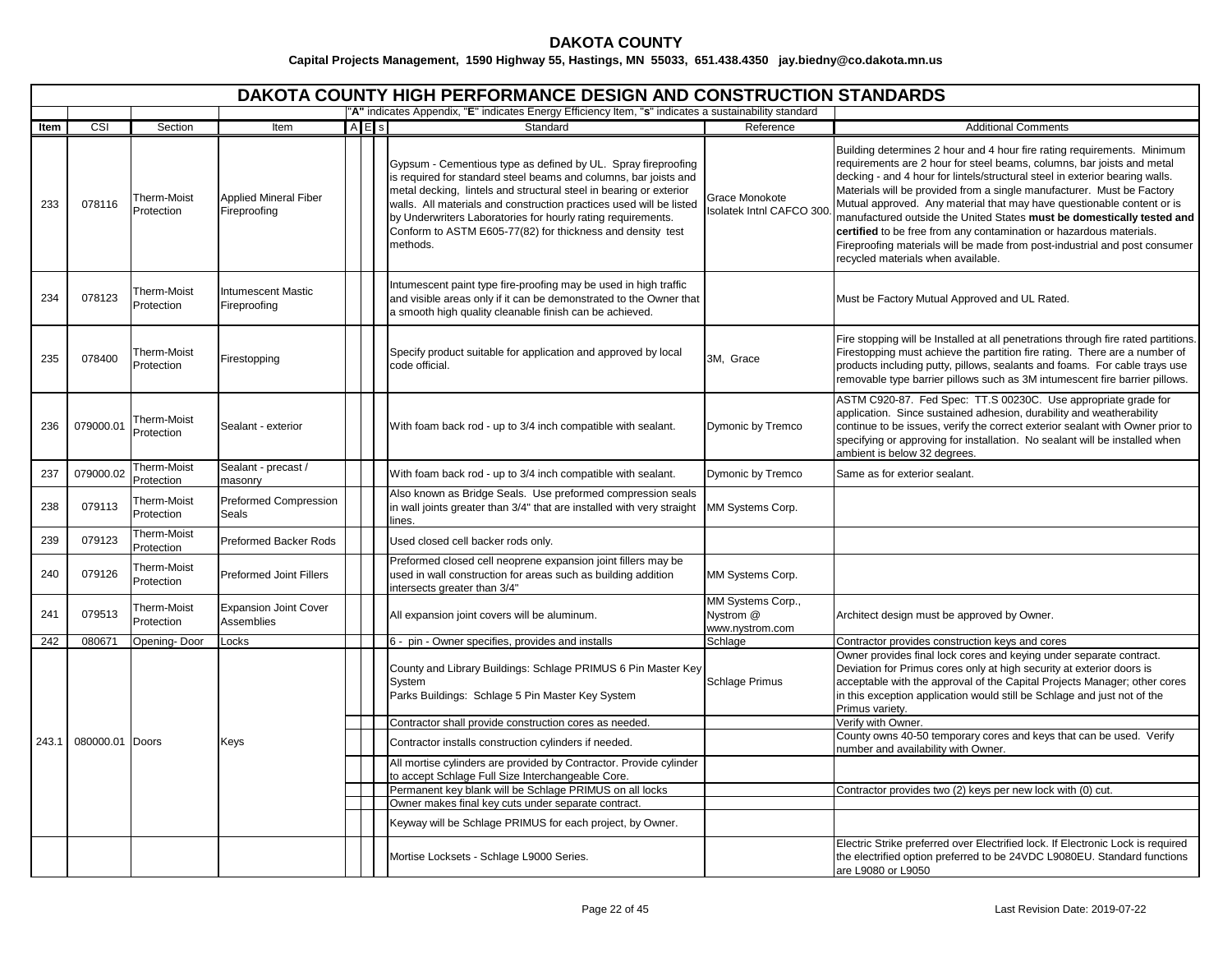|       | <b>DAKOTA COUNTY HIGH PERFORMANCE DESIGN AND CONSTRUCTION STANDARDS</b> |                           |                                              |           |                                                                                                                                                                                                                                                                                                                                                                                                                          |                                                   |                                                                                                                                                                                                                                                                                                                                                                                                                                                                                                                                                                                                                                                            |  |  |  |  |  |  |
|-------|-------------------------------------------------------------------------|---------------------------|----------------------------------------------|-----------|--------------------------------------------------------------------------------------------------------------------------------------------------------------------------------------------------------------------------------------------------------------------------------------------------------------------------------------------------------------------------------------------------------------------------|---------------------------------------------------|------------------------------------------------------------------------------------------------------------------------------------------------------------------------------------------------------------------------------------------------------------------------------------------------------------------------------------------------------------------------------------------------------------------------------------------------------------------------------------------------------------------------------------------------------------------------------------------------------------------------------------------------------------|--|--|--|--|--|--|
|       |                                                                         |                           |                                              |           | "A" indicates Appendix, "E" indicates Energy Efficiency Item, "s" indicates a sustainability standard                                                                                                                                                                                                                                                                                                                    |                                                   |                                                                                                                                                                                                                                                                                                                                                                                                                                                                                                                                                                                                                                                            |  |  |  |  |  |  |
| ltem  | CSI                                                                     | Section                   | Item                                         | $A \nE$ s | Standard                                                                                                                                                                                                                                                                                                                                                                                                                 | Reference                                         | <b>Additional Comments</b>                                                                                                                                                                                                                                                                                                                                                                                                                                                                                                                                                                                                                                 |  |  |  |  |  |  |
| 233   | 078116                                                                  | Therm-Moist<br>Protection | <b>Applied Mineral Fiber</b><br>Fireproofing |           | Gypsum - Cementious type as defined by UL. Spray fireproofing<br>is required for standard steel beams and columns, bar joists and<br>metal decking, lintels and structural steel in bearing or exterior<br>walls. All materials and construction practices used will be listed<br>by Underwriters Laboratories for hourly rating requirements.<br>Conform to ASTM E605-77(82) for thickness and density test<br>methods. | Grace Monokote<br><b>Isolatek Intnl CAFCO 300</b> | Building determines 2 hour and 4 hour fire rating requirements. Minimum<br>requirements are 2 hour for steel beams, columns, bar joists and metal<br>decking - and 4 hour for lintels/structural steel in exterior bearing walls.<br>Materials will be provided from a single manufacturer. Must be Factory<br>Mutual approved. Any material that may have questionable content or is<br>manufactured outside the United States must be domestically tested and<br>certified to be free from any contamination or hazardous materials.<br>Fireproofing materials will be made from post-industrial and post consumer<br>recycled materials when available. |  |  |  |  |  |  |
| 234   | 078123                                                                  | Therm-Moist<br>Protection | <b>Intumescent Mastic</b><br>Fireproofing    |           | ntumescent paint type fire-proofing may be used in high traffic<br>and visible areas only if it can be demonstrated to the Owner that<br>a smooth high quality cleanable finish can be achieved.                                                                                                                                                                                                                         |                                                   | Must be Factory Mutual Approved and UL Rated.                                                                                                                                                                                                                                                                                                                                                                                                                                                                                                                                                                                                              |  |  |  |  |  |  |
| 235   | 078400                                                                  | Therm-Moist<br>Protection | Firestopping                                 |           | Specify product suitable for application and approved by local<br>code official.                                                                                                                                                                                                                                                                                                                                         | 3M, Grace                                         | Fire stopping will be Installed at all penetrations through fire rated partitions.<br>Firestopping must achieve the partition fire rating. There are a number of<br>products including putty, pillows, sealants and foams. For cable trays use<br>removable type barrier pillows such as 3M intumescent fire barrier pillows.                                                                                                                                                                                                                                                                                                                              |  |  |  |  |  |  |
| 236   | 079000.01                                                               | Therm-Moist<br>Protection | Sealant - exterior                           |           | With foam back rod - up to 3/4 inch compatible with sealant.                                                                                                                                                                                                                                                                                                                                                             | Dymonic by Tremco                                 | ASTM C920-87. Fed Spec: TT.S 00230C. Use appropriate grade for<br>application. Since sustained adhesion, durability and weatherability<br>continue to be issues, verify the correct exterior sealant with Owner prior to<br>specifying or approving for installation. No sealant will be installed when<br>ambient is below 32 degrees.                                                                                                                                                                                                                                                                                                                    |  |  |  |  |  |  |
| 237   | 079000.02                                                               | Therm-Moist<br>Protection | Sealant - precast /<br>masonry               |           | With foam back rod - up to 3/4 inch compatible with sealant.                                                                                                                                                                                                                                                                                                                                                             | Dymonic by Tremco                                 | Same as for exterior sealant.                                                                                                                                                                                                                                                                                                                                                                                                                                                                                                                                                                                                                              |  |  |  |  |  |  |
| 238   | 079113                                                                  | Therm-Moist<br>Protection | Preformed Compression<br>Seals               |           | Also known as Bridge Seals. Use preformed compression seals<br>in wall joints greater than 3/4" that are installed with very straight<br>lines.                                                                                                                                                                                                                                                                          | MM Systems Corp.                                  |                                                                                                                                                                                                                                                                                                                                                                                                                                                                                                                                                                                                                                                            |  |  |  |  |  |  |
| 239   | 079123                                                                  | Therm-Moist<br>Protection | Preformed Backer Rods                        |           | Used closed cell backer rods only.                                                                                                                                                                                                                                                                                                                                                                                       |                                                   |                                                                                                                                                                                                                                                                                                                                                                                                                                                                                                                                                                                                                                                            |  |  |  |  |  |  |
| 240   | 079126                                                                  | Therm-Moist<br>Protection | <b>Preformed Joint Fillers</b>               |           | Preformed closed cell neoprene expansion joint fillers may be<br>used in wall construction for areas such as building addition<br>intersects greater than 3/4"                                                                                                                                                                                                                                                           | MM Systems Corp.                                  |                                                                                                                                                                                                                                                                                                                                                                                                                                                                                                                                                                                                                                                            |  |  |  |  |  |  |
| 241   | 079513                                                                  | Therm-Moist<br>Protection | <b>Expansion Joint Cover</b><br>Assemblies   |           | All expansion joint covers will be aluminum.                                                                                                                                                                                                                                                                                                                                                                             | MM Systems Corp.,<br>Nystrom @<br>www.nystrom.com | Architect design must be approved by Owner.                                                                                                                                                                                                                                                                                                                                                                                                                                                                                                                                                                                                                |  |  |  |  |  |  |
| 242   | 080671                                                                  | Opening-Door              | Locks                                        |           | 6 - pin - Owner specifies, provides and installs                                                                                                                                                                                                                                                                                                                                                                         | Schlage                                           | Contractor provides construction keys and cores                                                                                                                                                                                                                                                                                                                                                                                                                                                                                                                                                                                                            |  |  |  |  |  |  |
|       |                                                                         |                           |                                              |           | County and Library Buildings: Schlage PRIMUS 6 Pin Master Key<br>System<br>Parks Buildings: Schlage 5 Pin Master Key System                                                                                                                                                                                                                                                                                              | Schlage Primus                                    | Owner provides final lock cores and keying under separate contract.<br>Deviation for Primus cores only at high security at exterior doors is<br>acceptable with the approval of the Capital Projects Manager; other cores<br>in this exception application would still be Schlage and just not of the<br>Primus varietv.                                                                                                                                                                                                                                                                                                                                   |  |  |  |  |  |  |
|       |                                                                         |                           |                                              |           | Contractor shall provide construction cores as needed.                                                                                                                                                                                                                                                                                                                                                                   |                                                   | Verify with Owner.                                                                                                                                                                                                                                                                                                                                                                                                                                                                                                                                                                                                                                         |  |  |  |  |  |  |
| 243.1 | 080000.01 Doors                                                         |                           | Keys                                         |           | Contractor installs construction cylinders if needed.                                                                                                                                                                                                                                                                                                                                                                    |                                                   | County owns 40-50 temporary cores and keys that can be used. Verify<br>number and availability with Owner.                                                                                                                                                                                                                                                                                                                                                                                                                                                                                                                                                 |  |  |  |  |  |  |
|       |                                                                         |                           |                                              |           | All mortise cylinders are provided by Contractor. Provide cylinder                                                                                                                                                                                                                                                                                                                                                       |                                                   |                                                                                                                                                                                                                                                                                                                                                                                                                                                                                                                                                                                                                                                            |  |  |  |  |  |  |
|       |                                                                         |                           |                                              |           | to accept Schlage Full Size Interchangeable Core.                                                                                                                                                                                                                                                                                                                                                                        |                                                   |                                                                                                                                                                                                                                                                                                                                                                                                                                                                                                                                                                                                                                                            |  |  |  |  |  |  |
|       |                                                                         |                           |                                              |           | Permanent key blank will be Schlage PRIMUS on all locks<br>Owner makes final key cuts under separate contract.                                                                                                                                                                                                                                                                                                           |                                                   | Contractor provides two (2) keys per new lock with (0) cut.                                                                                                                                                                                                                                                                                                                                                                                                                                                                                                                                                                                                |  |  |  |  |  |  |
|       |                                                                         |                           |                                              |           |                                                                                                                                                                                                                                                                                                                                                                                                                          |                                                   |                                                                                                                                                                                                                                                                                                                                                                                                                                                                                                                                                                                                                                                            |  |  |  |  |  |  |
|       |                                                                         |                           |                                              |           | Keyway will be Schlage PRIMUS for each project, by Owner.                                                                                                                                                                                                                                                                                                                                                                |                                                   | Electric Strike preferred over Electrified lock. If Electronic Lock is required                                                                                                                                                                                                                                                                                                                                                                                                                                                                                                                                                                            |  |  |  |  |  |  |
|       |                                                                         |                           |                                              |           | Mortise Locksets - Schlage L9000 Series.                                                                                                                                                                                                                                                                                                                                                                                 |                                                   | the electrified option preferred to be 24VDC L9080EU. Standard functions<br>are L9080 or L9050                                                                                                                                                                                                                                                                                                                                                                                                                                                                                                                                                             |  |  |  |  |  |  |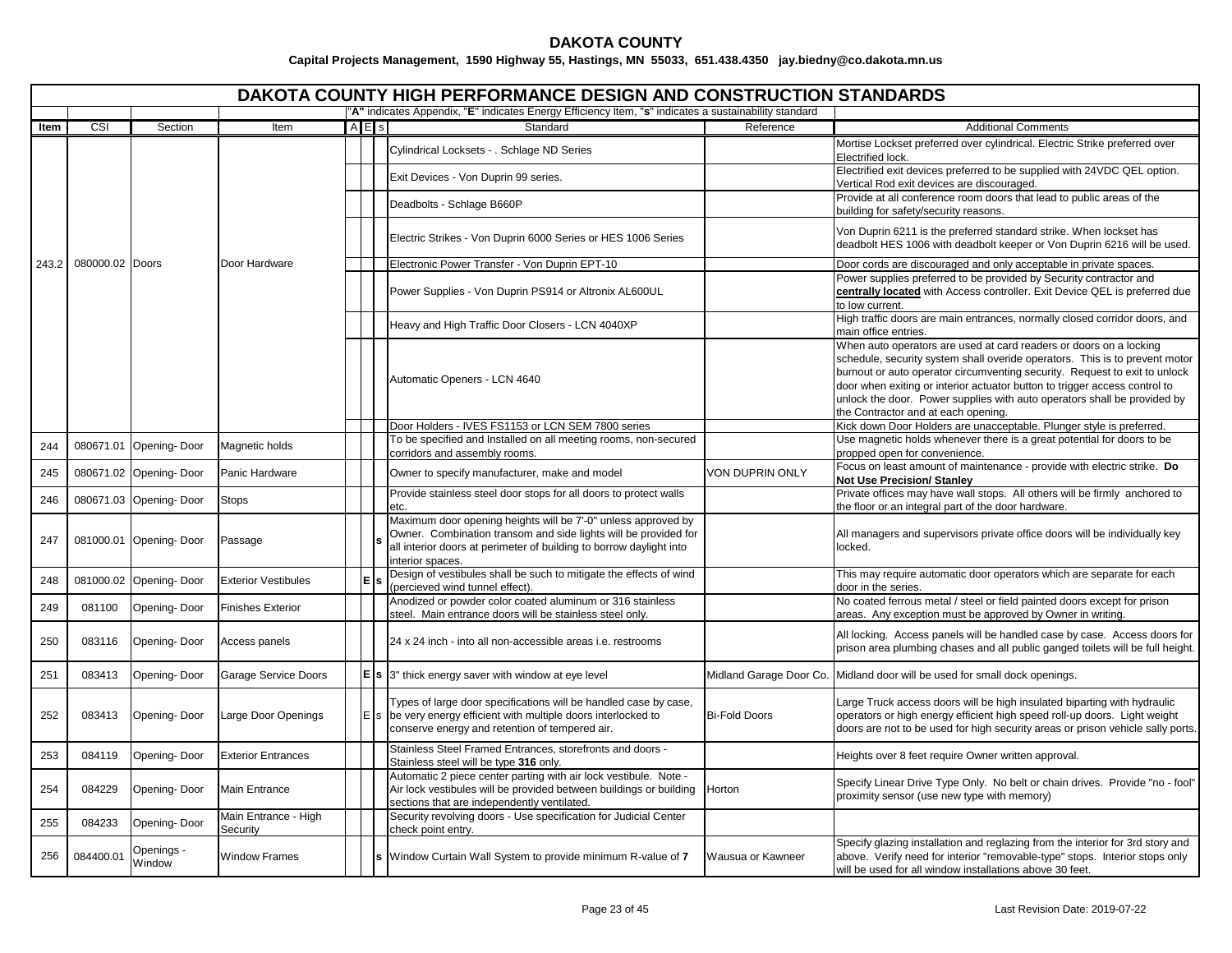|      |                       |                         |                                  |             | <b>DAKOTA COUNTY HIGH PERFORMANCE DESIGN AND CONSTRUCTION STANDARDS</b><br>"A" indicates Appendix, "E" indicates Energy Efficiency Item, "s" indicates a sustainability standard                                            |                      |                                                                                                                                                                                                                                                                                                                                                                                                                                  |
|------|-----------------------|-------------------------|----------------------------------|-------------|-----------------------------------------------------------------------------------------------------------------------------------------------------------------------------------------------------------------------------|----------------------|----------------------------------------------------------------------------------------------------------------------------------------------------------------------------------------------------------------------------------------------------------------------------------------------------------------------------------------------------------------------------------------------------------------------------------|
| ltem | CSI                   | Section                 | Item                             | $A$ $E$ $s$ | Standard                                                                                                                                                                                                                    | Reference            | <b>Additional Comments</b>                                                                                                                                                                                                                                                                                                                                                                                                       |
|      |                       |                         |                                  |             | Cylindrical Locksets - . Schlage ND Series                                                                                                                                                                                  |                      | Mortise Lockset preferred over cylindrical. Electric Strike preferred over<br>Electrified lock.                                                                                                                                                                                                                                                                                                                                  |
|      |                       |                         |                                  |             | Exit Devices - Von Duprin 99 series.                                                                                                                                                                                        |                      | Electrified exit devices preferred to be supplied with 24VDC QEL option.<br>Vertical Rod exit devices are discouraged.                                                                                                                                                                                                                                                                                                           |
|      |                       |                         |                                  |             | Deadbolts - Schlage B660P                                                                                                                                                                                                   |                      | Provide at all conference room doors that lead to public areas of the<br>building for safety/security reasons.                                                                                                                                                                                                                                                                                                                   |
|      |                       |                         |                                  |             | Electric Strikes - Von Duprin 6000 Series or HES 1006 Series                                                                                                                                                                |                      | Von Duprin 6211 is the preferred standard strike. When lockset has<br>deadbolt HES 1006 with deadbolt keeper or Von Duprin 6216 will be used.                                                                                                                                                                                                                                                                                    |
|      | 243.2 080000.02 Doors |                         | Door Hardware                    |             | Electronic Power Transfer - Von Duprin EPT-10                                                                                                                                                                               |                      | Door cords are discouraged and only acceptable in private spaces.                                                                                                                                                                                                                                                                                                                                                                |
|      |                       |                         |                                  |             | Power Supplies - Von Duprin PS914 or Altronix AL600UL                                                                                                                                                                       |                      | Power supplies preferred to be provided by Security contractor and<br>centrally located with Access controller. Exit Device QEL is preferred due<br>to low current.                                                                                                                                                                                                                                                              |
|      |                       |                         |                                  |             | Heavy and High Traffic Door Closers - LCN 4040XP                                                                                                                                                                            |                      | High traffic doors are main entrances, normally closed corridor doors, and<br>main office entries.                                                                                                                                                                                                                                                                                                                               |
|      |                       |                         |                                  |             | Automatic Openers - LCN 4640                                                                                                                                                                                                |                      | When auto operators are used at card readers or doors on a locking<br>schedule, security system shall overide operators. This is to prevent motor<br>burnout or auto operator circumventing security. Request to exit to unlock<br>door when exiting or interior actuator button to trigger access control to<br>unlock the door. Power supplies with auto operators shall be provided by<br>the Contractor and at each opening. |
|      |                       |                         |                                  |             | Door Holders - IVES FS1153 or LCN SEM 7800 series                                                                                                                                                                           |                      | Kick down Door Holders are unacceptable. Plunger style is preferred.                                                                                                                                                                                                                                                                                                                                                             |
| 244  | 080671.01             | Opening-Door            | Magnetic holds                   |             | To be specified and Installed on all meeting rooms, non-secured                                                                                                                                                             |                      | Use magnetic holds whenever there is a great potential for doors to be                                                                                                                                                                                                                                                                                                                                                           |
| 245  |                       | 080671.02 Opening-Door  | Panic Hardware                   |             | corridors and assembly rooms.<br>Owner to specify manufacturer, make and model                                                                                                                                              | VON DUPRIN ONLY      | propped open for convenience.<br>Focus on least amount of maintenance - provide with electric strike. Do<br><b>Not Use Precision/ Stanley</b>                                                                                                                                                                                                                                                                                    |
| 246  |                       | 080671.03 Opening- Door | Stops                            |             | Provide stainless steel door stops for all doors to protect walls<br>etc.                                                                                                                                                   |                      | Private offices may have wall stops. All others will be firmly anchored to<br>the floor or an integral part of the door hardware.                                                                                                                                                                                                                                                                                                |
| 247  |                       | 081000.01 Opening-Door  | Passage                          |             | Maximum door opening heights will be 7'-0" unless approved by<br>Owner. Combination transom and side lights will be provided for<br>all interior doors at perimeter of building to borrow daylight into<br>interior spaces. |                      | All managers and supervisors private office doors will be individually key<br>locked.                                                                                                                                                                                                                                                                                                                                            |
| 248  |                       | 081000.02 Opening-Door  | <b>Exterior Vestibules</b>       | E           | Design of vestibules shall be such to mitigate the effects of wind<br>(percieved wind tunnel effect).                                                                                                                       |                      | This may require automatic door operators which are separate for each<br>door in the series.                                                                                                                                                                                                                                                                                                                                     |
| 249  | 081100                | Opening-Door            | <b>Finishes Exterior</b>         |             | Anodized or powder color coated aluminum or 316 stainless<br>steel. Main entrance doors will be stainless steel only.                                                                                                       |                      | No coated ferrous metal / steel or field painted doors except for prison<br>areas. Any exception must be approved by Owner in writing.                                                                                                                                                                                                                                                                                           |
| 250  | 083116                | Opening-Door            | Access panels                    |             | 24 x 24 inch - into all non-accessible areas i.e. restrooms                                                                                                                                                                 |                      | All locking. Access panels will be handled case by case. Access doors for<br>prison area plumbing chases and all public ganged toilets will be full height.                                                                                                                                                                                                                                                                      |
| 251  | 083413                | Opening-Door            | Garage Service Doors             |             | $\mathsf{E}$ s $\mathsf{S}$ as thick energy saver with window at eye level                                                                                                                                                  |                      | Midland Garage Door Co. Midland door will be used for small dock openings.                                                                                                                                                                                                                                                                                                                                                       |
| 252  | 083413                | Opening-Door            | Large Door Openings              |             | Types of large door specifications will be handled case by case,<br>$E$ s be very energy efficient with multiple doors interlocked to<br>conserve energy and retention of tempered air.                                     | <b>Bi-Fold Doors</b> | Large Truck access doors will be high insulated biparting with hydraulic<br>operators or high energy efficient high speed roll-up doors. Light weight<br>doors are not to be used for high security areas or prison vehicle sally ports.                                                                                                                                                                                         |
| 253  | 084119                | Opening-Door            | <b>Exterior Entrances</b>        |             | Stainless Steel Framed Entrances, storefronts and doors -<br>Stainless steel will be type 316 only.                                                                                                                         |                      | Heights over 8 feet require Owner written approval.                                                                                                                                                                                                                                                                                                                                                                              |
| 254  | 084229                | Opening-Door            | <b>Main Entrance</b>             |             | Automatic 2 piece center parting with air lock vestibule. Note -<br>Air lock vestibules will be provided between buildings or building<br>sections that are independently ventilated.                                       | Horton               | Specify Linear Drive Type Only. No belt or chain drives. Provide "no - fool"<br>proximity sensor (use new type with memory)                                                                                                                                                                                                                                                                                                      |
| 255  | 084233                | Opening-Door            | Main Entrance - High<br>Security |             | Security revolving doors - Use specification for Judicial Center<br>check point entry.                                                                                                                                      |                      |                                                                                                                                                                                                                                                                                                                                                                                                                                  |
| 256  | 084400.01             | Openings -<br>Window    | <b>Window Frames</b>             |             | s Window Curtain Wall System to provide minimum R-value of 7                                                                                                                                                                | Wausua or Kawneer    | Specify glazing installation and reglazing from the interior for 3rd story and<br>above. Verify need for interior "removable-type" stops. Interior stops only<br>will be used for all window installations above 30 feet.                                                                                                                                                                                                        |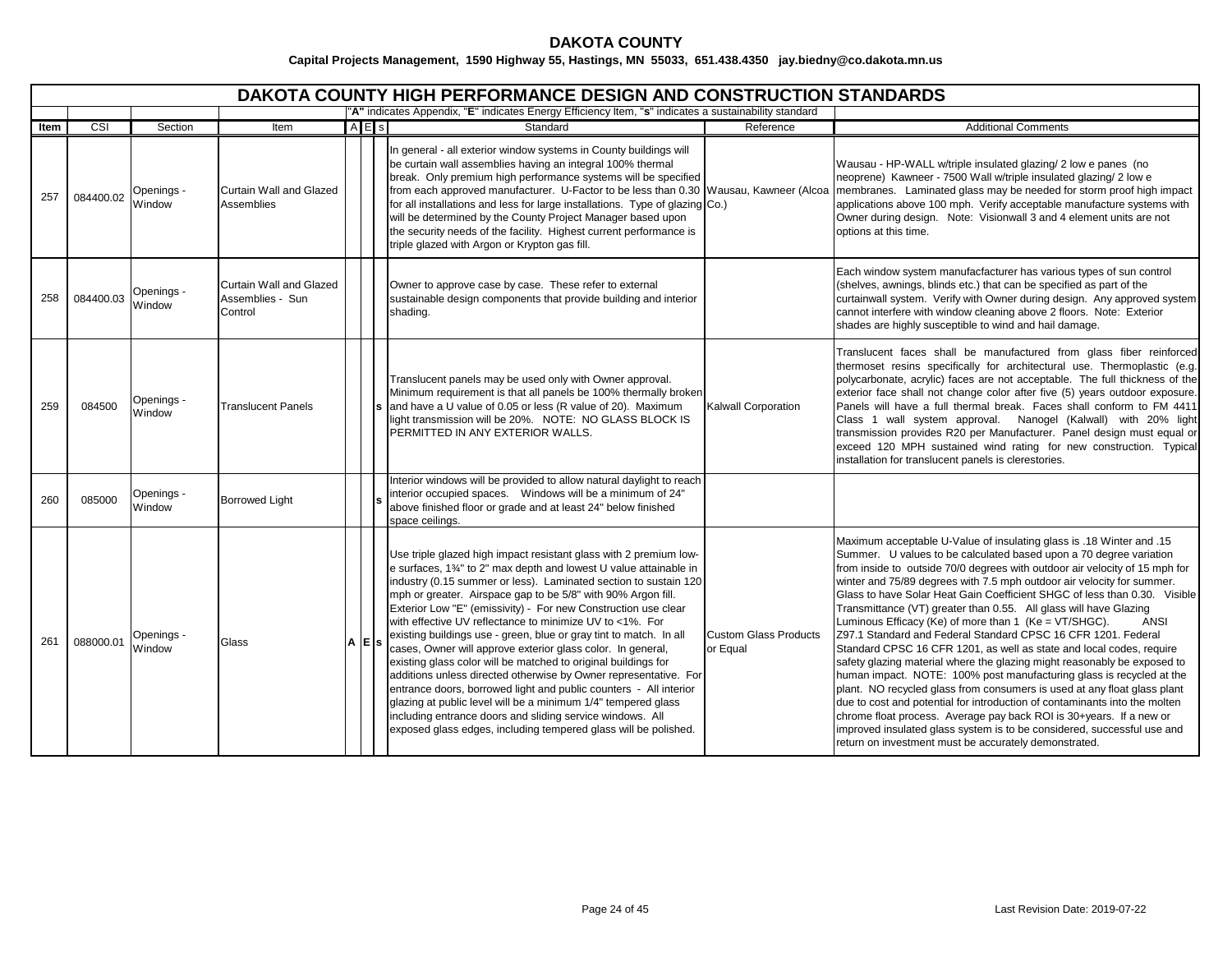# **DAKOTA COUNTY**

|      | <b>DAKOTA COUNTY HIGH PERFORMANCE DESIGN AND CONSTRUCTION STANDARDS</b> |                      |                                                        |  |                   |                                                                                                                                                                                                                                                                                                                                                                                                                                                                                                                                                                                                                                                                                                                                                                                                                                                                                                                                                          |                                          |                                                                                                                                                                                                                                                                                                                                                                                                                                                                                                                                                                                                                                                                                                                                                                                                                                                                                                                                                                                                                                                                                                                                                                                                 |  |  |  |  |  |
|------|-------------------------------------------------------------------------|----------------------|--------------------------------------------------------|--|-------------------|----------------------------------------------------------------------------------------------------------------------------------------------------------------------------------------------------------------------------------------------------------------------------------------------------------------------------------------------------------------------------------------------------------------------------------------------------------------------------------------------------------------------------------------------------------------------------------------------------------------------------------------------------------------------------------------------------------------------------------------------------------------------------------------------------------------------------------------------------------------------------------------------------------------------------------------------------------|------------------------------------------|-------------------------------------------------------------------------------------------------------------------------------------------------------------------------------------------------------------------------------------------------------------------------------------------------------------------------------------------------------------------------------------------------------------------------------------------------------------------------------------------------------------------------------------------------------------------------------------------------------------------------------------------------------------------------------------------------------------------------------------------------------------------------------------------------------------------------------------------------------------------------------------------------------------------------------------------------------------------------------------------------------------------------------------------------------------------------------------------------------------------------------------------------------------------------------------------------|--|--|--|--|--|
|      |                                                                         |                      |                                                        |  |                   | "A" indicates Appendix, "E" indicates Energy Efficiency Item, "s" indicates a sustainability standard                                                                                                                                                                                                                                                                                                                                                                                                                                                                                                                                                                                                                                                                                                                                                                                                                                                    |                                          |                                                                                                                                                                                                                                                                                                                                                                                                                                                                                                                                                                                                                                                                                                                                                                                                                                                                                                                                                                                                                                                                                                                                                                                                 |  |  |  |  |  |
| Item | $\overline{\text{CSI}}$                                                 | Section              | Item                                                   |  | A E s             | Standard                                                                                                                                                                                                                                                                                                                                                                                                                                                                                                                                                                                                                                                                                                                                                                                                                                                                                                                                                 | Reference                                | <b>Additional Comments</b>                                                                                                                                                                                                                                                                                                                                                                                                                                                                                                                                                                                                                                                                                                                                                                                                                                                                                                                                                                                                                                                                                                                                                                      |  |  |  |  |  |
| 257  | 084400.02                                                               | Openings -<br>Window | Curtain Wall and Glazed<br>Assemblies                  |  |                   | In general - all exterior window systems in County buildings will<br>be curtain wall assemblies having an integral 100% thermal<br>break. Only premium high performance systems will be specified<br>from each approved manufacturer. U-Factor to be less than 0.30 Wausau, Kawneer (Alcoa<br>for all installations and less for large installations. Type of glazing Co.)<br>will be determined by the County Project Manager based upon<br>the security needs of the facility. Highest current performance is<br>triple glazed with Argon or Krypton gas fill.                                                                                                                                                                                                                                                                                                                                                                                         |                                          | Wausau - HP-WALL w/triple insulated glazing/ 2 low e panes (no<br>neoprene) Kawneer - 7500 Wall w/triple insulated glazing/ 2 low e<br>membranes. Laminated glass may be needed for storm proof high impact<br>applications above 100 mph. Verify acceptable manufacture systems with<br>Owner during design. Note: Visionwall 3 and 4 element units are not<br>options at this time.                                                                                                                                                                                                                                                                                                                                                                                                                                                                                                                                                                                                                                                                                                                                                                                                           |  |  |  |  |  |
| 258  | 084400.03                                                               | Openings -<br>Window | Curtain Wall and Glazed<br>Assemblies - Sun<br>Control |  |                   | Owner to approve case by case. These refer to external<br>sustainable design components that provide building and interior<br>shading.                                                                                                                                                                                                                                                                                                                                                                                                                                                                                                                                                                                                                                                                                                                                                                                                                   |                                          | Each window system manufacfacturer has various types of sun control<br>(shelves, awnings, blinds etc.) that can be specified as part of the<br>curtainwall system. Verify with Owner during design. Any approved system<br>cannot interfere with window cleaning above 2 floors. Note: Exterior<br>shades are highly susceptible to wind and hail damage.                                                                                                                                                                                                                                                                                                                                                                                                                                                                                                                                                                                                                                                                                                                                                                                                                                       |  |  |  |  |  |
| 259  | 084500                                                                  | Openings -<br>Window | <b>Translucent Panels</b>                              |  |                   | Translucent panels may be used only with Owner approval.<br>Minimum requirement is that all panels be 100% thermally broken<br>and have a U value of 0.05 or less (R value of 20). Maximum<br>light transmission will be 20%. NOTE: NO GLASS BLOCK IS<br>PERMITTED IN ANY EXTERIOR WALLS.                                                                                                                                                                                                                                                                                                                                                                                                                                                                                                                                                                                                                                                                | Kalwall Corporation                      | Translucent faces shall be manufactured from glass fiber reinforced<br>thermoset resins specifically for architectural use. Thermoplastic (e.g.<br>polycarbonate, acrylic) faces are not acceptable. The full thickness of the<br>exterior face shall not change color after five (5) years outdoor exposure.<br>Panels will have a full thermal break. Faces shall conform to FM 4411<br>Class 1 wall system approval. Nanogel (Kalwall) with 20% light<br>transmission provides R20 per Manufacturer. Panel design must equal or<br>exceed 120 MPH sustained wind rating for new construction. Typical<br>installation for translucent panels is clerestories.                                                                                                                                                                                                                                                                                                                                                                                                                                                                                                                                |  |  |  |  |  |
| 260  | 085000                                                                  | Openings -<br>Window | <b>Borrowed Light</b>                                  |  |                   | Interior windows will be provided to allow natural daylight to reach<br>interior occupied spaces.  Windows will be a minimum of 24"<br>above finished floor or grade and at least 24" below finished<br>space ceilings.                                                                                                                                                                                                                                                                                                                                                                                                                                                                                                                                                                                                                                                                                                                                  |                                          |                                                                                                                                                                                                                                                                                                                                                                                                                                                                                                                                                                                                                                                                                                                                                                                                                                                                                                                                                                                                                                                                                                                                                                                                 |  |  |  |  |  |
| 261  | 088000.01                                                               | Openings -<br>Window | Glass                                                  |  | $A \mid E \mid s$ | Use triple glazed high impact resistant glass with 2 premium low-<br>e surfaces, 1%" to 2" max depth and lowest U value attainable in<br>industry (0.15 summer or less). Laminated section to sustain 120<br>mph or greater. Airspace gap to be 5/8" with 90% Argon fill.<br>Exterior Low "E" (emissivity) - For new Construction use clear<br>with effective UV reflectance to minimize UV to <1%. For<br>existing buildings use - green, blue or gray tint to match. In all<br>cases, Owner will approve exterior glass color. In general,<br>existing glass color will be matched to original buildings for<br>additions unless directed otherwise by Owner representative. For<br>entrance doors, borrowed light and public counters - All interior<br>glazing at public level will be a minimum 1/4" tempered glass<br>including entrance doors and sliding service windows. All<br>exposed glass edges, including tempered glass will be polished. | <b>Custom Glass Products</b><br>or Equal | Maximum acceptable U-Value of insulating glass is .18 Winter and .15<br>Summer. U values to be calculated based upon a 70 degree variation<br>from inside to outside 70/0 degrees with outdoor air velocity of 15 mph for<br>winter and 75/89 degrees with 7.5 mph outdoor air velocity for summer.<br>Glass to have Solar Heat Gain Coefficient SHGC of less than 0.30. Visible<br>Transmittance (VT) greater than 0.55. All glass will have Glazing<br>Luminous Efficacy (Ke) of more than 1 (Ke = VT/SHGC).<br><b>ANSI</b><br>Z97.1 Standard and Federal Standard CPSC 16 CFR 1201. Federal<br>Standard CPSC 16 CFR 1201, as well as state and local codes, require<br>safety glazing material where the glazing might reasonably be exposed to<br>human impact. NOTE: 100% post manufacturing glass is recycled at the<br>plant. NO recycled glass from consumers is used at any float glass plant<br>due to cost and potential for introduction of contaminants into the molten<br>chrome float process. Average pay back ROI is 30+years. If a new or<br>improved insulated glass system is to be considered, successful use and<br>return on investment must be accurately demonstrated. |  |  |  |  |  |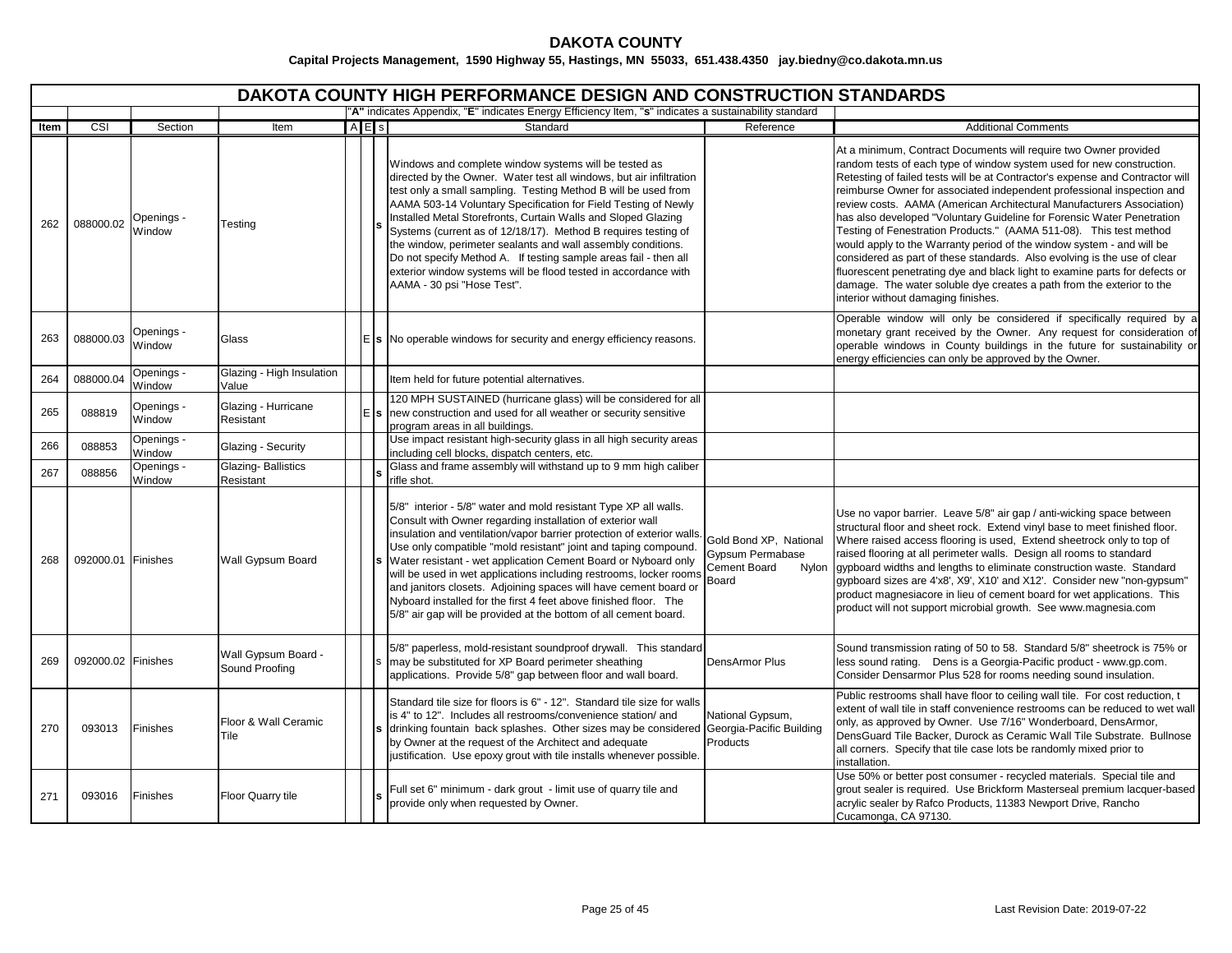|      | DAKOTA COUNTY HIGH PERFORMANCE DESIGN AND CONSTRUCTION STANDARDS |                      |                                        |     |                                                                                                                                                                                                                                                                                                                                                                                                                                                                                                                                                                                                                                          |                                                                              |                                                                                                                                                                                                                                                                                                                                                                                                                                                                                                                                                                                                                                                                                                                                                                                                                                                                                   |  |  |  |  |  |
|------|------------------------------------------------------------------|----------------------|----------------------------------------|-----|------------------------------------------------------------------------------------------------------------------------------------------------------------------------------------------------------------------------------------------------------------------------------------------------------------------------------------------------------------------------------------------------------------------------------------------------------------------------------------------------------------------------------------------------------------------------------------------------------------------------------------------|------------------------------------------------------------------------------|-----------------------------------------------------------------------------------------------------------------------------------------------------------------------------------------------------------------------------------------------------------------------------------------------------------------------------------------------------------------------------------------------------------------------------------------------------------------------------------------------------------------------------------------------------------------------------------------------------------------------------------------------------------------------------------------------------------------------------------------------------------------------------------------------------------------------------------------------------------------------------------|--|--|--|--|--|
|      |                                                                  |                      |                                        |     | "A" indicates Appendix, "E" indicates Energy Efficiency Item, "s" indicates a sustainability standard                                                                                                                                                                                                                                                                                                                                                                                                                                                                                                                                    |                                                                              |                                                                                                                                                                                                                                                                                                                                                                                                                                                                                                                                                                                                                                                                                                                                                                                                                                                                                   |  |  |  |  |  |
| Item | CSI                                                              | Section              | Item                                   | AES | Standard                                                                                                                                                                                                                                                                                                                                                                                                                                                                                                                                                                                                                                 | Reference                                                                    | <b>Additional Comments</b>                                                                                                                                                                                                                                                                                                                                                                                                                                                                                                                                                                                                                                                                                                                                                                                                                                                        |  |  |  |  |  |
| 262  | 088000.02                                                        | Openings -<br>Window | Testing                                |     | Windows and complete window systems will be tested as<br>directed by the Owner. Water test all windows, but air infiltration<br>test only a small sampling. Testing Method B will be used from<br>AAMA 503-14 Voluntary Specification for Field Testing of Newly<br>Installed Metal Storefronts, Curtain Walls and Sloped Glazing<br>Systems (current as of 12/18/17). Method B requires testing of<br>the window, perimeter sealants and wall assembly conditions.<br>Do not specify Method A. If testing sample areas fail - then all<br>exterior window systems will be flood tested in accordance with<br>AAMA - 30 psi "Hose Test". |                                                                              | At a minimum, Contract Documents will require two Owner provided<br>random tests of each type of window system used for new construction.<br>Retesting of failed tests will be at Contractor's expense and Contractor will<br>reimburse Owner for associated independent professional inspection and<br>review costs. AAMA (American Architectural Manufacturers Association)<br>has also developed "Voluntary Guideline for Forensic Water Penetration<br>Testing of Fenestration Products." (AAMA 511-08). This test method<br>would apply to the Warranty period of the window system - and will be<br>considered as part of these standards. Also evolving is the use of clear<br>fluorescent penetrating dye and black light to examine parts for defects or<br>damage. The water soluble dye creates a path from the exterior to the<br>interior without damaging finishes. |  |  |  |  |  |
| 263  | 088000.03                                                        | Openings -<br>Window | Glass                                  |     | $E$ s No operable windows for security and energy efficiency reasons.                                                                                                                                                                                                                                                                                                                                                                                                                                                                                                                                                                    |                                                                              | Operable window will only be considered if specifically required by a<br>monetary grant received by the Owner. Any request for consideration of<br>operable windows in County buildings in the future for sustainability or<br>energy efficiencies can only be approved by the Owner.                                                                                                                                                                                                                                                                                                                                                                                                                                                                                                                                                                                             |  |  |  |  |  |
| 264  | 088000.04                                                        | Openings -<br>Window | Glazing - High Insulation<br>Value     |     | Item held for future potential alternatives.                                                                                                                                                                                                                                                                                                                                                                                                                                                                                                                                                                                             |                                                                              |                                                                                                                                                                                                                                                                                                                                                                                                                                                                                                                                                                                                                                                                                                                                                                                                                                                                                   |  |  |  |  |  |
| 265  | 088819                                                           | Openings -<br>Window | Glazing - Hurricane<br>Resistant       |     | 120 MPH SUSTAINED (hurricane glass) will be considered for all<br>new construction and used for all weather or security sensitive<br>program areas in all buildings.                                                                                                                                                                                                                                                                                                                                                                                                                                                                     |                                                                              |                                                                                                                                                                                                                                                                                                                                                                                                                                                                                                                                                                                                                                                                                                                                                                                                                                                                                   |  |  |  |  |  |
| 266  | 088853                                                           | Openings -<br>Window | Glazing - Security                     |     | Use impact resistant high-security glass in all high security areas<br>including cell blocks, dispatch centers, etc.                                                                                                                                                                                                                                                                                                                                                                                                                                                                                                                     |                                                                              |                                                                                                                                                                                                                                                                                                                                                                                                                                                                                                                                                                                                                                                                                                                                                                                                                                                                                   |  |  |  |  |  |
| 267  | 088856                                                           | Openings -<br>Window | <b>Glazing-Ballistics</b><br>Resistant |     | Glass and frame assembly will withstand up to 9 mm high caliber<br>rifle shot.                                                                                                                                                                                                                                                                                                                                                                                                                                                                                                                                                           |                                                                              |                                                                                                                                                                                                                                                                                                                                                                                                                                                                                                                                                                                                                                                                                                                                                                                                                                                                                   |  |  |  |  |  |
| 268  | 092000.01 Finishes                                               |                      | Wall Gypsum Board                      |     | 5/8" interior - 5/8" water and mold resistant Type XP all walls.<br>Consult with Owner regarding installation of exterior wall<br>insulation and ventilation/vapor barrier protection of exterior walls.<br>Use only compatible "mold resistant" joint and taping compound.<br>Water resistant - wet application Cement Board or Nyboard only<br>will be used in wet applications including restrooms, locker rooms<br>and janitors closets. Adjoining spaces will have cement board or<br>Nyboard installed for the first 4 feet above finished floor. The<br>5/8" air gap will be provided at the bottom of all cement board.          | Gold Bond XP, National<br>Gypsum Permabase<br>Cement Board<br>Nylon<br>Board | Use no vapor barrier. Leave 5/8" air gap / anti-wicking space between<br>structural floor and sheet rock. Extend vinyl base to meet finished floor.<br>Where raised access flooring is used, Extend sheetrock only to top of<br>raised flooring at all perimeter walls. Design all rooms to standard<br>gypboard widths and lengths to eliminate construction waste. Standard<br>gypboard sizes are 4'x8', X9', X10' and X12'. Consider new "non-gypsum"<br>product magnesiacore in lieu of cement board for wet applications. This<br>product will not support microbial growth. See www.magnesia.com                                                                                                                                                                                                                                                                            |  |  |  |  |  |
| 269  | 092000.02 Finishes                                               |                      | Wall Gypsum Board -<br>Sound Proofing  |     | 5/8" paperless, mold-resistant soundproof drywall. This standard<br>may be substituted for XP Board perimeter sheathing<br>applications. Provide 5/8" gap between floor and wall board.                                                                                                                                                                                                                                                                                                                                                                                                                                                  | DensArmor Plus                                                               | Sound transmission rating of 50 to 58. Standard 5/8" sheetrock is 75% or<br>less sound rating.  Dens is a Georgia-Pacific product - www.gp.com.<br>Consider Densarmor Plus 528 for rooms needing sound insulation.                                                                                                                                                                                                                                                                                                                                                                                                                                                                                                                                                                                                                                                                |  |  |  |  |  |
| 270  | 093013                                                           | Finishes             | Floor & Wall Ceramic<br>Tile           |     | Standard tile size for floors is 6" - 12". Standard tile size for walls<br>is 4" to 12". Includes all restrooms/convenience station/ and<br>drinking fountain back splashes. Other sizes may be considered Georgia-Pacific Building<br>by Owner at the request of the Architect and adequate<br>justification. Use epoxy grout with tile installs whenever possible.                                                                                                                                                                                                                                                                     | National Gypsum,<br>Products                                                 | Public restrooms shall have floor to ceiling wall tile. For cost reduction, t<br>extent of wall tile in staff convenience restrooms can be reduced to wet wall<br>only, as approved by Owner. Use 7/16" Wonderboard, DensArmor,<br>DensGuard Tile Backer, Durock as Ceramic Wall Tile Substrate. Bullnose<br>all corners. Specify that tile case lots be randomly mixed prior to<br>installation.                                                                                                                                                                                                                                                                                                                                                                                                                                                                                 |  |  |  |  |  |
| 271  | 093016                                                           | Finishes             | Floor Quarry tile                      |     | Full set 6" minimum - dark grout - limit use of quarry tile and<br>provide only when requested by Owner.                                                                                                                                                                                                                                                                                                                                                                                                                                                                                                                                 |                                                                              | Use 50% or better post consumer - recycled materials. Special tile and<br>grout sealer is required. Use Brickform Masterseal premium lacquer-based<br>acrylic sealer by Rafco Products, 11383 Newport Drive, Rancho<br>Cucamonga, CA 97130.                                                                                                                                                                                                                                                                                                                                                                                                                                                                                                                                                                                                                                       |  |  |  |  |  |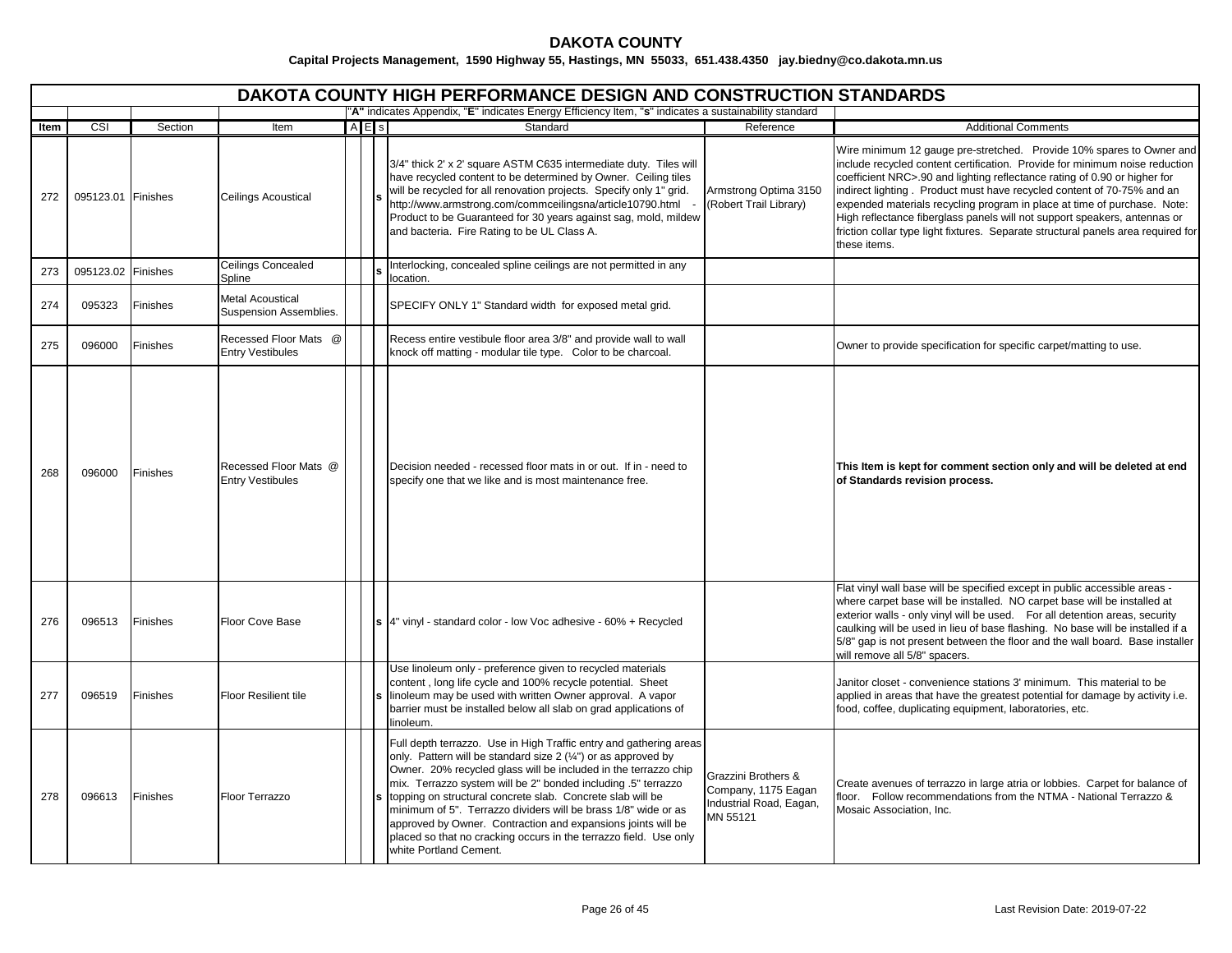|      | DAKOTA COUNTY HIGH PERFORMANCE DESIGN AND CONSTRUCTION STANDARDS<br>"A" indicates Appendix, "E" indicates Energy Efficiency Item, "s" indicates a sustainability standard |          |                                                   |           |                                                                                                                                                                                                                                                                                                                                                                                                                                                                                                                                                                           |                                                                                   |                                                                                                                                                                                                                                                                                                                                                                                                                                                                                                                                                                          |  |  |  |  |  |  |
|------|---------------------------------------------------------------------------------------------------------------------------------------------------------------------------|----------|---------------------------------------------------|-----------|---------------------------------------------------------------------------------------------------------------------------------------------------------------------------------------------------------------------------------------------------------------------------------------------------------------------------------------------------------------------------------------------------------------------------------------------------------------------------------------------------------------------------------------------------------------------------|-----------------------------------------------------------------------------------|--------------------------------------------------------------------------------------------------------------------------------------------------------------------------------------------------------------------------------------------------------------------------------------------------------------------------------------------------------------------------------------------------------------------------------------------------------------------------------------------------------------------------------------------------------------------------|--|--|--|--|--|--|
|      |                                                                                                                                                                           |          |                                                   |           |                                                                                                                                                                                                                                                                                                                                                                                                                                                                                                                                                                           |                                                                                   |                                                                                                                                                                                                                                                                                                                                                                                                                                                                                                                                                                          |  |  |  |  |  |  |
| Item | CSI                                                                                                                                                                       | Section  | Item                                              | $A \nE$ s | Standard                                                                                                                                                                                                                                                                                                                                                                                                                                                                                                                                                                  | Reference                                                                         | <b>Additional Comments</b>                                                                                                                                                                                                                                                                                                                                                                                                                                                                                                                                               |  |  |  |  |  |  |
| 272  | 095123.01 Finishes                                                                                                                                                        |          | Ceilings Acoustical                               |           | 3/4" thick 2' x 2' square ASTM C635 intermediate duty. Tiles will<br>have recycled content to be determined by Owner. Ceiling tiles<br>will be recycled for all renovation projects. Specify only 1" grid.<br>http://www.armstrong.com/commceilingsna/article10790.html -<br>Product to be Guaranteed for 30 years against sag, mold, mildew<br>and bacteria. Fire Rating to be UL Class A.                                                                                                                                                                               | Armstrong Optima 3150<br>(Robert Trail Library)                                   | Wire minimum 12 gauge pre-stretched. Provide 10% spares to Owner and<br>include recycled content certification. Provide for minimum noise reduction<br>coefficient NRC>.90 and lighting reflectance rating of 0.90 or higher for<br>indirect lighting. Product must have recycled content of 70-75% and an<br>expended materials recycling program in place at time of purchase. Note:<br>High reflectance fiberglass panels will not support speakers, antennas or<br>friction collar type light fixtures. Separate structural panels area required for<br>these items. |  |  |  |  |  |  |
| 273  | 095123.02                                                                                                                                                                 | Finishes | Ceilings Concealed<br>Spline                      |           | Interlocking, concealed spline ceilings are not permitted in any<br>location.                                                                                                                                                                                                                                                                                                                                                                                                                                                                                             |                                                                                   |                                                                                                                                                                                                                                                                                                                                                                                                                                                                                                                                                                          |  |  |  |  |  |  |
| 274  | 095323                                                                                                                                                                    | Finishes | <b>Metal Acoustical</b><br>Suspension Assemblies. |           | SPECIFY ONLY 1" Standard width for exposed metal grid.                                                                                                                                                                                                                                                                                                                                                                                                                                                                                                                    |                                                                                   |                                                                                                                                                                                                                                                                                                                                                                                                                                                                                                                                                                          |  |  |  |  |  |  |
| 275  | 096000                                                                                                                                                                    | Finishes | Recessed Floor Mats @<br><b>Entry Vestibules</b>  |           | Recess entire vestibule floor area 3/8" and provide wall to wall<br>knock off matting - modular tile type. Color to be charcoal.                                                                                                                                                                                                                                                                                                                                                                                                                                          |                                                                                   | Owner to provide specification for specific carpet/matting to use.                                                                                                                                                                                                                                                                                                                                                                                                                                                                                                       |  |  |  |  |  |  |
| 268  | 096000                                                                                                                                                                    | Finishes | Recessed Floor Mats @<br><b>Entry Vestibules</b>  |           | Decision needed - recessed floor mats in or out. If in - need to<br>specify one that we like and is most maintenance free.                                                                                                                                                                                                                                                                                                                                                                                                                                                |                                                                                   | This Item is kept for comment section only and will be deleted at end<br>of Standards revision process.                                                                                                                                                                                                                                                                                                                                                                                                                                                                  |  |  |  |  |  |  |
| 276  | 096513                                                                                                                                                                    | Finishes | Floor Cove Base                                   |           | s 4" vinyl - standard color - low Voc adhesive - 60% + Recycled                                                                                                                                                                                                                                                                                                                                                                                                                                                                                                           |                                                                                   | Flat vinyl wall base will be specified except in public accessible areas -<br>where carpet base will be installed. NO carpet base will be installed at<br>exterior walls - only vinyl will be used. For all detention areas, security<br>caulking will be used in lieu of base flashing. No base will be installed if a<br>5/8" gap is not present between the floor and the wall board. Base installer<br>will remove all 5/8" spacers.                                                                                                                                 |  |  |  |  |  |  |
| 277  | 096519                                                                                                                                                                    | Finishes | Floor Resilient tile                              |           | Use linoleum only - preference given to recycled materials<br>content, long life cycle and 100% recycle potential. Sheet<br>linoleum may be used with written Owner approval. A vapor<br>barrier must be installed below all slab on grad applications of<br>linoleum.                                                                                                                                                                                                                                                                                                    |                                                                                   | Janitor closet - convenience stations 3' minimum. This material to be<br>applied in areas that have the greatest potential for damage by activity i.e.<br>food, coffee, duplicating equipment, laboratories, etc.                                                                                                                                                                                                                                                                                                                                                        |  |  |  |  |  |  |
| 278  | 096613                                                                                                                                                                    | Finishes | Floor Terrazzo                                    |           | Full depth terrazzo. Use in High Traffic entry and gathering areas<br>only. Pattern will be standard size 2 (1/4") or as approved by<br>Owner. 20% recycled glass will be included in the terrazzo chip<br>mix. Terrazzo system will be 2" bonded including .5" terrazzo<br>s topping on structural concrete slab. Concrete slab will be<br>minimum of 5". Terrazzo dividers will be brass 1/8" wide or as<br>approved by Owner. Contraction and expansions joints will be<br>placed so that no cracking occurs in the terrazzo field. Use only<br>white Portland Cement. | Grazzini Brothers &<br>Company, 1175 Eagan<br>Industrial Road, Eagan,<br>MN 55121 | Create avenues of terrazzo in large atria or lobbies. Carpet for balance of<br>floor. Follow recommendations from the NTMA - National Terrazzo &<br>Mosaic Association, Inc.                                                                                                                                                                                                                                                                                                                                                                                             |  |  |  |  |  |  |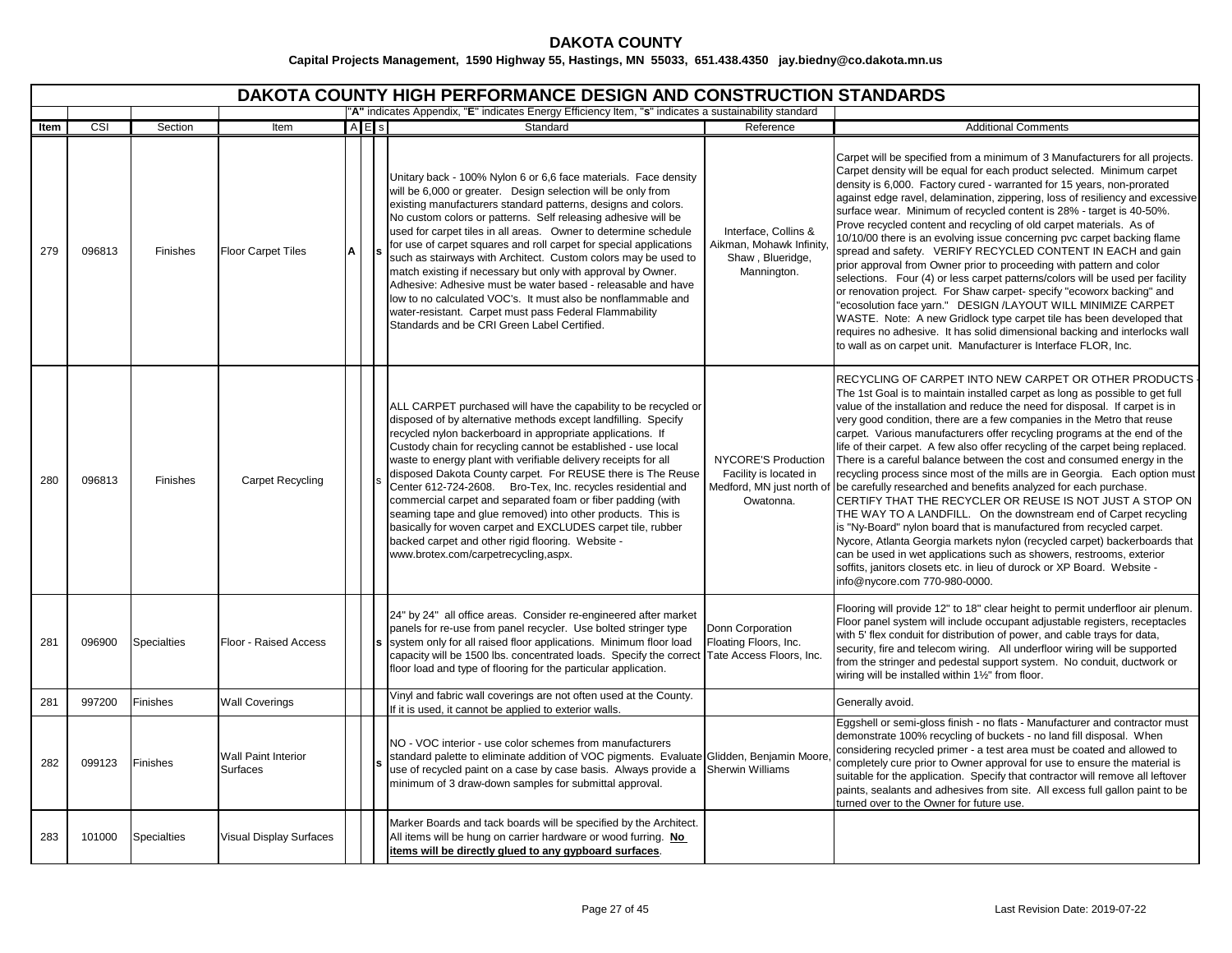|      | DAKOTA COUNTY HIGH PERFORMANCE DESIGN AND CONSTRUCTION STANDARDS |                    |                                        |   |     |                                                                                                                                                                                                                                                                                                                                                                                                                                                                                                                                                                                                                                                                                                                                                                                       |                                                                                         |                                                                                                                                                                                                                                                                                                                                                                                                                                                                                                                                                                                                                                                                                                                                                                                                                                                                                                                                                                                                                                                                                                                                                                   |  |  |  |  |  |
|------|------------------------------------------------------------------|--------------------|----------------------------------------|---|-----|---------------------------------------------------------------------------------------------------------------------------------------------------------------------------------------------------------------------------------------------------------------------------------------------------------------------------------------------------------------------------------------------------------------------------------------------------------------------------------------------------------------------------------------------------------------------------------------------------------------------------------------------------------------------------------------------------------------------------------------------------------------------------------------|-----------------------------------------------------------------------------------------|-------------------------------------------------------------------------------------------------------------------------------------------------------------------------------------------------------------------------------------------------------------------------------------------------------------------------------------------------------------------------------------------------------------------------------------------------------------------------------------------------------------------------------------------------------------------------------------------------------------------------------------------------------------------------------------------------------------------------------------------------------------------------------------------------------------------------------------------------------------------------------------------------------------------------------------------------------------------------------------------------------------------------------------------------------------------------------------------------------------------------------------------------------------------|--|--|--|--|--|
|      |                                                                  |                    |                                        |   |     | "A" indicates Appendix, "E" indicates Energy Efficiency Item, "s" indicates a sustainability standard                                                                                                                                                                                                                                                                                                                                                                                                                                                                                                                                                                                                                                                                                 |                                                                                         |                                                                                                                                                                                                                                                                                                                                                                                                                                                                                                                                                                                                                                                                                                                                                                                                                                                                                                                                                                                                                                                                                                                                                                   |  |  |  |  |  |
| Item | CSI                                                              | Section            | Item                                   |   | AES | Standard                                                                                                                                                                                                                                                                                                                                                                                                                                                                                                                                                                                                                                                                                                                                                                              | Reference                                                                               | <b>Additional Comments</b>                                                                                                                                                                                                                                                                                                                                                                                                                                                                                                                                                                                                                                                                                                                                                                                                                                                                                                                                                                                                                                                                                                                                        |  |  |  |  |  |
| 279  | 096813                                                           | <b>Finishes</b>    | <b>Floor Carpet Tiles</b>              | A |     | Unitary back - 100% Nylon 6 or 6,6 face materials. Face density<br>will be 6,000 or greater. Design selection will be only from<br>existing manufacturers standard patterns, designs and colors.<br>No custom colors or patterns. Self releasing adhesive will be<br>used for carpet tiles in all areas. Owner to determine schedule<br>for use of carpet squares and roll carpet for special applications<br>such as stairways with Architect. Custom colors may be used to<br>match existing if necessary but only with approval by Owner.<br>Adhesive: Adhesive must be water based - releasable and have<br>low to no calculated VOC's. It must also be nonflammable and<br>water-resistant. Carpet must pass Federal Flammability<br>Standards and be CRI Green Label Certified. | Interface, Collins &<br>Aikman, Mohawk Infinity,<br>Shaw, Blueridge,<br>Mannington.     | Carpet will be specified from a minimum of 3 Manufacturers for all projects.<br>Carpet density will be equal for each product selected. Minimum carpet<br>density is 6,000. Factory cured - warranted for 15 years, non-prorated<br>against edge ravel, delamination, zippering, loss of resiliency and excessive<br>surface wear. Minimum of recycled content is 28% - target is 40-50%.<br>Prove recycled content and recycling of old carpet materials. As of<br>10/10/00 there is an evolving issue concerning pvc carpet backing flame<br>spread and safety. VERIFY RECYCLED CONTENT IN EACH and gain<br>prior approval from Owner prior to proceeding with pattern and color<br>selections. Four (4) or less carpet patterns/colors will be used per facility<br>or renovation project. For Shaw carpet-specify "ecoworx backing" and<br>"ecosolution face yarn." DESIGN /LAYOUT WILL MINIMIZE CARPET<br>WASTE. Note: A new Gridlock type carpet tile has been developed that<br>requires no adhesive. It has solid dimensional backing and interlocks wall<br>to wall as on carpet unit. Manufacturer is Interface FLOR, Inc.                              |  |  |  |  |  |
| 280  | 096813                                                           | Finishes           | <b>Carpet Recycling</b>                |   |     | ALL CARPET purchased will have the capability to be recycled or<br>disposed of by alternative methods except landfilling. Specify<br>recycled nylon backerboard in appropriate applications. If<br>Custody chain for recycling cannot be established - use local<br>waste to energy plant with verifiable delivery receipts for all<br>disposed Dakota County carpet. For REUSE there is The Reuse<br>Center 612-724-2608. Bro-Tex, Inc. recycles residential and<br>commercial carpet and separated foam or fiber padding (with<br>seaming tape and glue removed) into other products. This is<br>basically for woven carpet and EXCLUDES carpet tile, rubber<br>backed carpet and other rigid flooring. Website -<br>www.brotex.com/carpetrecycling,aspx.                           | NYCORE'S Production<br>Facility is located in<br>Medford, MN just north of<br>Owatonna. | RECYCLING OF CARPET INTO NEW CARPET OR OTHER PRODUCTS<br>The 1st Goal is to maintain installed carpet as long as possible to get full<br>value of the installation and reduce the need for disposal. If carpet is in<br>very good condition, there are a few companies in the Metro that reuse<br>carpet. Various manufacturers offer recycling programs at the end of the<br>life of their carpet. A few also offer recycling of the carpet being replaced.<br>There is a careful balance between the cost and consumed energy in the<br>recycling process since most of the mills are in Georgia. Each option must<br>be carefully researched and benefits analyzed for each purchase.<br>CERTIFY THAT THE RECYCLER OR REUSE IS NOT JUST A STOP ON<br>THE WAY TO A LANDFILL. On the downstream end of Carpet recycling<br>is "Ny-Board" nylon board that is manufactured from recycled carpet.<br>Nycore, Atlanta Georgia markets nylon (recycled carpet) backerboards that<br>can be used in wet applications such as showers, restrooms, exterior<br>soffits, janitors closets etc. in lieu of durock or XP Board. Website -<br>info@nycore.com 770-980-0000. |  |  |  |  |  |
| 281  | 096900                                                           | <b>Specialties</b> | Floor - Raised Access                  |   |     | 24" by 24" all office areas. Consider re-engineered after market<br>panels for re-use from panel recycler. Use bolted stringer type<br>s system only for all raised floor applications. Minimum floor load<br>capacity will be 1500 lbs. concentrated loads. Specify the correct<br>floor load and type of flooring for the particular application.                                                                                                                                                                                                                                                                                                                                                                                                                                   | Donn Corporation<br>Floating Floors, Inc.<br>Tate Access Floors, Inc.                   | Flooring will provide 12" to 18" clear height to permit underfloor air plenum.<br>Floor panel system will include occupant adjustable registers, receptacles<br>with 5' flex conduit for distribution of power, and cable trays for data,<br>security, fire and telecom wiring. All underfloor wiring will be supported<br>from the stringer and pedestal support system. No conduit, ductwork or<br>wiring will be installed within 11/2" from floor.                                                                                                                                                                                                                                                                                                                                                                                                                                                                                                                                                                                                                                                                                                            |  |  |  |  |  |
| 281  | 997200                                                           | Finishes           | <b>Wall Coverings</b>                  |   |     | Vinyl and fabric wall coverings are not often used at the County.<br>If it is used, it cannot be applied to exterior walls.                                                                                                                                                                                                                                                                                                                                                                                                                                                                                                                                                                                                                                                           |                                                                                         | Generally avoid.                                                                                                                                                                                                                                                                                                                                                                                                                                                                                                                                                                                                                                                                                                                                                                                                                                                                                                                                                                                                                                                                                                                                                  |  |  |  |  |  |
| 282  | 099123                                                           | Finishes           | <b>Wall Paint Interior</b><br>Surfaces |   |     | NO - VOC interior - use color schemes from manufacturers<br>standard palette to eliminate addition of VOC pigments. Evaluate Glidden, Benjamin Moore<br>use of recycled paint on a case by case basis. Always provide a<br>minimum of 3 draw-down samples for submittal approval.                                                                                                                                                                                                                                                                                                                                                                                                                                                                                                     | Sherwin Williams                                                                        | Eggshell or semi-gloss finish - no flats - Manufacturer and contractor must<br>demonstrate 100% recycling of buckets - no land fill disposal. When<br>considering recycled primer - a test area must be coated and allowed to<br>completely cure prior to Owner approval for use to ensure the material is<br>suitable for the application. Specify that contractor will remove all leftover<br>paints, sealants and adhesives from site. All excess full gallon paint to be<br>turned over to the Owner for future use.                                                                                                                                                                                                                                                                                                                                                                                                                                                                                                                                                                                                                                          |  |  |  |  |  |
| 283  | 101000                                                           | <b>Specialties</b> | <b>Visual Display Surfaces</b>         |   |     | Marker Boards and tack boards will be specified by the Architect.<br>All items will be hung on carrier hardware or wood furring. No<br>items will be directly glued to any gypboard surfaces.                                                                                                                                                                                                                                                                                                                                                                                                                                                                                                                                                                                         |                                                                                         |                                                                                                                                                                                                                                                                                                                                                                                                                                                                                                                                                                                                                                                                                                                                                                                                                                                                                                                                                                                                                                                                                                                                                                   |  |  |  |  |  |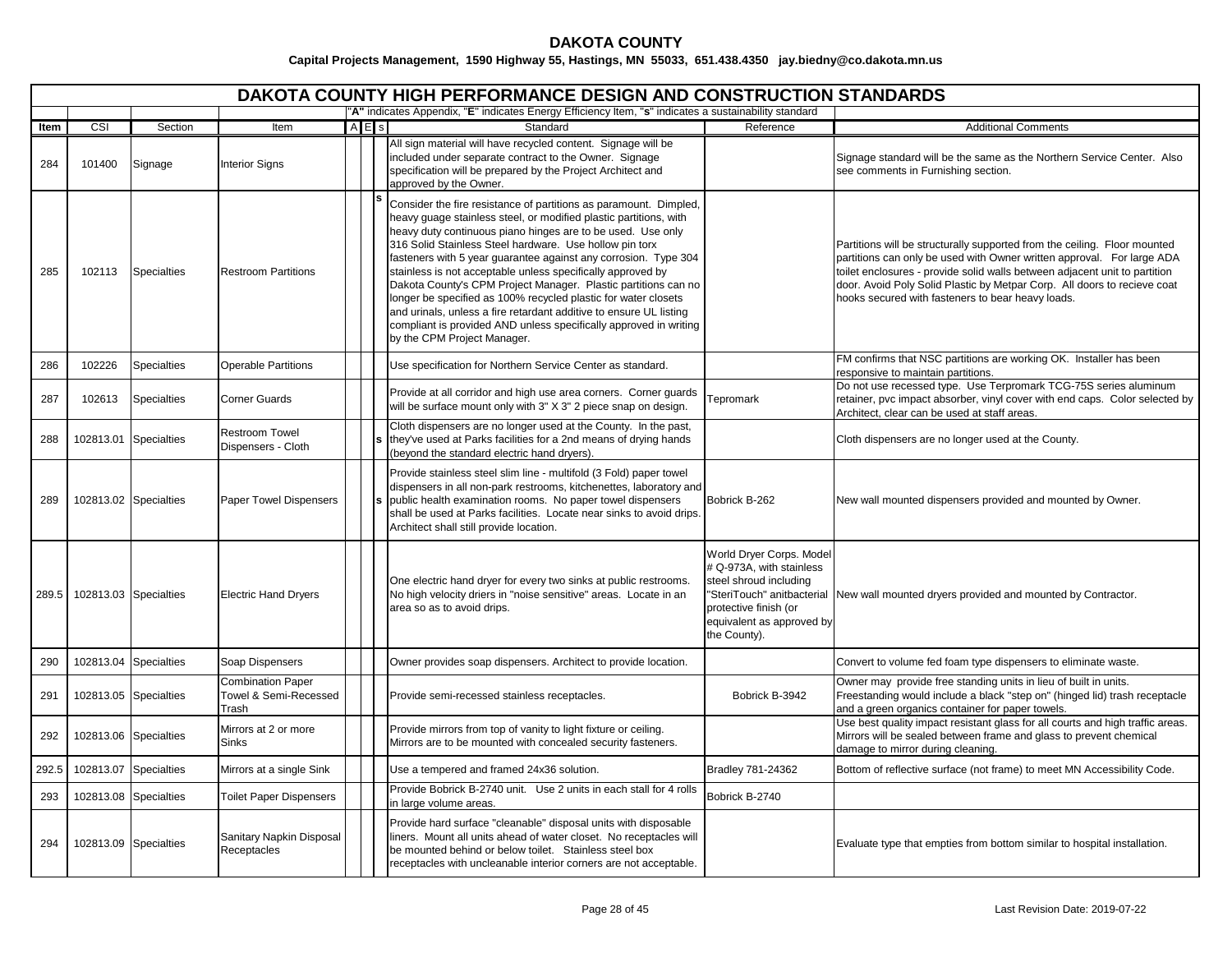|       | <b>DAKOTA COUNTY HIGH PERFORMANCE DESIGN AND CONSTRUCTION STANDARDS</b><br>"A" indicates Appendix, "E" indicates Energy Efficiency Item, "s" indicates a sustainability standard |                       |                                                            |  |           |                                                                                                                                                                                                                                                                                                                                                                                                                                                                                                                                                                                                                                                                                                                  |                                                                                                                                                      |                                                                                                                                                                                                                                                                                                                                                                    |  |  |  |  |  |
|-------|----------------------------------------------------------------------------------------------------------------------------------------------------------------------------------|-----------------------|------------------------------------------------------------|--|-----------|------------------------------------------------------------------------------------------------------------------------------------------------------------------------------------------------------------------------------------------------------------------------------------------------------------------------------------------------------------------------------------------------------------------------------------------------------------------------------------------------------------------------------------------------------------------------------------------------------------------------------------------------------------------------------------------------------------------|------------------------------------------------------------------------------------------------------------------------------------------------------|--------------------------------------------------------------------------------------------------------------------------------------------------------------------------------------------------------------------------------------------------------------------------------------------------------------------------------------------------------------------|--|--|--|--|--|
|       |                                                                                                                                                                                  |                       |                                                            |  |           |                                                                                                                                                                                                                                                                                                                                                                                                                                                                                                                                                                                                                                                                                                                  |                                                                                                                                                      |                                                                                                                                                                                                                                                                                                                                                                    |  |  |  |  |  |
| Item  | CSI                                                                                                                                                                              | Section               | Item                                                       |  | $A \nE$ s | Standard                                                                                                                                                                                                                                                                                                                                                                                                                                                                                                                                                                                                                                                                                                         | Reference                                                                                                                                            | <b>Additional Comments</b>                                                                                                                                                                                                                                                                                                                                         |  |  |  |  |  |
| 284   | 101400                                                                                                                                                                           | Signage               | <b>Interior Signs</b>                                      |  |           | All sign material will have recycled content. Signage will be<br>included under separate contract to the Owner. Signage<br>specification will be prepared by the Project Architect and<br>approved by the Owner.                                                                                                                                                                                                                                                                                                                                                                                                                                                                                                 |                                                                                                                                                      | Signage standard will be the same as the Northern Service Center. Also<br>see comments in Furnishing section.                                                                                                                                                                                                                                                      |  |  |  |  |  |
| 285   | 102113                                                                                                                                                                           | <b>Specialties</b>    | <b>Restroom Partitions</b>                                 |  |           | Consider the fire resistance of partitions as paramount. Dimpled,<br>heavy guage stainless steel, or modified plastic partitions, with<br>heavy duty continuous piano hinges are to be used. Use only<br>316 Solid Stainless Steel hardware. Use hollow pin torx<br>fasteners with 5 year guarantee against any corrosion. Type 304<br>stainless is not acceptable unless specifically approved by<br>Dakota County's CPM Project Manager. Plastic partitions can no<br>longer be specified as 100% recycled plastic for water closets<br>and urinals, unless a fire retardant additive to ensure UL listing<br>compliant is provided AND unless specifically approved in writing<br>by the CPM Project Manager. |                                                                                                                                                      | Partitions will be structurally supported from the ceiling. Floor mounted<br>partitions can only be used with Owner written approval. For large ADA<br>toilet enclosures - provide solid walls between adjacent unit to partition<br>door. Avoid Poly Solid Plastic by Metpar Corp. All doors to recieve coat<br>hooks secured with fasteners to bear heavy loads. |  |  |  |  |  |
| 286   | 102226                                                                                                                                                                           | <b>Specialties</b>    | <b>Operable Partitions</b>                                 |  |           | Use specification for Northern Service Center as standard.                                                                                                                                                                                                                                                                                                                                                                                                                                                                                                                                                                                                                                                       |                                                                                                                                                      | FM confirms that NSC partitions are working OK. Installer has been<br>responsive to maintain partitions.                                                                                                                                                                                                                                                           |  |  |  |  |  |
| 287   | 102613                                                                                                                                                                           | <b>Specialties</b>    | <b>Corner Guards</b>                                       |  |           | Provide at all corridor and high use area corners. Corner guards<br>will be surface mount only with 3" X 3" 2 piece snap on design.                                                                                                                                                                                                                                                                                                                                                                                                                                                                                                                                                                              | Tepromark                                                                                                                                            | Do not use recessed type. Use Terpromark TCG-75S series aluminum<br>retainer, pvc impact absorber, vinyl cover with end caps. Color selected by<br>Architect, clear can be used at staff areas.                                                                                                                                                                    |  |  |  |  |  |
| 288   |                                                                                                                                                                                  | 102813.01 Specialties | <b>Restroom Towel</b><br>Dispensers - Cloth                |  |           | Cloth dispensers are no longer used at the County. In the past,<br>they've used at Parks facilities for a 2nd means of drying hands<br>(beyond the standard electric hand dryers).                                                                                                                                                                                                                                                                                                                                                                                                                                                                                                                               |                                                                                                                                                      | Cloth dispensers are no longer used at the County.                                                                                                                                                                                                                                                                                                                 |  |  |  |  |  |
| 289   |                                                                                                                                                                                  | 102813.02 Specialties | Paper Towel Dispensers                                     |  |           | Provide stainless steel slim line - multifold (3 Fold) paper towel<br>dispensers in all non-park restrooms, kitchenettes, laboratory and<br>public health examination rooms. No paper towel dispensers<br>shall be used at Parks facilities. Locate near sinks to avoid drips.<br>Architect shall still provide location.                                                                                                                                                                                                                                                                                                                                                                                        | Bobrick B-262                                                                                                                                        | New wall mounted dispensers provided and mounted by Owner.                                                                                                                                                                                                                                                                                                         |  |  |  |  |  |
| 289.5 |                                                                                                                                                                                  | 102813.03 Specialties | <b>Electric Hand Dryers</b>                                |  |           | One electric hand dryer for every two sinks at public restrooms.<br>No high velocity driers in "noise sensitive" areas. Locate in an<br>area so as to avoid drips.                                                                                                                                                                                                                                                                                                                                                                                                                                                                                                                                               | World Dryer Corps. Model<br># Q-973A, with stainless<br>steel shroud including<br>protective finish (or<br>equivalent as approved by<br>the County). | "SteriTouch" anitbacterial New wall mounted dryers provided and mounted by Contractor.                                                                                                                                                                                                                                                                             |  |  |  |  |  |
| 290   |                                                                                                                                                                                  | 102813.04 Specialties | Soap Dispensers                                            |  |           | Owner provides soap dispensers. Architect to provide location.                                                                                                                                                                                                                                                                                                                                                                                                                                                                                                                                                                                                                                                   |                                                                                                                                                      | Convert to volume fed foam type dispensers to eliminate waste.                                                                                                                                                                                                                                                                                                     |  |  |  |  |  |
| 291   |                                                                                                                                                                                  | 102813.05 Specialties | <b>Combination Paper</b><br>Towel & Semi-Recessed<br>Trash |  |           | Provide semi-recessed stainless receptacles.                                                                                                                                                                                                                                                                                                                                                                                                                                                                                                                                                                                                                                                                     | Bobrick B-3942                                                                                                                                       | Owner may provide free standing units in lieu of built in units.<br>Freestanding would include a black "step on" (hinged lid) trash receptacle<br>and a green organics container for paper towels.                                                                                                                                                                 |  |  |  |  |  |
| 292   |                                                                                                                                                                                  | 102813.06 Specialties | Mirrors at 2 or more<br><b>Sinks</b>                       |  |           | Provide mirrors from top of vanity to light fixture or ceiling.<br>Mirrors are to be mounted with concealed security fasteners.                                                                                                                                                                                                                                                                                                                                                                                                                                                                                                                                                                                  |                                                                                                                                                      | Use best quality impact resistant glass for all courts and high traffic areas.<br>Mirrors will be sealed between frame and glass to prevent chemical<br>damage to mirror during cleaning.                                                                                                                                                                          |  |  |  |  |  |
| 292.5 |                                                                                                                                                                                  | 102813.07 Specialties | Mirrors at a single Sink                                   |  |           | Use a tempered and framed 24x36 solution.                                                                                                                                                                                                                                                                                                                                                                                                                                                                                                                                                                                                                                                                        | Bradley 781-24362                                                                                                                                    | Bottom of reflective surface (not frame) to meet MN Accessibility Code.                                                                                                                                                                                                                                                                                            |  |  |  |  |  |
| 293   |                                                                                                                                                                                  | 102813.08 Specialties | <b>Toilet Paper Dispensers</b>                             |  |           | Provide Bobrick B-2740 unit. Use 2 units in each stall for 4 rolls<br>in large volume areas.                                                                                                                                                                                                                                                                                                                                                                                                                                                                                                                                                                                                                     | Bobrick B-2740                                                                                                                                       |                                                                                                                                                                                                                                                                                                                                                                    |  |  |  |  |  |
| 294   |                                                                                                                                                                                  | 102813.09 Specialties | Sanitary Napkin Disposal<br>Receptacles                    |  |           | Provide hard surface "cleanable" disposal units with disposable<br>liners. Mount all units ahead of water closet. No receptacles will<br>be mounted behind or below toilet. Stainless steel box<br>receptacles with uncleanable interior corners are not acceptable.                                                                                                                                                                                                                                                                                                                                                                                                                                             |                                                                                                                                                      | Evaluate type that empties from bottom similar to hospital installation.                                                                                                                                                                                                                                                                                           |  |  |  |  |  |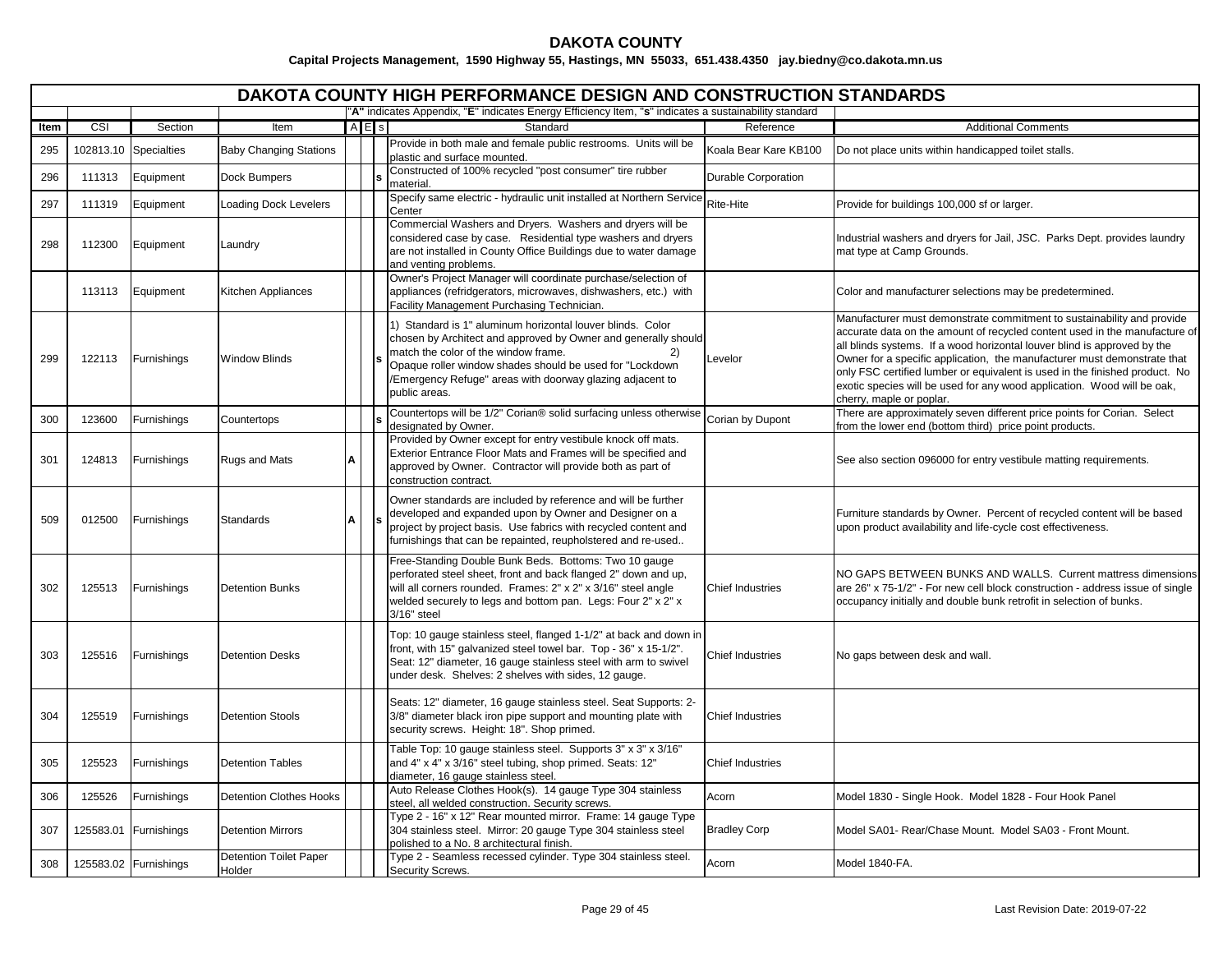|      |           |                       |                                         |   |       | DAKOTA COUNTY HIGH PERFORMANCE DESIGN AND CONSTRUCTION STANDARDS                                                                                                                                                                                                                                                     |                         |                                                                                                                                                                                                                                                                                                                                                                                                                                                                                                    |
|------|-----------|-----------------------|-----------------------------------------|---|-------|----------------------------------------------------------------------------------------------------------------------------------------------------------------------------------------------------------------------------------------------------------------------------------------------------------------------|-------------------------|----------------------------------------------------------------------------------------------------------------------------------------------------------------------------------------------------------------------------------------------------------------------------------------------------------------------------------------------------------------------------------------------------------------------------------------------------------------------------------------------------|
|      |           |                       |                                         |   |       | "A" indicates Appendix, "E" indicates Energy Efficiency Item, "s" indicates a sustainability standard                                                                                                                                                                                                                |                         |                                                                                                                                                                                                                                                                                                                                                                                                                                                                                                    |
| Item | CSI       | Section               | Item                                    |   | A E s | Standard                                                                                                                                                                                                                                                                                                             | Reference               | <b>Additional Comments</b>                                                                                                                                                                                                                                                                                                                                                                                                                                                                         |
| 295  | 102813.10 | <b>Specialties</b>    | <b>Baby Changing Stations</b>           |   |       | Provide in both male and female public restrooms. Units will be<br>plastic and surface mounted.                                                                                                                                                                                                                      | Koala Bear Kare KB100   | Do not place units within handicapped toilet stalls.                                                                                                                                                                                                                                                                                                                                                                                                                                               |
| 296  | 111313    | Equipment             | Dock Bumpers                            |   |       | Constructed of 100% recycled "post consumer" tire rubber<br>material.                                                                                                                                                                                                                                                | Durable Corporation     |                                                                                                                                                                                                                                                                                                                                                                                                                                                                                                    |
| 297  | 111319    | Equipment             | <b>Loading Dock Levelers</b>            |   |       | Specify same electric - hydraulic unit installed at Northern Service<br>Center                                                                                                                                                                                                                                       | Rite-Hite               | Provide for buildings 100,000 sf or larger.                                                                                                                                                                                                                                                                                                                                                                                                                                                        |
| 298  | 112300    | Equipment             | Laundry                                 |   |       | Commercial Washers and Dryers. Washers and dryers will be<br>considered case by case. Residential type washers and dryers<br>are not installed in County Office Buildings due to water damage<br>and venting problems.                                                                                               |                         | Industrial washers and dryers for Jail, JSC. Parks Dept. provides laundry<br>mat type at Camp Grounds.                                                                                                                                                                                                                                                                                                                                                                                             |
|      | 113113    | Equipment             | <b>Kitchen Appliances</b>               |   |       | Owner's Project Manager will coordinate purchase/selection of<br>appliances (refridgerators, microwaves, dishwashers, etc.) with<br>Facility Management Purchasing Technician.                                                                                                                                       |                         | Color and manufacturer selections may be predetermined.                                                                                                                                                                                                                                                                                                                                                                                                                                            |
| 299  | 122113    | Furnishings           | <b>Window Blinds</b>                    |   |       | 1) Standard is 1" aluminum horizontal louver blinds. Color<br>chosen by Architect and approved by Owner and generally should<br>match the color of the window frame.<br>2)<br>Opaque roller window shades should be used for "Lockdown<br>/Emergency Refuge" areas with doorway glazing adjacent to<br>public areas. | Levelor                 | Manufacturer must demonstrate commitment to sustainability and provide<br>accurate data on the amount of recycled content used in the manufacture of<br>all blinds systems. If a wood horizontal louver blind is approved by the<br>Owner for a specific application, the manufacturer must demonstrate that<br>only FSC certified lumber or equivalent is used in the finished product. No<br>exotic species will be used for any wood application. Wood will be oak,<br>cherry, maple or poplar. |
| 300  | 123600    | Furnishings           | Countertops                             |   |       | Countertops will be 1/2" Corian® solid surfacing unless otherwise<br>designated by Owner.                                                                                                                                                                                                                            | Corian by Dupont        | There are approximately seven different price points for Corian. Select<br>rom the lower end (bottom third) price point products.                                                                                                                                                                                                                                                                                                                                                                  |
| 301  | 124813    | Furnishings           | <b>Rugs and Mats</b>                    | A |       | Provided by Owner except for entry vestibule knock off mats.<br>Exterior Entrance Floor Mats and Frames will be specified and<br>approved by Owner. Contractor will provide both as part of<br>construction contract.                                                                                                |                         | See also section 096000 for entry vestibule matting requirements.                                                                                                                                                                                                                                                                                                                                                                                                                                  |
| 509  | 012500    | Furnishings           | Standards                               | Α |       | Owner standards are included by reference and will be further<br>developed and expanded upon by Owner and Designer on a<br>project by project basis. Use fabrics with recycled content and<br>furnishings that can be repainted, reupholstered and re-used                                                           |                         | Furniture standards by Owner. Percent of recycled content will be based<br>upon product availability and life-cycle cost effectiveness.                                                                                                                                                                                                                                                                                                                                                            |
| 302  | 125513    | Furnishings           | <b>Detention Bunks</b>                  |   |       | Free-Standing Double Bunk Beds. Bottoms: Two 10 gauge<br>perforated steel sheet, front and back flanged 2" down and up,<br>will all corners rounded. Frames: 2" x 2" x 3/16" steel angle<br>welded securely to legs and bottom pan. Legs: Four 2" x 2" x<br>$3/16"$ steel                                            | <b>Chief Industries</b> | NO GAPS BETWEEN BUNKS AND WALLS. Current mattress dimensions<br>are 26" x 75-1/2" - For new cell block construction - address issue of single<br>occupancy initially and double bunk retrofit in selection of bunks.                                                                                                                                                                                                                                                                               |
| 303  | 125516    | Furnishings           | <b>Detention Desks</b>                  |   |       | Top: 10 gauge stainless steel, flanged 1-1/2" at back and down in<br>front, with 15" galvanized steel towel bar. Top - 36" x 15-1/2".<br>Seat: 12" diameter, 16 gauge stainless steel with arm to swivel<br>under desk. Shelves: 2 shelves with sides, 12 gauge.                                                     | <b>Chief Industries</b> | No gaps between desk and wall.                                                                                                                                                                                                                                                                                                                                                                                                                                                                     |
| 304  | 125519    | Furnishings           | <b>Detention Stools</b>                 |   |       | Seats: 12" diameter, 16 gauge stainless steel. Seat Supports: 2-<br>3/8" diameter black iron pipe support and mounting plate with<br>security screws. Height: 18". Shop primed.                                                                                                                                      | <b>Chief Industries</b> |                                                                                                                                                                                                                                                                                                                                                                                                                                                                                                    |
| 305  | 125523    | Furnishings           | <b>Detention Tables</b>                 |   |       | Table Top: 10 gauge stainless steel. Supports 3" x 3" x 3/16"<br>and 4" x 4" x 3/16" steel tubing, shop primed. Seats: 12"<br>diameter, 16 gauge stainless steel.                                                                                                                                                    | <b>Chief Industries</b> |                                                                                                                                                                                                                                                                                                                                                                                                                                                                                                    |
| 306  | 125526    | Furnishings           | <b>Detention Clothes Hooks</b>          |   |       | Auto Release Clothes Hook(s). 14 gauge Type 304 stainless<br>steel, all welded construction. Security screws.                                                                                                                                                                                                        | Acorn                   | Model 1830 - Single Hook. Model 1828 - Four Hook Panel                                                                                                                                                                                                                                                                                                                                                                                                                                             |
| 307  | 125583.01 | Furnishings           | <b>Detention Mirrors</b>                |   |       | Type 2 - 16" x 12" Rear mounted mirror. Frame: 14 gauge Type<br>304 stainless steel. Mirror: 20 gauge Type 304 stainless steel<br>polished to a No. 8 architectural finish.                                                                                                                                          | <b>Bradley Corp</b>     | Model SA01- Rear/Chase Mount. Model SA03 - Front Mount.                                                                                                                                                                                                                                                                                                                                                                                                                                            |
| 308  |           | 125583.02 Furnishings | <b>Detention Toilet Paper</b><br>Holder |   |       | Type 2 - Seamless recessed cylinder. Type 304 stainless steel.<br>Security Screws.                                                                                                                                                                                                                                   | Acorn                   | Model 1840-FA.                                                                                                                                                                                                                                                                                                                                                                                                                                                                                     |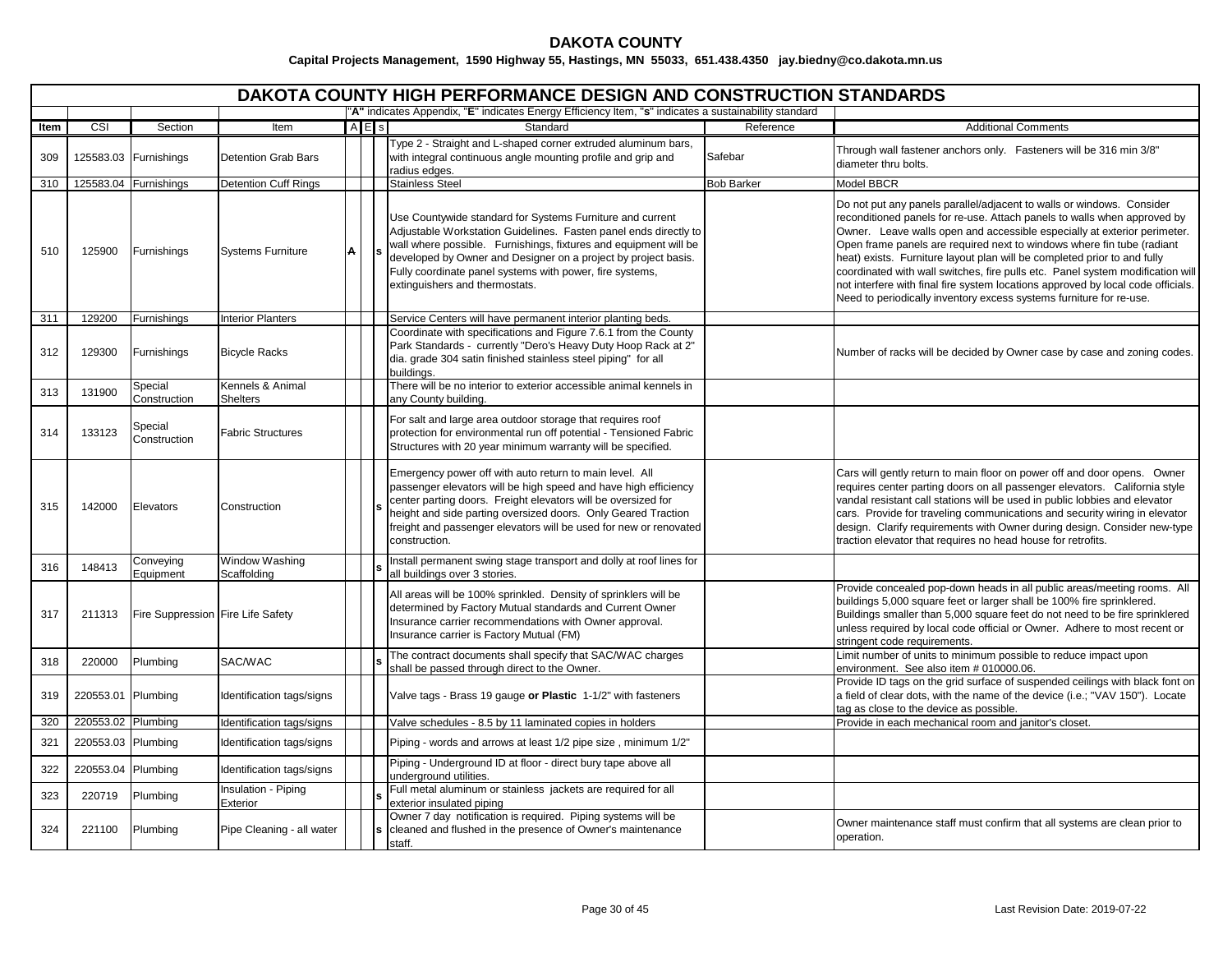|      | DAKOTA COUNTY HIGH PERFORMANCE DESIGN AND CONSTRUCTION STANDARDS |                                   |                                     |   |     |                                                                                                                                                                                                                                                                                                                                                                   |                   |                                                                                                                                                                                                                                                                                                                                                                                                                                                                                                                                                                                                                                  |  |  |  |
|------|------------------------------------------------------------------|-----------------------------------|-------------------------------------|---|-----|-------------------------------------------------------------------------------------------------------------------------------------------------------------------------------------------------------------------------------------------------------------------------------------------------------------------------------------------------------------------|-------------------|----------------------------------------------------------------------------------------------------------------------------------------------------------------------------------------------------------------------------------------------------------------------------------------------------------------------------------------------------------------------------------------------------------------------------------------------------------------------------------------------------------------------------------------------------------------------------------------------------------------------------------|--|--|--|
|      |                                                                  |                                   |                                     |   |     | "A" indicates Appendix, "E" indicates Energy Efficiency Item, "s" indicates a sustainability standard                                                                                                                                                                                                                                                             |                   |                                                                                                                                                                                                                                                                                                                                                                                                                                                                                                                                                                                                                                  |  |  |  |
| Item | CSI                                                              | Section                           | Item                                |   | AES | Standard                                                                                                                                                                                                                                                                                                                                                          | Reference         | <b>Additional Comments</b>                                                                                                                                                                                                                                                                                                                                                                                                                                                                                                                                                                                                       |  |  |  |
| 309  |                                                                  | 125583.03 Furnishings             | <b>Detention Grab Bars</b>          |   |     | Type 2 - Straight and L-shaped corner extruded aluminum bars,<br>with integral continuous angle mounting profile and grip and<br>radius edges.                                                                                                                                                                                                                    | Safebar           | Through wall fastener anchors only. Fasteners will be 316 min 3/8"<br>diameter thru bolts.                                                                                                                                                                                                                                                                                                                                                                                                                                                                                                                                       |  |  |  |
| 310  |                                                                  | 125583.04 Furnishings             | <b>Detention Cuff Rings</b>         |   |     | <b>Stainless Steel</b>                                                                                                                                                                                                                                                                                                                                            | <b>Bob Barker</b> | Model BBCR                                                                                                                                                                                                                                                                                                                                                                                                                                                                                                                                                                                                                       |  |  |  |
| 510  | 125900                                                           | Furnishings                       | <b>Systems Furniture</b>            | A |     | Use Countywide standard for Systems Furniture and current<br>Adjustable Workstation Guidelines. Fasten panel ends directly to<br>wall where possible. Furnishings, fixtures and equipment will be<br>developed by Owner and Designer on a project by project basis.<br>Fully coordinate panel systems with power, fire systems,<br>extinguishers and thermostats. |                   | Do not put any panels parallel/adjacent to walls or windows. Consider<br>reconditioned panels for re-use. Attach panels to walls when approved by<br>Owner. Leave walls open and accessible especially at exterior perimeter.<br>Open frame panels are required next to windows where fin tube (radiant<br>heat) exists. Furniture layout plan will be completed prior to and fully<br>coordinated with wall switches, fire pulls etc. Panel system modification will<br>not interfere with final fire system locations approved by local code officials.<br>Need to periodically inventory excess systems furniture for re-use. |  |  |  |
| 311  | 129200                                                           | Furnishings                       | <b>Interior Planters</b>            |   |     | Service Centers will have permanent interior planting beds.                                                                                                                                                                                                                                                                                                       |                   |                                                                                                                                                                                                                                                                                                                                                                                                                                                                                                                                                                                                                                  |  |  |  |
| 312  | 129300                                                           | Furnishings                       | <b>Bicycle Racks</b>                |   |     | Coordinate with specifications and Figure 7.6.1 from the County<br>Park Standards - currently "Dero's Heavy Duty Hoop Rack at 2"<br>dia. grade 304 satin finished stainless steel piping" for all<br>buildings.                                                                                                                                                   |                   | Number of racks will be decided by Owner case by case and zoning codes.                                                                                                                                                                                                                                                                                                                                                                                                                                                                                                                                                          |  |  |  |
| 313  | 131900                                                           | Special<br>Construction           | Kennels & Animal<br><b>Shelters</b> |   |     | There will be no interior to exterior accessible animal kennels in<br>any County building.                                                                                                                                                                                                                                                                        |                   |                                                                                                                                                                                                                                                                                                                                                                                                                                                                                                                                                                                                                                  |  |  |  |
| 314  | 133123                                                           | Special<br>Construction           | <b>Fabric Structures</b>            |   |     | For salt and large area outdoor storage that requires roof<br>protection for environmental run off potential - Tensioned Fabric<br>Structures with 20 year minimum warranty will be specified.                                                                                                                                                                    |                   |                                                                                                                                                                                                                                                                                                                                                                                                                                                                                                                                                                                                                                  |  |  |  |
| 315  | 142000                                                           | Elevators                         | Construction                        |   |     | Emergency power off with auto return to main level. All<br>passenger elevators will be high speed and have high efficiency<br>center parting doors. Freight elevators will be oversized for<br>height and side parting oversized doors. Only Geared Traction<br>freight and passenger elevators will be used for new or renovated<br>construction.                |                   | Cars will gently return to main floor on power off and door opens. Owner<br>requires center parting doors on all passenger elevators. California style<br>vandal resistant call stations will be used in public lobbies and elevator<br>cars. Provide for traveling communications and security wiring in elevator<br>design. Clarify requirements with Owner during design. Consider new-type<br>traction elevator that requires no head house for retrofits.                                                                                                                                                                   |  |  |  |
| 316  | 148413                                                           | Conveying<br>Equipment            | Window Washing<br>Scaffolding       |   |     | Install permanent swing stage transport and dolly at roof lines for<br>all buildings over 3 stories.                                                                                                                                                                                                                                                              |                   |                                                                                                                                                                                                                                                                                                                                                                                                                                                                                                                                                                                                                                  |  |  |  |
| 317  | 211313                                                           | Fire Suppression Fire Life Safety |                                     |   |     | All areas will be 100% sprinkled. Density of sprinklers will be<br>determined by Factory Mutual standards and Current Owner<br>Insurance carrier recommendations with Owner approval.<br>Insurance carrier is Factory Mutual (FM)                                                                                                                                 |                   | Provide concealed pop-down heads in all public areas/meeting rooms. All<br>buildings 5,000 square feet or larger shall be 100% fire sprinklered.<br>Buildings smaller than 5,000 square feet do not need to be fire sprinklered<br>unless required by local code official or Owner. Adhere to most recent or<br>stringent code requirements.                                                                                                                                                                                                                                                                                     |  |  |  |
| 318  | 220000                                                           | Plumbing                          | SAC/WAC                             |   |     | The contract documents shall specify that SAC/WAC charges<br>shall be passed through direct to the Owner.                                                                                                                                                                                                                                                         |                   | Limit number of units to minimum possible to reduce impact upon<br>environment. See also item # 010000.06.                                                                                                                                                                                                                                                                                                                                                                                                                                                                                                                       |  |  |  |
| 319  | 220553.01 Plumbing                                               |                                   | Identification tags/signs           |   |     | Valve tags - Brass 19 gauge or Plastic 1-1/2" with fasteners                                                                                                                                                                                                                                                                                                      |                   | Provide ID tags on the grid surface of suspended ceilings with black font on<br>a field of clear dots, with the name of the device (i.e.; "VAV 150"). Locate<br>tag as close to the device as possible.                                                                                                                                                                                                                                                                                                                                                                                                                          |  |  |  |
| 320  | 220553.02 Plumbing                                               |                                   | Identification tags/signs           |   |     | Valve schedules - 8.5 by 11 laminated copies in holders                                                                                                                                                                                                                                                                                                           |                   | Provide in each mechanical room and janitor's closet.                                                                                                                                                                                                                                                                                                                                                                                                                                                                                                                                                                            |  |  |  |
| 321  | 220553.03 Plumbing                                               |                                   | Identification tags/signs           |   |     | Piping - words and arrows at least 1/2 pipe size, minimum 1/2"                                                                                                                                                                                                                                                                                                    |                   |                                                                                                                                                                                                                                                                                                                                                                                                                                                                                                                                                                                                                                  |  |  |  |
| 322  | 220553.04 Plumbing                                               |                                   | Identification tags/signs           |   |     | Piping - Underground ID at floor - direct bury tape above all<br>underground utilities.                                                                                                                                                                                                                                                                           |                   |                                                                                                                                                                                                                                                                                                                                                                                                                                                                                                                                                                                                                                  |  |  |  |
| 323  | 220719                                                           | Plumbing                          | Insulation - Piping<br>Exterior     |   |     | Full metal aluminum or stainless jackets are required for all<br>exterior insulated piping                                                                                                                                                                                                                                                                        |                   |                                                                                                                                                                                                                                                                                                                                                                                                                                                                                                                                                                                                                                  |  |  |  |
| 324  | 221100                                                           | Plumbing                          | Pipe Cleaning - all water           |   |     | Owner 7 day notification is required. Piping systems will be<br>cleaned and flushed in the presence of Owner's maintenance<br>staff.                                                                                                                                                                                                                              |                   | Owner maintenance staff must confirm that all systems are clean prior to<br>operation.                                                                                                                                                                                                                                                                                                                                                                                                                                                                                                                                           |  |  |  |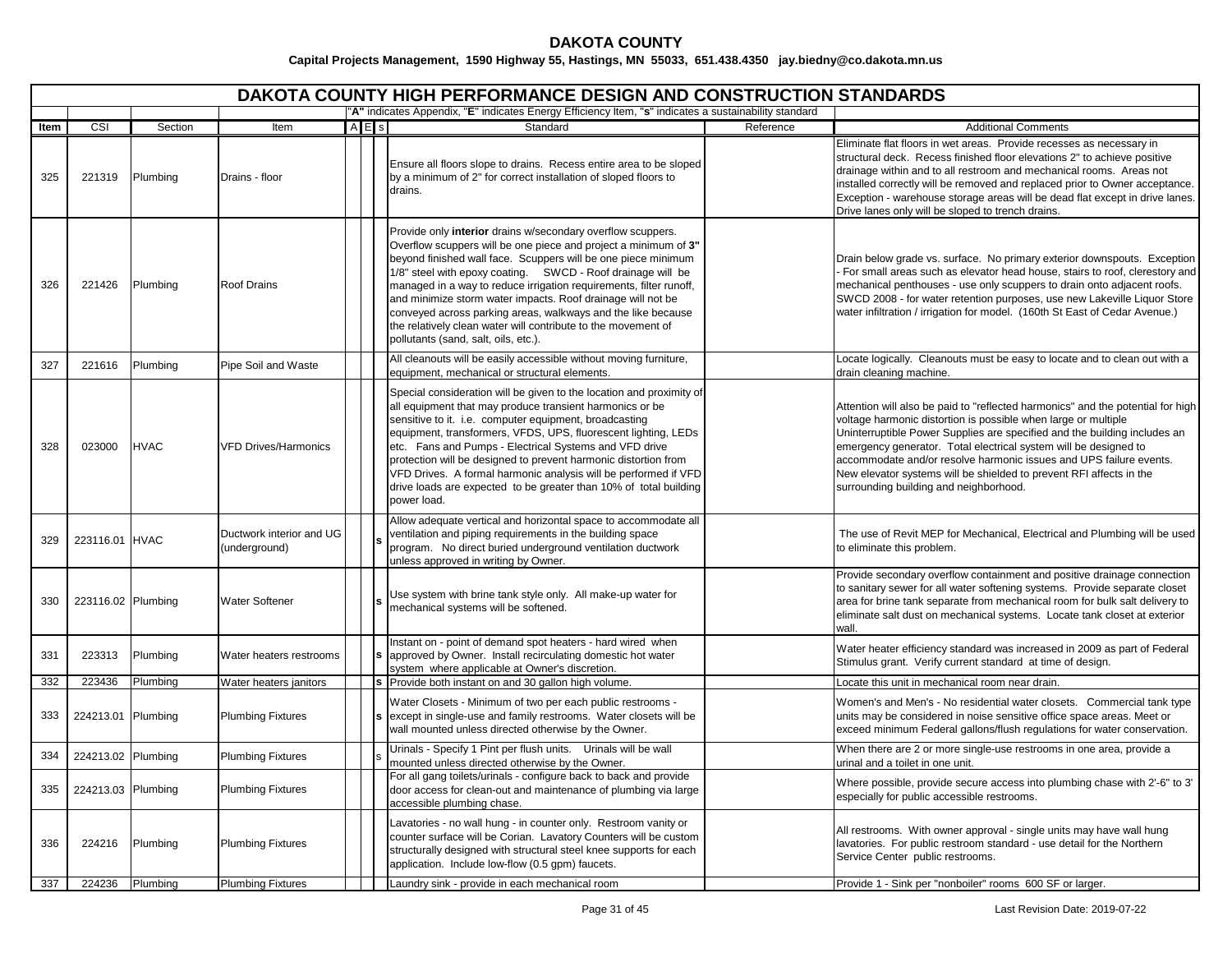|      | <b>DAKOTA COUNTY HIGH PERFORMANCE DESIGN AND CONSTRUCTION STANDARDS</b><br>"A" indicates Appendix, "E" indicates Energy Efficiency Item, "s" indicates a sustainability standard |                 |                                           |           |  |                                                                                                                                                                                                                                                                                                                                                                                                                                                                                                                                                                              |           |                                                                                                                                                                                                                                                                                                                                                                                                                                                                                           |  |  |  |  |  |
|------|----------------------------------------------------------------------------------------------------------------------------------------------------------------------------------|-----------------|-------------------------------------------|-----------|--|------------------------------------------------------------------------------------------------------------------------------------------------------------------------------------------------------------------------------------------------------------------------------------------------------------------------------------------------------------------------------------------------------------------------------------------------------------------------------------------------------------------------------------------------------------------------------|-----------|-------------------------------------------------------------------------------------------------------------------------------------------------------------------------------------------------------------------------------------------------------------------------------------------------------------------------------------------------------------------------------------------------------------------------------------------------------------------------------------------|--|--|--|--|--|
| Item | CSI                                                                                                                                                                              | Section         | Item                                      | $A$ $E$ s |  | Standard                                                                                                                                                                                                                                                                                                                                                                                                                                                                                                                                                                     | Reference | <b>Additional Comments</b>                                                                                                                                                                                                                                                                                                                                                                                                                                                                |  |  |  |  |  |
| 325  | 221319                                                                                                                                                                           | Plumbing        | Drains - floor                            |           |  | Ensure all floors slope to drains. Recess entire area to be sloped<br>by a minimum of 2" for correct installation of sloped floors to<br>drains.                                                                                                                                                                                                                                                                                                                                                                                                                             |           | Eliminate flat floors in wet areas. Provide recesses as necessary in<br>structural deck. Recess finished floor elevations 2" to achieve positive<br>drainage within and to all restroom and mechanical rooms. Areas not<br>installed correctly will be removed and replaced prior to Owner acceptance.<br>Exception - warehouse storage areas will be dead flat except in drive lanes.<br>Drive lanes only will be sloped to trench drains.                                               |  |  |  |  |  |
| 326  | 221426                                                                                                                                                                           | Plumbing        | <b>Roof Drains</b>                        |           |  | Provide only interior drains w/secondary overflow scuppers.<br>Overflow scuppers will be one piece and project a minimum of 3"<br>beyond finished wall face. Scuppers will be one piece minimum<br>1/8" steel with epoxy coating. SWCD - Roof drainage will be<br>managed in a way to reduce irrigation requirements, filter runoff,<br>and minimize storm water impacts. Roof drainage will not be<br>conveyed across parking areas, walkways and the like because<br>the relatively clean water will contribute to the movement of<br>pollutants (sand, salt, oils, etc.). |           | Drain below grade vs. surface. No primary exterior downspouts. Exception<br>For small areas such as elevator head house, stairs to roof, clerestory and<br>mechanical penthouses - use only scuppers to drain onto adjacent roofs.<br>SWCD 2008 - for water retention purposes, use new Lakeville Liquor Store<br>water infiltration / irrigation for model. (160th St East of Cedar Avenue.)                                                                                             |  |  |  |  |  |
| 327  | 221616                                                                                                                                                                           | Plumbing        | Pipe Soil and Waste                       |           |  | All cleanouts will be easily accessible without moving furniture,<br>equipment, mechanical or structural elements.                                                                                                                                                                                                                                                                                                                                                                                                                                                           |           | Locate logically. Cleanouts must be easy to locate and to clean out with a<br>drain cleaning machine.                                                                                                                                                                                                                                                                                                                                                                                     |  |  |  |  |  |
| 328  | 023000                                                                                                                                                                           | <b>HVAC</b>     | <b>VFD Drives/Harmonics</b>               |           |  | Special consideration will be given to the location and proximity of<br>all equipment that may produce transient harmonics or be<br>sensitive to it. i.e. computer equipment, broadcasting<br>equipment, transformers, VFDS, UPS, fluorescent lighting, LEDs<br>etc. Fans and Pumps - Electrical Systems and VFD drive<br>protection will be designed to prevent harmonic distortion from<br>VFD Drives. A formal harmonic analysis will be performed if VFD<br>drive loads are expected to be greater than 10% of total building<br>power load.                             |           | Attention will also be paid to "reflected harmonics" and the potential for high<br>voltage harmonic distortion is possible when large or multiple<br>Uninterruptible Power Supplies are specified and the building includes an<br>emergency generator. Total electrical system will be designed to<br>accommodate and/or resolve harmonic issues and UPS failure events.<br>New elevator systems will be shielded to prevent RFI affects in the<br>surrounding building and neighborhood. |  |  |  |  |  |
| 329  | 223116.01 HVAC                                                                                                                                                                   |                 | Ductwork interior and UG<br>(underground) |           |  | Allow adequate vertical and horizontal space to accommodate all<br>ventilation and piping requirements in the building space<br>program. No direct buried underground ventilation ductwork<br>unless approved in writing by Owner.                                                                                                                                                                                                                                                                                                                                           |           | The use of Revit MEP for Mechanical, Electrical and Plumbing will be used<br>to eliminate this problem.                                                                                                                                                                                                                                                                                                                                                                                   |  |  |  |  |  |
| 330  | 223116.02 Plumbing                                                                                                                                                               |                 | <b>Water Softener</b>                     |           |  | Use system with brine tank style only. All make-up water for<br>mechanical systems will be softened.                                                                                                                                                                                                                                                                                                                                                                                                                                                                         |           | Provide secondary overflow containment and positive drainage connection<br>to sanitary sewer for all water softening systems. Provide separate closet<br>area for brine tank separate from mechanical room for bulk salt delivery to<br>eliminate salt dust on mechanical systems. Locate tank closet at exterior<br>wall.                                                                                                                                                                |  |  |  |  |  |
| 331  | 223313                                                                                                                                                                           | Plumbing        | Water heaters restrooms                   |           |  | Instant on - point of demand spot heaters - hard wired when<br>s approved by Owner. Install recirculating domestic hot water<br>system where applicable at Owner's discretion.                                                                                                                                                                                                                                                                                                                                                                                               |           | Water heater efficiency standard was increased in 2009 as part of Federal<br>Stimulus grant. Verify current standard at time of design.                                                                                                                                                                                                                                                                                                                                                   |  |  |  |  |  |
| 332  | 223436                                                                                                                                                                           | Plumbing        | Water heaters janitors                    |           |  | s Provide both instant on and 30 gallon high volume.                                                                                                                                                                                                                                                                                                                                                                                                                                                                                                                         |           | Locate this unit in mechanical room near drain.                                                                                                                                                                                                                                                                                                                                                                                                                                           |  |  |  |  |  |
| 333  | 224213.01 Plumbing                                                                                                                                                               |                 | <b>Plumbing Fixtures</b>                  |           |  | Water Closets - Minimum of two per each public restrooms -<br>s except in single-use and family restrooms. Water closets will be<br>wall mounted unless directed otherwise by the Owner.                                                                                                                                                                                                                                                                                                                                                                                     |           | Women's and Men's - No residential water closets. Commercial tank type<br>units may be considered in noise sensitive office space areas. Meet or<br>exceed minimum Federal gallons/flush regulations for water conservation.                                                                                                                                                                                                                                                              |  |  |  |  |  |
| 334  | 224213.02 Plumbing                                                                                                                                                               |                 | <b>Plumbing Fixtures</b>                  |           |  | Urinals - Specify 1 Pint per flush units.  Urinals will be wall<br>mounted unless directed otherwise by the Owner.                                                                                                                                                                                                                                                                                                                                                                                                                                                           |           | When there are 2 or more single-use restrooms in one area, provide a<br>urinal and a toilet in one unit.                                                                                                                                                                                                                                                                                                                                                                                  |  |  |  |  |  |
| 335  | 224213.03 Plumbing                                                                                                                                                               |                 | <b>Plumbing Fixtures</b>                  |           |  | For all gang toilets/urinals - configure back to back and provide<br>door access for clean-out and maintenance of plumbing via large<br>accessible plumbing chase.                                                                                                                                                                                                                                                                                                                                                                                                           |           | Where possible, provide secure access into plumbing chase with 2'-6" to 3'<br>especially for public accessible restrooms.                                                                                                                                                                                                                                                                                                                                                                 |  |  |  |  |  |
| 336  | 224216                                                                                                                                                                           | Plumbing        | <b>Plumbing Fixtures</b>                  |           |  | Lavatories - no wall hung - in counter only. Restroom vanity or<br>counter surface will be Corian. Lavatory Counters will be custom<br>structurally designed with structural steel knee supports for each<br>application. Include low-flow (0.5 gpm) faucets.                                                                                                                                                                                                                                                                                                                |           | All restrooms. With owner approval - single units may have wall hung<br>lavatories. For public restroom standard - use detail for the Northern<br>Service Center public restrooms.                                                                                                                                                                                                                                                                                                        |  |  |  |  |  |
| 337  |                                                                                                                                                                                  | 224236 Plumbing | <b>Plumbing Fixtures</b>                  |           |  | Laundry sink - provide in each mechanical room                                                                                                                                                                                                                                                                                                                                                                                                                                                                                                                               |           | Provide 1 - Sink per "nonboiler" rooms 600 SF or larger.                                                                                                                                                                                                                                                                                                                                                                                                                                  |  |  |  |  |  |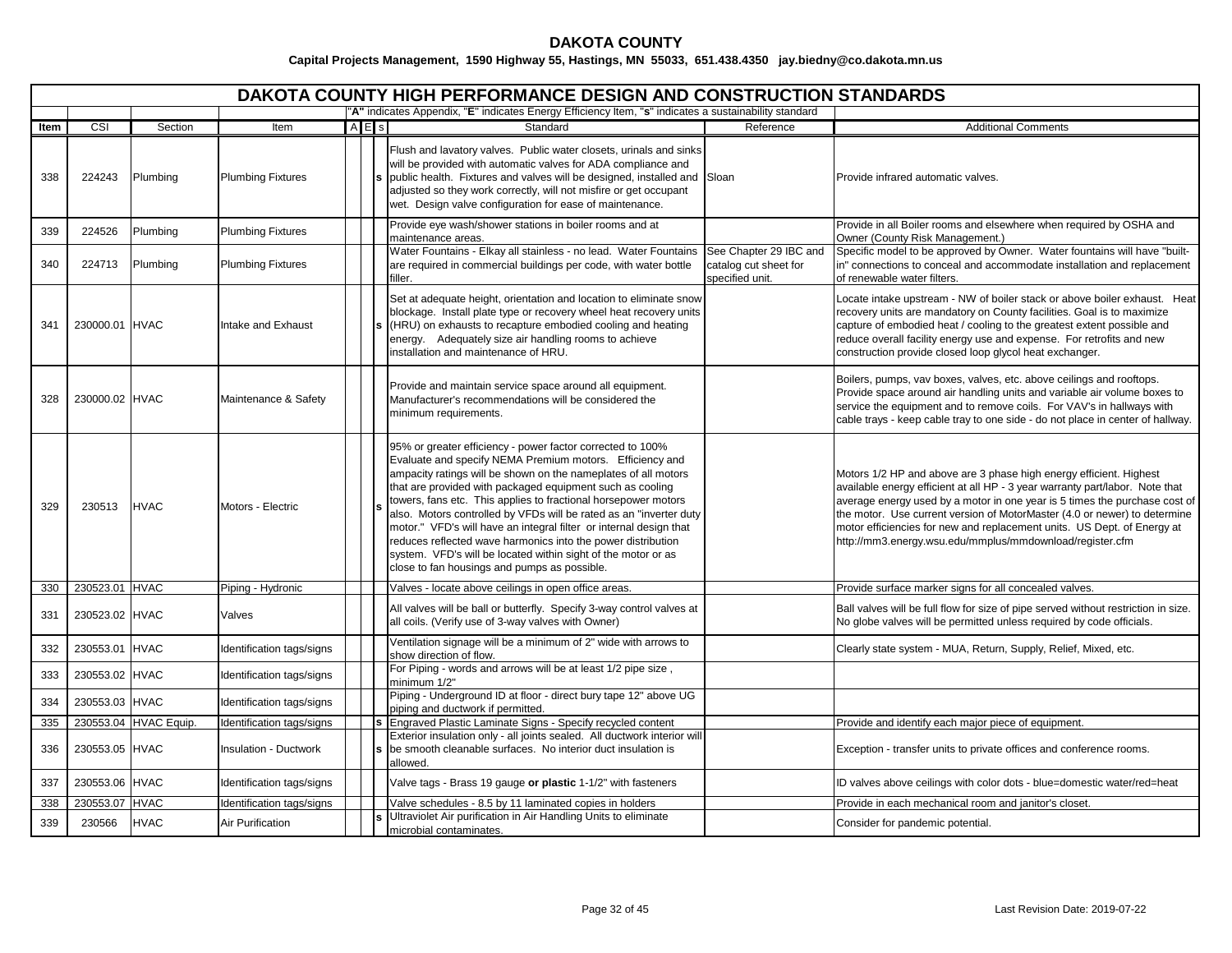|      |                |                       |                              |     | <b>DAKOTA COUNTY HIGH PERFORMANCE DESIGN AND CONSTRUCTION STANDARDS</b>                                                                                                                                                                                                                                                                                                                                                                                                                                                                                                                                                                              |                                                                    |                                                                                                                                                                                                                                                                                                                                                                                                                                                      |
|------|----------------|-----------------------|------------------------------|-----|------------------------------------------------------------------------------------------------------------------------------------------------------------------------------------------------------------------------------------------------------------------------------------------------------------------------------------------------------------------------------------------------------------------------------------------------------------------------------------------------------------------------------------------------------------------------------------------------------------------------------------------------------|--------------------------------------------------------------------|------------------------------------------------------------------------------------------------------------------------------------------------------------------------------------------------------------------------------------------------------------------------------------------------------------------------------------------------------------------------------------------------------------------------------------------------------|
|      |                |                       |                              |     | "A" indicates Appendix, "E" indicates Energy Efficiency Item, "s" indicates a sustainability standard                                                                                                                                                                                                                                                                                                                                                                                                                                                                                                                                                |                                                                    |                                                                                                                                                                                                                                                                                                                                                                                                                                                      |
| Item | CSI            | Section               | Item                         | AES | Standard                                                                                                                                                                                                                                                                                                                                                                                                                                                                                                                                                                                                                                             | Reference                                                          | <b>Additional Comments</b>                                                                                                                                                                                                                                                                                                                                                                                                                           |
| 338  | 224243         | Plumbing              | <b>Plumbing Fixtures</b>     |     | Flush and lavatory valves. Public water closets, urinals and sinks<br>will be provided with automatic valves for ADA compliance and<br>public health. Fixtures and valves will be designed, installed and Sloan<br>adjusted so they work correctly, will not misfire or get occupant<br>wet. Design valve configuration for ease of maintenance.                                                                                                                                                                                                                                                                                                     |                                                                    | Provide infrared automatic valves.                                                                                                                                                                                                                                                                                                                                                                                                                   |
| 339  | 224526         | Plumbing              | <b>Plumbing Fixtures</b>     |     | Provide eye wash/shower stations in boiler rooms and at<br>maintenance areas.                                                                                                                                                                                                                                                                                                                                                                                                                                                                                                                                                                        |                                                                    | Provide in all Boiler rooms and elsewhere when required by OSHA and<br>Owner (County Risk Management.)                                                                                                                                                                                                                                                                                                                                               |
| 340  | 224713         | Plumbing              | <b>Plumbing Fixtures</b>     |     | Water Fountains - Elkay all stainless - no lead. Water Fountains<br>are required in commercial buildings per code, with water bottle<br>filler.                                                                                                                                                                                                                                                                                                                                                                                                                                                                                                      | See Chapter 29 IBC and<br>catalog cut sheet for<br>specified unit. | Specific model to be approved by Owner. Water fountains will have "built-<br>in" connections to conceal and accommodate installation and replacement<br>of renewable water filters.                                                                                                                                                                                                                                                                  |
| 341  | 230000.01 HVAC |                       | Intake and Exhaust           |     | Set at adequate height, orientation and location to eliminate snow<br>blockage. Install plate type or recovery wheel heat recovery units<br>(HRU) on exhausts to recapture embodied cooling and heating<br>energy. Adequately size air handling rooms to achieve<br>installation and maintenance of HRU.                                                                                                                                                                                                                                                                                                                                             |                                                                    | Locate intake upstream - NW of boiler stack or above boiler exhaust. Heat<br>recovery units are mandatory on County facilities. Goal is to maximize<br>capture of embodied heat / cooling to the greatest extent possible and<br>reduce overall facility energy use and expense. For retrofits and new<br>construction provide closed loop glycol heat exchanger.                                                                                    |
| 328  | 230000.02 HVAC |                       | Maintenance & Safety         |     | Provide and maintain service space around all equipment.<br>Manufacturer's recommendations will be considered the<br>minimum requirements.                                                                                                                                                                                                                                                                                                                                                                                                                                                                                                           |                                                                    | Boilers, pumps, vav boxes, valves, etc. above ceilings and rooftops.<br>Provide space around air handling units and variable air volume boxes to<br>service the equipment and to remove coils. For VAV's in hallways with<br>cable trays - keep cable tray to one side - do not place in center of hallway.                                                                                                                                          |
| 329  | 230513         | <b>HVAC</b>           | Motors - Electric            |     | 95% or greater efficiency - power factor corrected to 100%<br>Evaluate and specify NEMA Premium motors. Efficiency and<br>ampacity ratings will be shown on the nameplates of all motors<br>that are provided with packaged equipment such as cooling<br>towers, fans etc. This applies to fractional horsepower motors<br>also. Motors controlled by VFDs will be rated as an "inverter duty<br>motor." VFD's will have an integral filter or internal design that<br>reduces reflected wave harmonics into the power distribution<br>system. VFD's will be located within sight of the motor or as<br>close to fan housings and pumps as possible. |                                                                    | Motors 1/2 HP and above are 3 phase high energy efficient. Highest<br>available energy efficient at all HP - 3 year warranty part/labor. Note that<br>average energy used by a motor in one year is 5 times the purchase cost of<br>the motor. Use current version of MotorMaster (4.0 or newer) to determine<br>motor efficiencies for new and replacement units. US Dept. of Energy at<br>http://mm3.energy.wsu.edu/mmplus/mmdownload/register.cfm |
| 330  | 230523.01 HVAC |                       | Piping - Hydronic            |     | Valves - locate above ceilings in open office areas.                                                                                                                                                                                                                                                                                                                                                                                                                                                                                                                                                                                                 |                                                                    | Provide surface marker signs for all concealed valves.                                                                                                                                                                                                                                                                                                                                                                                               |
| 331  | 230523.02 HVAC |                       | Valves                       |     | All valves will be ball or butterfly. Specify 3-way control valves at<br>all coils. (Verify use of 3-way valves with Owner)                                                                                                                                                                                                                                                                                                                                                                                                                                                                                                                          |                                                                    | Ball valves will be full flow for size of pipe served without restriction in size.<br>No globe valves will be permitted unless required by code officials.                                                                                                                                                                                                                                                                                           |
| 332  | 230553.01 HVAC |                       | Identification tags/signs    |     | Ventilation signage will be a minimum of 2" wide with arrows to<br>show direction of flow.                                                                                                                                                                                                                                                                                                                                                                                                                                                                                                                                                           |                                                                    | Clearly state system - MUA, Return, Supply, Relief, Mixed, etc.                                                                                                                                                                                                                                                                                                                                                                                      |
| 333  | 230553.02 HVAC |                       | Identification tags/signs    |     | For Piping - words and arrows will be at least 1/2 pipe size,<br>minimum 1/2"                                                                                                                                                                                                                                                                                                                                                                                                                                                                                                                                                                        |                                                                    |                                                                                                                                                                                                                                                                                                                                                                                                                                                      |
| 334  | 230553.03 HVAC |                       | Identification tags/signs    |     | Piping - Underground ID at floor - direct bury tape 12" above UG<br>piping and ductwork if permitted.                                                                                                                                                                                                                                                                                                                                                                                                                                                                                                                                                |                                                                    |                                                                                                                                                                                                                                                                                                                                                                                                                                                      |
| 335  |                | 230553.04 HVAC Equip. | Identification tags/signs    |     | Engraved Plastic Laminate Signs - Specify recycled content                                                                                                                                                                                                                                                                                                                                                                                                                                                                                                                                                                                           |                                                                    | Provide and identify each major piece of equipment.                                                                                                                                                                                                                                                                                                                                                                                                  |
| 336  | 230553.05 HVAC |                       | <b>Insulation - Ductwork</b> |     | Exterior insulation only - all joints sealed. All ductwork interior will<br>be smooth cleanable surfaces. No interior duct insulation is<br>allowed.                                                                                                                                                                                                                                                                                                                                                                                                                                                                                                 |                                                                    | Exception - transfer units to private offices and conference rooms.                                                                                                                                                                                                                                                                                                                                                                                  |
| 337  | 230553.06 HVAC |                       | Identification tags/signs    |     | Valve tags - Brass 19 gauge or plastic 1-1/2" with fasteners                                                                                                                                                                                                                                                                                                                                                                                                                                                                                                                                                                                         |                                                                    | ID valves above ceilings with color dots - blue=domestic water/red=heat                                                                                                                                                                                                                                                                                                                                                                              |
| 338  | 230553.07 HVAC |                       | Identification tags/signs    |     | Valve schedules - 8.5 by 11 laminated copies in holders                                                                                                                                                                                                                                                                                                                                                                                                                                                                                                                                                                                              |                                                                    | Provide in each mechanical room and janitor's closet.                                                                                                                                                                                                                                                                                                                                                                                                |
| 339  | 230566         | <b>HVAC</b>           | Air Purification             |     | <b>s</b> Ultraviolet Air purification in Air Handling Units to eliminate<br>microbial contaminates.                                                                                                                                                                                                                                                                                                                                                                                                                                                                                                                                                  |                                                                    | Consider for pandemic potential.                                                                                                                                                                                                                                                                                                                                                                                                                     |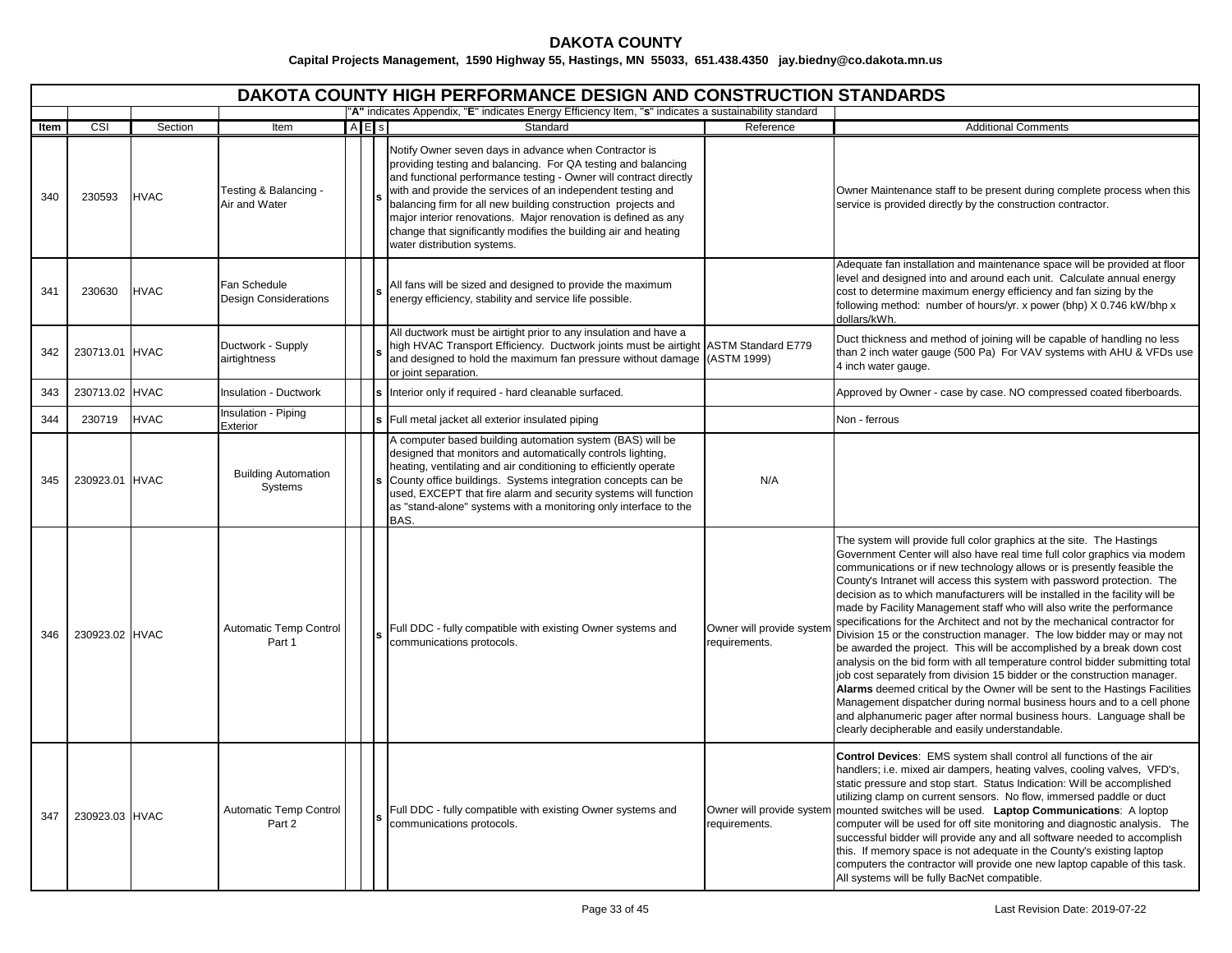# **DAKOTA COUNTY**

|      |                |             |                                              |         | DAKOTA COUNTY HIGH PERFORMANCE DESIGN AND CONSTRUCTION STANDARDS                                                                                                                                                                                                                                                                                                                                                                                                                                |                                            |                                                                                                                                                                                                                                                                                                                                                                                                                                                                                                                                                                                                                                                                                                                                                                                                                                                                                                                                                                                                                                                                                                                                                     |
|------|----------------|-------------|----------------------------------------------|---------|-------------------------------------------------------------------------------------------------------------------------------------------------------------------------------------------------------------------------------------------------------------------------------------------------------------------------------------------------------------------------------------------------------------------------------------------------------------------------------------------------|--------------------------------------------|-----------------------------------------------------------------------------------------------------------------------------------------------------------------------------------------------------------------------------------------------------------------------------------------------------------------------------------------------------------------------------------------------------------------------------------------------------------------------------------------------------------------------------------------------------------------------------------------------------------------------------------------------------------------------------------------------------------------------------------------------------------------------------------------------------------------------------------------------------------------------------------------------------------------------------------------------------------------------------------------------------------------------------------------------------------------------------------------------------------------------------------------------------|
| Item | CSI            | Section     | Item                                         | $A E$ s | "A" indicates Appendix, "E" indicates Energy Efficiency Item, "s" indicates a sustainability standard<br>Standard                                                                                                                                                                                                                                                                                                                                                                               | Reference                                  | <b>Additional Comments</b>                                                                                                                                                                                                                                                                                                                                                                                                                                                                                                                                                                                                                                                                                                                                                                                                                                                                                                                                                                                                                                                                                                                          |
| 340  | 230593         | <b>HVAC</b> | Testing & Balancing -<br>Air and Water       |         | Notify Owner seven days in advance when Contractor is<br>providing testing and balancing. For QA testing and balancing<br>and functional performance testing - Owner will contract directly<br>with and provide the services of an independent testing and<br>balancing firm for all new building construction projects and<br>major interior renovations. Major renovation is defined as any<br>change that significantly modifies the building air and heating<br>water distribution systems. |                                            | Owner Maintenance staff to be present during complete process when this<br>service is provided directly by the construction contractor.                                                                                                                                                                                                                                                                                                                                                                                                                                                                                                                                                                                                                                                                                                                                                                                                                                                                                                                                                                                                             |
| 341  | 230630         | <b>HVAC</b> | Fan Schedule<br><b>Design Considerations</b> |         | All fans will be sized and designed to provide the maximum<br>energy efficiency, stability and service life possible.                                                                                                                                                                                                                                                                                                                                                                           |                                            | Adequate fan installation and maintenance space will be provided at floor<br>level and designed into and around each unit. Calculate annual energy<br>cost to determine maximum energy efficiency and fan sizing by the<br>following method: number of hours/yr. x power (bhp) X 0.746 kW/bhp x<br>dollars/kWh.                                                                                                                                                                                                                                                                                                                                                                                                                                                                                                                                                                                                                                                                                                                                                                                                                                     |
| 342  | 230713.01 HVAC |             | Ductwork - Supply<br>airtightness            |         | All ductwork must be airtight prior to any insulation and have a<br>high HVAC Transport Efficiency. Ductwork joints must be airtight ASTM Standard E779<br>and designed to hold the maximum fan pressure without damage<br>or joint separation.                                                                                                                                                                                                                                                 | (ASTM 1999)                                | Duct thickness and method of joining will be capable of handling no less<br>than 2 inch water gauge (500 Pa) For VAV systems with AHU & VFDs use<br>4 inch water gauge.                                                                                                                                                                                                                                                                                                                                                                                                                                                                                                                                                                                                                                                                                                                                                                                                                                                                                                                                                                             |
| 343  | 230713.02 HVAC |             | <b>Insulation - Ductwork</b>                 |         | Interior only if required - hard cleanable surfaced.                                                                                                                                                                                                                                                                                                                                                                                                                                            |                                            | Approved by Owner - case by case. NO compressed coated fiberboards.                                                                                                                                                                                                                                                                                                                                                                                                                                                                                                                                                                                                                                                                                                                                                                                                                                                                                                                                                                                                                                                                                 |
| 344  | 230719         | <b>HVAC</b> | Insulation - Piping<br>Exterior              |         | Full metal jacket all exterior insulated piping                                                                                                                                                                                                                                                                                                                                                                                                                                                 |                                            | Non - ferrous                                                                                                                                                                                                                                                                                                                                                                                                                                                                                                                                                                                                                                                                                                                                                                                                                                                                                                                                                                                                                                                                                                                                       |
| 345  | 230923.01 HVAC |             | <b>Building Automation</b><br>Systems        |         | A computer based building automation system (BAS) will be<br>designed that monitors and automatically controls lighting,<br>heating, ventilating and air conditioning to efficiently operate<br>County office buildings. Systems integration concepts can be<br>used, EXCEPT that fire alarm and security systems will function<br>as "stand-alone" systems with a monitoring only interface to the<br>BAS.                                                                                     | N/A                                        |                                                                                                                                                                                                                                                                                                                                                                                                                                                                                                                                                                                                                                                                                                                                                                                                                                                                                                                                                                                                                                                                                                                                                     |
| 346  | 230923.02 HVAC |             | Automatic Temp Control<br>Part 1             |         | Full DDC - fully compatible with existing Owner systems and<br>communications protocols.                                                                                                                                                                                                                                                                                                                                                                                                        | Owner will provide system<br>requirements. | The system will provide full color graphics at the site. The Hastings<br>Government Center will also have real time full color graphics via modem<br>communications or if new technology allows or is presently feasible the<br>County's Intranet will access this system with password protection. The<br>decision as to which manufacturers will be installed in the facility will be<br>made by Facility Management staff who will also write the performance<br>specifications for the Architect and not by the mechanical contractor for<br>Division 15 or the construction manager. The low bidder may or may not<br>be awarded the project. This will be accomplished by a break down cost<br>analysis on the bid form with all temperature control bidder submitting total<br>job cost separately from division 15 bidder or the construction manager.<br>Alarms deemed critical by the Owner will be sent to the Hastings Facilities<br>Management dispatcher during normal business hours and to a cell phone<br>and alphanumeric pager after normal business hours. Language shall be<br>clearly decipherable and easily understandable. |
| 347  | 230923.03 HVAC |             | Automatic Temp Control<br>Part 2             |         | Full DDC - fully compatible with existing Owner systems and<br>communications protocols.                                                                                                                                                                                                                                                                                                                                                                                                        | Owner will provide system<br>requirements. | Control Devices: EMS system shall control all functions of the air<br>handlers; i.e. mixed air dampers, heating valves, cooling valves, VFD's,<br>static pressure and stop start. Status Indication: Will be accomplished<br>utilizing clamp on current sensors. No flow, immersed paddle or duct<br>mounted switches will be used. Laptop Communications: A loptop<br>computer will be used for off site monitoring and diagnostic analysis. The<br>successful bidder will provide any and all software needed to accomplish<br>this. If memory space is not adequate in the County's existing laptop<br>computers the contractor will provide one new laptop capable of this task.<br>All systems will be fully BacNet compatible.                                                                                                                                                                                                                                                                                                                                                                                                                |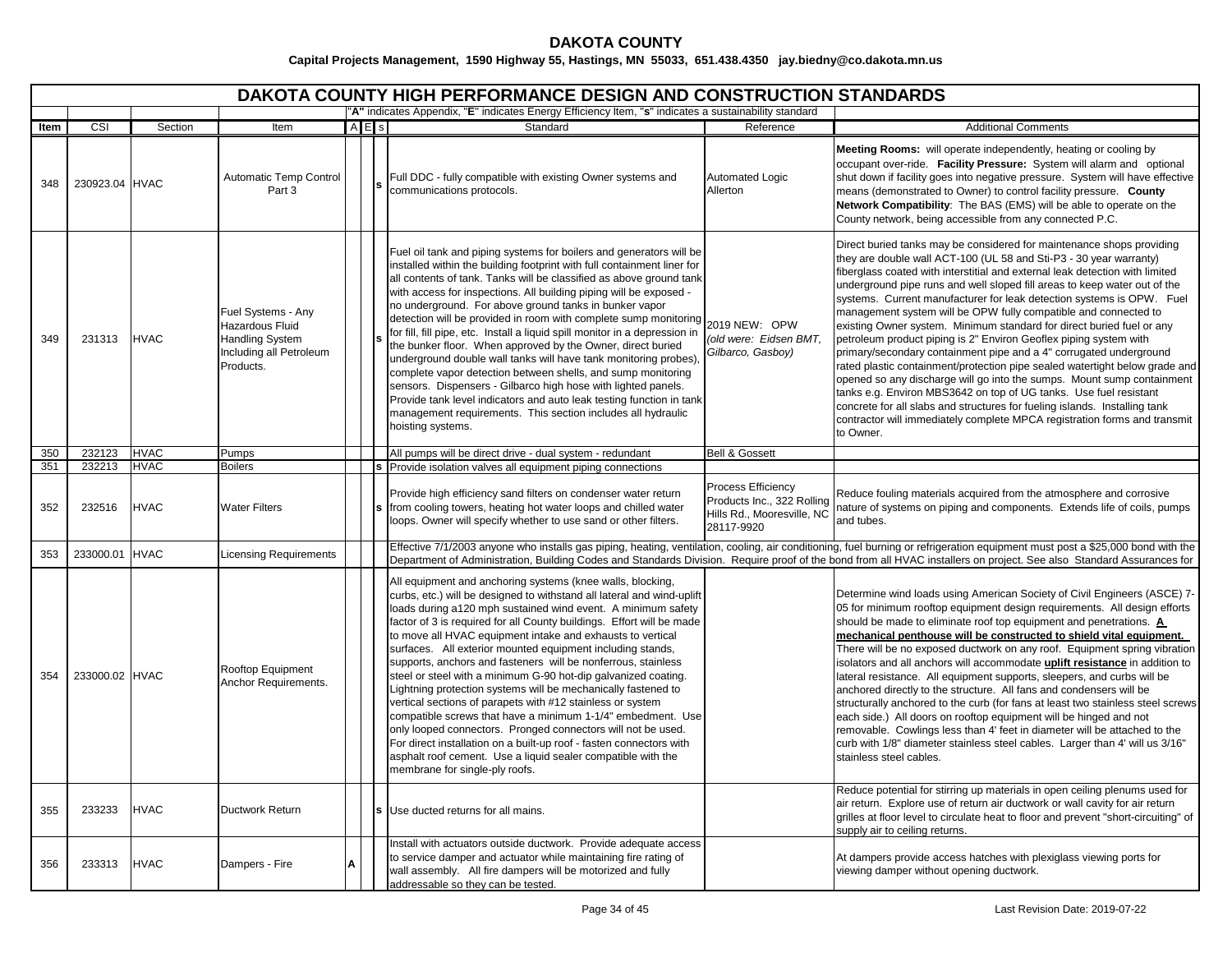|      | <b>DAKOTA COUNTY HIGH PERFORMANCE DESIGN AND CONSTRUCTION STANDARDS</b> |             |                                                                                                         |   |           |                                                                                                                                                                                                                                                                                                                                                                                                                                                                                                                                                                                                                                                                                                                                                                                                                                                                                                                                                                                     |                                                                                              |                                                                                                                                                                                                                                                                                                                                                                                                                                                                                                                                                                                                                                                                                                                                                                                                                                                                                                                                                                                                                                                                                |  |  |  |  |
|------|-------------------------------------------------------------------------|-------------|---------------------------------------------------------------------------------------------------------|---|-----------|-------------------------------------------------------------------------------------------------------------------------------------------------------------------------------------------------------------------------------------------------------------------------------------------------------------------------------------------------------------------------------------------------------------------------------------------------------------------------------------------------------------------------------------------------------------------------------------------------------------------------------------------------------------------------------------------------------------------------------------------------------------------------------------------------------------------------------------------------------------------------------------------------------------------------------------------------------------------------------------|----------------------------------------------------------------------------------------------|--------------------------------------------------------------------------------------------------------------------------------------------------------------------------------------------------------------------------------------------------------------------------------------------------------------------------------------------------------------------------------------------------------------------------------------------------------------------------------------------------------------------------------------------------------------------------------------------------------------------------------------------------------------------------------------------------------------------------------------------------------------------------------------------------------------------------------------------------------------------------------------------------------------------------------------------------------------------------------------------------------------------------------------------------------------------------------|--|--|--|--|
|      |                                                                         |             |                                                                                                         |   |           | "A" indicates Appendix, "E" indicates Energy Efficiency Item, "s" indicates a sustainability standard                                                                                                                                                                                                                                                                                                                                                                                                                                                                                                                                                                                                                                                                                                                                                                                                                                                                               |                                                                                              |                                                                                                                                                                                                                                                                                                                                                                                                                                                                                                                                                                                                                                                                                                                                                                                                                                                                                                                                                                                                                                                                                |  |  |  |  |
| Item | CSI                                                                     | Section     | Item                                                                                                    |   | $A \nE$ s | Standard                                                                                                                                                                                                                                                                                                                                                                                                                                                                                                                                                                                                                                                                                                                                                                                                                                                                                                                                                                            | Reference                                                                                    | <b>Additional Comments</b>                                                                                                                                                                                                                                                                                                                                                                                                                                                                                                                                                                                                                                                                                                                                                                                                                                                                                                                                                                                                                                                     |  |  |  |  |
| 348  | 230923.04 HVAC                                                          |             | Automatic Temp Control<br>Part 3                                                                        |   |           | Full DDC - fully compatible with existing Owner systems and<br>communications protocols.                                                                                                                                                                                                                                                                                                                                                                                                                                                                                                                                                                                                                                                                                                                                                                                                                                                                                            | Automated Logic<br>Allerton                                                                  | Meeting Rooms: will operate independently, heating or cooling by<br>occupant over-ride. Facility Pressure: System will alarm and optional<br>shut down if facility goes into negative pressure. System will have effective<br>means (demonstrated to Owner) to control facility pressure. County<br>Network Compatibility: The BAS (EMS) will be able to operate on the<br>County network, being accessible from any connected P.C.                                                                                                                                                                                                                                                                                                                                                                                                                                                                                                                                                                                                                                            |  |  |  |  |
| 349  | 231313                                                                  | <b>HVAC</b> | Fuel Systems - Any<br>Hazardous Fluid<br><b>Handling System</b><br>Including all Petroleum<br>Products. |   |           | Fuel oil tank and piping systems for boilers and generators will be<br>installed within the building footprint with full containment liner for<br>all contents of tank. Tanks will be classified as above ground tank<br>with access for inspections. All building piping will be exposed -<br>no underground. For above ground tanks in bunker vapor<br>detection will be provided in room with complete sump monitoring<br>for fill, fill pipe, etc. Install a liquid spill monitor in a depression in<br>the bunker floor. When approved by the Owner, direct buried<br>underground double wall tanks will have tank monitoring probes),<br>complete vapor detection between shells, and sump monitoring<br>sensors. Dispensers - Gilbarco high hose with lighted panels.<br>Provide tank level indicators and auto leak testing function in tank<br>management requirements. This section includes all hydraulic<br>hoisting systems.                                           | 2019 NEW: OPW<br>(old were: Eidsen BMT,<br>Gilbarco, Gasboy)                                 | Direct buried tanks may be considered for maintenance shops providing<br>they are double wall ACT-100 (UL 58 and Sti-P3 - 30 year warranty)<br>fiberglass coated with interstitial and external leak detection with limited<br>underground pipe runs and well sloped fill areas to keep water out of the<br>systems. Current manufacturer for leak detection systems is OPW. Fuel<br>management system will be OPW fully compatible and connected to<br>existing Owner system. Minimum standard for direct buried fuel or any<br>petroleum product piping is 2" Environ Geoflex piping system with<br>primary/secondary containment pipe and a 4" corrugated underground<br>rated plastic containment/protection pipe sealed watertight below grade and<br>opened so any discharge will go into the sumps. Mount sump containment<br>tanks e.g. Environ MBS3642 on top of UG tanks. Use fuel resistant<br>concrete for all slabs and structures for fueling islands. Installing tank<br>contractor will immediately complete MPCA registration forms and transmit<br>to Owner. |  |  |  |  |
| 350  | 232123                                                                  | <b>HVAC</b> | Pumps                                                                                                   |   |           | All pumps will be direct drive - dual system - redundant                                                                                                                                                                                                                                                                                                                                                                                                                                                                                                                                                                                                                                                                                                                                                                                                                                                                                                                            | <b>Bell &amp; Gossett</b>                                                                    |                                                                                                                                                                                                                                                                                                                                                                                                                                                                                                                                                                                                                                                                                                                                                                                                                                                                                                                                                                                                                                                                                |  |  |  |  |
| 351  | 232213                                                                  | <b>HVAC</b> | <b>Boilers</b>                                                                                          |   |           | Provide isolation valves all equipment piping connections                                                                                                                                                                                                                                                                                                                                                                                                                                                                                                                                                                                                                                                                                                                                                                                                                                                                                                                           |                                                                                              |                                                                                                                                                                                                                                                                                                                                                                                                                                                                                                                                                                                                                                                                                                                                                                                                                                                                                                                                                                                                                                                                                |  |  |  |  |
| 352  | 232516                                                                  | <b>HVAC</b> | <b>Water Filters</b>                                                                                    |   |           | Provide high efficiency sand filters on condenser water return<br>from cooling towers, heating hot water loops and chilled water<br>loops. Owner will specify whether to use sand or other filters.                                                                                                                                                                                                                                                                                                                                                                                                                                                                                                                                                                                                                                                                                                                                                                                 | Process Efficiency<br>Products Inc., 322 Rolling<br>Hills Rd., Mooresville, NC<br>28117-9920 | Reduce fouling materials acquired from the atmosphere and corrosive<br>nature of systems on piping and components. Extends life of coils, pumps<br>and tubes.                                                                                                                                                                                                                                                                                                                                                                                                                                                                                                                                                                                                                                                                                                                                                                                                                                                                                                                  |  |  |  |  |
| 353  | 233000.01                                                               | <b>HVAC</b> | Licensing Requirements                                                                                  |   |           |                                                                                                                                                                                                                                                                                                                                                                                                                                                                                                                                                                                                                                                                                                                                                                                                                                                                                                                                                                                     |                                                                                              | Effective 7/1/2003 anyone who installs gas piping, heating, ventilation, cooling, air conditioning, fuel burning or refrigeration equipment must post a \$25,000 bond with the<br>Department of Administration, Building Codes and Standards Division. Require proof of the bond from all HVAC installers on project. See also Standard Assurances for                                                                                                                                                                                                                                                                                                                                                                                                                                                                                                                                                                                                                                                                                                                         |  |  |  |  |
| 354  | 233000.02 HVAC                                                          |             | Rooftop Equipment<br>Anchor Requirements.                                                               |   |           | All equipment and anchoring systems (knee walls, blocking,<br>curbs, etc.) will be designed to withstand all lateral and wind-uplift<br>loads during a120 mph sustained wind event. A minimum safety<br>factor of 3 is required for all County buildings. Effort will be made<br>to move all HVAC equipment intake and exhausts to vertical<br>surfaces. All exterior mounted equipment including stands,<br>supports, anchors and fasteners will be nonferrous, stainless<br>steel or steel with a minimum G-90 hot-dip galvanized coating.<br>Lightning protection systems will be mechanically fastened to<br>vertical sections of parapets with #12 stainless or system<br>compatible screws that have a minimum 1-1/4" embedment. Use<br>only looped connectors. Pronged connectors will not be used.<br>For direct installation on a built-up roof - fasten connectors with<br>asphalt roof cement. Use a liquid sealer compatible with the<br>membrane for single-ply roofs. |                                                                                              | Determine wind loads using American Society of Civil Engineers (ASCE) 7-<br>05 for minimum rooftop equipment design requirements. All design efforts<br>should be made to eliminate roof top equipment and penetrations. A<br>mechanical penthouse will be constructed to shield vital equipment.<br>There will be no exposed ductwork on any roof. Equipment spring vibration<br>isolators and all anchors will accommodate uplift resistance in addition to<br>lateral resistance. All equipment supports, sleepers, and curbs will be<br>anchored directly to the structure. All fans and condensers will be<br>structurally anchored to the curb (for fans at least two stainless steel screws<br>each side.) All doors on rooftop equipment will be hinged and not<br>removable. Cowlings less than 4' feet in diameter will be attached to the<br>curb with 1/8" diameter stainless steel cables. Larger than 4' will us 3/16"<br>stainless steel cables.<br>Reduce potential for stirring up materials in open ceiling plenums used for                                 |  |  |  |  |
| 355  | 233233                                                                  | <b>HVAC</b> | <b>Ductwork Return</b>                                                                                  |   |           | Use ducted returns for all mains.                                                                                                                                                                                                                                                                                                                                                                                                                                                                                                                                                                                                                                                                                                                                                                                                                                                                                                                                                   |                                                                                              | air return. Explore use of return air ductwork or wall cavity for air return<br>grilles at floor level to circulate heat to floor and prevent "short-circuiting" of<br>supply air to ceiling returns.                                                                                                                                                                                                                                                                                                                                                                                                                                                                                                                                                                                                                                                                                                                                                                                                                                                                          |  |  |  |  |
| 356  | 233313                                                                  | <b>HVAC</b> | Dampers - Fire                                                                                          | A |           | Install with actuators outside ductwork. Provide adequate access<br>to service damper and actuator while maintaining fire rating of<br>wall assembly. All fire dampers will be motorized and fully<br>addressable so they can be tested.                                                                                                                                                                                                                                                                                                                                                                                                                                                                                                                                                                                                                                                                                                                                            |                                                                                              | At dampers provide access hatches with plexiglass viewing ports for<br>viewing damper without opening ductwork.                                                                                                                                                                                                                                                                                                                                                                                                                                                                                                                                                                                                                                                                                                                                                                                                                                                                                                                                                                |  |  |  |  |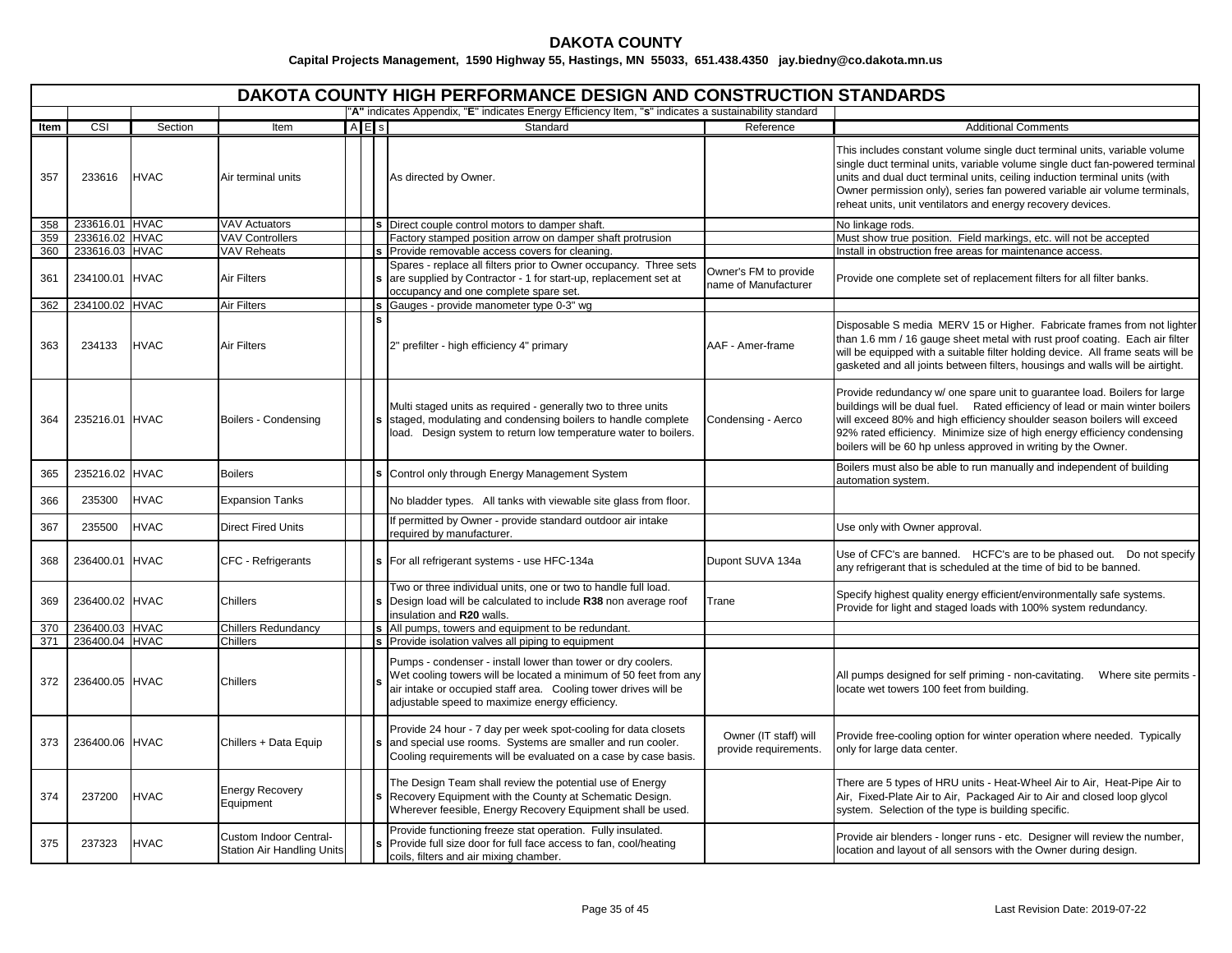|      | <b>DAKOTA COUNTY HIGH PERFORMANCE DESIGN AND CONSTRUCTION STANDARDS</b> |             |                                                             |  |           |                                                                                                                                                                                                                                                        |                                                |                                                                                                                                                                                                                                                                                                                                                                                     |  |  |  |  |
|------|-------------------------------------------------------------------------|-------------|-------------------------------------------------------------|--|-----------|--------------------------------------------------------------------------------------------------------------------------------------------------------------------------------------------------------------------------------------------------------|------------------------------------------------|-------------------------------------------------------------------------------------------------------------------------------------------------------------------------------------------------------------------------------------------------------------------------------------------------------------------------------------------------------------------------------------|--|--|--|--|
|      |                                                                         |             |                                                             |  |           | "A" indicates Appendix, "E" indicates Energy Efficiency Item, "s" indicates a sustainability standard                                                                                                                                                  |                                                |                                                                                                                                                                                                                                                                                                                                                                                     |  |  |  |  |
| Item | CSI                                                                     | Section     | Item                                                        |  | $A \nE$ s | Standard                                                                                                                                                                                                                                               | Reference                                      | <b>Additional Comments</b>                                                                                                                                                                                                                                                                                                                                                          |  |  |  |  |
| 357  | 233616                                                                  | <b>HVAC</b> | Air terminal units                                          |  |           | As directed by Owner.                                                                                                                                                                                                                                  |                                                | This includes constant volume single duct terminal units, variable volume<br>single duct terminal units, variable volume single duct fan-powered terminal<br>units and dual duct terminal units, ceiling induction terminal units (with<br>Owner permission only), series fan powered variable air volume terminals,<br>reheat units, unit ventilators and energy recovery devices. |  |  |  |  |
| 358  | 233616.01 HVAC                                                          |             | <b>VAV Actuators</b>                                        |  |           | Direct couple control motors to damper shaft.                                                                                                                                                                                                          |                                                | No linkage rods.                                                                                                                                                                                                                                                                                                                                                                    |  |  |  |  |
| 359  | 233616.02 HVAC                                                          |             | <b>VAV Controllers</b>                                      |  |           | Factory stamped position arrow on damper shaft protrusion                                                                                                                                                                                              |                                                | Must show true position. Field markings, etc. will not be accepted                                                                                                                                                                                                                                                                                                                  |  |  |  |  |
| 360  | 233616.03 HVAC                                                          |             | <b>VAV Reheats</b>                                          |  |           | Provide removable access covers for cleaning.                                                                                                                                                                                                          |                                                | Install in obstruction free areas for maintenance access                                                                                                                                                                                                                                                                                                                            |  |  |  |  |
| 361  | 234100.01 HVAC                                                          |             | <b>Air Filters</b>                                          |  |           | Spares - replace all filters prior to Owner occupancy. Three sets<br>are supplied by Contractor - 1 for start-up, replacement set at<br>occupancy and one complete spare set.                                                                          | Owner's FM to provide<br>name of Manufacturer  | Provide one complete set of replacement filters for all filter banks.                                                                                                                                                                                                                                                                                                               |  |  |  |  |
| 362  | 234100.02 HVAC                                                          |             | <b>Air Filters</b>                                          |  |           | Gauges - provide manometer type 0-3" wg                                                                                                                                                                                                                |                                                |                                                                                                                                                                                                                                                                                                                                                                                     |  |  |  |  |
| 363  | 234133                                                                  | <b>HVAC</b> | <b>Air Filters</b>                                          |  |           | 2" prefilter - high efficiency 4" primary                                                                                                                                                                                                              | AAF - Amer-frame                               | Disposable S media MERV 15 or Higher. Fabricate frames from not lighter<br>than 1.6 mm / 16 gauge sheet metal with rust proof coating. Each air filter<br>will be equipped with a suitable filter holding device. All frame seats will be<br>gasketed and all joints between filters, housings and walls will be airtight.                                                          |  |  |  |  |
| 364  | 235216.01 HVAC                                                          |             | Boilers - Condensing                                        |  |           | Multi staged units as required - generally two to three units<br>staged, modulating and condensing boilers to handle complete<br>load. Design system to return low temperature water to boilers.                                                       | Condensing - Aerco                             | Provide redundancy w/ one spare unit to guarantee load. Boilers for large<br>buildings will be dual fuel. Rated efficiency of lead or main winter boilers<br>will exceed 80% and high efficiency shoulder season boilers will exceed<br>92% rated efficiency. Minimize size of high energy efficiency condensing<br>boilers will be 60 hp unless approved in writing by the Owner.  |  |  |  |  |
| 365  | 235216.02 HVAC                                                          |             | <b>Boilers</b>                                              |  |           | Control only through Energy Management System                                                                                                                                                                                                          |                                                | Boilers must also be able to run manually and independent of building<br>automation system.                                                                                                                                                                                                                                                                                         |  |  |  |  |
| 366  | 235300                                                                  | <b>HVAC</b> | <b>Expansion Tanks</b>                                      |  |           | No bladder types. All tanks with viewable site glass from floor.                                                                                                                                                                                       |                                                |                                                                                                                                                                                                                                                                                                                                                                                     |  |  |  |  |
| 367  | 235500                                                                  | <b>HVAC</b> | <b>Direct Fired Units</b>                                   |  |           | If permitted by Owner - provide standard outdoor air intake<br>required by manufacturer.                                                                                                                                                               |                                                | Use only with Owner approval.                                                                                                                                                                                                                                                                                                                                                       |  |  |  |  |
| 368  | 236400.01 HVAC                                                          |             | CFC - Refrigerants                                          |  |           | For all refrigerant systems - use HFC-134a                                                                                                                                                                                                             | Dupont SUVA 134a                               | Use of CFC's are banned. HCFC's are to be phased out. Do not specify<br>any refrigerant that is scheduled at the time of bid to be banned.                                                                                                                                                                                                                                          |  |  |  |  |
| 369  | 236400.02 HVAC                                                          |             | <b>Chillers</b>                                             |  |           | Two or three individual units, one or two to handle full load.<br>Design load will be calculated to include R38 non average roof<br>insulation and R20 walls.                                                                                          | Trane                                          | Specify highest quality energy efficient/environmentally safe systems.<br>Provide for light and staged loads with 100% system redundancy.                                                                                                                                                                                                                                           |  |  |  |  |
| 370  | 236400.03 HVAC                                                          |             | <b>Chillers Redundancy</b>                                  |  |           | s All pumps, towers and equipment to be redundant.                                                                                                                                                                                                     |                                                |                                                                                                                                                                                                                                                                                                                                                                                     |  |  |  |  |
| 371  | 236400.04 HVAC                                                          |             | <b>Chillers</b>                                             |  |           | s Provide isolation valves all piping to equipment                                                                                                                                                                                                     |                                                |                                                                                                                                                                                                                                                                                                                                                                                     |  |  |  |  |
| 372  | 236400.05 HVAC                                                          |             | Chillers                                                    |  |           | Pumps - condenser - install lower than tower or dry coolers.<br>Wet cooling towers will be located a minimum of 50 feet from any<br>air intake or occupied staff area. Cooling tower drives will be<br>adjustable speed to maximize energy efficiency. |                                                | All pumps designed for self priming - non-cavitating.<br>Where site permits<br>locate wet towers 100 feet from building.                                                                                                                                                                                                                                                            |  |  |  |  |
| 373  | 236400.06 HVAC                                                          |             | Chillers + Data Equip                                       |  |           | Provide 24 hour - 7 day per week spot-cooling for data closets<br>and special use rooms. Systems are smaller and run cooler.<br>Cooling requirements will be evaluated on a case by case basis.                                                        | Owner (IT staff) will<br>provide requirements. | Provide free-cooling option for winter operation where needed. Typically<br>only for large data center.                                                                                                                                                                                                                                                                             |  |  |  |  |
| 374  | 237200                                                                  | <b>HVAC</b> | <b>Energy Recovery</b><br>Equipment                         |  |           | The Design Team shall review the potential use of Energy<br>Recovery Equipment with the County at Schematic Design.<br>Wherever feesible, Energy Recovery Equipment shall be used.                                                                     |                                                | There are 5 types of HRU units - Heat-Wheel Air to Air, Heat-Pipe Air to<br>Air, Fixed-Plate Air to Air, Packaged Air to Air and closed loop glycol<br>system. Selection of the type is building specific.                                                                                                                                                                          |  |  |  |  |
| 375  | 237323                                                                  | <b>HVAC</b> | Custom Indoor Central-<br><b>Station Air Handling Units</b> |  |           | Provide functioning freeze stat operation. Fully insulated.<br>Provide full size door for full face access to fan, cool/heating<br>coils, filters and air mixing chamber.                                                                              |                                                | Provide air blenders - longer runs - etc. Designer will review the number,<br>location and layout of all sensors with the Owner during design.                                                                                                                                                                                                                                      |  |  |  |  |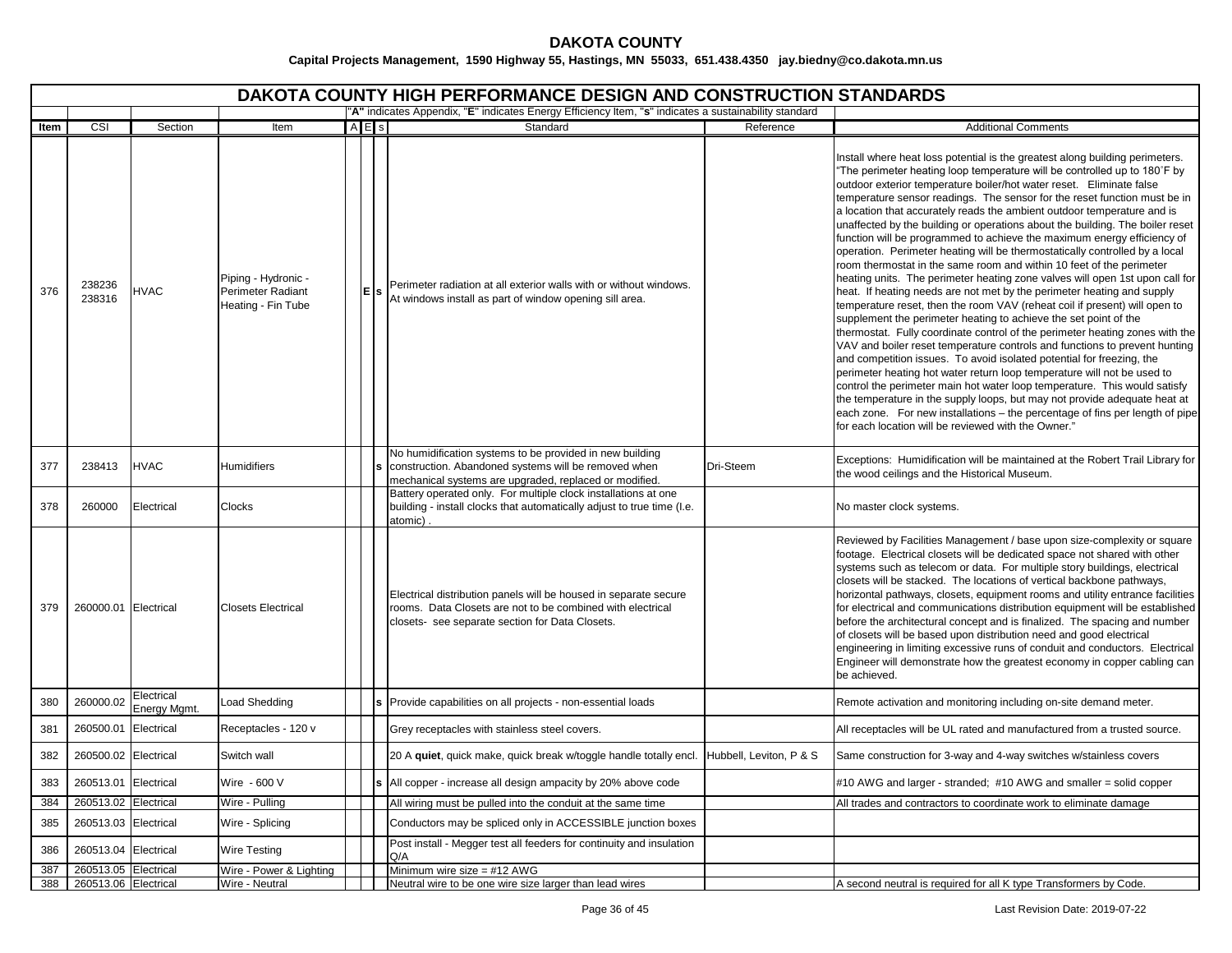|      | <b>DAKOTA COUNTY HIGH PERFORMANCE DESIGN AND CONSTRUCTION STANDARDS</b><br>"A" indicates Appendix, "E" indicates Energy Efficiency Item, "s" indicates a sustainability standard |                            |                                                                       |  |           |                                                                                                                                                                                   |                         |                                                                                                                                                                                                                                                                                                                                                                                                                                                                                                                                                                                                                                                                                                                                                                                                                                                                                                                                                                                                                                                                                                                                                                                                                                                                                                                                                                                                                                                                                                                                                                                                                                             |  |  |  |  |  |
|------|----------------------------------------------------------------------------------------------------------------------------------------------------------------------------------|----------------------------|-----------------------------------------------------------------------|--|-----------|-----------------------------------------------------------------------------------------------------------------------------------------------------------------------------------|-------------------------|---------------------------------------------------------------------------------------------------------------------------------------------------------------------------------------------------------------------------------------------------------------------------------------------------------------------------------------------------------------------------------------------------------------------------------------------------------------------------------------------------------------------------------------------------------------------------------------------------------------------------------------------------------------------------------------------------------------------------------------------------------------------------------------------------------------------------------------------------------------------------------------------------------------------------------------------------------------------------------------------------------------------------------------------------------------------------------------------------------------------------------------------------------------------------------------------------------------------------------------------------------------------------------------------------------------------------------------------------------------------------------------------------------------------------------------------------------------------------------------------------------------------------------------------------------------------------------------------------------------------------------------------|--|--|--|--|--|
| Item | CSI                                                                                                                                                                              | Section                    | Item                                                                  |  | $A \nE$ s | Standard                                                                                                                                                                          | Reference               | <b>Additional Comments</b>                                                                                                                                                                                                                                                                                                                                                                                                                                                                                                                                                                                                                                                                                                                                                                                                                                                                                                                                                                                                                                                                                                                                                                                                                                                                                                                                                                                                                                                                                                                                                                                                                  |  |  |  |  |  |
|      |                                                                                                                                                                                  |                            |                                                                       |  |           |                                                                                                                                                                                   |                         |                                                                                                                                                                                                                                                                                                                                                                                                                                                                                                                                                                                                                                                                                                                                                                                                                                                                                                                                                                                                                                                                                                                                                                                                                                                                                                                                                                                                                                                                                                                                                                                                                                             |  |  |  |  |  |
| 376  | 238236<br>238316                                                                                                                                                                 | <b>HVAC</b>                | Piping - Hydronic -<br><b>Perimeter Radiant</b><br>Heating - Fin Tube |  | lE.       | Perimeter radiation at all exterior walls with or without windows.<br>At windows install as part of window opening sill area.                                                     |                         | Install where heat loss potential is the greatest along building perimeters.<br>"The perimeter heating loop temperature will be controlled up to 180°F by<br>outdoor exterior temperature boiler/hot water reset. Eliminate false<br>temperature sensor readings. The sensor for the reset function must be in<br>a location that accurately reads the ambient outdoor temperature and is<br>unaffected by the building or operations about the building. The boiler reset<br>function will be programmed to achieve the maximum energy efficiency of<br>operation. Perimeter heating will be thermostatically controlled by a local<br>room thermostat in the same room and within 10 feet of the perimeter<br>heating units. The perimeter heating zone valves will open 1st upon call for<br>heat. If heating needs are not met by the perimeter heating and supply<br>temperature reset, then the room VAV (reheat coil if present) will open to<br>supplement the perimeter heating to achieve the set point of the<br>thermostat. Fully coordinate control of the perimeter heating zones with the<br>VAV and boiler reset temperature controls and functions to prevent hunting<br>and competition issues. To avoid isolated potential for freezing, the<br>perimeter heating hot water return loop temperature will not be used to<br>control the perimeter main hot water loop temperature. This would satisfy<br>the temperature in the supply loops, but may not provide adequate heat at<br>each zone. For new installations - the percentage of fins per length of pipe<br>for each location will be reviewed with the Owner." |  |  |  |  |  |
| 377  | 238413                                                                                                                                                                           | <b>HVAC</b>                | <b>Humidifiers</b>                                                    |  |           | No humidification systems to be provided in new building<br>construction. Abandoned systems will be removed when<br>mechanical systems are upgraded, replaced or modified.        | Dri-Steem               | Exceptions: Humidification will be maintained at the Robert Trail Library for<br>the wood ceilings and the Historical Museum.                                                                                                                                                                                                                                                                                                                                                                                                                                                                                                                                                                                                                                                                                                                                                                                                                                                                                                                                                                                                                                                                                                                                                                                                                                                                                                                                                                                                                                                                                                               |  |  |  |  |  |
| 378  | 260000                                                                                                                                                                           | Electrical                 | Clocks                                                                |  |           | Battery operated only. For multiple clock installations at one<br>building - install clocks that automatically adjust to true time (I.e.<br>atomic)                               |                         | No master clock systems.                                                                                                                                                                                                                                                                                                                                                                                                                                                                                                                                                                                                                                                                                                                                                                                                                                                                                                                                                                                                                                                                                                                                                                                                                                                                                                                                                                                                                                                                                                                                                                                                                    |  |  |  |  |  |
| 379  | 260000.01 Electrical                                                                                                                                                             |                            | <b>Closets Electrical</b>                                             |  |           | Electrical distribution panels will be housed in separate secure<br>rooms. Data Closets are not to be combined with electrical<br>closets- see separate section for Data Closets. |                         | Reviewed by Facilities Management / base upon size-complexity or square<br>footage. Electrical closets will be dedicated space not shared with other<br>systems such as telecom or data. For multiple story buildings, electrical<br>closets will be stacked. The locations of vertical backbone pathways,<br>horizontal pathways, closets, equipment rooms and utility entrance facilities<br>for electrical and communications distribution equipment will be established<br>before the architectural concept and is finalized. The spacing and number<br>of closets will be based upon distribution need and good electrical<br>engineering in limiting excessive runs of conduit and conductors. Electrical<br>Engineer will demonstrate how the greatest economy in copper cabling can<br>be achieved.                                                                                                                                                                                                                                                                                                                                                                                                                                                                                                                                                                                                                                                                                                                                                                                                                                 |  |  |  |  |  |
| 380  | 260000.02                                                                                                                                                                        | Electrical<br>Energy Mgmt. | Load Shedding                                                         |  |           | Provide capabilities on all projects - non-essential loads                                                                                                                        |                         | Remote activation and monitoring including on-site demand meter.                                                                                                                                                                                                                                                                                                                                                                                                                                                                                                                                                                                                                                                                                                                                                                                                                                                                                                                                                                                                                                                                                                                                                                                                                                                                                                                                                                                                                                                                                                                                                                            |  |  |  |  |  |
| 381  | 260500.01                                                                                                                                                                        | Electrical                 | Receptacles - 120 v                                                   |  |           | Grey receptacles with stainless steel covers.                                                                                                                                     |                         | All receptacles will be UL rated and manufactured from a trusted source.                                                                                                                                                                                                                                                                                                                                                                                                                                                                                                                                                                                                                                                                                                                                                                                                                                                                                                                                                                                                                                                                                                                                                                                                                                                                                                                                                                                                                                                                                                                                                                    |  |  |  |  |  |
| 382  | 260500.02 Electrical                                                                                                                                                             |                            | Switch wall                                                           |  |           | 20 A quiet, quick make, quick break w/toggle handle totally encl.                                                                                                                 | Hubbell, Leviton, P & S | Same construction for 3-way and 4-way switches w/stainless covers                                                                                                                                                                                                                                                                                                                                                                                                                                                                                                                                                                                                                                                                                                                                                                                                                                                                                                                                                                                                                                                                                                                                                                                                                                                                                                                                                                                                                                                                                                                                                                           |  |  |  |  |  |
| 383  | 260513.01                                                                                                                                                                        | Electrical                 | Wire - 600 V                                                          |  |           | s All copper - increase all design ampacity by 20% above code                                                                                                                     |                         | #10 AWG and larger - stranded; #10 AWG and smaller = solid copper                                                                                                                                                                                                                                                                                                                                                                                                                                                                                                                                                                                                                                                                                                                                                                                                                                                                                                                                                                                                                                                                                                                                                                                                                                                                                                                                                                                                                                                                                                                                                                           |  |  |  |  |  |
| 384  | 260513.02                                                                                                                                                                        | Electrical                 | Wire - Pulling                                                        |  |           | All wiring must be pulled into the conduit at the same time                                                                                                                       |                         | All trades and contractors to coordinate work to eliminate damage                                                                                                                                                                                                                                                                                                                                                                                                                                                                                                                                                                                                                                                                                                                                                                                                                                                                                                                                                                                                                                                                                                                                                                                                                                                                                                                                                                                                                                                                                                                                                                           |  |  |  |  |  |
| 385  | 260513.03                                                                                                                                                                        | Electrical                 | Wire - Splicing                                                       |  |           | Conductors may be spliced only in ACCESSIBLE junction boxes                                                                                                                       |                         |                                                                                                                                                                                                                                                                                                                                                                                                                                                                                                                                                                                                                                                                                                                                                                                                                                                                                                                                                                                                                                                                                                                                                                                                                                                                                                                                                                                                                                                                                                                                                                                                                                             |  |  |  |  |  |
| 386  | 260513.04 Electrical                                                                                                                                                             |                            | Wire Testing                                                          |  |           | Post install - Megger test all feeders for continuity and insulation<br>Q/A                                                                                                       |                         |                                                                                                                                                                                                                                                                                                                                                                                                                                                                                                                                                                                                                                                                                                                                                                                                                                                                                                                                                                                                                                                                                                                                                                                                                                                                                                                                                                                                                                                                                                                                                                                                                                             |  |  |  |  |  |
| 387  | 260513.05 Electrical                                                                                                                                                             |                            | Wire - Power & Lighting                                               |  |           | Minimum wire size = $#12$ AWG                                                                                                                                                     |                         |                                                                                                                                                                                                                                                                                                                                                                                                                                                                                                                                                                                                                                                                                                                                                                                                                                                                                                                                                                                                                                                                                                                                                                                                                                                                                                                                                                                                                                                                                                                                                                                                                                             |  |  |  |  |  |
| 388  | 260513.06 Electrical                                                                                                                                                             |                            | Wire - Neutral                                                        |  |           | Neutral wire to be one wire size larger than lead wires                                                                                                                           |                         | A second neutral is required for all K type Transformers by Code.                                                                                                                                                                                                                                                                                                                                                                                                                                                                                                                                                                                                                                                                                                                                                                                                                                                                                                                                                                                                                                                                                                                                                                                                                                                                                                                                                                                                                                                                                                                                                                           |  |  |  |  |  |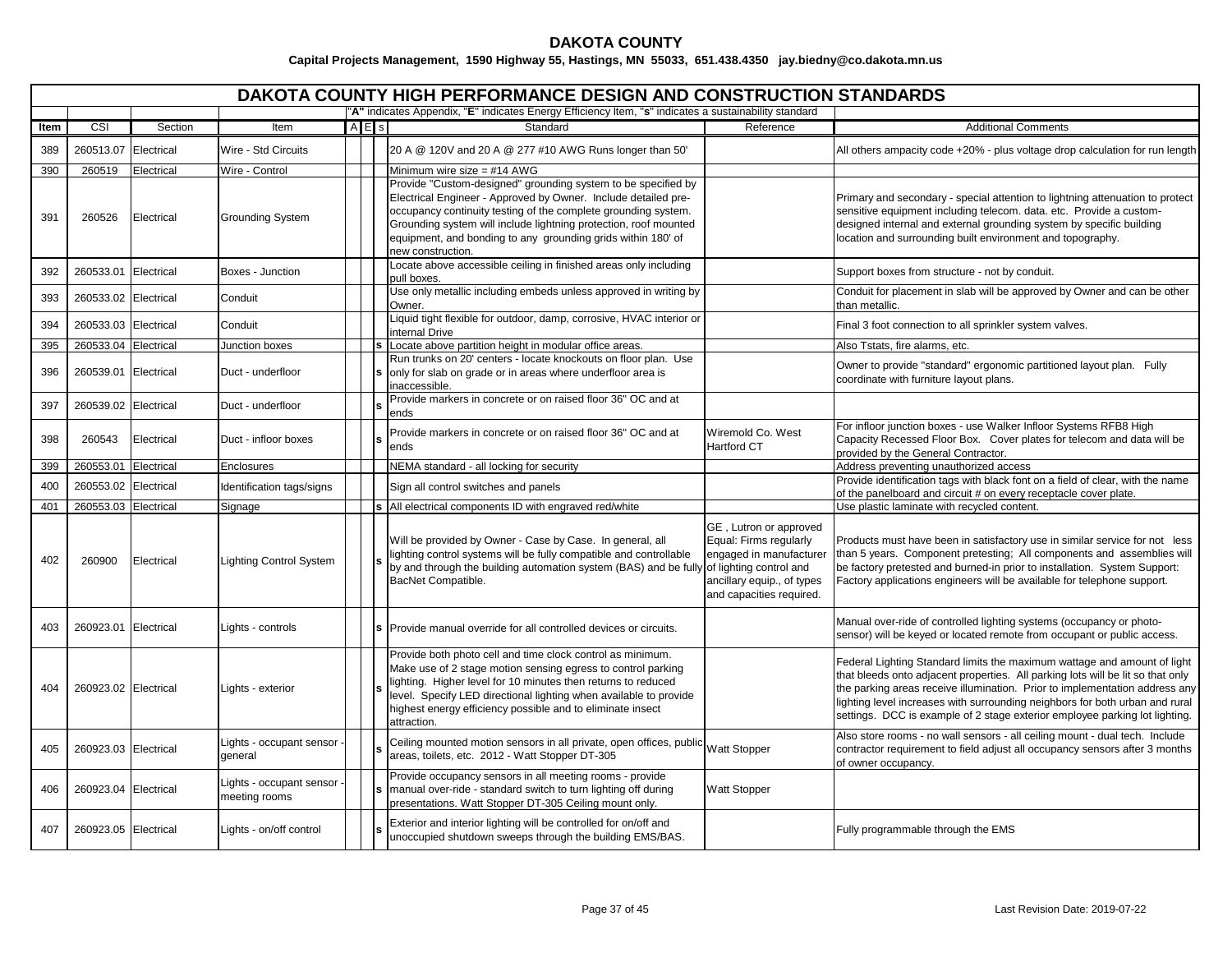|      |                      |            |                                           |           | <b>DAKOTA COUNTY HIGH PERFORMANCE DESIGN AND CONSTRUCTION STANDARDS</b>                                                                                                                                                                                                                                                                                    |                                                                                                                                       |                                                                                                                                                                                                                                                                                                                                                                                                           |
|------|----------------------|------------|-------------------------------------------|-----------|------------------------------------------------------------------------------------------------------------------------------------------------------------------------------------------------------------------------------------------------------------------------------------------------------------------------------------------------------------|---------------------------------------------------------------------------------------------------------------------------------------|-----------------------------------------------------------------------------------------------------------------------------------------------------------------------------------------------------------------------------------------------------------------------------------------------------------------------------------------------------------------------------------------------------------|
|      |                      |            |                                           |           | "A" indicates Appendix, "E" indicates Energy Efficiency Item, "s" indicates a sustainability standard                                                                                                                                                                                                                                                      |                                                                                                                                       |                                                                                                                                                                                                                                                                                                                                                                                                           |
| Item | CSI                  | Section    | Item                                      | $A \nE$ s | Standard                                                                                                                                                                                                                                                                                                                                                   | Reference                                                                                                                             | <b>Additional Comments</b>                                                                                                                                                                                                                                                                                                                                                                                |
| 389  | 260513.07            | Electrical | Wire - Std Circuits                       |           | 20 A @ 120V and 20 A @ 277 #10 AWG Runs longer than 50'                                                                                                                                                                                                                                                                                                    |                                                                                                                                       | All others ampacity code +20% - plus voltage drop calculation for run length                                                                                                                                                                                                                                                                                                                              |
| 390  | 260519               | Electrical | Wire - Control                            |           | Minimum wire size = $#14$ AWG                                                                                                                                                                                                                                                                                                                              |                                                                                                                                       |                                                                                                                                                                                                                                                                                                                                                                                                           |
| 391  | 260526               | Electrical | Grounding System                          |           | Provide "Custom-designed" grounding system to be specified by<br>Electrical Engineer - Approved by Owner. Include detailed pre-<br>occupancy continuity testing of the complete grounding system.<br>Grounding system will include lightning protection, roof mounted<br>equipment, and bonding to any grounding grids within 180' of<br>new construction. |                                                                                                                                       | Primary and secondary - special attention to lightning attenuation to protect<br>sensitive equipment including telecom. data. etc. Provide a custom-<br>designed internal and external grounding system by specific building<br>location and surrounding built environment and topography.                                                                                                                |
| 392  | 260533.01            | Electrical | Boxes - Junction                          |           | Locate above accessible ceiling in finished areas only including<br>pull boxes.                                                                                                                                                                                                                                                                            |                                                                                                                                       | Support boxes from structure - not by conduit.                                                                                                                                                                                                                                                                                                                                                            |
| 393  | 260533.02            | Electrical | Conduit                                   |           | Use only metallic including embeds unless approved in writing by<br>Owner.                                                                                                                                                                                                                                                                                 |                                                                                                                                       | Conduit for placement in slab will be approved by Owner and can be other<br>than metallic.                                                                                                                                                                                                                                                                                                                |
| 394  | 260533.03            | Electrical | Conduit                                   |           | Liquid tight flexible for outdoor, damp, corrosive, HVAC interior or<br>internal Drive                                                                                                                                                                                                                                                                     |                                                                                                                                       | Final 3 foot connection to all sprinkler system valves.                                                                                                                                                                                                                                                                                                                                                   |
| 395  | 260533.04 Electrical |            | Junction boxes                            |           | Locate above partition height in modular office areas.                                                                                                                                                                                                                                                                                                     |                                                                                                                                       | Also Tstats, fire alarms, etc.                                                                                                                                                                                                                                                                                                                                                                            |
| 396  | 260539.01 Electrical |            | Duct - underfloor                         |           | Run trunks on 20' centers - locate knockouts on floor plan. Use<br>only for slab on grade or in areas where underfloor area is<br>inaccessible.                                                                                                                                                                                                            |                                                                                                                                       | Owner to provide "standard" ergonomic partitioned layout plan. Fully<br>coordinate with furniture layout plans.                                                                                                                                                                                                                                                                                           |
| 397  | 260539.02            | Electrical | Duct - underfloor                         |           | Provide markers in concrete or on raised floor 36" OC and at<br>ends                                                                                                                                                                                                                                                                                       |                                                                                                                                       |                                                                                                                                                                                                                                                                                                                                                                                                           |
| 398  | 260543               | Electrical | Duct - infloor boxes                      |           | Provide markers in concrete or on raised floor 36" OC and at<br>ends                                                                                                                                                                                                                                                                                       | Wiremold Co. West<br>Hartford CT                                                                                                      | For infloor junction boxes - use Walker Infloor Systems RFB8 High<br>Capacity Recessed Floor Box. Cover plates for telecom and data will be<br>provided by the General Contractor.                                                                                                                                                                                                                        |
| 399  | 260553.01            | Electrical | Enclosures                                |           | NEMA standard - all locking for security                                                                                                                                                                                                                                                                                                                   |                                                                                                                                       | Address preventing unauthorized access                                                                                                                                                                                                                                                                                                                                                                    |
| 400  | 260553.02            | Electrical | Identification tags/signs                 |           | Sign all control switches and panels                                                                                                                                                                                                                                                                                                                       |                                                                                                                                       | Provide identification tags with black font on a field of clear, with the name<br>of the panelboard and circuit # on every receptacle cover plate.                                                                                                                                                                                                                                                        |
| 401  | 260553.03            | Electrical | Signage                                   |           | s All electrical components ID with engraved red/white                                                                                                                                                                                                                                                                                                     |                                                                                                                                       | Use plastic laminate with recycled content.                                                                                                                                                                                                                                                                                                                                                               |
| 402  | 260900               | Electrical | <b>Lighting Control System</b>            |           | Will be provided by Owner - Case by Case. In general, all<br>lighting control systems will be fully compatible and controllable<br>by and through the building automation system (BAS) and be fully of lighting control and<br>BacNet Compatible.                                                                                                          | GE, Lutron or approved<br>Equal: Firms regularly<br>engaged in manufacturer<br>ancillary equip., of types<br>and capacities required. | Products must have been in satisfactory use in similar service for not less<br>than 5 years. Component pretesting; All components and assemblies will<br>be factory pretested and burned-in prior to installation. System Support:<br>Factory applications engineers will be available for telephone support.                                                                                             |
| 403  | 260923.01            | Electrical | Lights - controls                         |           | Provide manual override for all controlled devices or circuits.                                                                                                                                                                                                                                                                                            |                                                                                                                                       | Manual over-ride of controlled lighting systems (occupancy or photo-<br>sensor) will be keyed or located remote from occupant or public access.                                                                                                                                                                                                                                                           |
| 404  | 260923.02 Electrical |            | Lights - exterior                         |           | Provide both photo cell and time clock control as minimum.<br>Make use of 2 stage motion sensing egress to control parking<br>lighting. Higher level for 10 minutes then returns to reduced<br>level. Specify LED directional lighting when available to provide<br>highest energy efficiency possible and to eliminate insect<br>attraction.              |                                                                                                                                       | Federal Lighting Standard limits the maximum wattage and amount of light<br>that bleeds onto adjacent properties. All parking lots will be lit so that only<br>the parking areas receive illumination. Prior to implementation address any<br>lighting level increases with surrounding neighbors for both urban and rural<br>settings. DCC is example of 2 stage exterior employee parking lot lighting. |
| 405  | 260923.03 Electrical |            | Lights - occupant sensor<br>qeneral       |           | Ceiling mounted motion sensors in all private, open offices, public<br>areas, toilets, etc. 2012 - Watt Stopper DT-305                                                                                                                                                                                                                                     | Watt Stopper                                                                                                                          | Also store rooms - no wall sensors - all ceiling mount - dual tech. Include<br>contractor requirement to field adjust all occupancy sensors after 3 months<br>of owner occupancy.                                                                                                                                                                                                                         |
| 406  | 260923.04 Electrical |            | Lights - occupant sensor<br>meeting rooms |           | Provide occupancy sensors in all meeting rooms - provide<br>manual over-ride - standard switch to turn lighting off during<br>presentations. Watt Stopper DT-305 Ceiling mount only.                                                                                                                                                                       | <b>Watt Stopper</b>                                                                                                                   |                                                                                                                                                                                                                                                                                                                                                                                                           |
| 407  | 260923.05 Electrical |            | Lights - on/off control                   |           | Exterior and interior lighting will be controlled for on/off and<br>unoccupied shutdown sweeps through the building EMS/BAS.                                                                                                                                                                                                                               |                                                                                                                                       | Fully programmable through the EMS                                                                                                                                                                                                                                                                                                                                                                        |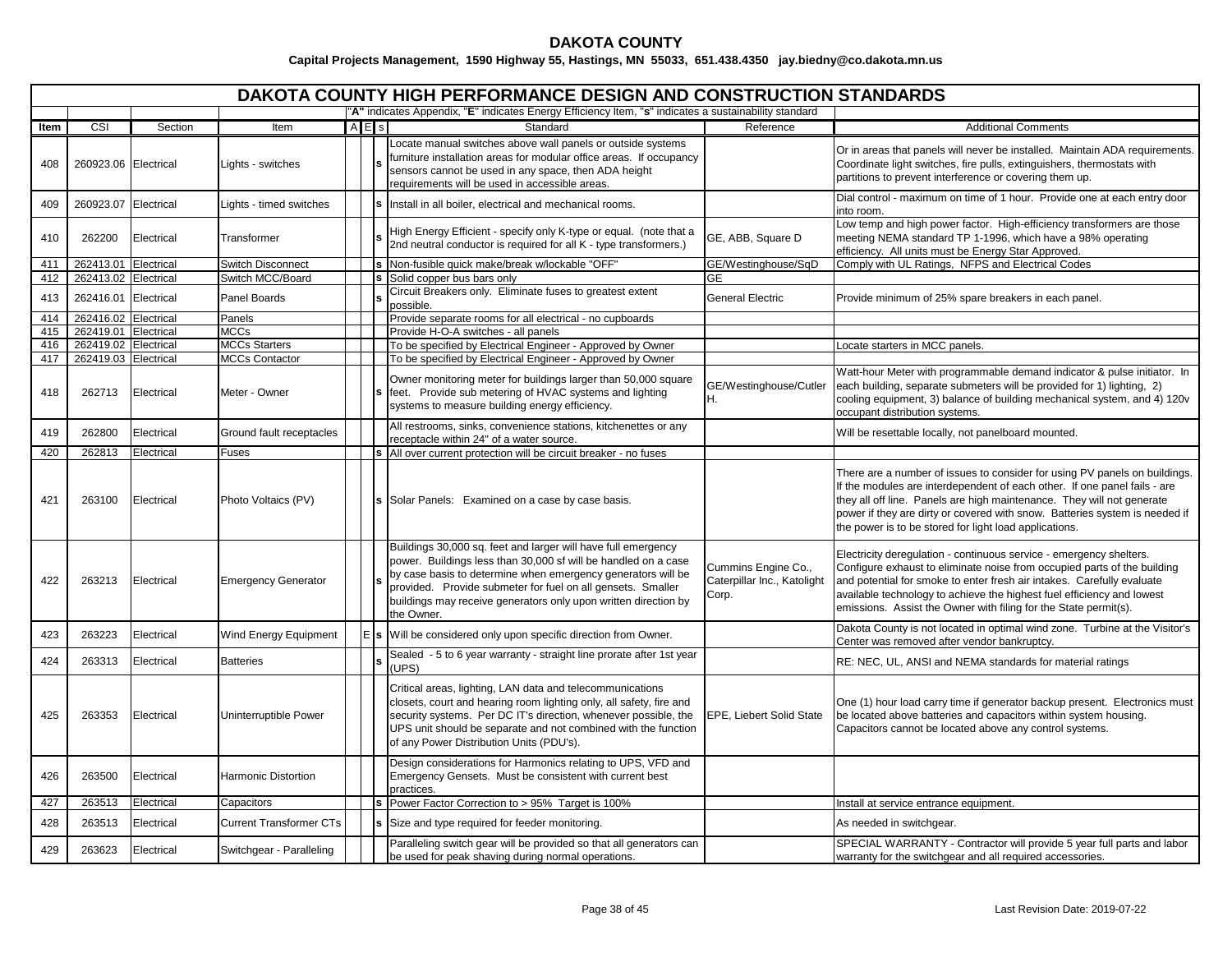|            |                                              |            |                                               |         | <b>DAKOTA COUNTY HIGH PERFORMANCE DESIGN AND CONSTRUCTION STANDARDS</b>                                                                                                                                                                                                                                                                         |                                                             |                                                                                                                                                                                                                                                                                                                                                                            |
|------------|----------------------------------------------|------------|-----------------------------------------------|---------|-------------------------------------------------------------------------------------------------------------------------------------------------------------------------------------------------------------------------------------------------------------------------------------------------------------------------------------------------|-------------------------------------------------------------|----------------------------------------------------------------------------------------------------------------------------------------------------------------------------------------------------------------------------------------------------------------------------------------------------------------------------------------------------------------------------|
|            |                                              |            |                                               |         | "A" indicates Appendix, "E" indicates Energy Efficiency Item, "s" indicates a sustainability standard                                                                                                                                                                                                                                           |                                                             |                                                                                                                                                                                                                                                                                                                                                                            |
| Item       | CSI                                          | Section    | Item                                          | $A$ E s | Standard                                                                                                                                                                                                                                                                                                                                        | Reference                                                   | <b>Additional Comments</b>                                                                                                                                                                                                                                                                                                                                                 |
| 408        | 260923.06 Electrical                         |            | Lights - switches                             |         | cocate manual switches above wall panels or outside systems<br>furniture installation areas for modular office areas. If occupancy<br>sensors cannot be used in any space, then ADA height<br>requirements will be used in accessible areas.                                                                                                    |                                                             | Or in areas that panels will never be installed. Maintain ADA requirements.<br>Coordinate light switches, fire pulls, extinguishers, thermostats with<br>partitions to prevent interference or covering them up.                                                                                                                                                           |
| 409        | 260923.07                                    | Electrical | Lights - timed switches                       |         | Install in all boiler, electrical and mechanical rooms.                                                                                                                                                                                                                                                                                         |                                                             | Dial control - maximum on time of 1 hour. Provide one at each entry door<br>into room.                                                                                                                                                                                                                                                                                     |
| 410        | 262200                                       | Electrical | Transformer                                   |         | High Energy Efficient - specify only K-type or equal. (note that a<br>2nd neutral conductor is required for all K - type transformers.)                                                                                                                                                                                                         | GE, ABB, Square D                                           | Low temp and high power factor. High-efficiency transformers are those<br>meeting NEMA standard TP 1-1996, which have a 98% operating<br>efficiency. All units must be Energy Star Approved.                                                                                                                                                                               |
| 411        | 262413.01 Electrical                         |            | <b>Switch Disconnect</b>                      |         | s Non-fusible quick make/break w/lockable "OFF"                                                                                                                                                                                                                                                                                                 | GE/Westinghouse/SqD                                         | Comply with UL Ratings, NFPS and Electrical Codes                                                                                                                                                                                                                                                                                                                          |
| 412        | 262413.02 Electrical                         |            | Switch MCC/Board                              |         | s Solid copper bus bars only                                                                                                                                                                                                                                                                                                                    | <b>GE</b>                                                   |                                                                                                                                                                                                                                                                                                                                                                            |
| 413        | 262416.01 Electrical                         |            | Panel Boards                                  |         | Circuit Breakers only. Eliminate fuses to greatest extent<br>possible.                                                                                                                                                                                                                                                                          | <b>General Electric</b>                                     | Provide minimum of 25% spare breakers in each panel.                                                                                                                                                                                                                                                                                                                       |
| 414        | 262416.02 Electrical                         |            | Panels                                        |         | Provide separate rooms for all electrical - no cupboards                                                                                                                                                                                                                                                                                        |                                                             |                                                                                                                                                                                                                                                                                                                                                                            |
| 415        | 262419.01 Electrical                         |            | <b>MCCs</b>                                   |         | Provide H-O-A switches - all panels                                                                                                                                                                                                                                                                                                             |                                                             |                                                                                                                                                                                                                                                                                                                                                                            |
| 416<br>417 | 262419.02 Electrical<br>262419.03 Electrical |            | <b>MCCs Starters</b><br><b>MCCs Contactor</b> |         | To be specified by Electrical Engineer - Approved by Owner                                                                                                                                                                                                                                                                                      |                                                             | ocate starters in MCC panels.                                                                                                                                                                                                                                                                                                                                              |
| 418        | 262713                                       | Electrical | Meter - Owner                                 |         | To be specified by Electrical Engineer - Approved by Owner<br>Owner monitoring meter for buildings larger than 50,000 square<br>feet. Provide sub metering of HVAC systems and lighting<br>systems to measure building energy efficiency.                                                                                                       | GE/Westinghouse/Cutler<br>H.                                | Watt-hour Meter with programmable demand indicator & pulse initiator. In<br>each building, separate submeters will be provided for 1) lighting, 2)<br>cooling equipment, 3) balance of building mechanical system, and 4) 120v<br>occupant distribution systems.                                                                                                           |
| 419        | 262800                                       | Electrical | Ground fault receptacles                      |         | All restrooms, sinks, convenience stations, kitchenettes or any<br>receptacle within 24" of a water source.                                                                                                                                                                                                                                     |                                                             | Will be resettable locally, not panelboard mounted.                                                                                                                                                                                                                                                                                                                        |
| 420        | 262813                                       | Electrical | Fuses                                         |         | S All over current protection will be circuit breaker - no fuses                                                                                                                                                                                                                                                                                |                                                             |                                                                                                                                                                                                                                                                                                                                                                            |
| 421        | 263100                                       | Electrical | Photo Voltaics (PV)                           |         | Solar Panels: Examined on a case by case basis.                                                                                                                                                                                                                                                                                                 |                                                             | There are a number of issues to consider for using PV panels on buildings.<br>If the modules are interdependent of each other. If one panel fails - are<br>they all off line. Panels are high maintenance. They will not generate<br>power if they are dirty or covered with snow. Batteries system is needed if<br>the power is to be stored for light load applications. |
| 422        | 263213                                       | Electrical | <b>Emergency Generator</b>                    |         | Buildings 30,000 sq. feet and larger will have full emergency<br>power. Buildings less than 30,000 sf will be handled on a case<br>by case basis to determine when emergency generators will be<br>provided. Provide submeter for fuel on all gensets. Smaller<br>buildings may receive generators only upon written direction by<br>the Owner. | Cummins Engine Co.,<br>Caterpillar Inc., Katolight<br>Corp. | Electricity deregulation - continuous service - emergency shelters.<br>Configure exhaust to eliminate noise from occupied parts of the building<br>and potential for smoke to enter fresh air intakes. Carefully evaluate<br>available technology to achieve the highest fuel efficiency and lowest<br>emissions. Assist the Owner with filing for the State permit(s).    |
| 423        | 263223                                       | Electrical | Wind Energy Equipment                         |         | E s Will be considered only upon specific direction from Owner.                                                                                                                                                                                                                                                                                 |                                                             | Dakota County is not located in optimal wind zone. Turbine at the Visitor's<br>Center was removed after vendor bankruptcy.                                                                                                                                                                                                                                                 |
| 424        | 263313                                       | Electrical | <b>Batteries</b>                              |         | Sealed - 5 to 6 year warranty - straight line prorate after 1st year<br>(UPS)                                                                                                                                                                                                                                                                   |                                                             | RE: NEC, UL, ANSI and NEMA standards for material ratings                                                                                                                                                                                                                                                                                                                  |
| 425        | 263353                                       | Electrical | Uninterruptible Power                         |         | Critical areas, lighting, LAN data and telecommunications<br>closets, court and hearing room lighting only, all safety, fire and<br>security systems. Per DC IT's direction, whenever possible, the<br>UPS unit should be separate and not combined with the function<br>of any Power Distribution Units (PDU's).                               | EPE, Liebert Solid State                                    | One (1) hour load carry time if generator backup present. Electronics must<br>be located above batteries and capacitors within system housing.<br>Capacitors cannot be located above any control systems.                                                                                                                                                                  |
| 426        | 263500                                       | Electrical | <b>Harmonic Distortion</b>                    |         | Design considerations for Harmonics relating to UPS, VFD and<br>Emergency Gensets. Must be consistent with current best<br>practices.                                                                                                                                                                                                           |                                                             |                                                                                                                                                                                                                                                                                                                                                                            |
| 427        | 263513                                       | Electrical | Capacitors                                    |         | Power Factor Correction to > 95% Target is 100%                                                                                                                                                                                                                                                                                                 |                                                             | Install at service entrance equipment.                                                                                                                                                                                                                                                                                                                                     |
| 428        | 263513                                       | Electrical | <b>Current Transformer CTs</b>                |         | Size and type required for feeder monitoring.                                                                                                                                                                                                                                                                                                   |                                                             | As needed in switchgear.                                                                                                                                                                                                                                                                                                                                                   |
| 429        | 263623                                       | Electrical | Switchgear - Paralleling                      |         | Paralleling switch gear will be provided so that all generators can<br>be used for peak shaving during normal operations.                                                                                                                                                                                                                       |                                                             | SPECIAL WARRANTY - Contractor will provide 5 year full parts and labor<br>warranty for the switchgear and all required accessories.                                                                                                                                                                                                                                        |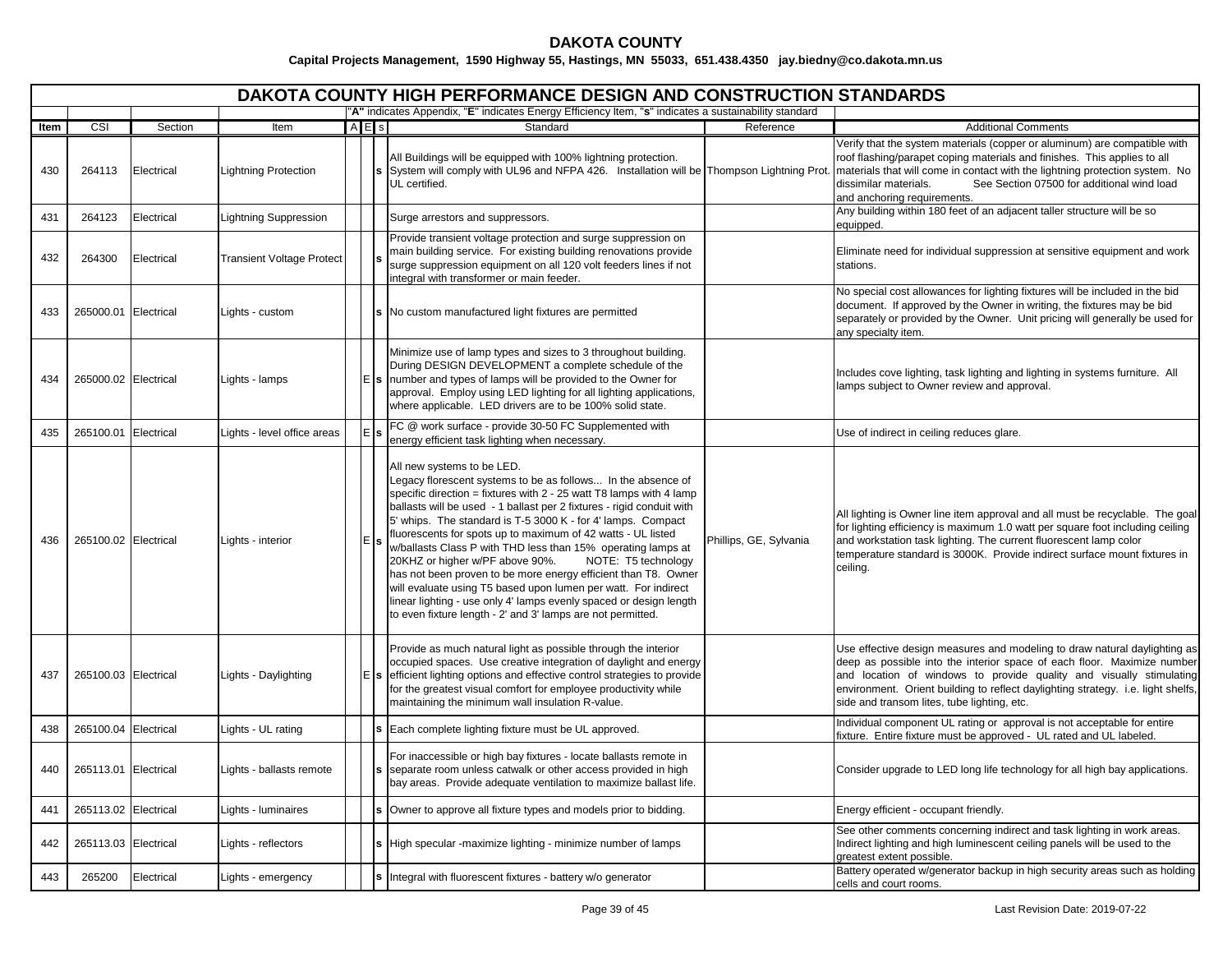|      |                      |            |                                  |           | <b>DAKOTA COUNTY HIGH PERFORMANCE DESIGN AND CONSTRUCTION STANDARDS</b>                                                                                                                                                                                                                                                                                                                                                                                                                                                                                                                                                                                                                                                                                                       |                        |                                                                                                                                                                                                                                                                                                                                                                                                                                       |
|------|----------------------|------------|----------------------------------|-----------|-------------------------------------------------------------------------------------------------------------------------------------------------------------------------------------------------------------------------------------------------------------------------------------------------------------------------------------------------------------------------------------------------------------------------------------------------------------------------------------------------------------------------------------------------------------------------------------------------------------------------------------------------------------------------------------------------------------------------------------------------------------------------------|------------------------|---------------------------------------------------------------------------------------------------------------------------------------------------------------------------------------------------------------------------------------------------------------------------------------------------------------------------------------------------------------------------------------------------------------------------------------|
|      |                      |            |                                  |           | "A" indicates Appendix, "E" indicates Energy Efficiency Item, "s" indicates a sustainability standard                                                                                                                                                                                                                                                                                                                                                                                                                                                                                                                                                                                                                                                                         |                        |                                                                                                                                                                                                                                                                                                                                                                                                                                       |
| Item | CSI                  | Section    | Item                             | $A \nE$ s | Standard                                                                                                                                                                                                                                                                                                                                                                                                                                                                                                                                                                                                                                                                                                                                                                      | Reference              | <b>Additional Comments</b>                                                                                                                                                                                                                                                                                                                                                                                                            |
| 430  | 264113               | Electrical | <b>Lightning Protection</b>      |           | All Buildings will be equipped with 100% lightning protection.<br>UL certified.                                                                                                                                                                                                                                                                                                                                                                                                                                                                                                                                                                                                                                                                                               |                        | Verify that the system materials (copper or aluminum) are compatible with<br>roof flashing/parapet coping materials and finishes. This applies to all<br>System will comply with UL96 and NFPA 426. Installation will be Thompson Lightning Prot.  materials that will come in contact with the lightning protection system. No<br>dissimilar materials.<br>See Section 07500 for additional wind load<br>and anchoring requirements. |
| 431  | 264123               | Electrical | <b>Lightning Suppression</b>     |           | Surge arrestors and suppressors.                                                                                                                                                                                                                                                                                                                                                                                                                                                                                                                                                                                                                                                                                                                                              |                        | Any building within 180 feet of an adjacent taller structure will be so<br>equipped.                                                                                                                                                                                                                                                                                                                                                  |
| 432  | 264300               | Electrical | <b>Transient Voltage Protect</b> |           | Provide transient voltage protection and surge suppression on<br>main building service. For existing building renovations provide<br>surge suppression equipment on all 120 volt feeders lines if not<br>integral with transformer or main feeder.                                                                                                                                                                                                                                                                                                                                                                                                                                                                                                                            |                        | Eliminate need for individual suppression at sensitive equipment and work<br>stations.                                                                                                                                                                                                                                                                                                                                                |
| 433  | 265000.01 Electrical |            | Lights - custom                  |           | No custom manufactured light fixtures are permitted                                                                                                                                                                                                                                                                                                                                                                                                                                                                                                                                                                                                                                                                                                                           |                        | No special cost allowances for lighting fixtures will be included in the bid<br>document. If approved by the Owner in writing, the fixtures may be bid<br>separately or provided by the Owner. Unit pricing will generally be used for<br>any specialty item.                                                                                                                                                                         |
| 434  | 265000.02 Electrical |            | Lights - lamps                   |           | Minimize use of lamp types and sizes to 3 throughout building.<br>During DESIGN DEVELOPMENT a complete schedule of the<br>s   number and types of lamps will be provided to the Owner for<br>approval. Employ using LED lighting for all lighting applications,<br>where applicable. LED drivers are to be 100% solid state.                                                                                                                                                                                                                                                                                                                                                                                                                                                  |                        | Includes cove lighting, task lighting and lighting in systems furniture. All<br>lamps subject to Owner review and approval.                                                                                                                                                                                                                                                                                                           |
| 435  | 265100.01 Electrical |            | Lights - level office areas      |           | FC @ work surface - provide 30-50 FC Supplemented with<br>energy efficient task lighting when necessary.                                                                                                                                                                                                                                                                                                                                                                                                                                                                                                                                                                                                                                                                      |                        | Use of indirect in ceiling reduces glare.                                                                                                                                                                                                                                                                                                                                                                                             |
| 436  | 265100.02 Electrical |            | Lights - interior                |           | All new systems to be LED.<br>Legacy florescent systems to be as follows In the absence of<br>specific direction = fixtures with 2 - 25 watt T8 lamps with 4 lamp<br>ballasts will be used - 1 ballast per 2 fixtures - rigid conduit with<br>5' whips. The standard is T-5 3000 K - for 4' lamps. Compact<br>fluorescents for spots up to maximum of 42 watts - UL listed<br>w/ballasts Class P with THD less than 15% operating lamps at<br>20KHZ or higher w/PF above 90%.<br>NOTE: T5 technology<br>has not been proven to be more energy efficient than T8. Owner<br>will evaluate using T5 based upon lumen per watt. For indirect<br>linear lighting - use only 4' lamps evenly spaced or design length<br>to even fixture length - 2' and 3' lamps are not permitted. | Phillips, GE, Sylvania | All lighting is Owner line item approval and all must be recyclable. The goal<br>for lighting efficiency is maximum 1.0 watt per square foot including ceiling<br>and workstation task lighting. The current fluorescent lamp color<br>temperature standard is 3000K. Provide indirect surface mount fixtures in<br>ceiling.                                                                                                          |
| 437  | 265100.03 Electrical |            | Lights - Daylighting             |           | Provide as much natural light as possible through the interior<br>occupied spaces. Use creative integration of daylight and energy<br>efficient lighting options and effective control strategies to provide<br>for the greatest visual comfort for employee productivity while<br>maintaining the minimum wall insulation R-value.                                                                                                                                                                                                                                                                                                                                                                                                                                           |                        | Use effective design measures and modeling to draw natural daylighting as<br>deep as possible into the interior space of each floor. Maximize number<br>and location of windows to provide quality and visually stimulating<br>environment. Orient building to reflect daylighting strategy. i.e. light shelfs,<br>side and transom lites, tube lighting, etc.                                                                        |
| 438  | 265100.04 Electrical |            | Lights - UL rating               |           | Each complete lighting fixture must be UL approved.                                                                                                                                                                                                                                                                                                                                                                                                                                                                                                                                                                                                                                                                                                                           |                        | Individual component UL rating or approval is not acceptable for entire<br>ixture. Entire fixture must be approved - UL rated and UL labeled.                                                                                                                                                                                                                                                                                         |
| 440  | 265113.01 Electrical |            | Lights - ballasts remote         |           | For inaccessible or high bay fixtures - locate ballasts remote in<br>separate room unless catwalk or other access provided in high<br>bay areas. Provide adequate ventilation to maximize ballast life.                                                                                                                                                                                                                                                                                                                                                                                                                                                                                                                                                                       |                        | Consider upgrade to LED long life technology for all high bay applications.                                                                                                                                                                                                                                                                                                                                                           |
| 441  | 265113.02 Electrical |            | Lights - luminaires              |           | Owner to approve all fixture types and models prior to bidding.                                                                                                                                                                                                                                                                                                                                                                                                                                                                                                                                                                                                                                                                                                               |                        | Energy efficient - occupant friendly.                                                                                                                                                                                                                                                                                                                                                                                                 |
| 442  | 265113.03 Electrical |            | Lights - reflectors              |           | High specular -maximize lighting - minimize number of lamps                                                                                                                                                                                                                                                                                                                                                                                                                                                                                                                                                                                                                                                                                                                   |                        | See other comments concerning indirect and task lighting in work areas.<br>Indirect lighting and high luminescent ceiling panels will be used to the<br>greatest extent possible.                                                                                                                                                                                                                                                     |
| 443  | 265200               | Electrical | Lights - emergency               |           | s Integral with fluorescent fixtures - battery w/o generator                                                                                                                                                                                                                                                                                                                                                                                                                                                                                                                                                                                                                                                                                                                  |                        | Battery operated w/generator backup in high security areas such as holding<br>cells and court rooms.                                                                                                                                                                                                                                                                                                                                  |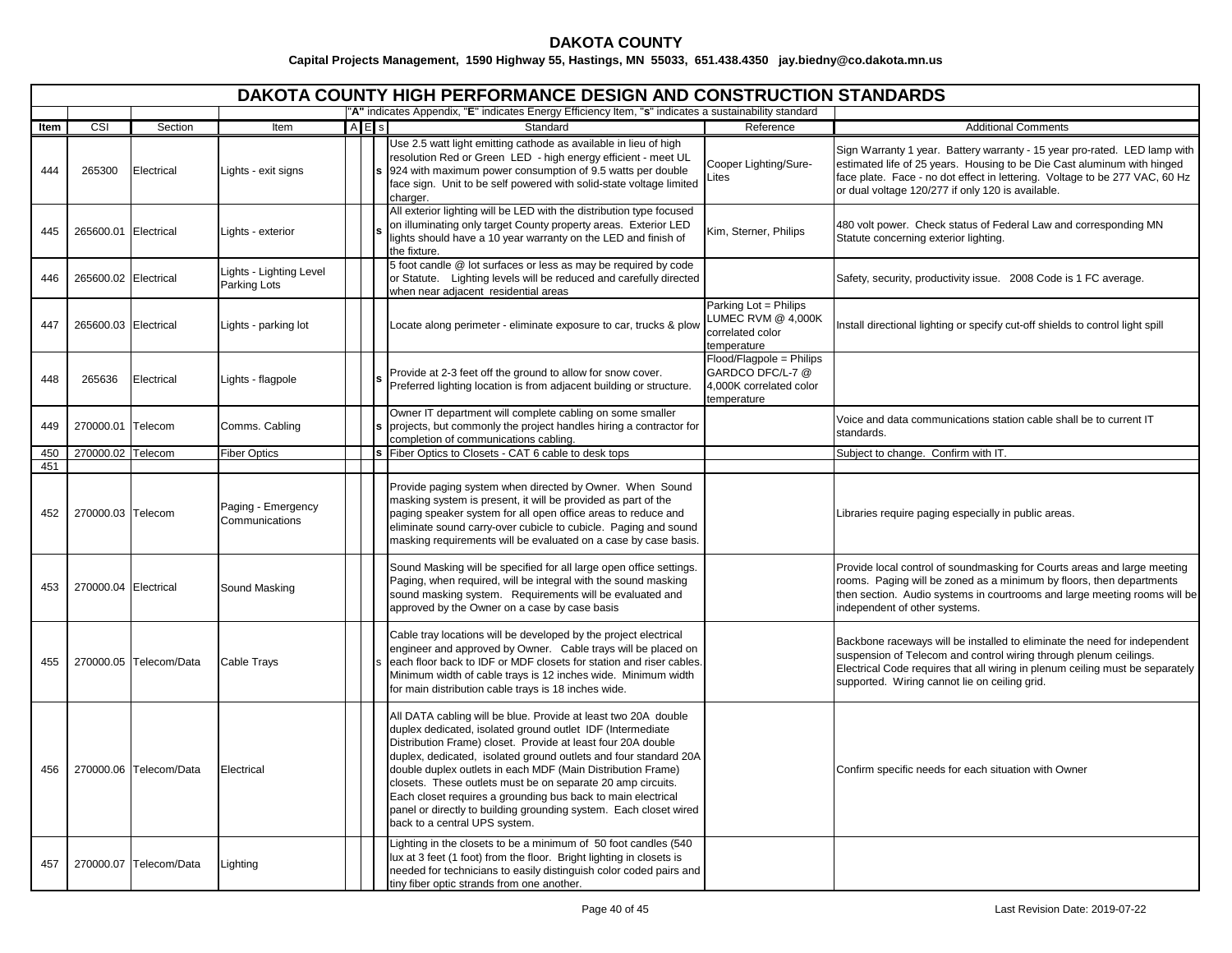|      | DAKOTA COUNTY HIGH PERFORMANCE DESIGN AND CONSTRUCTION STANDARDS<br>"A" indicates Appendix, "E" indicates Energy Efficiency Item, "s" indicates a sustainability standard |                        |                                         |  |     |                                                                                                                                                                                                                                                                                                                                                                                                                                                                                                                                                                      |                                                                                        |                                                                                                                                                                                                                                                                                          |  |  |  |
|------|---------------------------------------------------------------------------------------------------------------------------------------------------------------------------|------------------------|-----------------------------------------|--|-----|----------------------------------------------------------------------------------------------------------------------------------------------------------------------------------------------------------------------------------------------------------------------------------------------------------------------------------------------------------------------------------------------------------------------------------------------------------------------------------------------------------------------------------------------------------------------|----------------------------------------------------------------------------------------|------------------------------------------------------------------------------------------------------------------------------------------------------------------------------------------------------------------------------------------------------------------------------------------|--|--|--|
|      |                                                                                                                                                                           |                        |                                         |  |     |                                                                                                                                                                                                                                                                                                                                                                                                                                                                                                                                                                      |                                                                                        |                                                                                                                                                                                                                                                                                          |  |  |  |
| ltem | $\overline{\text{CSI}}$                                                                                                                                                   | Section                | Item                                    |  | AES | Standard                                                                                                                                                                                                                                                                                                                                                                                                                                                                                                                                                             | Reference                                                                              | <b>Additional Comments</b>                                                                                                                                                                                                                                                               |  |  |  |
| 444  | 265300                                                                                                                                                                    | Electrical             | Lights - exit signs                     |  |     | Use 2.5 watt light emitting cathode as available in lieu of high<br>resolution Red or Green LED - high energy efficient - meet UL<br>924 with maximum power consumption of 9.5 watts per double<br>face sign. Unit to be self powered with solid-state voltage limited<br>charger.                                                                                                                                                                                                                                                                                   | Cooper Lighting/Sure-<br>ites                                                          | Sign Warranty 1 year. Battery warranty - 15 year pro-rated. LED lamp with<br>estimated life of 25 years. Housing to be Die Cast aluminum with hinged<br>face plate. Face - no dot effect in lettering. Voltage to be 277 VAC, 60 Hz<br>or dual voltage 120/277 if only 120 is available. |  |  |  |
| 445  | 265600.01 Electrical                                                                                                                                                      |                        | Lights - exterior                       |  |     | All exterior lighting will be LED with the distribution type focused<br>on illuminating only target County property areas. Exterior LED<br>lights should have a 10 year warranty on the LED and finish of<br>the fixture.                                                                                                                                                                                                                                                                                                                                            | Kim, Sterner, Philips                                                                  | 480 volt power. Check status of Federal Law and corresponding MN<br>Statute concerning exterior lighting.                                                                                                                                                                                |  |  |  |
| 446  | 265600.02 Electrical                                                                                                                                                      |                        | Lights - Lighting Level<br>Parking Lots |  |     | 5 foot candle @ lot surfaces or less as may be required by code<br>or Statute. Lighting levels will be reduced and carefully directed<br>when near adjacent residential areas                                                                                                                                                                                                                                                                                                                                                                                        |                                                                                        | Safety, security, productivity issue. 2008 Code is 1 FC average.                                                                                                                                                                                                                         |  |  |  |
| 447  | 265600.03 Electrical                                                                                                                                                      |                        | Lights - parking lot                    |  |     | Locate along perimeter - eliminate exposure to car, trucks & plow                                                                                                                                                                                                                                                                                                                                                                                                                                                                                                    | Parking Lot = Philips<br>LUMEC RVM @ 4,000K<br>correlated color<br>temperature         | Install directional lighting or specify cut-off shields to control light spill                                                                                                                                                                                                           |  |  |  |
| 448  | 265636                                                                                                                                                                    | Electrical             | Lights - flagpole                       |  |     | Provide at 2-3 feet off the ground to allow for snow cover.<br>Preferred lighting location is from adjacent building or structure.                                                                                                                                                                                                                                                                                                                                                                                                                                   | Flood/Flagpole = Philips<br>GARDCO DFC/L-7 @<br>4,000K correlated color<br>temperature |                                                                                                                                                                                                                                                                                          |  |  |  |
| 449  | 270000.01 Telecom                                                                                                                                                         |                        | Comms. Cabling                          |  |     | Owner IT department will complete cabling on some smaller<br>projects, but commonly the project handles hiring a contractor for<br>completion of communications cabling.                                                                                                                                                                                                                                                                                                                                                                                             |                                                                                        | Voice and data communications station cable shall be to current IT<br>standards.                                                                                                                                                                                                         |  |  |  |
| 450  | 270000.02 Telecom                                                                                                                                                         |                        | <b>Fiber Optics</b>                     |  |     | Fiber Optics to Closets - CAT 6 cable to desk tops                                                                                                                                                                                                                                                                                                                                                                                                                                                                                                                   |                                                                                        | Subject to change. Confirm with IT.                                                                                                                                                                                                                                                      |  |  |  |
| 451  |                                                                                                                                                                           |                        |                                         |  |     |                                                                                                                                                                                                                                                                                                                                                                                                                                                                                                                                                                      |                                                                                        |                                                                                                                                                                                                                                                                                          |  |  |  |
| 452  | 270000.03 Telecom                                                                                                                                                         |                        | Paging - Emergency<br>Communications    |  |     | Provide paging system when directed by Owner. When Sound<br>masking system is present, it will be provided as part of the<br>paging speaker system for all open office areas to reduce and<br>eliminate sound carry-over cubicle to cubicle. Paging and sound<br>masking requirements will be evaluated on a case by case basis.                                                                                                                                                                                                                                     |                                                                                        | Libraries require paging especially in public areas.                                                                                                                                                                                                                                     |  |  |  |
| 453  | 270000.04 Electrical                                                                                                                                                      |                        | Sound Masking                           |  |     | Sound Masking will be specified for all large open office settings.<br>Paging, when required, will be integral with the sound masking<br>sound masking system. Requirements will be evaluated and<br>approved by the Owner on a case by case basis                                                                                                                                                                                                                                                                                                                   |                                                                                        | Provide local control of soundmasking for Courts areas and large meeting<br>rooms. Paging will be zoned as a minimum by floors, then departments<br>then section. Audio systems in courtrooms and large meeting rooms will be<br>independent of other systems.                           |  |  |  |
| 455  |                                                                                                                                                                           | 270000.05 Telecom/Data | <b>Cable Trays</b>                      |  |     | Cable tray locations will be developed by the project electrical<br>engineer and approved by Owner. Cable trays will be placed on<br>each floor back to IDF or MDF closets for station and riser cables.<br>Minimum width of cable trays is 12 inches wide. Minimum width<br>for main distribution cable trays is 18 inches wide.                                                                                                                                                                                                                                    |                                                                                        | Backbone raceways will be installed to eliminate the need for independent<br>suspension of Telecom and control wiring through plenum ceilings.<br>Electrical Code requires that all wiring in plenum ceiling must be separately<br>supported. Wiring cannot lie on ceiling grid.         |  |  |  |
| 456  |                                                                                                                                                                           | 270000.06 Telecom/Data | Electrical                              |  |     | All DATA cabling will be blue. Provide at least two 20A double<br>duplex dedicated, isolated ground outlet IDF (Intermediate<br>Distribution Frame) closet. Provide at least four 20A double<br>duplex, dedicated, isolated ground outlets and four standard 20A<br>double duplex outlets in each MDF (Main Distribution Frame)<br>closets. These outlets must be on separate 20 amp circuits.<br>Each closet requires a grounding bus back to main electrical<br>panel or directly to building grounding system. Each closet wired<br>back to a central UPS system. |                                                                                        | Confirm specific needs for each situation with Owner                                                                                                                                                                                                                                     |  |  |  |
| 457  |                                                                                                                                                                           | 270000.07 Telecom/Data | Lighting                                |  |     | Lighting in the closets to be a minimum of 50 foot candles (540<br>ux at 3 feet (1 foot) from the floor. Bright lighting in closets is<br>needed for technicians to easily distinguish color coded pairs and<br>tiny fiber optic strands from one another.                                                                                                                                                                                                                                                                                                           |                                                                                        |                                                                                                                                                                                                                                                                                          |  |  |  |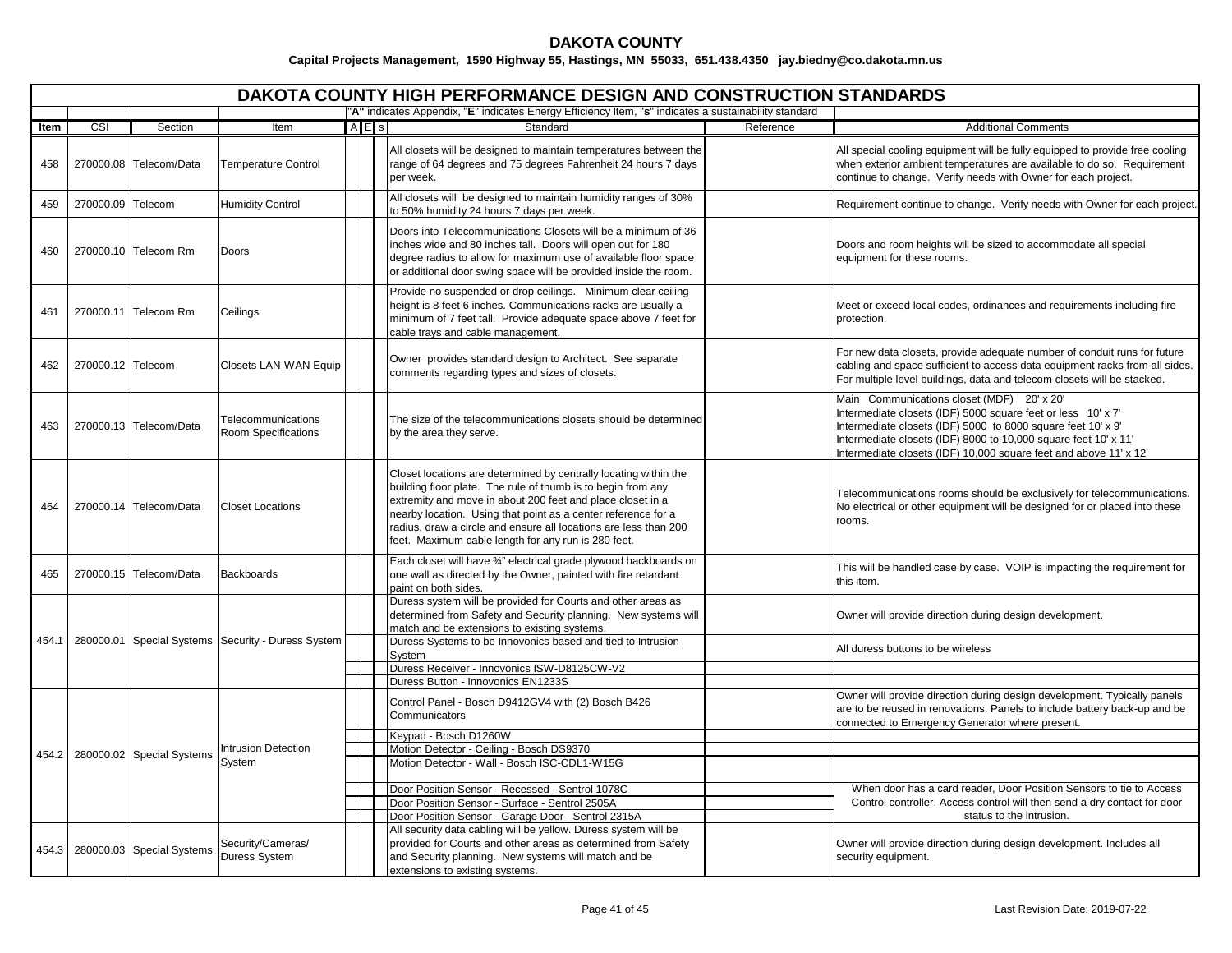|       |                   |                                 |                                                    |                       | DAKOTA COUNTY HIGH PERFORMANCE DESIGN AND CONSTRUCTION STANDARDS                                                                                                                                                                                                                                                                                                                           |           |                                                                                                                                                                                                                                                                                                                    |
|-------|-------------------|---------------------------------|----------------------------------------------------|-----------------------|--------------------------------------------------------------------------------------------------------------------------------------------------------------------------------------------------------------------------------------------------------------------------------------------------------------------------------------------------------------------------------------------|-----------|--------------------------------------------------------------------------------------------------------------------------------------------------------------------------------------------------------------------------------------------------------------------------------------------------------------------|
|       |                   |                                 |                                                    |                       | "A" indicates Appendix, "E" indicates Energy Efficiency Item, "s" indicates a sustainability standard                                                                                                                                                                                                                                                                                      |           |                                                                                                                                                                                                                                                                                                                    |
| ltem  | CSI               | Section                         | Item                                               | $A \nightharpoonup$ s | Standard                                                                                                                                                                                                                                                                                                                                                                                   | Reference | <b>Additional Comments</b>                                                                                                                                                                                                                                                                                         |
| 458   |                   | 270000.08 Telecom/Data          | <b>Temperature Control</b>                         |                       | All closets will be designed to maintain temperatures between the<br>range of 64 degrees and 75 degrees Fahrenheit 24 hours 7 days<br>per week.                                                                                                                                                                                                                                            |           | All special cooling equipment will be fully equipped to provide free cooling<br>when exterior ambient temperatures are available to do so. Requirement<br>continue to change. Verify needs with Owner for each project.                                                                                            |
| 459   | 270000.09 Telecom |                                 | <b>Humidity Control</b>                            |                       | All closets will be designed to maintain humidity ranges of 30%<br>to 50% humidity 24 hours 7 days per week.                                                                                                                                                                                                                                                                               |           | Requirement continue to change. Verify needs with Owner for each project                                                                                                                                                                                                                                           |
| 460   |                   | 270000.10 Telecom Rm            | Doors                                              |                       | Doors into Telecommunications Closets will be a minimum of 36<br>inches wide and 80 inches tall. Doors will open out for 180<br>degree radius to allow for maximum use of available floor space<br>or additional door swing space will be provided inside the room.                                                                                                                        |           | Doors and room heights will be sized to accommodate all special<br>equipment for these rooms.                                                                                                                                                                                                                      |
| 461   |                   | 270000.11 Telecom Rm            | Ceilings                                           |                       | Provide no suspended or drop ceilings. Minimum clear ceiling<br>height is 8 feet 6 inches. Communications racks are usually a<br>minimum of 7 feet tall. Provide adequate space above 7 feet for<br>cable trays and cable management.                                                                                                                                                      |           | Meet or exceed local codes, ordinances and requirements including fire<br>protection.                                                                                                                                                                                                                              |
| 462   | 270000.12 Telecom |                                 | <b>Closets LAN-WAN Equip</b>                       |                       | Owner provides standard design to Architect. See separate<br>comments regarding types and sizes of closets.                                                                                                                                                                                                                                                                                |           | For new data closets, provide adequate number of conduit runs for future<br>cabling and space sufficient to access data equipment racks from all sides.<br>For multiple level buildings, data and telecom closets will be stacked.                                                                                 |
| 463   |                   | 270000.13 Telecom/Data          | Telecommunications<br>Room Specifications          |                       | The size of the telecommunications closets should be determined<br>by the area they serve.                                                                                                                                                                                                                                                                                                 |           | Main Communications closet (MDF) 20' x 20'<br>Intermediate closets (IDF) 5000 square feet or less 10' x 7'<br>Intermediate closets (IDF) 5000 to 8000 square feet 10' x 9'<br>Intermediate closets (IDF) 8000 to 10,000 square feet 10' x 11'<br>Intermediate closets (IDF) 10,000 square feet and above 11' x 12' |
| 464   |                   | 270000.14 Telecom/Data          | <b>Closet Locations</b>                            |                       | Closet locations are determined by centrally locating within the<br>building floor plate. The rule of thumb is to begin from any<br>extremity and move in about 200 feet and place closet in a<br>nearby location. Using that point as a center reference for a<br>radius, draw a circle and ensure all locations are less than 200<br>feet. Maximum cable length for any run is 280 feet. |           | Telecommunications rooms should be exclusively for telecommunications.<br>No electrical or other equipment will be designed for or placed into these<br>rooms.                                                                                                                                                     |
| 465   | 270000.15         | Telecom/Data                    | <b>Backboards</b>                                  |                       | Each closet will have 3/4" electrical grade plywood backboards on<br>one wall as directed by the Owner, painted with fire retardant<br>paint on both sides.                                                                                                                                                                                                                                |           | This will be handled case by case. VOIP is impacting the requirement for<br>this item.                                                                                                                                                                                                                             |
|       |                   |                                 |                                                    |                       | Duress system will be provided for Courts and other areas as<br>determined from Safety and Security planning. New systems will<br>match and be extensions to existing systems.                                                                                                                                                                                                             |           | Owner will provide direction during design development.                                                                                                                                                                                                                                                            |
| 454.1 |                   |                                 | 280000.01 Special Systems Security - Duress System |                       | Duress Systems to be Innovonics based and tied to Intrusion<br>System<br>Duress Receiver - Innovonics ISW-D8125CW-V2                                                                                                                                                                                                                                                                       |           | All duress buttons to be wireless                                                                                                                                                                                                                                                                                  |
|       |                   |                                 |                                                    |                       | Duress Button - Innovonics EN1233S                                                                                                                                                                                                                                                                                                                                                         |           |                                                                                                                                                                                                                                                                                                                    |
|       |                   |                                 |                                                    |                       | Control Panel - Bosch D9412GV4 with (2) Bosch B426<br>Communicators                                                                                                                                                                                                                                                                                                                        |           | Owner will provide direction during design development. Typically panels<br>are to be reused in renovations. Panels to include battery back-up and be<br>connected to Emergency Generator where present.                                                                                                           |
|       |                   |                                 | <b>Intrusion Detection</b>                         |                       | Keypad - Bosch D1260W<br>Motion Detector - Ceiling - Bosch DS9370                                                                                                                                                                                                                                                                                                                          |           |                                                                                                                                                                                                                                                                                                                    |
|       |                   | 454.2 280000.02 Special Systems | System                                             |                       | Motion Detector - Wall - Bosch ISC-CDL1-W15G                                                                                                                                                                                                                                                                                                                                               |           |                                                                                                                                                                                                                                                                                                                    |
|       |                   |                                 |                                                    |                       | Door Position Sensor - Recessed - Sentrol 1078C                                                                                                                                                                                                                                                                                                                                            |           | When door has a card reader, Door Position Sensors to tie to Access                                                                                                                                                                                                                                                |
|       |                   |                                 |                                                    |                       | Door Position Sensor - Surface - Sentrol 2505A                                                                                                                                                                                                                                                                                                                                             |           | Control controller. Access control will then send a dry contact for door                                                                                                                                                                                                                                           |
|       |                   |                                 |                                                    |                       | Door Position Sensor - Garage Door - Sentrol 2315A                                                                                                                                                                                                                                                                                                                                         |           | status to the intrusion.                                                                                                                                                                                                                                                                                           |
|       |                   | 454.3 280000.03 Special Systems | Security/Cameras/<br>Duress System                 |                       | All security data cabling will be yellow. Duress system will be<br>provided for Courts and other areas as determined from Safety<br>and Security planning. New systems will match and be<br>extensions to existing systems.                                                                                                                                                                |           | Owner will provide direction during design development. Includes all<br>security equipment.                                                                                                                                                                                                                        |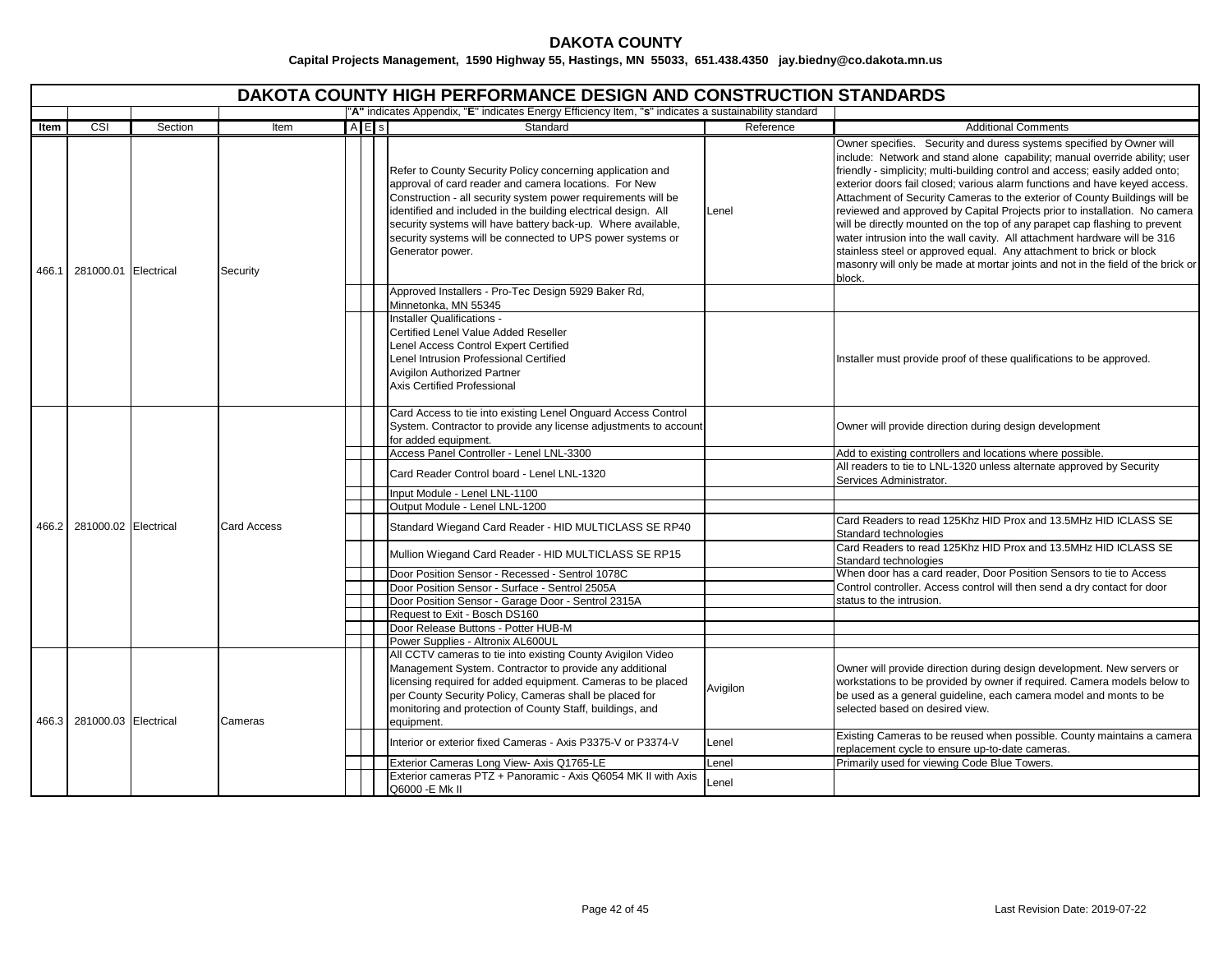|       |                            |                            |                    | <b>DAKOTA COUNTY HIGH PERFORMANCE DESIGN AND CONSTRUCTION STANDARDS</b>                                                                                                                                                                                                                                                                                                                                  |           |                                                                                                                                                                                                                                                                                                                                                                                                                                                                                                                                                                                                                                                                                                                                                                                                             |
|-------|----------------------------|----------------------------|--------------------|----------------------------------------------------------------------------------------------------------------------------------------------------------------------------------------------------------------------------------------------------------------------------------------------------------------------------------------------------------------------------------------------------------|-----------|-------------------------------------------------------------------------------------------------------------------------------------------------------------------------------------------------------------------------------------------------------------------------------------------------------------------------------------------------------------------------------------------------------------------------------------------------------------------------------------------------------------------------------------------------------------------------------------------------------------------------------------------------------------------------------------------------------------------------------------------------------------------------------------------------------------|
|       |                            |                            |                    | "A" indicates Appendix, "E" indicates Energy Efficiency Item, "s" indicates a sustainability standard                                                                                                                                                                                                                                                                                                    |           |                                                                                                                                                                                                                                                                                                                                                                                                                                                                                                                                                                                                                                                                                                                                                                                                             |
| Item  | CSI                        | Section                    | Item               | AES<br>Standard                                                                                                                                                                                                                                                                                                                                                                                          | Reference | <b>Additional Comments</b>                                                                                                                                                                                                                                                                                                                                                                                                                                                                                                                                                                                                                                                                                                                                                                                  |
|       | 466.1 281000.01 Electrical |                            | Security           | Refer to County Security Policy concerning application and<br>approval of card reader and camera locations. For New<br>Construction - all security system power requirements will be<br>identified and included in the building electrical design. All<br>security systems will have battery back-up. Where available,<br>security systems will be connected to UPS power systems or<br>Generator power. | Lenel     | Owner specifies. Security and duress systems specified by Owner will<br>include: Network and stand alone capability; manual override ability; user<br>friendly - simplicity; multi-building control and access; easily added onto;<br>exterior doors fail closed; various alarm functions and have keyed access.<br>Attachment of Security Cameras to the exterior of County Buildings will be<br>reviewed and approved by Capital Projects prior to installation. No camera<br>will be directly mounted on the top of any parapet cap flashing to prevent<br>water intrusion into the wall cavity. All attachment hardware will be 316<br>stainless steel or approved equal. Any attachment to brick or block<br>masonry will only be made at mortar joints and not in the field of the brick or<br>block. |
|       |                            |                            |                    | Approved Installers - Pro-Tec Design 5929 Baker Rd,                                                                                                                                                                                                                                                                                                                                                      |           |                                                                                                                                                                                                                                                                                                                                                                                                                                                                                                                                                                                                                                                                                                                                                                                                             |
|       |                            |                            |                    | Minnetonka, MN 55345                                                                                                                                                                                                                                                                                                                                                                                     |           |                                                                                                                                                                                                                                                                                                                                                                                                                                                                                                                                                                                                                                                                                                                                                                                                             |
|       |                            |                            |                    | Installer Qualifications -<br>Certified Lenel Value Added Reseller<br>Lenel Access Control Expert Certified<br>Lenel Intrusion Professional Certified<br>Avigilon Authorized Partner<br>Axis Certified Professional                                                                                                                                                                                      |           | Installer must provide proof of these qualifications to be approved.                                                                                                                                                                                                                                                                                                                                                                                                                                                                                                                                                                                                                                                                                                                                        |
|       |                            |                            | <b>Card Access</b> | Card Access to tie into existing Lenel Onguard Access Control<br>System. Contractor to provide any license adjustments to account<br>for added equipment.                                                                                                                                                                                                                                                |           | Owner will provide direction during design development                                                                                                                                                                                                                                                                                                                                                                                                                                                                                                                                                                                                                                                                                                                                                      |
|       |                            |                            |                    | Access Panel Controller - Lenel LNL-3300                                                                                                                                                                                                                                                                                                                                                                 |           | Add to existing controllers and locations where possible.                                                                                                                                                                                                                                                                                                                                                                                                                                                                                                                                                                                                                                                                                                                                                   |
|       |                            |                            |                    | Card Reader Control board - Lenel LNL-1320                                                                                                                                                                                                                                                                                                                                                               |           | All readers to tie to LNL-1320 unless alternate approved by Security<br>Services Administrator.                                                                                                                                                                                                                                                                                                                                                                                                                                                                                                                                                                                                                                                                                                             |
|       |                            |                            |                    | Input Module - Lenel LNL-1100                                                                                                                                                                                                                                                                                                                                                                            |           |                                                                                                                                                                                                                                                                                                                                                                                                                                                                                                                                                                                                                                                                                                                                                                                                             |
|       |                            |                            |                    | Output Module - Lenel LNL-1200                                                                                                                                                                                                                                                                                                                                                                           |           |                                                                                                                                                                                                                                                                                                                                                                                                                                                                                                                                                                                                                                                                                                                                                                                                             |
| 466.2 | 281000.02 Electrical       |                            |                    | Standard Wiegand Card Reader - HID MULTICLASS SE RP40                                                                                                                                                                                                                                                                                                                                                    |           | Card Readers to read 125Khz HID Prox and 13.5MHz HID ICLASS SE<br>Standard technologies                                                                                                                                                                                                                                                                                                                                                                                                                                                                                                                                                                                                                                                                                                                     |
|       |                            |                            |                    | Mullion Wiegand Card Reader - HID MULTICLASS SE RP15                                                                                                                                                                                                                                                                                                                                                     |           | Card Readers to read 125Khz HID Prox and 13.5MHz HID ICLASS SE<br>Standard technologies                                                                                                                                                                                                                                                                                                                                                                                                                                                                                                                                                                                                                                                                                                                     |
|       |                            |                            |                    | Door Position Sensor - Recessed - Sentrol 1078C                                                                                                                                                                                                                                                                                                                                                          |           | When door has a card reader, Door Position Sensors to tie to Access                                                                                                                                                                                                                                                                                                                                                                                                                                                                                                                                                                                                                                                                                                                                         |
|       |                            |                            |                    | Door Position Sensor - Surface - Sentrol 2505A                                                                                                                                                                                                                                                                                                                                                           |           | Control controller. Access control will then send a dry contact for door                                                                                                                                                                                                                                                                                                                                                                                                                                                                                                                                                                                                                                                                                                                                    |
|       |                            |                            |                    | Door Position Sensor - Garage Door - Sentrol 2315A                                                                                                                                                                                                                                                                                                                                                       |           | status to the intrusion.                                                                                                                                                                                                                                                                                                                                                                                                                                                                                                                                                                                                                                                                                                                                                                                    |
|       |                            |                            |                    | Request to Exit - Bosch DS160<br>Door Release Buttons - Potter HUB-M                                                                                                                                                                                                                                                                                                                                     |           |                                                                                                                                                                                                                                                                                                                                                                                                                                                                                                                                                                                                                                                                                                                                                                                                             |
|       |                            |                            |                    | Power Supplies - Altronix AL600UL                                                                                                                                                                                                                                                                                                                                                                        |           |                                                                                                                                                                                                                                                                                                                                                                                                                                                                                                                                                                                                                                                                                                                                                                                                             |
|       |                            | 466.3 281000.03 Electrical | Cameras            | All CCTV cameras to tie into existing County Avigilon Video<br>Management System. Contractor to provide any additional<br>licensing required for added equipment. Cameras to be placed<br>per County Security Policy, Cameras shall be placed for<br>monitoring and protection of County Staff, buildings, and<br>equipment.                                                                             | Avigilon  | Owner will provide direction during design development. New servers or<br>workstations to be provided by owner if required. Camera models below to<br>be used as a general guideline, each camera model and monts to be<br>selected based on desired view.                                                                                                                                                                                                                                                                                                                                                                                                                                                                                                                                                  |
|       |                            |                            |                    | Interior or exterior fixed Cameras - Axis P3375-V or P3374-V                                                                                                                                                                                                                                                                                                                                             | Lenel     | Existing Cameras to be reused when possible. County maintains a camera<br>replacement cycle to ensure up-to-date cameras.                                                                                                                                                                                                                                                                                                                                                                                                                                                                                                                                                                                                                                                                                   |
|       |                            |                            |                    | Exterior Cameras Long View- Axis Q1765-LE                                                                                                                                                                                                                                                                                                                                                                | Lenel     | Primarily used for viewing Code Blue Towers.                                                                                                                                                                                                                                                                                                                                                                                                                                                                                                                                                                                                                                                                                                                                                                |
|       |                            |                            |                    | Exterior cameras PTZ + Panoramic - Axis Q6054 MK II with Axis<br>Q6000 - E Mk II                                                                                                                                                                                                                                                                                                                         | Lenel     |                                                                                                                                                                                                                                                                                                                                                                                                                                                                                                                                                                                                                                                                                                                                                                                                             |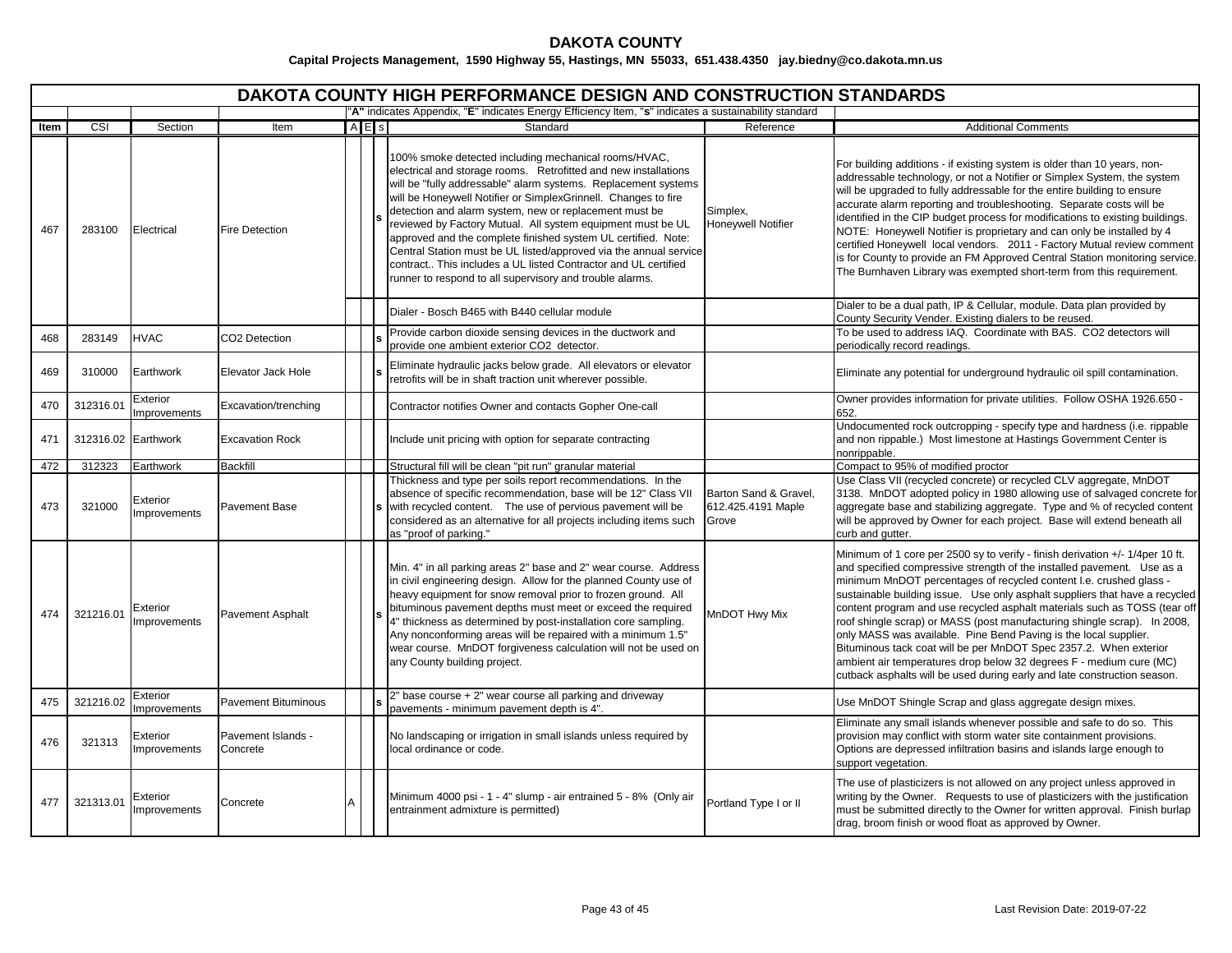# **DAKOTA COUNTY**

|      |                     |                                 |                                |                                                                                                       | <b>DAKOTA COUNTY HIGH PERFORMANCE DESIGN AND CONSTRUCTION STANDARDS</b>                                                                                                                                                                                                                                                                                                                                                                                                                                                                                                                                                                                  |                                                      |                                                                                                                                                                                                                                                                                                                                                                                                                                                                                                                                                                                                                                                                                                                                                                   |
|------|---------------------|---------------------------------|--------------------------------|-------------------------------------------------------------------------------------------------------|----------------------------------------------------------------------------------------------------------------------------------------------------------------------------------------------------------------------------------------------------------------------------------------------------------------------------------------------------------------------------------------------------------------------------------------------------------------------------------------------------------------------------------------------------------------------------------------------------------------------------------------------------------|------------------------------------------------------|-------------------------------------------------------------------------------------------------------------------------------------------------------------------------------------------------------------------------------------------------------------------------------------------------------------------------------------------------------------------------------------------------------------------------------------------------------------------------------------------------------------------------------------------------------------------------------------------------------------------------------------------------------------------------------------------------------------------------------------------------------------------|
|      |                     |                                 |                                | "A" indicates Appendix, "E" indicates Energy Efficiency Item, "s" indicates a sustainability standard |                                                                                                                                                                                                                                                                                                                                                                                                                                                                                                                                                                                                                                                          |                                                      |                                                                                                                                                                                                                                                                                                                                                                                                                                                                                                                                                                                                                                                                                                                                                                   |
| Item | CSI                 | Section                         | Item                           | $A$ E s                                                                                               | Standard                                                                                                                                                                                                                                                                                                                                                                                                                                                                                                                                                                                                                                                 | Reference                                            | <b>Additional Comments</b>                                                                                                                                                                                                                                                                                                                                                                                                                                                                                                                                                                                                                                                                                                                                        |
| 467  | 283100              | Electrical                      | <b>Fire Detection</b>          |                                                                                                       | 100% smoke detected including mechanical rooms/HVAC,<br>electrical and storage rooms. Retrofitted and new installations<br>will be "fully addressable" alarm systems. Replacement systems<br>will be Honeywell Notifier or SimplexGrinnell. Changes to fire<br>detection and alarm system, new or replacement must be<br>reviewed by Factory Mutual. All system equipment must be UL<br>approved and the complete finished system UL certified. Note:<br>Central Station must be UL listed/approved via the annual service<br>contract This includes a UL listed Contractor and UL certified<br>runner to respond to all supervisory and trouble alarms. | Simplex,<br><b>Honeywell Notifier</b>                | For building additions - if existing system is older than 10 years, non-<br>addressable technology, or not a Notifier or Simplex System, the system<br>will be upgraded to fully addressable for the entire building to ensure<br>accurate alarm reporting and troubleshooting. Separate costs will be<br>identified in the CIP budget process for modifications to existing buildings.<br>NOTE: Honeywell Notifier is proprietary and can only be installed by 4<br>certified Honeywell local vendors. 2011 - Factory Mutual review comment<br>is for County to provide an FM Approved Central Station monitoring service.<br>The Burnhaven Library was exempted short-term from this requirement.                                                               |
|      |                     |                                 |                                |                                                                                                       | Dialer - Bosch B465 with B440 cellular module<br>Provide carbon dioxide sensing devices in the ductwork and                                                                                                                                                                                                                                                                                                                                                                                                                                                                                                                                              |                                                      | Dialer to be a dual path, IP & Cellular, module. Data plan provided by<br>County Security Vender. Existing dialers to be reused.<br>To be used to address IAQ. Coordinate with BAS. CO2 detectors will                                                                                                                                                                                                                                                                                                                                                                                                                                                                                                                                                            |
| 468  | 283149              | <b>HVAC</b>                     | CO2 Detection                  |                                                                                                       | provide one ambient exterior CO2 detector.                                                                                                                                                                                                                                                                                                                                                                                                                                                                                                                                                                                                               |                                                      | periodically record readings.                                                                                                                                                                                                                                                                                                                                                                                                                                                                                                                                                                                                                                                                                                                                     |
| 469  | 310000              | Earthwork                       | Elevator Jack Hole             |                                                                                                       | Eliminate hydraulic jacks below grade. All elevators or elevator<br>retrofits will be in shaft traction unit wherever possible.                                                                                                                                                                                                                                                                                                                                                                                                                                                                                                                          |                                                      | Eliminate any potential for underground hydraulic oil spill contamination.                                                                                                                                                                                                                                                                                                                                                                                                                                                                                                                                                                                                                                                                                        |
| 470  | 312316.01           | Exterior<br>Improvements        | Excavation/trenching           |                                                                                                       | Contractor notifies Owner and contacts Gopher One-call                                                                                                                                                                                                                                                                                                                                                                                                                                                                                                                                                                                                   |                                                      | Owner provides information for private utilities. Follow OSHA 1926.650 -<br>652.                                                                                                                                                                                                                                                                                                                                                                                                                                                                                                                                                                                                                                                                                  |
| 471  | 312316.02 Earthwork |                                 | <b>Excavation Rock</b>         |                                                                                                       | Include unit pricing with option for separate contracting                                                                                                                                                                                                                                                                                                                                                                                                                                                                                                                                                                                                |                                                      | Undocumented rock outcropping - specify type and hardness (i.e. rippable<br>and non rippable.) Most limestone at Hastings Government Center is<br>nonrippable.                                                                                                                                                                                                                                                                                                                                                                                                                                                                                                                                                                                                    |
| 472  | 312323              | Earthwork                       | <b>Backfill</b>                |                                                                                                       | Structural fill will be clean "pit run" granular material                                                                                                                                                                                                                                                                                                                                                                                                                                                                                                                                                                                                |                                                      | Compact to 95% of modified proctor                                                                                                                                                                                                                                                                                                                                                                                                                                                                                                                                                                                                                                                                                                                                |
| 473  | 321000              | Exterior<br><b>Improvements</b> | <b>Pavement Base</b>           |                                                                                                       | Thickness and type per soils report recommendations. In the<br>absence of specific recommendation, base will be 12" Class VII<br>with recycled content. The use of pervious pavement will be<br>considered as an alternative for all projects including items such<br>as "proof of parking."                                                                                                                                                                                                                                                                                                                                                             | Barton Sand & Gravel,<br>612.425.4191 Maple<br>Grove | Use Class VII (recycled concrete) or recycled CLV aggregate, MnDOT<br>3138. MnDOT adopted policy in 1980 allowing use of salvaged concrete for<br>aggregate base and stabilizing aggregate. Type and % of recycled content<br>will be approved by Owner for each project. Base will extend beneath all<br>curb and gutter.                                                                                                                                                                                                                                                                                                                                                                                                                                        |
| 474  | 321216.01           | Exterior<br>Improvements        | <b>Pavement Asphalt</b>        |                                                                                                       | Min. 4" in all parking areas 2" base and 2" wear course. Address<br>in civil engineering design. Allow for the planned County use of<br>heavy equipment for snow removal prior to frozen ground. All<br>bituminous pavement depths must meet or exceed the required<br>4" thickness as determined by post-installation core sampling.<br>Any nonconforming areas will be repaired with a minimum 1.5"<br>wear course. MnDOT forgiveness calculation will not be used on<br>any County building project.                                                                                                                                                  | MnDOT Hwy Mix                                        | Minimum of 1 core per 2500 sy to verify - finish derivation +/- 1/4per 10 ft.<br>and specified compressive strength of the installed pavement. Use as a<br>minimum MnDOT percentages of recycled content I.e. crushed glass -<br>sustainable building issue. Use only asphalt suppliers that have a recycled<br>content program and use recycled asphalt materials such as TOSS (tear off<br>roof shingle scrap) or MASS (post manufacturing shingle scrap). In 2008,<br>only MASS was available. Pine Bend Paving is the local supplier.<br>Bituminous tack coat will be per MnDOT Spec 2357.2. When exterior<br>ambient air temperatures drop below 32 degrees F - medium cure (MC)<br>cutback asphalts will be used during early and late construction season. |
| 475  | 321216.02           | Exterior<br>Improvements        | <b>Pavement Bituminous</b>     |                                                                                                       | 2" base course + 2" wear course all parking and driveway<br>pavements - minimum pavement depth is 4".                                                                                                                                                                                                                                                                                                                                                                                                                                                                                                                                                    |                                                      | Use MnDOT Shingle Scrap and glass aggregate design mixes.                                                                                                                                                                                                                                                                                                                                                                                                                                                                                                                                                                                                                                                                                                         |
| 476  | 321313              | Exterior<br>Improvements        | Pavement Islands -<br>Concrete |                                                                                                       | No landscaping or irrigation in small islands unless required by<br>local ordinance or code.                                                                                                                                                                                                                                                                                                                                                                                                                                                                                                                                                             |                                                      | Eliminate any small islands whenever possible and safe to do so. This<br>provision may conflict with storm water site containment provisions.<br>Options are depressed infiltration basins and islands large enough to<br>support vegetation.                                                                                                                                                                                                                                                                                                                                                                                                                                                                                                                     |
| 477  | 321313.01           | <b>Exterior</b><br>mprovements  | Concrete                       |                                                                                                       | Minimum 4000 psi - 1 - 4" slump - air entrained 5 - 8% (Only air<br>entrainment admixture is permitted)                                                                                                                                                                                                                                                                                                                                                                                                                                                                                                                                                  | Portland Type I or II                                | The use of plasticizers is not allowed on any project unless approved in<br>writing by the Owner. Requests to use of plasticizers with the justification<br>must be submitted directly to the Owner for written approval. Finish burlap<br>drag, broom finish or wood float as approved by Owner.                                                                                                                                                                                                                                                                                                                                                                                                                                                                 |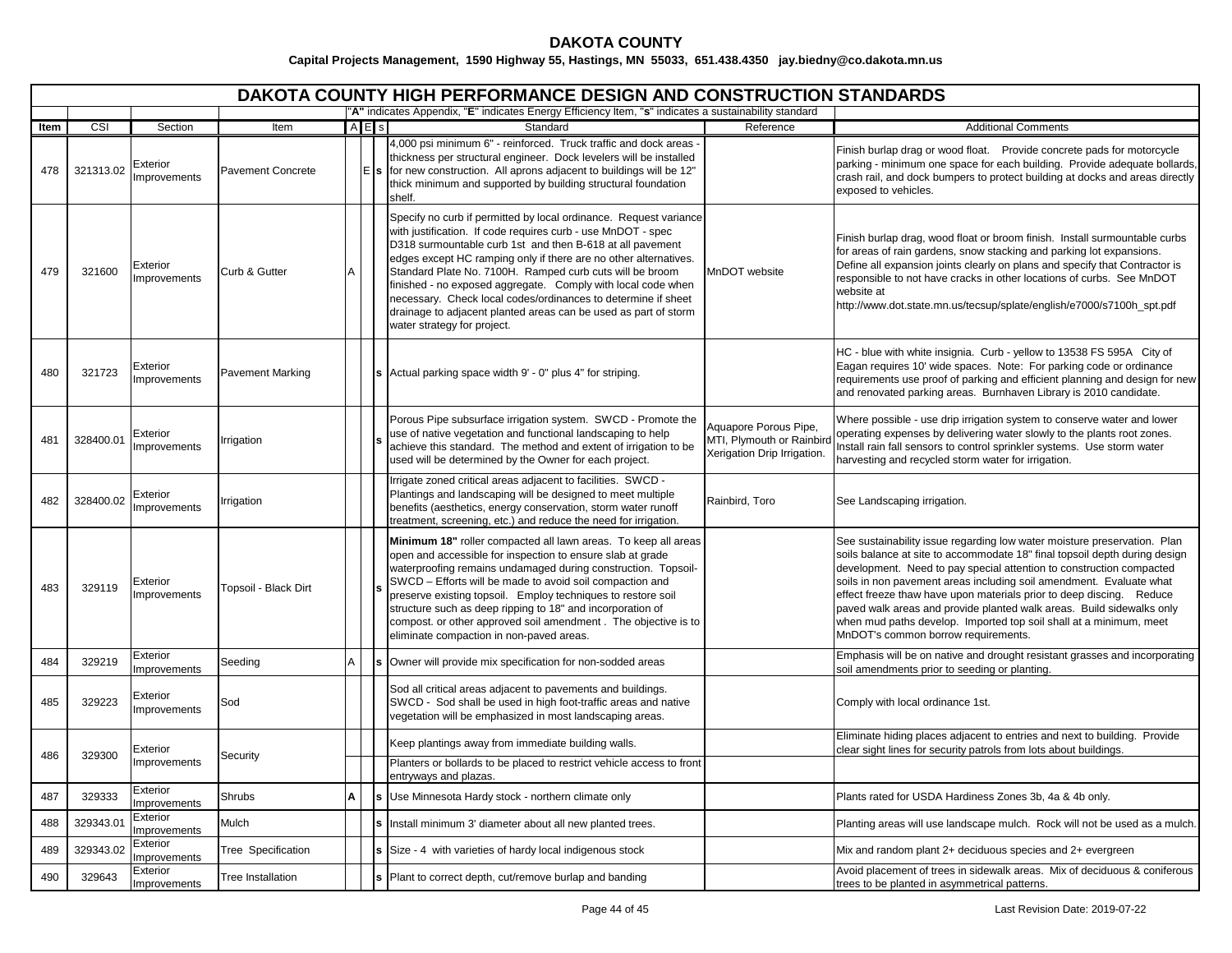|             | <b>DAKOTA COUNTY HIGH PERFORMANCE DESIGN AND CONSTRUCTION STANDARDS</b><br>"A" indicates Appendix, "E" indicates Energy Efficiency Item, "s" indicates a sustainability standard |                                 |                                  |             |  |                                                                                                                                                                                                                                                                                                                                                                                                                                                                                                                                                                   |                                                                                   |                                                                                                                                                                                                                                                                                                                                                                                                                                                                                                                                                                     |  |  |  |
|-------------|----------------------------------------------------------------------------------------------------------------------------------------------------------------------------------|---------------------------------|----------------------------------|-------------|--|-------------------------------------------------------------------------------------------------------------------------------------------------------------------------------------------------------------------------------------------------------------------------------------------------------------------------------------------------------------------------------------------------------------------------------------------------------------------------------------------------------------------------------------------------------------------|-----------------------------------------------------------------------------------|---------------------------------------------------------------------------------------------------------------------------------------------------------------------------------------------------------------------------------------------------------------------------------------------------------------------------------------------------------------------------------------------------------------------------------------------------------------------------------------------------------------------------------------------------------------------|--|--|--|
|             |                                                                                                                                                                                  | Section                         |                                  | <b>AE</b> s |  | Standard                                                                                                                                                                                                                                                                                                                                                                                                                                                                                                                                                          | Reference                                                                         |                                                                                                                                                                                                                                                                                                                                                                                                                                                                                                                                                                     |  |  |  |
| Item<br>478 | CSI<br>321313.02                                                                                                                                                                 | Exterior<br>Improvements        | Item<br><b>Pavement Concrete</b> |             |  | 4,000 psi minimum 6" - reinforced. Truck traffic and dock areas -<br>thickness per structural engineer. Dock levelers will be installed<br>$E$ s for new construction. All aprons adjacent to buildings will be 12"<br>thick minimum and supported by building structural foundation<br>shelf.                                                                                                                                                                                                                                                                    |                                                                                   | <b>Additional Comments</b><br>Finish burlap drag or wood float. Provide concrete pads for motorcycle<br>parking - minimum one space for each building. Provide adequate bollards,<br>crash rail, and dock bumpers to protect building at docks and areas directly<br>exposed to vehicles.                                                                                                                                                                                                                                                                           |  |  |  |
| 479         | 321600                                                                                                                                                                           | Exterior<br>Improvements        | Curb & Gutter                    | А           |  | Specify no curb if permitted by local ordinance. Request variance<br>with justification. If code requires curb - use MnDOT - spec<br>D318 surmountable curb 1st and then B-618 at all pavement<br>edges except HC ramping only if there are no other alternatives.<br>Standard Plate No. 7100H. Ramped curb cuts will be broom<br>finished - no exposed aggregate. Comply with local code when<br>necessary. Check local codes/ordinances to determine if sheet<br>drainage to adjacent planted areas can be used as part of storm<br>water strategy for project. | MnDOT website                                                                     | Finish burlap drag, wood float or broom finish. Install surmountable curbs<br>for areas of rain gardens, snow stacking and parking lot expansions.<br>Define all expansion joints clearly on plans and specify that Contractor is<br>responsible to not have cracks in other locations of curbs. See MnDOT<br>website at<br>http://www.dot.state.mn.us/tecsup/splate/english/e7000/s7100h_spt.pdf                                                                                                                                                                   |  |  |  |
| 480         | 321723                                                                                                                                                                           | Exterior<br><b>Improvements</b> | <b>Pavement Marking</b>          |             |  | <b>s</b> Actual parking space width 9' - 0" plus 4" for striping.                                                                                                                                                                                                                                                                                                                                                                                                                                                                                                 |                                                                                   | HC - blue with white insignia. Curb - yellow to 13538 FS 595A City of<br>Eagan requires 10' wide spaces. Note: For parking code or ordinance<br>requirements use proof of parking and efficient planning and design for new<br>and renovated parking areas. Burnhaven Library is 2010 candidate.                                                                                                                                                                                                                                                                    |  |  |  |
| 481         | 328400.01                                                                                                                                                                        | Exterior<br>Improvements        | Irrigation                       |             |  | Porous Pipe subsurface irrigation system. SWCD - Promote the<br>use of native vegetation and functional landscaping to help<br>achieve this standard. The method and extent of irrigation to be<br>used will be determined by the Owner for each project.                                                                                                                                                                                                                                                                                                         | Aquapore Porous Pipe,<br>MTI, Plymouth or Rainbird<br>Xerigation Drip Irrigation. | Where possible - use drip irrigation system to conserve water and lower<br>operating expenses by delivering water slowly to the plants root zones.<br>Install rain fall sensors to control sprinkler systems. Use storm water<br>harvesting and recycled storm water for irrigation.                                                                                                                                                                                                                                                                                |  |  |  |
| 482         | 328400.02                                                                                                                                                                        | Exterior<br>Improvements        | rrigation                        |             |  | Irrigate zoned critical areas adjacent to facilities. SWCD -<br>Plantings and landscaping will be designed to meet multiple<br>benefits (aesthetics, energy conservation, storm water runoff<br>treatment, screening, etc.) and reduce the need for irrigation.                                                                                                                                                                                                                                                                                                   | Rainbird, Toro                                                                    | See Landscaping irrigation.                                                                                                                                                                                                                                                                                                                                                                                                                                                                                                                                         |  |  |  |
| 483         | 329119                                                                                                                                                                           | Exterior<br>Improvements        | Topsoil - Black Dirt             |             |  | Minimum 18" roller compacted all lawn areas. To keep all areas<br>open and accessible for inspection to ensure slab at grade<br>waterproofing remains undamaged during construction. Topsoil-<br>SWCD - Efforts will be made to avoid soil compaction and<br>preserve existing topsoil. Employ techniques to restore soil<br>structure such as deep ripping to 18" and incorporation of<br>compost. or other approved soil amendment. The objective is to<br>eliminate compaction in non-paved areas.                                                             |                                                                                   | See sustainability issue regarding low water moisture preservation. Plan<br>soils balance at site to accommodate 18" final topsoil depth during design<br>development. Need to pay special attention to construction compacted<br>soils in non pavement areas including soil amendment. Evaluate what<br>effect freeze thaw have upon materials prior to deep discing. Reduce<br>paved walk areas and provide planted walk areas. Build sidewalks only<br>when mud paths develop. Imported top soil shall at a minimum, meet<br>MnDOT's common borrow requirements. |  |  |  |
| 484         | 329219                                                                                                                                                                           | Exterior<br><b>Improvements</b> | Seeding                          | A           |  | Owner will provide mix specification for non-sodded areas                                                                                                                                                                                                                                                                                                                                                                                                                                                                                                         |                                                                                   | Emphasis will be on native and drought resistant grasses and incorporating<br>soil amendments prior to seeding or planting.                                                                                                                                                                                                                                                                                                                                                                                                                                         |  |  |  |
| 485         | 329223                                                                                                                                                                           | Exterior<br>Improvements        | Sod                              |             |  | Sod all critical areas adjacent to pavements and buildings.<br>SWCD - Sod shall be used in high foot-traffic areas and native<br>vegetation will be emphasized in most landscaping areas.                                                                                                                                                                                                                                                                                                                                                                         |                                                                                   | Comply with local ordinance 1st.                                                                                                                                                                                                                                                                                                                                                                                                                                                                                                                                    |  |  |  |
| 486         | 329300                                                                                                                                                                           | Exterior<br>Improvements        | Security                         |             |  | Keep plantings away from immediate building walls.<br>Planters or bollards to be placed to restrict vehicle access to front<br>entryways and plazas.                                                                                                                                                                                                                                                                                                                                                                                                              |                                                                                   | Eliminate hiding places adjacent to entries and next to building. Provide<br>clear sight lines for security patrols from lots about buildings.                                                                                                                                                                                                                                                                                                                                                                                                                      |  |  |  |
| 487         | 329333                                                                                                                                                                           | Exterior<br>Improvements        | Shrubs                           | A           |  | Use Minnesota Hardy stock - northern climate only                                                                                                                                                                                                                                                                                                                                                                                                                                                                                                                 |                                                                                   | Plants rated for USDA Hardiness Zones 3b, 4a & 4b only.                                                                                                                                                                                                                                                                                                                                                                                                                                                                                                             |  |  |  |
| 488         | 329343.01                                                                                                                                                                        | Exterior<br>Improvements        | Mulch                            |             |  | Install minimum 3' diameter about all new planted trees.                                                                                                                                                                                                                                                                                                                                                                                                                                                                                                          |                                                                                   | Planting areas will use landscape mulch. Rock will not be used as a mulch.                                                                                                                                                                                                                                                                                                                                                                                                                                                                                          |  |  |  |
| 489         | 329343.02                                                                                                                                                                        | Exterior<br><b>Improvements</b> | Tree Specification               |             |  | Size - 4 with varieties of hardy local indigenous stock                                                                                                                                                                                                                                                                                                                                                                                                                                                                                                           |                                                                                   | Mix and random plant 2+ deciduous species and 2+ evergreen                                                                                                                                                                                                                                                                                                                                                                                                                                                                                                          |  |  |  |
| 490         | 329643                                                                                                                                                                           | Exterior<br>Improvements        | <b>Tree Installation</b>         |             |  | Plant to correct depth, cut/remove burlap and banding                                                                                                                                                                                                                                                                                                                                                                                                                                                                                                             |                                                                                   | Avoid placement of trees in sidewalk areas. Mix of deciduous & coniferous<br>trees to be planted in asymmetrical patterns.                                                                                                                                                                                                                                                                                                                                                                                                                                          |  |  |  |